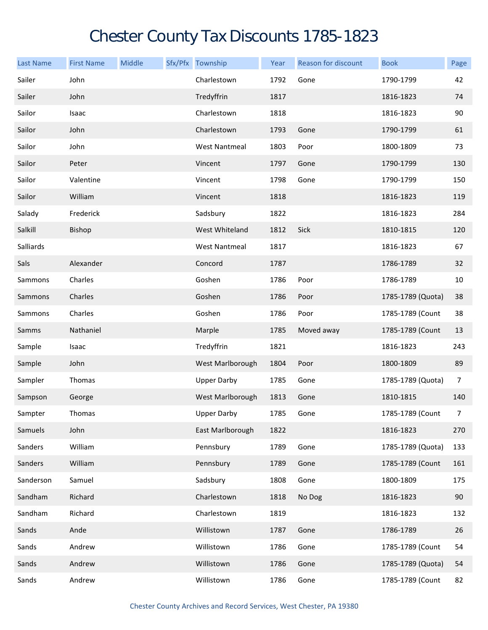## Chester County Tax Discounts 1785-1823

| <b>Last Name</b> | <b>First Name</b> | Middle | Sfx/Pfx Township     | Year | Reason for discount | <b>Book</b>       | Page           |
|------------------|-------------------|--------|----------------------|------|---------------------|-------------------|----------------|
| Sailer           | John              |        | Charlestown          | 1792 | Gone                | 1790-1799         | 42             |
| Sailer           | John              |        | Tredyffrin           | 1817 |                     | 1816-1823         | 74             |
| Sailor           | Isaac             |        | Charlestown          | 1818 |                     | 1816-1823         | 90             |
| Sailor           | John              |        | Charlestown          | 1793 | Gone                | 1790-1799         | 61             |
| Sailor           | John              |        | <b>West Nantmeal</b> | 1803 | Poor                | 1800-1809         | 73             |
| Sailor           | Peter             |        | Vincent              | 1797 | Gone                | 1790-1799         | 130            |
| Sailor           | Valentine         |        | Vincent              | 1798 | Gone                | 1790-1799         | 150            |
| Sailor           | William           |        | Vincent              | 1818 |                     | 1816-1823         | 119            |
| Salady           | Frederick         |        | Sadsbury             | 1822 |                     | 1816-1823         | 284            |
| Salkill          | Bishop            |        | West Whiteland       | 1812 | Sick                | 1810-1815         | 120            |
| Salliards        |                   |        | <b>West Nantmeal</b> | 1817 |                     | 1816-1823         | 67             |
| Sals             | Alexander         |        | Concord              | 1787 |                     | 1786-1789         | 32             |
| Sammons          | Charles           |        | Goshen               | 1786 | Poor                | 1786-1789         | 10             |
| Sammons          | Charles           |        | Goshen               | 1786 | Poor                | 1785-1789 (Quota) | 38             |
| Sammons          | Charles           |        | Goshen               | 1786 | Poor                | 1785-1789 (Count  | 38             |
| Samms            | Nathaniel         |        | Marple               | 1785 | Moved away          | 1785-1789 (Count  | 13             |
| Sample           | Isaac             |        | Tredyffrin           | 1821 |                     | 1816-1823         | 243            |
| Sample           | John              |        | West Marlborough     | 1804 | Poor                | 1800-1809         | 89             |
| Sampler          | Thomas            |        | <b>Upper Darby</b>   | 1785 | Gone                | 1785-1789 (Quota) | $\overline{7}$ |
| Sampson          | George            |        | West Marlborough     | 1813 | Gone                | 1810-1815         | 140            |
| Sampter          | Thomas            |        | Upper Darby          | 1785 | Gone                | 1785-1789 (Count  | 7              |
| Samuels          | John              |        | East Marlborough     | 1822 |                     | 1816-1823         | 270            |
| Sanders          | William           |        | Pennsbury            | 1789 | Gone                | 1785-1789 (Quota) | 133            |
| Sanders          | William           |        | Pennsbury            | 1789 | Gone                | 1785-1789 (Count  | 161            |
| Sanderson        | Samuel            |        | Sadsbury             | 1808 | Gone                | 1800-1809         | 175            |
| Sandham          | Richard           |        | Charlestown          | 1818 | No Dog              | 1816-1823         | 90             |
| Sandham          | Richard           |        | Charlestown          | 1819 |                     | 1816-1823         | 132            |
| Sands            | Ande              |        | Willistown           | 1787 | Gone                | 1786-1789         | 26             |
| Sands            | Andrew            |        | Willistown           | 1786 | Gone                | 1785-1789 (Count  | 54             |
| Sands            | Andrew            |        | Willistown           | 1786 | Gone                | 1785-1789 (Quota) | 54             |
| Sands            | Andrew            |        | Willistown           | 1786 | Gone                | 1785-1789 (Count  | 82             |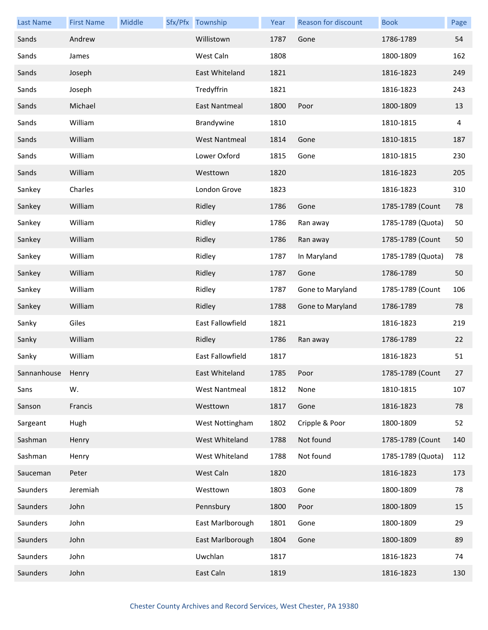| <b>Last Name</b>  | <b>First Name</b> | Middle | Sfx/Pfx Township     | Year | Reason for discount | <b>Book</b>       | Page |
|-------------------|-------------------|--------|----------------------|------|---------------------|-------------------|------|
| Sands             | Andrew            |        | Willistown           | 1787 | Gone                | 1786-1789         | 54   |
| Sands             | James             |        | West Caln            | 1808 |                     | 1800-1809         | 162  |
| Sands             | Joseph            |        | East Whiteland       | 1821 |                     | 1816-1823         | 249  |
| Sands             | Joseph            |        | Tredyffrin           | 1821 |                     | 1816-1823         | 243  |
| Sands             | Michael           |        | <b>East Nantmeal</b> | 1800 | Poor                | 1800-1809         | 13   |
| Sands             | William           |        | Brandywine           | 1810 |                     | 1810-1815         | 4    |
| Sands             | William           |        | <b>West Nantmeal</b> | 1814 | Gone                | 1810-1815         | 187  |
| Sands             | William           |        | Lower Oxford         | 1815 | Gone                | 1810-1815         | 230  |
| Sands             | William           |        | Westtown             | 1820 |                     | 1816-1823         | 205  |
| Sankey            | Charles           |        | London Grove         | 1823 |                     | 1816-1823         | 310  |
| Sankey            | William           |        | Ridley               | 1786 | Gone                | 1785-1789 (Count  | 78   |
| Sankey            | William           |        | Ridley               | 1786 | Ran away            | 1785-1789 (Quota) | 50   |
| Sankey            | William           |        | Ridley               | 1786 | Ran away            | 1785-1789 (Count  | 50   |
| Sankey            | William           |        | Ridley               | 1787 | In Maryland         | 1785-1789 (Quota) | 78   |
| Sankey            | William           |        | Ridley               | 1787 | Gone                | 1786-1789         | 50   |
| Sankey            | William           |        | Ridley               | 1787 | Gone to Maryland    | 1785-1789 (Count  | 106  |
| Sankey            | William           |        | Ridley               | 1788 | Gone to Maryland    | 1786-1789         | 78   |
| Sanky             | Giles             |        | East Fallowfield     | 1821 |                     | 1816-1823         | 219  |
| Sanky             | William           |        | Ridley               | 1786 | Ran away            | 1786-1789         | 22   |
| Sanky             | William           |        | East Fallowfield     | 1817 |                     | 1816-1823         | 51   |
| Sannanhouse Henry |                   |        | East Whiteland       | 1785 | Poor                | 1785-1789 (Count  | 27   |
| Sans              | W.                |        | West Nantmeal        | 1812 | None                | 1810-1815         | 107  |
| Sanson            | Francis           |        | Westtown             | 1817 | Gone                | 1816-1823         | 78   |
| Sargeant          | Hugh              |        | West Nottingham      | 1802 | Cripple & Poor      | 1800-1809         | 52   |
| Sashman           | Henry             |        | West Whiteland       | 1788 | Not found           | 1785-1789 (Count  | 140  |
| Sashman           | Henry             |        | West Whiteland       | 1788 | Not found           | 1785-1789 (Quota) | 112  |
| Sauceman          | Peter             |        | West Caln            | 1820 |                     | 1816-1823         | 173  |
| Saunders          | Jeremiah          |        | Westtown             | 1803 | Gone                | 1800-1809         | 78   |
| Saunders          | John              |        | Pennsbury            | 1800 | Poor                | 1800-1809         | 15   |
| Saunders          | John              |        | East Marlborough     | 1801 | Gone                | 1800-1809         | 29   |
| Saunders          | John              |        | East Marlborough     | 1804 | Gone                | 1800-1809         | 89   |
| Saunders          | John              |        | Uwchlan              | 1817 |                     | 1816-1823         | 74   |
| Saunders          | John              |        | East Caln            | 1819 |                     | 1816-1823         | 130  |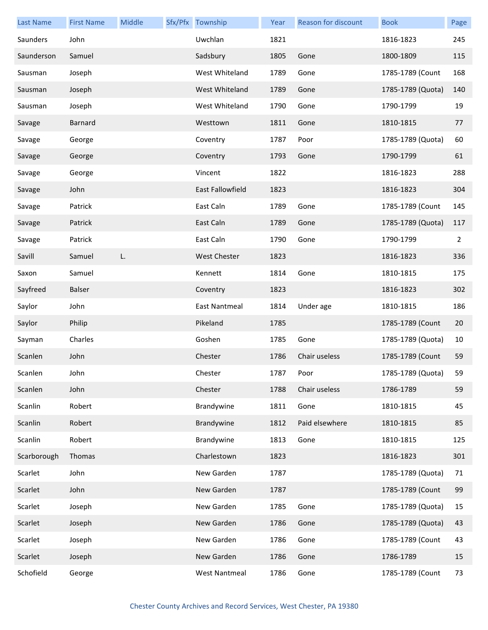| <b>Last Name</b> | <b>First Name</b> | Middle | Sfx/Pfx Township        | Year | Reason for discount | <b>Book</b>       | Page           |
|------------------|-------------------|--------|-------------------------|------|---------------------|-------------------|----------------|
| Saunders         | John              |        | Uwchlan                 | 1821 |                     | 1816-1823         | 245            |
| Saunderson       | Samuel            |        | Sadsbury                | 1805 | Gone                | 1800-1809         | 115            |
| Sausman          | Joseph            |        | West Whiteland          | 1789 | Gone                | 1785-1789 (Count  | 168            |
| Sausman          | Joseph            |        | West Whiteland          | 1789 | Gone                | 1785-1789 (Quota) | 140            |
| Sausman          | Joseph            |        | West Whiteland          | 1790 | Gone                | 1790-1799         | 19             |
| Savage           | Barnard           |        | Westtown                | 1811 | Gone                | 1810-1815         | 77             |
| Savage           | George            |        | Coventry                | 1787 | Poor                | 1785-1789 (Quota) | 60             |
| Savage           | George            |        | Coventry                | 1793 | Gone                | 1790-1799         | 61             |
| Savage           | George            |        | Vincent                 | 1822 |                     | 1816-1823         | 288            |
| Savage           | John              |        | <b>East Fallowfield</b> | 1823 |                     | 1816-1823         | 304            |
| Savage           | Patrick           |        | East Caln               | 1789 | Gone                | 1785-1789 (Count  | 145            |
| Savage           | Patrick           |        | East Caln               | 1789 | Gone                | 1785-1789 (Quota) | 117            |
| Savage           | Patrick           |        | East Caln               | 1790 | Gone                | 1790-1799         | $\overline{2}$ |
| Savill           | Samuel            | L.     | West Chester            | 1823 |                     | 1816-1823         | 336            |
| Saxon            | Samuel            |        | Kennett                 | 1814 | Gone                | 1810-1815         | 175            |
| Sayfreed         | Balser            |        | Coventry                | 1823 |                     | 1816-1823         | 302            |
| Saylor           | John              |        | <b>East Nantmeal</b>    | 1814 | Under age           | 1810-1815         | 186            |
| Saylor           | Philip            |        | Pikeland                | 1785 |                     | 1785-1789 (Count  | 20             |
| Sayman           | Charles           |        | Goshen                  | 1785 | Gone                | 1785-1789 (Quota) | 10             |
| Scanlen          | John              |        | Chester                 | 1786 | Chair useless       | 1785-1789 (Count  | 59             |
| Scanlen          | John              |        | Chester                 | 1787 | Poor                | 1785-1789 (Quota) | 59             |
| Scanlen          | John              |        | Chester                 | 1788 | Chair useless       | 1786-1789         | 59             |
| Scanlin          | Robert            |        | Brandywine              | 1811 | Gone                | 1810-1815         | 45             |
| Scanlin          | Robert            |        | Brandywine              | 1812 | Paid elsewhere      | 1810-1815         | 85             |
| Scanlin          | Robert            |        | Brandywine              | 1813 | Gone                | 1810-1815         | 125            |
| Scarborough      | Thomas            |        | Charlestown             | 1823 |                     | 1816-1823         | 301            |
| Scarlet          | John              |        | New Garden              | 1787 |                     | 1785-1789 (Quota) | 71             |
| Scarlet          | John              |        | New Garden              | 1787 |                     | 1785-1789 (Count  | 99             |
| Scarlet          | Joseph            |        | New Garden              | 1785 | Gone                | 1785-1789 (Quota) | 15             |
| Scarlet          | Joseph            |        | New Garden              | 1786 | Gone                | 1785-1789 (Quota) | 43             |
| Scarlet          | Joseph            |        | New Garden              | 1786 | Gone                | 1785-1789 (Count  | 43             |
| Scarlet          | Joseph            |        | New Garden              | 1786 | Gone                | 1786-1789         | 15             |
| Schofield        | George            |        | <b>West Nantmeal</b>    | 1786 | Gone                | 1785-1789 (Count  | 73             |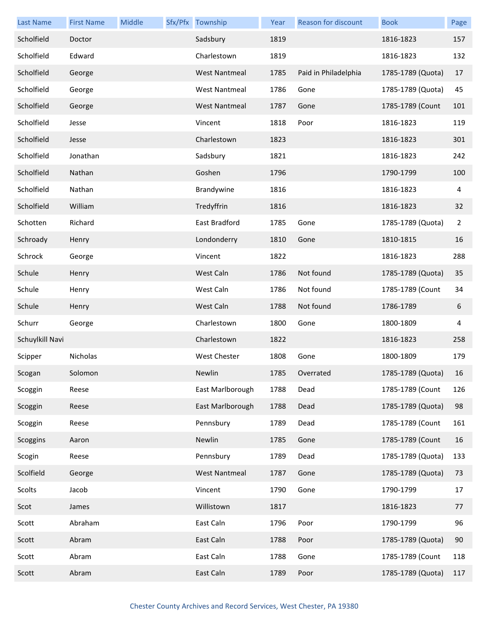| <b>Last Name</b> | <b>First Name</b> | Middle | Sfx/Pfx Township     | Year | Reason for discount  | <b>Book</b>       | Page           |
|------------------|-------------------|--------|----------------------|------|----------------------|-------------------|----------------|
| Scholfield       | Doctor            |        | Sadsbury             | 1819 |                      | 1816-1823         | 157            |
| Scholfield       | Edward            |        | Charlestown          | 1819 |                      | 1816-1823         | 132            |
| Scholfield       | George            |        | <b>West Nantmeal</b> | 1785 | Paid in Philadelphia | 1785-1789 (Quota) | 17             |
| Scholfield       | George            |        | <b>West Nantmeal</b> | 1786 | Gone                 | 1785-1789 (Quota) | 45             |
| Scholfield       | George            |        | <b>West Nantmeal</b> | 1787 | Gone                 | 1785-1789 (Count  | 101            |
| Scholfield       | Jesse             |        | Vincent              | 1818 | Poor                 | 1816-1823         | 119            |
| Scholfield       | Jesse             |        | Charlestown          | 1823 |                      | 1816-1823         | 301            |
| Scholfield       | Jonathan          |        | Sadsbury             | 1821 |                      | 1816-1823         | 242            |
| Scholfield       | Nathan            |        | Goshen               | 1796 |                      | 1790-1799         | 100            |
| Scholfield       | Nathan            |        | Brandywine           | 1816 |                      | 1816-1823         | 4              |
| Scholfield       | William           |        | Tredyffrin           | 1816 |                      | 1816-1823         | 32             |
| Schotten         | Richard           |        | East Bradford        | 1785 | Gone                 | 1785-1789 (Quota) | $\overline{2}$ |
| Schroady         | Henry             |        | Londonderry          | 1810 | Gone                 | 1810-1815         | 16             |
| Schrock          | George            |        | Vincent              | 1822 |                      | 1816-1823         | 288            |
| Schule           | Henry             |        | West Caln            | 1786 | Not found            | 1785-1789 (Quota) | 35             |
| Schule           | Henry             |        | West Caln            | 1786 | Not found            | 1785-1789 (Count  | 34             |
| Schule           | Henry             |        | West Caln            | 1788 | Not found            | 1786-1789         | 6              |
| Schurr           | George            |        | Charlestown          | 1800 | Gone                 | 1800-1809         | 4              |
| Schuylkill Navi  |                   |        | Charlestown          | 1822 |                      | 1816-1823         | 258            |
| Scipper          | Nicholas          |        | West Chester         | 1808 | Gone                 | 1800-1809         | 179            |
| Scogan           | Solomon           |        | Newlin               | 1785 | Overrated            | 1785-1789 (Quota) | 16             |
| Scoggin          | Reese             |        | East Marlborough     | 1788 | Dead                 | 1785-1789 (Count  | 126            |
| Scoggin          | Reese             |        | East Marlborough     | 1788 | Dead                 | 1785-1789 (Quota) | 98             |
| Scoggin          | Reese             |        | Pennsbury            | 1789 | Dead                 | 1785-1789 (Count  | 161            |
| Scoggins         | Aaron             |        | Newlin               | 1785 | Gone                 | 1785-1789 (Count  | 16             |
| Scogin           | Reese             |        | Pennsbury            | 1789 | Dead                 | 1785-1789 (Quota) | 133            |
| Scolfield        | George            |        | <b>West Nantmeal</b> | 1787 | Gone                 | 1785-1789 (Quota) | 73             |
| Scolts           | Jacob             |        | Vincent              | 1790 | Gone                 | 1790-1799         | 17             |
| Scot             | James             |        | Willistown           | 1817 |                      | 1816-1823         | 77             |
| Scott            | Abraham           |        | East Caln            | 1796 | Poor                 | 1790-1799         | 96             |
| Scott            | Abram             |        | East Caln            | 1788 | Poor                 | 1785-1789 (Quota) | 90             |
| Scott            | Abram             |        | East Caln            | 1788 | Gone                 | 1785-1789 (Count  | 118            |
| Scott            | Abram             |        | East Caln            | 1789 | Poor                 | 1785-1789 (Quota) | 117            |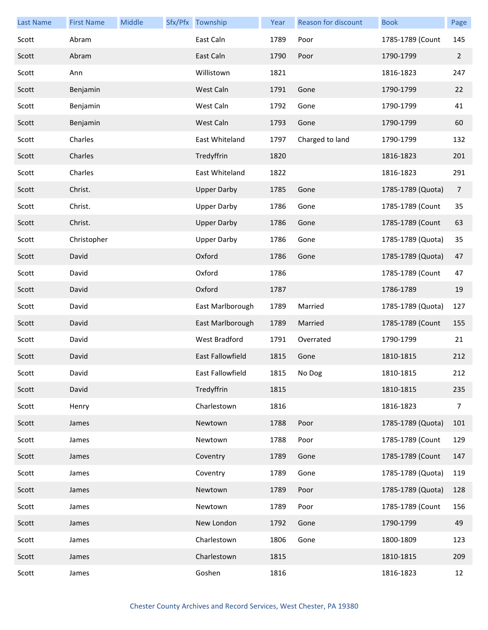| <b>Last Name</b> | <b>First Name</b> | Middle | Sfx/Pfx Township   | <b>Year</b> | Reason for discount | <b>Book</b>       | Page           |
|------------------|-------------------|--------|--------------------|-------------|---------------------|-------------------|----------------|
| Scott            | Abram             |        | East Caln          | 1789        | Poor                | 1785-1789 (Count  | 145            |
| Scott            | Abram             |        | East Caln          | 1790        | Poor                | 1790-1799         | $\overline{2}$ |
| Scott            | Ann               |        | Willistown         | 1821        |                     | 1816-1823         | 247            |
| Scott            | Benjamin          |        | West Caln          | 1791        | Gone                | 1790-1799         | 22             |
| Scott            | Benjamin          |        | West Caln          | 1792        | Gone                | 1790-1799         | 41             |
| Scott            | Benjamin          |        | West Caln          | 1793        | Gone                | 1790-1799         | 60             |
| Scott            | Charles           |        | East Whiteland     | 1797        | Charged to land     | 1790-1799         | 132            |
| Scott            | Charles           |        | Tredyffrin         | 1820        |                     | 1816-1823         | 201            |
| Scott            | Charles           |        | East Whiteland     | 1822        |                     | 1816-1823         | 291            |
| Scott            | Christ.           |        | <b>Upper Darby</b> | 1785        | Gone                | 1785-1789 (Quota) | $\overline{7}$ |
| Scott            | Christ.           |        | <b>Upper Darby</b> | 1786        | Gone                | 1785-1789 (Count  | 35             |
| Scott            | Christ.           |        | <b>Upper Darby</b> | 1786        | Gone                | 1785-1789 (Count  | 63             |
| Scott            | Christopher       |        | <b>Upper Darby</b> | 1786        | Gone                | 1785-1789 (Quota) | 35             |
| Scott            | David             |        | Oxford             | 1786        | Gone                | 1785-1789 (Quota) | 47             |
| Scott            | David             |        | Oxford             | 1786        |                     | 1785-1789 (Count  | 47             |
| Scott            | David             |        | Oxford             | 1787        |                     | 1786-1789         | 19             |
| Scott            | David             |        | East Marlborough   | 1789        | Married             | 1785-1789 (Quota) | 127            |
| Scott            | David             |        | East Marlborough   | 1789        | Married             | 1785-1789 (Count  | 155            |
| Scott            | David             |        | West Bradford      | 1791        | Overrated           | 1790-1799         | 21             |
| Scott            | David             |        | East Fallowfield   | 1815        | Gone                | 1810-1815         | 212            |
| Scott            | David             |        | East Fallowfield   |             | 1815 No Dog         | 1810-1815         | 212            |
| Scott            | David             |        | Tredyffrin         | 1815        |                     | 1810-1815         | 235            |
| Scott            | Henry             |        | Charlestown        | 1816        |                     | 1816-1823         | $\overline{7}$ |
| Scott            | James             |        | Newtown            | 1788        | Poor                | 1785-1789 (Quota) | 101            |
| Scott            | James             |        | Newtown            | 1788        | Poor                | 1785-1789 (Count  | 129            |
| Scott            | James             |        | Coventry           | 1789        | Gone                | 1785-1789 (Count  | 147            |
| Scott            | James             |        | Coventry           | 1789        | Gone                | 1785-1789 (Quota) | 119            |
| Scott            | James             |        | Newtown            | 1789        | Poor                | 1785-1789 (Quota) | 128            |
| Scott            | James             |        | Newtown            | 1789        | Poor                | 1785-1789 (Count  | 156            |
| Scott            | James             |        | New London         | 1792        | Gone                | 1790-1799         | 49             |
| Scott            | James             |        | Charlestown        | 1806        | Gone                | 1800-1809         | 123            |
| Scott            | James             |        | Charlestown        | 1815        |                     | 1810-1815         | 209            |
| Scott            | James             |        | Goshen             | 1816        |                     | 1816-1823         | 12             |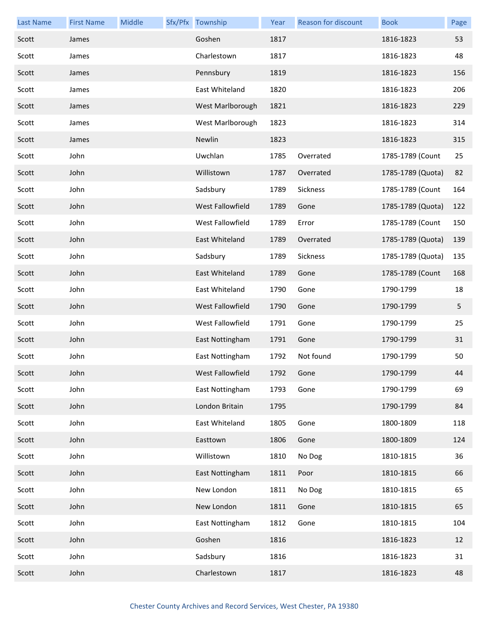| <b>Last Name</b> | <b>First Name</b> | Middle | Sfx/Pfx Township | Year | <b>Reason for discount</b> | <b>Book</b>       | Page |
|------------------|-------------------|--------|------------------|------|----------------------------|-------------------|------|
| Scott            | James             |        | Goshen           | 1817 |                            | 1816-1823         | 53   |
| Scott            | James             |        | Charlestown      | 1817 |                            | 1816-1823         | 48   |
| Scott            | James             |        | Pennsbury        | 1819 |                            | 1816-1823         | 156  |
| Scott            | James             |        | East Whiteland   | 1820 |                            | 1816-1823         | 206  |
| Scott            | James             |        | West Marlborough | 1821 |                            | 1816-1823         | 229  |
| Scott            | James             |        | West Marlborough | 1823 |                            | 1816-1823         | 314  |
| Scott            | James             |        | Newlin           | 1823 |                            | 1816-1823         | 315  |
| Scott            | John              |        | Uwchlan          | 1785 | Overrated                  | 1785-1789 (Count  | 25   |
| Scott            | John              |        | Willistown       | 1787 | Overrated                  | 1785-1789 (Quota) | 82   |
| Scott            | John              |        | Sadsbury         | 1789 | Sickness                   | 1785-1789 (Count  | 164  |
| Scott            | John              |        | West Fallowfield | 1789 | Gone                       | 1785-1789 (Quota) | 122  |
| Scott            | John              |        | West Fallowfield | 1789 | Error                      | 1785-1789 (Count  | 150  |
| Scott            | John              |        | East Whiteland   | 1789 | Overrated                  | 1785-1789 (Quota) | 139  |
| Scott            | John              |        | Sadsbury         | 1789 | Sickness                   | 1785-1789 (Quota) | 135  |
| Scott            | John              |        | East Whiteland   | 1789 | Gone                       | 1785-1789 (Count  | 168  |
| Scott            | John              |        | East Whiteland   | 1790 | Gone                       | 1790-1799         | 18   |
| Scott            | John              |        | West Fallowfield | 1790 | Gone                       | 1790-1799         | 5    |
| Scott            | John              |        | West Fallowfield | 1791 | Gone                       | 1790-1799         | 25   |
| Scott            | John              |        | East Nottingham  | 1791 | Gone                       | 1790-1799         | 31   |
| Scott            | John              |        | East Nottingham  | 1792 | Not found                  | 1790-1799         | 50   |
| Scott            | John              |        | West Fallowfield | 1792 | Gone                       | 1790-1799         | 44   |
| Scott            | John              |        | East Nottingham  | 1793 | Gone                       | 1790-1799         | 69   |
| Scott            | John              |        | London Britain   | 1795 |                            | 1790-1799         | 84   |
| Scott            | John              |        | East Whiteland   | 1805 | Gone                       | 1800-1809         | 118  |
| Scott            | John              |        | Easttown         | 1806 | Gone                       | 1800-1809         | 124  |
| Scott            | John              |        | Willistown       | 1810 | No Dog                     | 1810-1815         | 36   |
| Scott            | John              |        | East Nottingham  | 1811 | Poor                       | 1810-1815         | 66   |
| Scott            | John              |        | New London       | 1811 | No Dog                     | 1810-1815         | 65   |
| Scott            | John              |        | New London       | 1811 | Gone                       | 1810-1815         | 65   |
| Scott            | John              |        | East Nottingham  | 1812 | Gone                       | 1810-1815         | 104  |
| Scott            | John              |        | Goshen           | 1816 |                            | 1816-1823         | 12   |
| Scott            | John              |        | Sadsbury         | 1816 |                            | 1816-1823         | 31   |
| Scott            | John              |        | Charlestown      | 1817 |                            | 1816-1823         | 48   |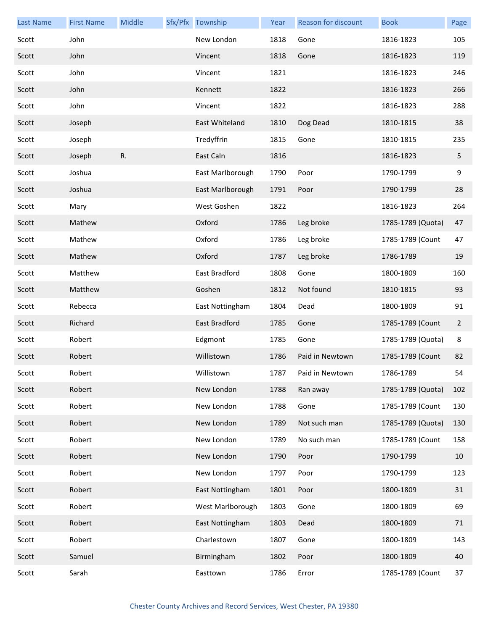| <b>Last Name</b> | <b>First Name</b> | Middle | Sfx/Pfx Township | Year | Reason for discount | <b>Book</b>       | Page           |
|------------------|-------------------|--------|------------------|------|---------------------|-------------------|----------------|
| Scott            | John              |        | New London       | 1818 | Gone                | 1816-1823         | 105            |
| Scott            | John              |        | Vincent          | 1818 | Gone                | 1816-1823         | 119            |
| Scott            | John              |        | Vincent          | 1821 |                     | 1816-1823         | 246            |
| Scott            | John              |        | Kennett          | 1822 |                     | 1816-1823         | 266            |
| Scott            | John              |        | Vincent          | 1822 |                     | 1816-1823         | 288            |
| Scott            | Joseph            |        | East Whiteland   | 1810 | Dog Dead            | 1810-1815         | 38             |
| Scott            | Joseph            |        | Tredyffrin       | 1815 | Gone                | 1810-1815         | 235            |
| Scott            | Joseph            | R.     | East Caln        | 1816 |                     | 1816-1823         | 5              |
| Scott            | Joshua            |        | East Marlborough | 1790 | Poor                | 1790-1799         | 9              |
| Scott            | Joshua            |        | East Marlborough | 1791 | Poor                | 1790-1799         | 28             |
| Scott            | Mary              |        | West Goshen      | 1822 |                     | 1816-1823         | 264            |
| Scott            | Mathew            |        | Oxford           | 1786 | Leg broke           | 1785-1789 (Quota) | 47             |
| Scott            | Mathew            |        | Oxford           | 1786 | Leg broke           | 1785-1789 (Count  | 47             |
| Scott            | Mathew            |        | Oxford           | 1787 | Leg broke           | 1786-1789         | 19             |
| Scott            | Matthew           |        | East Bradford    | 1808 | Gone                | 1800-1809         | 160            |
| Scott            | Matthew           |        | Goshen           | 1812 | Not found           | 1810-1815         | 93             |
| Scott            | Rebecca           |        | East Nottingham  | 1804 | Dead                | 1800-1809         | 91             |
| Scott            | Richard           |        | East Bradford    | 1785 | Gone                | 1785-1789 (Count  | $\overline{2}$ |
| Scott            | Robert            |        | Edgmont          | 1785 | Gone                | 1785-1789 (Quota) | 8              |
| Scott            | Robert            |        | Willistown       | 1786 | Paid in Newtown     | 1785-1789 (Count  | 82             |
| Scott            | Robert            |        | Willistown       | 1787 | Paid in Newtown     | 1786-1789         | 54             |
| Scott            | Robert            |        | New London       | 1788 | Ran away            | 1785-1789 (Quota) | 102            |
| Scott            | Robert            |        | New London       | 1788 | Gone                | 1785-1789 (Count  | 130            |
| Scott            | Robert            |        | New London       | 1789 | Not such man        | 1785-1789 (Quota) | 130            |
| Scott            | Robert            |        | New London       | 1789 | No such man         | 1785-1789 (Count  | 158            |
| Scott            | Robert            |        | New London       | 1790 | Poor                | 1790-1799         | 10             |
| Scott            | Robert            |        | New London       | 1797 | Poor                | 1790-1799         | 123            |
| Scott            | Robert            |        | East Nottingham  | 1801 | Poor                | 1800-1809         | 31             |
| Scott            | Robert            |        | West Marlborough | 1803 | Gone                | 1800-1809         | 69             |
| Scott            | Robert            |        | East Nottingham  | 1803 | Dead                | 1800-1809         | 71             |
| Scott            | Robert            |        | Charlestown      | 1807 | Gone                | 1800-1809         | 143            |
| Scott            | Samuel            |        | Birmingham       | 1802 | Poor                | 1800-1809         | 40             |
| Scott            | Sarah             |        | Easttown         | 1786 | Error               | 1785-1789 (Count  | 37             |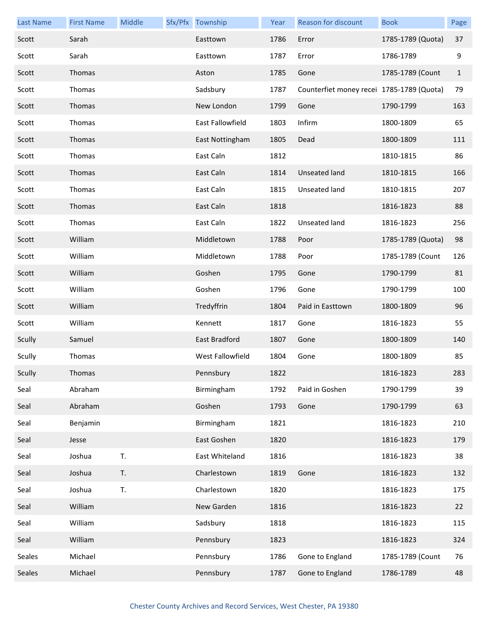| <b>Last Name</b> | <b>First Name</b> | Middle | Sfx/Pfx Township        | Year | Reason for discount                       | <b>Book</b>       | Page         |
|------------------|-------------------|--------|-------------------------|------|-------------------------------------------|-------------------|--------------|
| Scott            | Sarah             |        | Easttown                | 1786 | Error                                     | 1785-1789 (Quota) | 37           |
| Scott            | Sarah             |        | Easttown                | 1787 | Error                                     | 1786-1789         | 9            |
| Scott            | Thomas            |        | Aston                   | 1785 | Gone                                      | 1785-1789 (Count  | $\mathbf{1}$ |
| Scott            | Thomas            |        | Sadsbury                | 1787 | Counterfiet money recei 1785-1789 (Quota) |                   | 79           |
| Scott            | Thomas            |        | New London              | 1799 | Gone                                      | 1790-1799         | 163          |
| Scott            | Thomas            |        | <b>East Fallowfield</b> | 1803 | Infirm                                    | 1800-1809         | 65           |
| Scott            | Thomas            |        | East Nottingham         | 1805 | Dead                                      | 1800-1809         | 111          |
| Scott            | Thomas            |        | East Caln               | 1812 |                                           | 1810-1815         | 86           |
| Scott            | Thomas            |        | East Caln               | 1814 | Unseated land                             | 1810-1815         | 166          |
| Scott            | Thomas            |        | East Caln               | 1815 | Unseated land                             | 1810-1815         | 207          |
| Scott            | Thomas            |        | East Caln               | 1818 |                                           | 1816-1823         | 88           |
| Scott            | Thomas            |        | East Caln               | 1822 | Unseated land                             | 1816-1823         | 256          |
| Scott            | William           |        | Middletown              | 1788 | Poor                                      | 1785-1789 (Quota) | 98           |
| Scott            | William           |        | Middletown              | 1788 | Poor                                      | 1785-1789 (Count  | 126          |
| Scott            | William           |        | Goshen                  | 1795 | Gone                                      | 1790-1799         | 81           |
| Scott            | William           |        | Goshen                  | 1796 | Gone                                      | 1790-1799         | 100          |
| Scott            | William           |        | Tredyffrin              | 1804 | Paid in Easttown                          | 1800-1809         | 96           |
| Scott            | William           |        | Kennett                 | 1817 | Gone                                      | 1816-1823         | 55           |
| Scully           | Samuel            |        | East Bradford           | 1807 | Gone                                      | 1800-1809         | 140          |
| Scully           | Thomas            |        | West Fallowfield        | 1804 | Gone                                      | 1800-1809         | 85           |
| Scully           | Thomas            |        | Pennsbury               | 1822 |                                           | 1816-1823         | 283          |
| Seal             | Abraham           |        | Birmingham              | 1792 | Paid in Goshen                            | 1790-1799         | 39           |
| Seal             | Abraham           |        | Goshen                  | 1793 | Gone                                      | 1790-1799         | 63           |
| Seal             | Benjamin          |        | Birmingham              | 1821 |                                           | 1816-1823         | 210          |
| Seal             | Jesse             |        | East Goshen             | 1820 |                                           | 1816-1823         | 179          |
| Seal             | Joshua            | T.     | East Whiteland          | 1816 |                                           | 1816-1823         | 38           |
| Seal             | Joshua            | T.     | Charlestown             | 1819 | Gone                                      | 1816-1823         | 132          |
| Seal             | Joshua            | T.     | Charlestown             | 1820 |                                           | 1816-1823         | 175          |
| Seal             | William           |        | New Garden              | 1816 |                                           | 1816-1823         | 22           |
| Seal             | William           |        | Sadsbury                | 1818 |                                           | 1816-1823         | 115          |
| Seal             | William           |        | Pennsbury               | 1823 |                                           | 1816-1823         | 324          |
| Seales           | Michael           |        | Pennsbury               | 1786 | Gone to England                           | 1785-1789 (Count  | 76           |
| Seales           | Michael           |        | Pennsbury               | 1787 | Gone to England                           | 1786-1789         | 48           |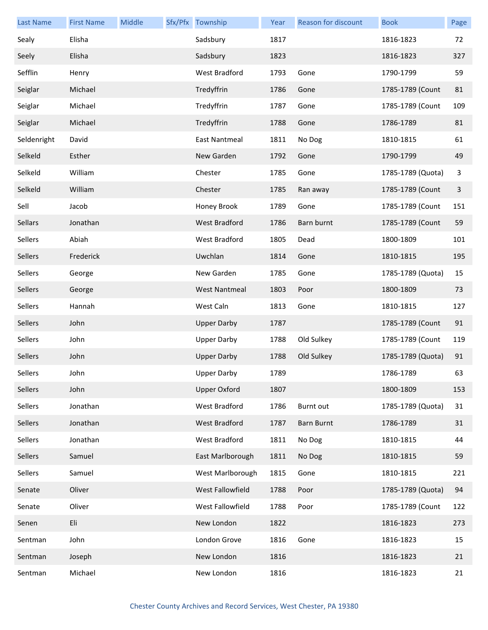| <b>Last Name</b> | <b>First Name</b> | Middle | Sfx/Pfx Township     | Year | Reason for discount | <b>Book</b>       | Page |
|------------------|-------------------|--------|----------------------|------|---------------------|-------------------|------|
| Sealy            | Elisha            |        | Sadsbury             | 1817 |                     | 1816-1823         | 72   |
| Seely            | Elisha            |        | Sadsbury             | 1823 |                     | 1816-1823         | 327  |
| Sefflin          | Henry             |        | West Bradford        | 1793 | Gone                | 1790-1799         | 59   |
| Seiglar          | Michael           |        | Tredyffrin           | 1786 | Gone                | 1785-1789 (Count  | 81   |
| Seiglar          | Michael           |        | Tredyffrin           | 1787 | Gone                | 1785-1789 (Count  | 109  |
| Seiglar          | Michael           |        | Tredyffrin           | 1788 | Gone                | 1786-1789         | 81   |
| Seldenright      | David             |        | <b>East Nantmeal</b> | 1811 | No Dog              | 1810-1815         | 61   |
| Selkeld          | Esther            |        | New Garden           | 1792 | Gone                | 1790-1799         | 49   |
| Selkeld          | William           |        | Chester              | 1785 | Gone                | 1785-1789 (Quota) | 3    |
| Selkeld          | William           |        | Chester              | 1785 | Ran away            | 1785-1789 (Count  | 3    |
| Sell             | Jacob             |        | Honey Brook          | 1789 | Gone                | 1785-1789 (Count  | 151  |
| Sellars          | Jonathan          |        | West Bradford        | 1786 | Barn burnt          | 1785-1789 (Count  | 59   |
| Sellers          | Abiah             |        | West Bradford        | 1805 | Dead                | 1800-1809         | 101  |
| Sellers          | Frederick         |        | Uwchlan              | 1814 | Gone                | 1810-1815         | 195  |
| Sellers          | George            |        | New Garden           | 1785 | Gone                | 1785-1789 (Quota) | 15   |
| Sellers          | George            |        | <b>West Nantmeal</b> | 1803 | Poor                | 1800-1809         | 73   |
| Sellers          | Hannah            |        | West Caln            | 1813 | Gone                | 1810-1815         | 127  |
| Sellers          | John              |        | <b>Upper Darby</b>   | 1787 |                     | 1785-1789 (Count  | 91   |
| Sellers          | John              |        | <b>Upper Darby</b>   | 1788 | Old Sulkey          | 1785-1789 (Count  | 119  |
| Sellers          | John              |        | <b>Upper Darby</b>   | 1788 | Old Sulkey          | 1785-1789 (Quota) | 91   |
| Sellers          | John              |        | Upper Darby          | 1789 |                     | 1786-1789         | 63   |
| Sellers          | John              |        | <b>Upper Oxford</b>  | 1807 |                     | 1800-1809         | 153  |
| Sellers          | Jonathan          |        | West Bradford        | 1786 | <b>Burnt out</b>    | 1785-1789 (Quota) | 31   |
| Sellers          | Jonathan          |        | West Bradford        | 1787 | <b>Barn Burnt</b>   | 1786-1789         | 31   |
| Sellers          | Jonathan          |        | West Bradford        | 1811 | No Dog              | 1810-1815         | 44   |
| Sellers          | Samuel            |        | East Marlborough     | 1811 | No Dog              | 1810-1815         | 59   |
| Sellers          | Samuel            |        | West Marlborough     | 1815 | Gone                | 1810-1815         | 221  |
| Senate           | Oliver            |        | West Fallowfield     | 1788 | Poor                | 1785-1789 (Quota) | 94   |
| Senate           | Oliver            |        | West Fallowfield     | 1788 | Poor                | 1785-1789 (Count  | 122  |
| Senen            | Eli               |        | New London           | 1822 |                     | 1816-1823         | 273  |
| Sentman          | John              |        | London Grove         | 1816 | Gone                | 1816-1823         | 15   |
| Sentman          | Joseph            |        | New London           | 1816 |                     | 1816-1823         | 21   |
| Sentman          | Michael           |        | New London           | 1816 |                     | 1816-1823         | 21   |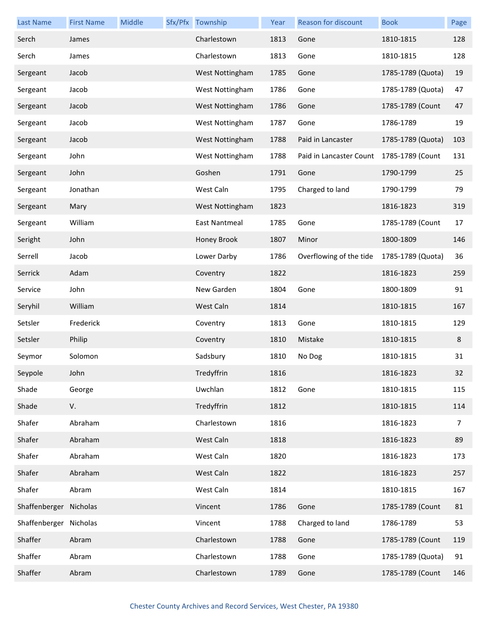| <b>Last Name</b>       | <b>First Name</b> | Middle | Sfx/Pfx Township | Year | Reason for discount     | <b>Book</b>       | Page |
|------------------------|-------------------|--------|------------------|------|-------------------------|-------------------|------|
| Serch                  | James             |        | Charlestown      | 1813 | Gone                    | 1810-1815         | 128  |
| Serch                  | James             |        | Charlestown      | 1813 | Gone                    | 1810-1815         | 128  |
| Sergeant               | Jacob             |        | West Nottingham  | 1785 | Gone                    | 1785-1789 (Quota) | 19   |
| Sergeant               | Jacob             |        | West Nottingham  | 1786 | Gone                    | 1785-1789 (Quota) | 47   |
| Sergeant               | Jacob             |        | West Nottingham  | 1786 | Gone                    | 1785-1789 (Count  | 47   |
| Sergeant               | Jacob             |        | West Nottingham  | 1787 | Gone                    | 1786-1789         | 19   |
| Sergeant               | Jacob             |        | West Nottingham  | 1788 | Paid in Lancaster       | 1785-1789 (Quota) | 103  |
| Sergeant               | John              |        | West Nottingham  | 1788 | Paid in Lancaster Count | 1785-1789 (Count  | 131  |
| Sergeant               | John              |        | Goshen           | 1791 | Gone                    | 1790-1799         | 25   |
| Sergeant               | Jonathan          |        | West Caln        | 1795 | Charged to land         | 1790-1799         | 79   |
| Sergeant               | Mary              |        | West Nottingham  | 1823 |                         | 1816-1823         | 319  |
| Sergeant               | William           |        | East Nantmeal    | 1785 | Gone                    | 1785-1789 (Count  | 17   |
| Seright                | John              |        | Honey Brook      | 1807 | Minor                   | 1800-1809         | 146  |
| Serrell                | Jacob             |        | Lower Darby      | 1786 | Overflowing of the tide | 1785-1789 (Quota) | 36   |
| Serrick                | Adam              |        | Coventry         | 1822 |                         | 1816-1823         | 259  |
| Service                | John              |        | New Garden       | 1804 | Gone                    | 1800-1809         | 91   |
| Seryhil                | William           |        | West Caln        | 1814 |                         | 1810-1815         | 167  |
| Setsler                | Frederick         |        | Coventry         | 1813 | Gone                    | 1810-1815         | 129  |
| Setsler                | Philip            |        | Coventry         | 1810 | Mistake                 | 1810-1815         | 8    |
| Seymor                 | Solomon           |        | Sadsbury         | 1810 | No Dog                  | 1810-1815         | 31   |
| Seypole                | John              |        | Tredyffrin       | 1816 |                         | 1816-1823         | 32   |
| Shade                  | George            |        | Uwchlan          | 1812 | Gone                    | 1810-1815         | 115  |
| Shade                  | V.                |        | Tredyffrin       | 1812 |                         | 1810-1815         | 114  |
| Shafer                 | Abraham           |        | Charlestown      | 1816 |                         | 1816-1823         | 7    |
| Shafer                 | Abraham           |        | West Caln        | 1818 |                         | 1816-1823         | 89   |
| Shafer                 | Abraham           |        | West Caln        | 1820 |                         | 1816-1823         | 173  |
| Shafer                 | Abraham           |        | West Caln        | 1822 |                         | 1816-1823         | 257  |
| Shafer                 | Abram             |        | West Caln        | 1814 |                         | 1810-1815         | 167  |
| Shaffenberger Nicholas |                   |        | Vincent          | 1786 | Gone                    | 1785-1789 (Count  | 81   |
| Shaffenberger Nicholas |                   |        | Vincent          | 1788 | Charged to land         | 1786-1789         | 53   |
| Shaffer                | Abram             |        | Charlestown      | 1788 | Gone                    | 1785-1789 (Count  | 119  |
| Shaffer                | Abram             |        | Charlestown      | 1788 | Gone                    | 1785-1789 (Quota) | 91   |
| Shaffer                | Abram             |        | Charlestown      | 1789 | Gone                    | 1785-1789 (Count  | 146  |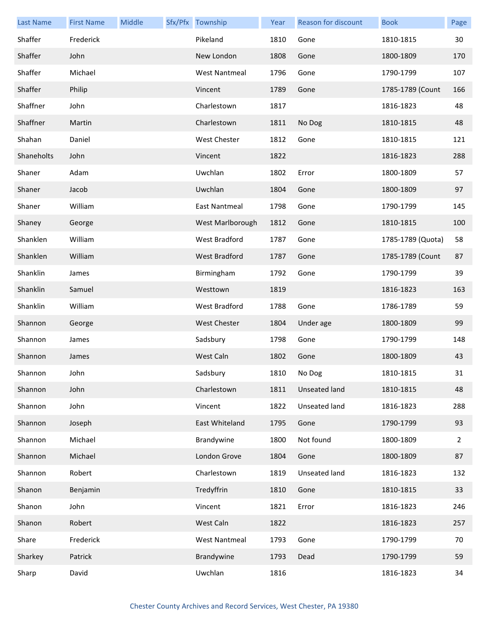| <b>Last Name</b> | <b>First Name</b> | Middle | Sfx/Pfx Township     | Year | Reason for discount | <b>Book</b>       | Page           |
|------------------|-------------------|--------|----------------------|------|---------------------|-------------------|----------------|
| Shaffer          | Frederick         |        | Pikeland             | 1810 | Gone                | 1810-1815         | 30             |
| Shaffer          | John              |        | New London           | 1808 | Gone                | 1800-1809         | 170            |
| Shaffer          | Michael           |        | <b>West Nantmeal</b> | 1796 | Gone                | 1790-1799         | 107            |
| Shaffer          | Philip            |        | Vincent              | 1789 | Gone                | 1785-1789 (Count  | 166            |
| Shaffner         | John              |        | Charlestown          | 1817 |                     | 1816-1823         | 48             |
| Shaffner         | Martin            |        | Charlestown          | 1811 | No Dog              | 1810-1815         | 48             |
| Shahan           | Daniel            |        | West Chester         | 1812 | Gone                | 1810-1815         | 121            |
| Shaneholts       | John              |        | Vincent              | 1822 |                     | 1816-1823         | 288            |
| Shaner           | Adam              |        | Uwchlan              | 1802 | Error               | 1800-1809         | 57             |
| Shaner           | Jacob             |        | Uwchlan              | 1804 | Gone                | 1800-1809         | 97             |
| Shaner           | William           |        | <b>East Nantmeal</b> | 1798 | Gone                | 1790-1799         | 145            |
| Shaney           | George            |        | West Marlborough     | 1812 | Gone                | 1810-1815         | 100            |
| Shanklen         | William           |        | West Bradford        | 1787 | Gone                | 1785-1789 (Quota) | 58             |
| Shanklen         | William           |        | <b>West Bradford</b> | 1787 | Gone                | 1785-1789 (Count  | 87             |
| Shanklin         | James             |        | Birmingham           | 1792 | Gone                | 1790-1799         | 39             |
| Shanklin         | Samuel            |        | Westtown             | 1819 |                     | 1816-1823         | 163            |
| Shanklin         | William           |        | West Bradford        | 1788 | Gone                | 1786-1789         | 59             |
| Shannon          | George            |        | <b>West Chester</b>  | 1804 | Under age           | 1800-1809         | 99             |
| Shannon          | James             |        | Sadsbury             | 1798 | Gone                | 1790-1799         | 148            |
| Shannon          | James             |        | West Caln            | 1802 | Gone                | 1800-1809         | 43             |
| Shannon          | John              |        | Sadsbury             | 1810 | No Dog              | 1810-1815         | 31             |
| Shannon          | John              |        | Charlestown          | 1811 | Unseated land       | 1810-1815         | 48             |
| Shannon          | John              |        | Vincent              | 1822 | Unseated land       | 1816-1823         | 288            |
| Shannon          | Joseph            |        | East Whiteland       | 1795 | Gone                | 1790-1799         | 93             |
| Shannon          | Michael           |        | Brandywine           | 1800 | Not found           | 1800-1809         | $\overline{2}$ |
| Shannon          | Michael           |        | London Grove         | 1804 | Gone                | 1800-1809         | 87             |
| Shannon          | Robert            |        | Charlestown          | 1819 | Unseated land       | 1816-1823         | 132            |
| Shanon           | Benjamin          |        | Tredyffrin           | 1810 | Gone                | 1810-1815         | 33             |
| Shanon           | John              |        | Vincent              | 1821 | Error               | 1816-1823         | 246            |
| Shanon           | Robert            |        | West Caln            | 1822 |                     | 1816-1823         | 257            |
| Share            | Frederick         |        | <b>West Nantmeal</b> | 1793 | Gone                | 1790-1799         | 70             |
| Sharkey          | Patrick           |        | Brandywine           | 1793 | Dead                | 1790-1799         | 59             |
| Sharp            | David             |        | Uwchlan              | 1816 |                     | 1816-1823         | 34             |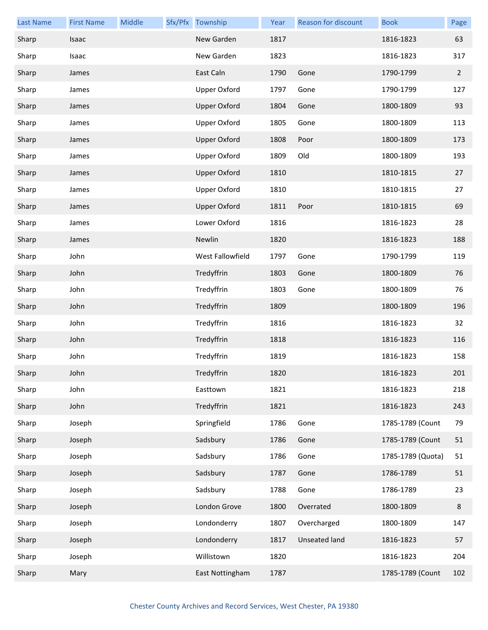| <b>Last Name</b> | <b>First Name</b> | Middle | Sfx/Pfx Township    | Year | Reason for discount | <b>Book</b>       | Page        |
|------------------|-------------------|--------|---------------------|------|---------------------|-------------------|-------------|
| Sharp            | Isaac             |        | New Garden          | 1817 |                     | 1816-1823         | 63          |
| Sharp            | Isaac             |        | New Garden          | 1823 |                     | 1816-1823         | 317         |
| Sharp            | James             |        | East Caln           | 1790 | Gone                | 1790-1799         | $2^{\circ}$ |
| Sharp            | James             |        | <b>Upper Oxford</b> | 1797 | Gone                | 1790-1799         | 127         |
| Sharp            | James             |        | <b>Upper Oxford</b> | 1804 | Gone                | 1800-1809         | 93          |
| Sharp            | James             |        | <b>Upper Oxford</b> | 1805 | Gone                | 1800-1809         | 113         |
| Sharp            | James             |        | <b>Upper Oxford</b> | 1808 | Poor                | 1800-1809         | 173         |
| Sharp            | James             |        | <b>Upper Oxford</b> | 1809 | Old                 | 1800-1809         | 193         |
| Sharp            | James             |        | <b>Upper Oxford</b> | 1810 |                     | 1810-1815         | 27          |
| Sharp            | James             |        | <b>Upper Oxford</b> | 1810 |                     | 1810-1815         | 27          |
| Sharp            | James             |        | <b>Upper Oxford</b> | 1811 | Poor                | 1810-1815         | 69          |
| Sharp            | James             |        | Lower Oxford        | 1816 |                     | 1816-1823         | 28          |
| Sharp            | James             |        | Newlin              | 1820 |                     | 1816-1823         | 188         |
| Sharp            | John              |        | West Fallowfield    | 1797 | Gone                | 1790-1799         | 119         |
| Sharp            | John              |        | Tredyffrin          | 1803 | Gone                | 1800-1809         | 76          |
| Sharp            | John              |        | Tredyffrin          | 1803 | Gone                | 1800-1809         | 76          |
| Sharp            | John              |        | Tredyffrin          | 1809 |                     | 1800-1809         | 196         |
| Sharp            | John              |        | Tredyffrin          | 1816 |                     | 1816-1823         | 32          |
| Sharp            | John              |        | Tredyffrin          | 1818 |                     | 1816-1823         | 116         |
| Sharp            | John              |        | Tredyffrin          | 1819 |                     | 1816-1823         | 158         |
| Sharp            | John              |        | Tredyffrin          | 1820 |                     | 1816-1823         | 201         |
| Sharp            | John              |        | Easttown            | 1821 |                     | 1816-1823         | 218         |
| Sharp            | John              |        | Tredyffrin          | 1821 |                     | 1816-1823         | 243         |
| Sharp            | Joseph            |        | Springfield         | 1786 | Gone                | 1785-1789 (Count  | 79          |
| Sharp            | Joseph            |        | Sadsbury            | 1786 | Gone                | 1785-1789 (Count  | 51          |
| Sharp            | Joseph            |        | Sadsbury            | 1786 | Gone                | 1785-1789 (Quota) | 51          |
| Sharp            | Joseph            |        | Sadsbury            | 1787 | Gone                | 1786-1789         | 51          |
| Sharp            | Joseph            |        | Sadsbury            | 1788 | Gone                | 1786-1789         | 23          |
| Sharp            | Joseph            |        | London Grove        | 1800 | Overrated           | 1800-1809         | 8           |
| Sharp            | Joseph            |        | Londonderry         | 1807 | Overcharged         | 1800-1809         | 147         |
| Sharp            | Joseph            |        | Londonderry         | 1817 | Unseated land       | 1816-1823         | 57          |
| Sharp            | Joseph            |        | Willistown          | 1820 |                     | 1816-1823         | 204         |
| Sharp            | Mary              |        | East Nottingham     | 1787 |                     | 1785-1789 (Count  | 102         |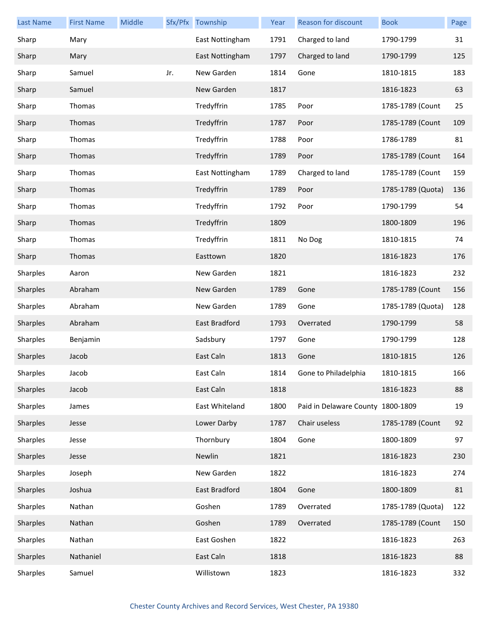| <b>Last Name</b> | <b>First Name</b> | Middle |     | Sfx/Pfx Township     | Year | <b>Reason for discount</b>        | <b>Book</b>       | Page |
|------------------|-------------------|--------|-----|----------------------|------|-----------------------------------|-------------------|------|
| Sharp            | Mary              |        |     | East Nottingham      | 1791 | Charged to land                   | 1790-1799         | 31   |
| Sharp            | Mary              |        |     | East Nottingham      | 1797 | Charged to land                   | 1790-1799         | 125  |
| Sharp            | Samuel            |        | Jr. | New Garden           | 1814 | Gone                              | 1810-1815         | 183  |
| Sharp            | Samuel            |        |     | New Garden           | 1817 |                                   | 1816-1823         | 63   |
| Sharp            | Thomas            |        |     | Tredyffrin           | 1785 | Poor                              | 1785-1789 (Count  | 25   |
| Sharp            | Thomas            |        |     | Tredyffrin           | 1787 | Poor                              | 1785-1789 (Count  | 109  |
| Sharp            | Thomas            |        |     | Tredyffrin           | 1788 | Poor                              | 1786-1789         | 81   |
| Sharp            | Thomas            |        |     | Tredyffrin           | 1789 | Poor                              | 1785-1789 (Count  | 164  |
| Sharp            | Thomas            |        |     | East Nottingham      | 1789 | Charged to land                   | 1785-1789 (Count  | 159  |
| Sharp            | Thomas            |        |     | Tredyffrin           | 1789 | Poor                              | 1785-1789 (Quota) | 136  |
| Sharp            | Thomas            |        |     | Tredyffrin           | 1792 | Poor                              | 1790-1799         | 54   |
| Sharp            | Thomas            |        |     | Tredyffrin           | 1809 |                                   | 1800-1809         | 196  |
| Sharp            | Thomas            |        |     | Tredyffrin           | 1811 | No Dog                            | 1810-1815         | 74   |
| Sharp            | Thomas            |        |     | Easttown             | 1820 |                                   | 1816-1823         | 176  |
| Sharples         | Aaron             |        |     | New Garden           | 1821 |                                   | 1816-1823         | 232  |
| Sharples         | Abraham           |        |     | New Garden           | 1789 | Gone                              | 1785-1789 (Count  | 156  |
| Sharples         | Abraham           |        |     | New Garden           | 1789 | Gone                              | 1785-1789 (Quota) | 128  |
| Sharples         | Abraham           |        |     | <b>East Bradford</b> | 1793 | Overrated                         | 1790-1799         | 58   |
| Sharples         | Benjamin          |        |     | Sadsbury             | 1797 | Gone                              | 1790-1799         | 128  |
| Sharples         | Jacob             |        |     | East Caln            | 1813 | Gone                              | 1810-1815         | 126  |
| Sharples         | Jacob             |        |     | East Caln            | 1814 | Gone to Philadelphia              | 1810-1815         | 166  |
| Sharples         | Jacob             |        |     | East Caln            | 1818 |                                   | 1816-1823         | 88   |
| Sharples         | James             |        |     | East Whiteland       | 1800 | Paid in Delaware County 1800-1809 |                   | 19   |
| Sharples         | Jesse             |        |     | Lower Darby          | 1787 | Chair useless                     | 1785-1789 (Count  | 92   |
| Sharples         | Jesse             |        |     | Thornbury            | 1804 | Gone                              | 1800-1809         | 97   |
| Sharples         | Jesse             |        |     | Newlin               | 1821 |                                   | 1816-1823         | 230  |
| Sharples         | Joseph            |        |     | New Garden           | 1822 |                                   | 1816-1823         | 274  |
| Sharples         | Joshua            |        |     | East Bradford        | 1804 | Gone                              | 1800-1809         | 81   |
| Sharples         | Nathan            |        |     | Goshen               | 1789 | Overrated                         | 1785-1789 (Quota) | 122  |
| Sharples         | Nathan            |        |     | Goshen               | 1789 | Overrated                         | 1785-1789 (Count  | 150  |
| Sharples         | Nathan            |        |     | East Goshen          | 1822 |                                   | 1816-1823         | 263  |
| Sharples         | Nathaniel         |        |     | East Caln            | 1818 |                                   | 1816-1823         | 88   |
| Sharples         | Samuel            |        |     | Willistown           | 1823 |                                   | 1816-1823         | 332  |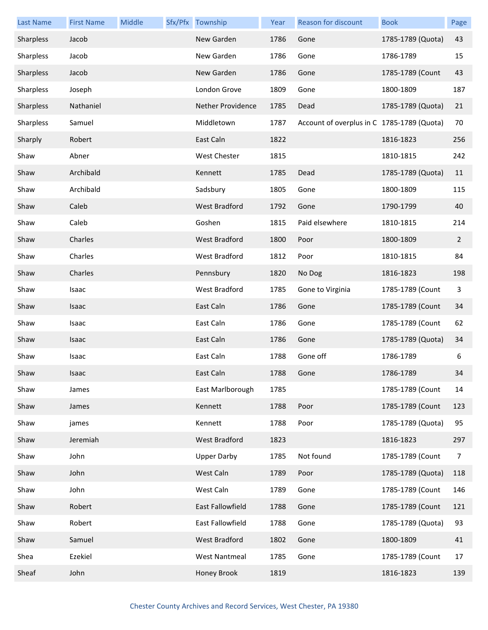| <b>Last Name</b> | <b>First Name</b> | Middle | Sfx/Pfx Township     | Year | Reason for discount                        | <b>Book</b>       | Page           |
|------------------|-------------------|--------|----------------------|------|--------------------------------------------|-------------------|----------------|
| Sharpless        | Jacob             |        | New Garden           | 1786 | Gone                                       | 1785-1789 (Quota) | 43             |
| Sharpless        | Jacob             |        | New Garden           | 1786 | Gone                                       | 1786-1789         | 15             |
| Sharpless        | Jacob             |        | New Garden           | 1786 | Gone                                       | 1785-1789 (Count  | 43             |
| Sharpless        | Joseph            |        | London Grove         | 1809 | Gone                                       | 1800-1809         | 187            |
| Sharpless        | Nathaniel         |        | Nether Providence    | 1785 | Dead                                       | 1785-1789 (Quota) | 21             |
| Sharpless        | Samuel            |        | Middletown           | 1787 | Account of overplus in C 1785-1789 (Quota) |                   | 70             |
| Sharply          | Robert            |        | East Caln            | 1822 |                                            | 1816-1823         | 256            |
| Shaw             | Abner             |        | West Chester         | 1815 |                                            | 1810-1815         | 242            |
| Shaw             | Archibald         |        | Kennett              | 1785 | Dead                                       | 1785-1789 (Quota) | 11             |
| Shaw             | Archibald         |        | Sadsbury             | 1805 | Gone                                       | 1800-1809         | 115            |
| Shaw             | Caleb             |        | <b>West Bradford</b> | 1792 | Gone                                       | 1790-1799         | 40             |
| Shaw             | Caleb             |        | Goshen               | 1815 | Paid elsewhere                             | 1810-1815         | 214            |
| Shaw             | Charles           |        | <b>West Bradford</b> | 1800 | Poor                                       | 1800-1809         | $\overline{2}$ |
| Shaw             | Charles           |        | <b>West Bradford</b> | 1812 | Poor                                       | 1810-1815         | 84             |
| Shaw             | Charles           |        | Pennsbury            | 1820 | No Dog                                     | 1816-1823         | 198            |
| Shaw             | Isaac             |        | West Bradford        | 1785 | Gone to Virginia                           | 1785-1789 (Count  | 3              |
| Shaw             | Isaac             |        | East Caln            | 1786 | Gone                                       | 1785-1789 (Count  | 34             |
| Shaw             | Isaac             |        | East Caln            | 1786 | Gone                                       | 1785-1789 (Count  | 62             |
| Shaw             | Isaac             |        | East Caln            | 1786 | Gone                                       | 1785-1789 (Quota) | 34             |
| Shaw             | Isaac             |        | East Caln            | 1788 | Gone off                                   | 1786-1789         | 6              |
| Shaw             | Isaac             |        | East Caln            | 1788 | Gone                                       | 1786-1789         | 34             |
| Shaw             | James             |        | East Marlborough     | 1785 |                                            | 1785-1789 (Count  | 14             |
| Shaw             | James             |        | Kennett              | 1788 | Poor                                       | 1785-1789 (Count  | 123            |
| Shaw             | james             |        | Kennett              | 1788 | Poor                                       | 1785-1789 (Quota) | 95             |
| Shaw             | Jeremiah          |        | West Bradford        | 1823 |                                            | 1816-1823         | 297            |
| Shaw             | John              |        | <b>Upper Darby</b>   | 1785 | Not found                                  | 1785-1789 (Count  | 7              |
| Shaw             | John              |        | West Caln            | 1789 | Poor                                       | 1785-1789 (Quota) | 118            |
| Shaw             | John              |        | West Caln            | 1789 | Gone                                       | 1785-1789 (Count  | 146            |
| Shaw             | Robert            |        | East Fallowfield     | 1788 | Gone                                       | 1785-1789 (Count  | 121            |
| Shaw             | Robert            |        | East Fallowfield     | 1788 | Gone                                       | 1785-1789 (Quota) | 93             |
| Shaw             | Samuel            |        | West Bradford        | 1802 | Gone                                       | 1800-1809         | 41             |
| Shea             | Ezekiel           |        | <b>West Nantmeal</b> | 1785 | Gone                                       | 1785-1789 (Count  | 17             |
| Sheaf            | John              |        | Honey Brook          | 1819 |                                            | 1816-1823         | 139            |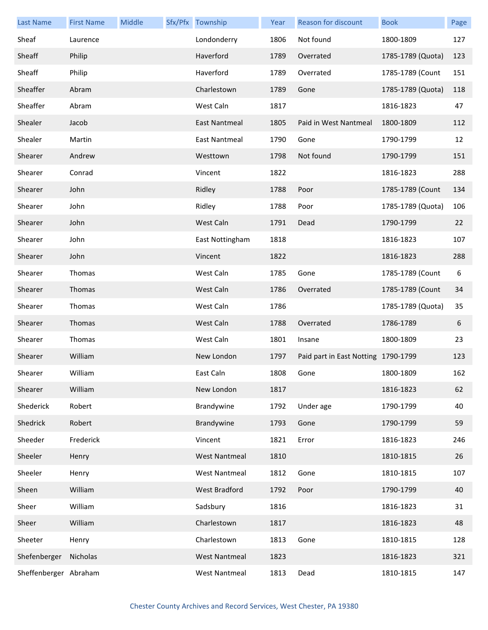| <b>Last Name</b>      | <b>First Name</b> | Middle | Sfx/Pfx Township     | Year | Reason for discount                 | <b>Book</b>       | Page |
|-----------------------|-------------------|--------|----------------------|------|-------------------------------------|-------------------|------|
| Sheaf                 | Laurence          |        | Londonderry          | 1806 | Not found                           | 1800-1809         | 127  |
| Sheaff                | Philip            |        | Haverford            | 1789 | Overrated                           | 1785-1789 (Quota) | 123  |
| Sheaff                | Philip            |        | Haverford            | 1789 | Overrated                           | 1785-1789 (Count  | 151  |
| Sheaffer              | Abram             |        | Charlestown          | 1789 | Gone                                | 1785-1789 (Quota) | 118  |
| Sheaffer              | Abram             |        | West Caln            | 1817 |                                     | 1816-1823         | 47   |
| Shealer               | Jacob             |        | East Nantmeal        | 1805 | Paid in West Nantmeal               | 1800-1809         | 112  |
| Shealer               | Martin            |        | East Nantmeal        | 1790 | Gone                                | 1790-1799         | 12   |
| Shearer               | Andrew            |        | Westtown             | 1798 | Not found                           | 1790-1799         | 151  |
| Shearer               | Conrad            |        | Vincent              | 1822 |                                     | 1816-1823         | 288  |
| Shearer               | John              |        | Ridley               | 1788 | Poor                                | 1785-1789 (Count  | 134  |
| Shearer               | John              |        | Ridley               | 1788 | Poor                                | 1785-1789 (Quota) | 106  |
| Shearer               | John              |        | West Caln            | 1791 | Dead                                | 1790-1799         | 22   |
| Shearer               | John              |        | East Nottingham      | 1818 |                                     | 1816-1823         | 107  |
| Shearer               | John              |        | Vincent              | 1822 |                                     | 1816-1823         | 288  |
| Shearer               | Thomas            |        | West Caln            | 1785 | Gone                                | 1785-1789 (Count  | 6    |
| Shearer               | Thomas            |        | West Caln            | 1786 | Overrated                           | 1785-1789 (Count  | 34   |
| Shearer               | Thomas            |        | West Caln            | 1786 |                                     | 1785-1789 (Quota) | 35   |
| Shearer               | Thomas            |        | West Caln            | 1788 | Overrated                           | 1786-1789         | 6    |
| Shearer               | Thomas            |        | West Caln            | 1801 | Insane                              | 1800-1809         | 23   |
| Shearer               | William           |        | New London           | 1797 | Paid part in East Notting 1790-1799 |                   | 123  |
| Shearer               | William           |        | East Caln            | 1808 | Gone                                | 1800-1809         | 162  |
| Shearer               | William           |        | New London           | 1817 |                                     | 1816-1823         | 62   |
| Shederick             | Robert            |        | Brandywine           | 1792 | Under age                           | 1790-1799         | 40   |
| Shedrick              | Robert            |        | Brandywine           | 1793 | Gone                                | 1790-1799         | 59   |
| Sheeder               | Frederick         |        | Vincent              | 1821 | Error                               | 1816-1823         | 246  |
| Sheeler               | Henry             |        | <b>West Nantmeal</b> | 1810 |                                     | 1810-1815         | 26   |
| Sheeler               | Henry             |        | <b>West Nantmeal</b> | 1812 | Gone                                | 1810-1815         | 107  |
| Sheen                 | William           |        | West Bradford        | 1792 | Poor                                | 1790-1799         | 40   |
| Sheer                 | William           |        | Sadsbury             | 1816 |                                     | 1816-1823         | 31   |
| Sheer                 | William           |        | Charlestown          | 1817 |                                     | 1816-1823         | 48   |
| Sheeter               | Henry             |        | Charlestown          | 1813 | Gone                                | 1810-1815         | 128  |
| Shefenberger          | Nicholas          |        | <b>West Nantmeal</b> | 1823 |                                     | 1816-1823         | 321  |
| Sheffenberger Abraham |                   |        | <b>West Nantmeal</b> | 1813 | Dead                                | 1810-1815         | 147  |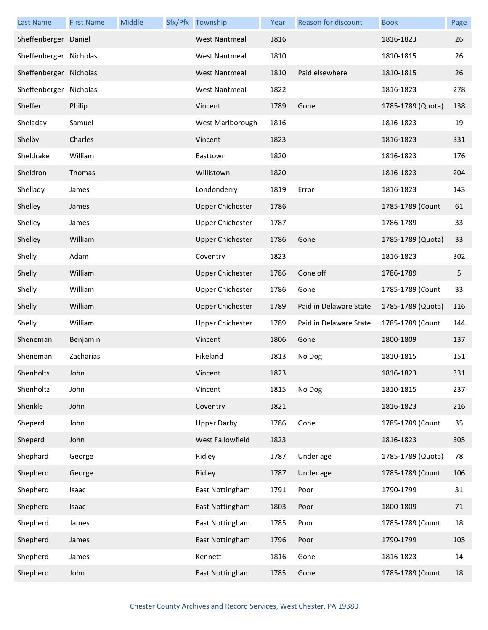| <b>Last Name</b>       | <b>First Name</b> | Middle | Sfx/Pfx Township        | Year | Reason for discount    | <b>Book</b>       | Page |
|------------------------|-------------------|--------|-------------------------|------|------------------------|-------------------|------|
| Sheffenberger Daniel   |                   |        | <b>West Nantmeal</b>    | 1816 |                        | 1816-1823         | 26   |
| Sheffenberger Nicholas |                   |        | <b>West Nantmeal</b>    | 1810 |                        | 1810-1815         | 26   |
| Sheffenberger Nicholas |                   |        | <b>West Nantmeal</b>    | 1810 | Paid elsewhere         | 1810-1815         | 26   |
| Sheffenberger Nicholas |                   |        | <b>West Nantmeal</b>    | 1822 |                        | 1816-1823         | 278  |
| Sheffer                | Philip            |        | Vincent                 | 1789 | Gone                   | 1785-1789 (Quota) | 138  |
| Sheladay               | Samuel            |        | West Marlborough        | 1816 |                        | 1816-1823         | 19   |
| Shelby                 | Charles           |        | Vincent                 | 1823 |                        | 1816-1823         | 331  |
| Sheldrake              | William           |        | Easttown                | 1820 |                        | 1816-1823         | 176  |
| Sheldron               | Thomas            |        | Willistown              | 1820 |                        | 1816-1823         | 204  |
| Shellady               | James             |        | Londonderry             | 1819 | Error                  | 1816-1823         | 143  |
| Shelley                | James             |        | <b>Upper Chichester</b> | 1786 |                        | 1785-1789 (Count  | 61   |
| Shelley                | James             |        | <b>Upper Chichester</b> | 1787 |                        | 1786-1789         | 33   |
| Shelley                | William           |        | <b>Upper Chichester</b> | 1786 | Gone                   | 1785-1789 (Quota) | 33   |
| Shelly                 | Adam              |        | Coventry                | 1823 |                        | 1816-1823         | 302  |
| Shelly                 | William           |        | <b>Upper Chichester</b> | 1786 | Gone off               | 1786-1789         | 5    |
| Shelly                 | William           |        | <b>Upper Chichester</b> | 1786 | Gone                   | 1785-1789 (Count  | 33   |
| Shelly                 | William           |        | <b>Upper Chichester</b> | 1789 | Paid in Delaware State | 1785-1789 (Quota) | 116  |
| Shelly                 | William           |        | <b>Upper Chichester</b> | 1789 | Paid in Delaware State | 1785-1789 (Count  | 144  |
| Sheneman               | Benjamin          |        | Vincent                 | 1806 | Gone                   | 1800-1809         | 137  |
| Sheneman               | Zacharias         |        | Pikeland                | 1813 | No Dog                 | 1810-1815         | 151  |
| Shenholts              | John              |        | Vincent                 | 1823 |                        | 1816-1823         | 331  |
| Shenholtz              | John              |        | Vincent                 | 1815 | No Dog                 | 1810-1815         | 237  |
| Shenkle                | John              |        | Coventry                | 1821 |                        | 1816-1823         | 216  |
| Sheperd                | John              |        | <b>Upper Darby</b>      | 1786 | Gone                   | 1785-1789 (Count  | 35   |
| Sheperd                | John              |        | West Fallowfield        | 1823 |                        | 1816-1823         | 305  |
| Shephard               | George            |        | Ridley                  | 1787 | Under age              | 1785-1789 (Quota) | 78   |
| Shepherd               | George            |        | Ridley                  | 1787 | Under age              | 1785-1789 (Count  | 106  |
| Shepherd               | Isaac             |        | East Nottingham         | 1791 | Poor                   | 1790-1799         | 31   |
| Shepherd               | Isaac             |        | East Nottingham         | 1803 | Poor                   | 1800-1809         | 71   |
| Shepherd               | James             |        | East Nottingham         | 1785 | Poor                   | 1785-1789 (Count  | 18   |
| Shepherd               | James             |        | East Nottingham         | 1796 | Poor                   | 1790-1799         | 105  |
| Shepherd               | James             |        | Kennett                 | 1816 | Gone                   | 1816-1823         | 14   |
| Shepherd               | John              |        | East Nottingham         | 1785 | Gone                   | 1785-1789 (Count  | 18   |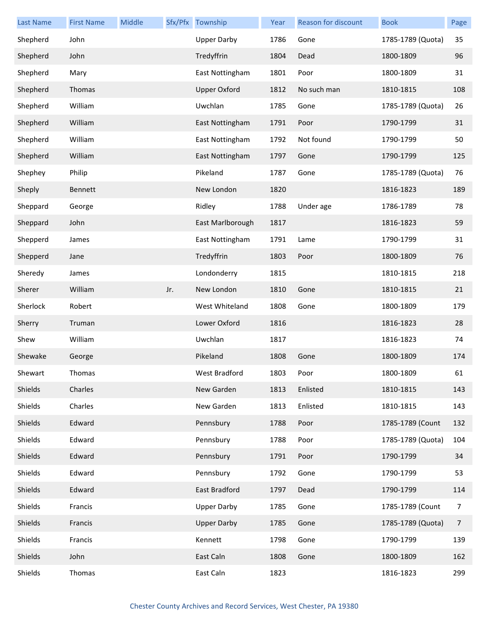| <b>Last Name</b> | <b>First Name</b> | Middle |     | Sfx/Pfx Township    | Year | Reason for discount | <b>Book</b>       | Page |
|------------------|-------------------|--------|-----|---------------------|------|---------------------|-------------------|------|
| Shepherd         | John              |        |     | <b>Upper Darby</b>  | 1786 | Gone                | 1785-1789 (Quota) | 35   |
| Shepherd         | John              |        |     | Tredyffrin          | 1804 | Dead                | 1800-1809         | 96   |
| Shepherd         | Mary              |        |     | East Nottingham     | 1801 | Poor                | 1800-1809         | 31   |
| Shepherd         | Thomas            |        |     | <b>Upper Oxford</b> | 1812 | No such man         | 1810-1815         | 108  |
| Shepherd         | William           |        |     | Uwchlan             | 1785 | Gone                | 1785-1789 (Quota) | 26   |
| Shepherd         | William           |        |     | East Nottingham     | 1791 | Poor                | 1790-1799         | 31   |
| Shepherd         | William           |        |     | East Nottingham     | 1792 | Not found           | 1790-1799         | 50   |
| Shepherd         | William           |        |     | East Nottingham     | 1797 | Gone                | 1790-1799         | 125  |
| Shephey          | Philip            |        |     | Pikeland            | 1787 | Gone                | 1785-1789 (Quota) | 76   |
| Sheply           | Bennett           |        |     | New London          | 1820 |                     | 1816-1823         | 189  |
| Sheppard         | George            |        |     | Ridley              | 1788 | Under age           | 1786-1789         | 78   |
| Sheppard         | John              |        |     | East Marlborough    | 1817 |                     | 1816-1823         | 59   |
| Shepperd         | James             |        |     | East Nottingham     | 1791 | Lame                | 1790-1799         | 31   |
| Shepperd         | Jane              |        |     | Tredyffrin          | 1803 | Poor                | 1800-1809         | 76   |
| Sheredy          | James             |        |     | Londonderry         | 1815 |                     | 1810-1815         | 218  |
| Sherer           | William           |        | Jr. | New London          | 1810 | Gone                | 1810-1815         | 21   |
| Sherlock         | Robert            |        |     | West Whiteland      | 1808 | Gone                | 1800-1809         | 179  |
| Sherry           | Truman            |        |     | Lower Oxford        | 1816 |                     | 1816-1823         | 28   |
| Shew             | William           |        |     | Uwchlan             | 1817 |                     | 1816-1823         | 74   |
| Shewake          | George            |        |     | Pikeland            | 1808 | Gone                | 1800-1809         | 174  |
| Shewart          | Thomas            |        |     | West Bradford       | 1803 | Poor                | 1800-1809         | 61   |
| Shields          | Charles           |        |     | New Garden          | 1813 | Enlisted            | 1810-1815         | 143  |
| Shields          | Charles           |        |     | New Garden          | 1813 | Enlisted            | 1810-1815         | 143  |
| Shields          | Edward            |        |     | Pennsbury           | 1788 | Poor                | 1785-1789 (Count  | 132  |
| Shields          | Edward            |        |     | Pennsbury           | 1788 | Poor                | 1785-1789 (Quota) | 104  |
| Shields          | Edward            |        |     | Pennsbury           | 1791 | Poor                | 1790-1799         | 34   |
| Shields          | Edward            |        |     | Pennsbury           | 1792 | Gone                | 1790-1799         | 53   |
| Shields          | Edward            |        |     | East Bradford       | 1797 | Dead                | 1790-1799         | 114  |
| Shields          | Francis           |        |     | <b>Upper Darby</b>  | 1785 | Gone                | 1785-1789 (Count  | 7    |
| Shields          | Francis           |        |     | <b>Upper Darby</b>  | 1785 | Gone                | 1785-1789 (Quota) | 7    |
| Shields          | Francis           |        |     | Kennett             | 1798 | Gone                | 1790-1799         | 139  |
| Shields          | John              |        |     | East Caln           | 1808 | Gone                | 1800-1809         | 162  |
| Shields          | Thomas            |        |     | East Caln           | 1823 |                     | 1816-1823         | 299  |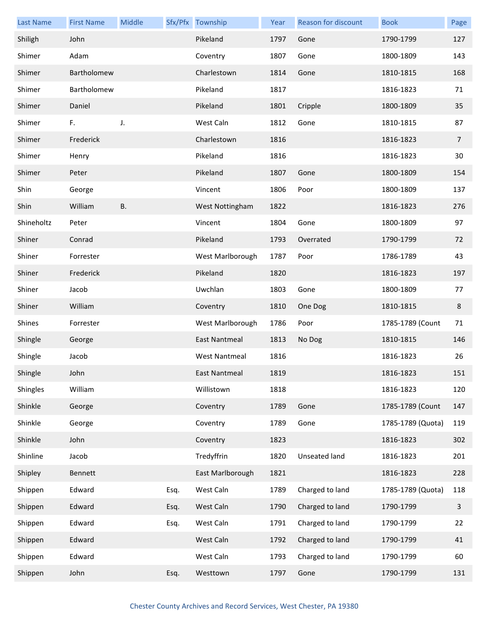| <b>Last Name</b> | <b>First Name</b> | Middle    |      | Sfx/Pfx Township     | Year | Reason for discount | <b>Book</b>       | Page           |
|------------------|-------------------|-----------|------|----------------------|------|---------------------|-------------------|----------------|
| Shiligh          | John              |           |      | Pikeland             | 1797 | Gone                | 1790-1799         | 127            |
| Shimer           | Adam              |           |      | Coventry             | 1807 | Gone                | 1800-1809         | 143            |
| Shimer           | Bartholomew       |           |      | Charlestown          | 1814 | Gone                | 1810-1815         | 168            |
| Shimer           | Bartholomew       |           |      | Pikeland             | 1817 |                     | 1816-1823         | 71             |
| Shimer           | Daniel            |           |      | Pikeland             | 1801 | Cripple             | 1800-1809         | 35             |
| Shimer           | F.                | J.        |      | West Caln            | 1812 | Gone                | 1810-1815         | 87             |
| Shimer           | Frederick         |           |      | Charlestown          | 1816 |                     | 1816-1823         | $\overline{7}$ |
| Shimer           | Henry             |           |      | Pikeland             | 1816 |                     | 1816-1823         | 30             |
| Shimer           | Peter             |           |      | Pikeland             | 1807 | Gone                | 1800-1809         | 154            |
| Shin             | George            |           |      | Vincent              | 1806 | Poor                | 1800-1809         | 137            |
| Shin             | William           | <b>B.</b> |      | West Nottingham      | 1822 |                     | 1816-1823         | 276            |
| Shineholtz       | Peter             |           |      | Vincent              | 1804 | Gone                | 1800-1809         | 97             |
| Shiner           | Conrad            |           |      | Pikeland             | 1793 | Overrated           | 1790-1799         | 72             |
| Shiner           | Forrester         |           |      | West Marlborough     | 1787 | Poor                | 1786-1789         | 43             |
| Shiner           | Frederick         |           |      | Pikeland             | 1820 |                     | 1816-1823         | 197            |
| Shiner           | Jacob             |           |      | Uwchlan              | 1803 | Gone                | 1800-1809         | 77             |
| Shiner           | William           |           |      | Coventry             | 1810 | One Dog             | 1810-1815         | 8              |
| Shines           | Forrester         |           |      | West Marlborough     | 1786 | Poor                | 1785-1789 (Count  | 71             |
| Shingle          | George            |           |      | East Nantmeal        | 1813 | No Dog              | 1810-1815         | 146            |
| Shingle          | Jacob             |           |      | <b>West Nantmeal</b> | 1816 |                     | 1816-1823         | 26             |
| Shingle          | John              |           |      | East Nantmeal        | 1819 |                     | 1816-1823         | 151            |
| Shingles         | William           |           |      | Willistown           | 1818 |                     | 1816-1823         | 120            |
| Shinkle          | George            |           |      | Coventry             | 1789 | Gone                | 1785-1789 (Count  | 147            |
| Shinkle          | George            |           |      | Coventry             | 1789 | Gone                | 1785-1789 (Quota) | 119            |
| Shinkle          | John              |           |      | Coventry             | 1823 |                     | 1816-1823         | 302            |
| Shinline         | Jacob             |           |      | Tredyffrin           | 1820 | Unseated land       | 1816-1823         | 201            |
| Shipley          | Bennett           |           |      | East Marlborough     | 1821 |                     | 1816-1823         | 228            |
| Shippen          | Edward            |           | Esq. | West Caln            | 1789 | Charged to land     | 1785-1789 (Quota) | 118            |
| Shippen          | Edward            |           | Esq. | West Caln            | 1790 | Charged to land     | 1790-1799         | $\mathbf{3}$   |
| Shippen          | Edward            |           | Esq. | West Caln            | 1791 | Charged to land     | 1790-1799         | 22             |
| Shippen          | Edward            |           |      | West Caln            | 1792 | Charged to land     | 1790-1799         | 41             |
| Shippen          | Edward            |           |      | West Caln            | 1793 | Charged to land     | 1790-1799         | 60             |
| Shippen          | John              |           | Esq. | Westtown             | 1797 | Gone                | 1790-1799         | 131            |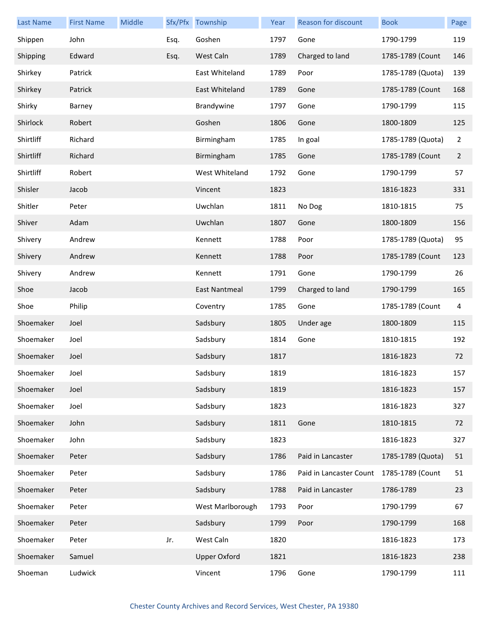| Last Name | <b>First Name</b> | Middle |      | Sfx/Pfx Township     | Year | Reason for discount     | <b>Book</b>       | Page           |
|-----------|-------------------|--------|------|----------------------|------|-------------------------|-------------------|----------------|
| Shippen   | John              |        | Esq. | Goshen               | 1797 | Gone                    | 1790-1799         | 119            |
| Shipping  | Edward            |        | Esq. | West Caln            | 1789 | Charged to land         | 1785-1789 (Count  | 146            |
| Shirkey   | Patrick           |        |      | East Whiteland       | 1789 | Poor                    | 1785-1789 (Quota) | 139            |
| Shirkey   | Patrick           |        |      | East Whiteland       | 1789 | Gone                    | 1785-1789 (Count  | 168            |
| Shirky    | Barney            |        |      | Brandywine           | 1797 | Gone                    | 1790-1799         | 115            |
| Shirlock  | Robert            |        |      | Goshen               | 1806 | Gone                    | 1800-1809         | 125            |
| Shirtliff | Richard           |        |      | Birmingham           | 1785 | In goal                 | 1785-1789 (Quota) | $\overline{2}$ |
| Shirtliff | Richard           |        |      | Birmingham           | 1785 | Gone                    | 1785-1789 (Count  | $\overline{2}$ |
| Shirtliff | Robert            |        |      | West Whiteland       | 1792 | Gone                    | 1790-1799         | 57             |
| Shisler   | Jacob             |        |      | Vincent              | 1823 |                         | 1816-1823         | 331            |
| Shitler   | Peter             |        |      | Uwchlan              | 1811 | No Dog                  | 1810-1815         | 75             |
| Shiver    | Adam              |        |      | Uwchlan              | 1807 | Gone                    | 1800-1809         | 156            |
| Shivery   | Andrew            |        |      | Kennett              | 1788 | Poor                    | 1785-1789 (Quota) | 95             |
| Shivery   | Andrew            |        |      | Kennett              | 1788 | Poor                    | 1785-1789 (Count  | 123            |
| Shivery   | Andrew            |        |      | Kennett              | 1791 | Gone                    | 1790-1799         | 26             |
| Shoe      | Jacob             |        |      | <b>East Nantmeal</b> | 1799 | Charged to land         | 1790-1799         | 165            |
| Shoe      | Philip            |        |      | Coventry             | 1785 | Gone                    | 1785-1789 (Count  | 4              |
| Shoemaker | Joel              |        |      | Sadsbury             | 1805 | Under age               | 1800-1809         | 115            |
| Shoemaker | Joel              |        |      | Sadsbury             | 1814 | Gone                    | 1810-1815         | 192            |
| Shoemaker | Joel              |        |      | Sadsbury             | 1817 |                         | 1816-1823         | 72             |
| Shoemaker | Joel              |        |      | Sadsbury             | 1819 |                         | 1816-1823         | 157            |
| Shoemaker | Joel              |        |      | Sadsbury             | 1819 |                         | 1816-1823         | 157            |
| Shoemaker | Joel              |        |      | Sadsbury             | 1823 |                         | 1816-1823         | 327            |
| Shoemaker | John              |        |      | Sadsbury             | 1811 | Gone                    | 1810-1815         | 72             |
| Shoemaker | John              |        |      | Sadsbury             | 1823 |                         | 1816-1823         | 327            |
| Shoemaker | Peter             |        |      | Sadsbury             | 1786 | Paid in Lancaster       | 1785-1789 (Quota) | 51             |
| Shoemaker | Peter             |        |      | Sadsbury             | 1786 | Paid in Lancaster Count | 1785-1789 (Count  | 51             |
| Shoemaker | Peter             |        |      | Sadsbury             | 1788 | Paid in Lancaster       | 1786-1789         | 23             |
| Shoemaker | Peter             |        |      | West Marlborough     | 1793 | Poor                    | 1790-1799         | 67             |
| Shoemaker | Peter             |        |      | Sadsbury             | 1799 | Poor                    | 1790-1799         | 168            |
| Shoemaker | Peter             |        | Jr.  | West Caln            | 1820 |                         | 1816-1823         | 173            |
| Shoemaker | Samuel            |        |      | <b>Upper Oxford</b>  | 1821 |                         | 1816-1823         | 238            |
| Shoeman   | Ludwick           |        |      | Vincent              | 1796 | Gone                    | 1790-1799         | 111            |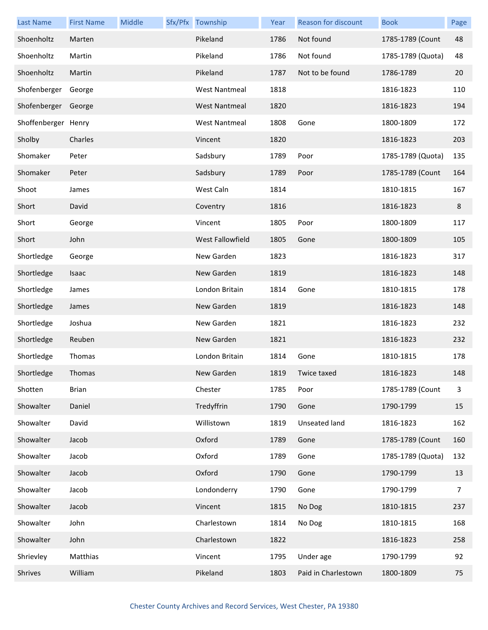| <b>Last Name</b>    | <b>First Name</b> | Middle | Sfx/Pfx Township     | Year | Reason for discount | <b>Book</b>       | Page |
|---------------------|-------------------|--------|----------------------|------|---------------------|-------------------|------|
| Shoenholtz          | Marten            |        | Pikeland             | 1786 | Not found           | 1785-1789 (Count  | 48   |
| Shoenholtz          | Martin            |        | Pikeland             | 1786 | Not found           | 1785-1789 (Quota) | 48   |
| Shoenholtz          | Martin            |        | Pikeland             | 1787 | Not to be found     | 1786-1789         | 20   |
| Shofenberger        | George            |        | <b>West Nantmeal</b> | 1818 |                     | 1816-1823         | 110  |
| Shofenberger        | George            |        | <b>West Nantmeal</b> | 1820 |                     | 1816-1823         | 194  |
| Shoffenberger Henry |                   |        | <b>West Nantmeal</b> | 1808 | Gone                | 1800-1809         | 172  |
| Sholby              | Charles           |        | Vincent              | 1820 |                     | 1816-1823         | 203  |
| Shomaker            | Peter             |        | Sadsbury             | 1789 | Poor                | 1785-1789 (Quota) | 135  |
| Shomaker            | Peter             |        | Sadsbury             | 1789 | Poor                | 1785-1789 (Count  | 164  |
| Shoot               | James             |        | West Caln            | 1814 |                     | 1810-1815         | 167  |
| Short               | David             |        | Coventry             | 1816 |                     | 1816-1823         | 8    |
| Short               | George            |        | Vincent              | 1805 | Poor                | 1800-1809         | 117  |
| Short               | John              |        | West Fallowfield     | 1805 | Gone                | 1800-1809         | 105  |
| Shortledge          | George            |        | New Garden           | 1823 |                     | 1816-1823         | 317  |
| Shortledge          | Isaac             |        | New Garden           | 1819 |                     | 1816-1823         | 148  |
| Shortledge          | James             |        | London Britain       | 1814 | Gone                | 1810-1815         | 178  |
| Shortledge          | James             |        | New Garden           | 1819 |                     | 1816-1823         | 148  |
| Shortledge          | Joshua            |        | New Garden           | 1821 |                     | 1816-1823         | 232  |
| Shortledge          | Reuben            |        | New Garden           | 1821 |                     | 1816-1823         | 232  |
| Shortledge          | Thomas            |        | London Britain       | 1814 | Gone                | 1810-1815         | 178  |
| Shortledge          | Thomas            |        | New Garden           |      | 1819 Twice taxed    | 1816-1823         | 148  |
| Shotten             | <b>Brian</b>      |        | Chester              | 1785 | Poor                | 1785-1789 (Count  | 3    |
| Showalter           | Daniel            |        | Tredyffrin           | 1790 | Gone                | 1790-1799         | 15   |
| Showalter           | David             |        | Willistown           | 1819 | Unseated land       | 1816-1823         | 162  |
| Showalter           | Jacob             |        | Oxford               | 1789 | Gone                | 1785-1789 (Count  | 160  |
| Showalter           | Jacob             |        | Oxford               | 1789 | Gone                | 1785-1789 (Quota) | 132  |
| Showalter           | Jacob             |        | Oxford               | 1790 | Gone                | 1790-1799         | 13   |
| Showalter           | Jacob             |        | Londonderry          | 1790 | Gone                | 1790-1799         | 7    |
| Showalter           | Jacob             |        | Vincent              | 1815 | No Dog              | 1810-1815         | 237  |
| Showalter           | John              |        | Charlestown          | 1814 | No Dog              | 1810-1815         | 168  |
| Showalter           | John              |        | Charlestown          | 1822 |                     | 1816-1823         | 258  |
| Shrievley           | Matthias          |        | Vincent              | 1795 | Under age           | 1790-1799         | 92   |
| Shrives             | William           |        | Pikeland             | 1803 | Paid in Charlestown | 1800-1809         | 75   |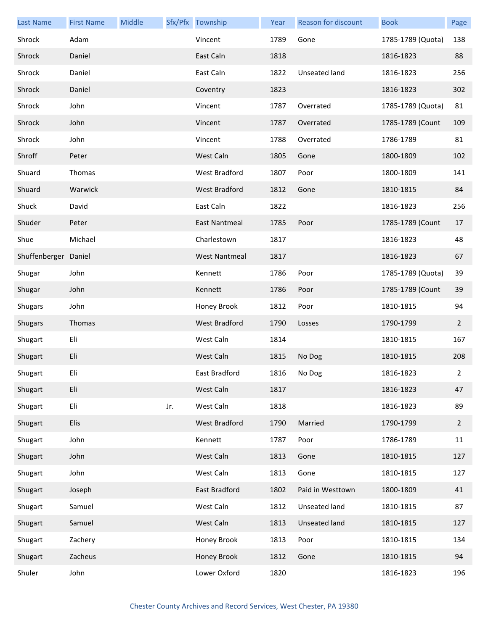| <b>Last Name</b>     | <b>First Name</b> | Middle |     | Sfx/Pfx Township     | Year | <b>Reason for discount</b> | <b>Book</b>       | Page           |
|----------------------|-------------------|--------|-----|----------------------|------|----------------------------|-------------------|----------------|
| Shrock               | Adam              |        |     | Vincent              | 1789 | Gone                       | 1785-1789 (Quota) | 138            |
| Shrock               | Daniel            |        |     | East Caln            | 1818 |                            | 1816-1823         | 88             |
| Shrock               | Daniel            |        |     | East Caln            | 1822 | Unseated land              | 1816-1823         | 256            |
| Shrock               | Daniel            |        |     | Coventry             | 1823 |                            | 1816-1823         | 302            |
| Shrock               | John              |        |     | Vincent              | 1787 | Overrated                  | 1785-1789 (Quota) | 81             |
| Shrock               | John              |        |     | Vincent              | 1787 | Overrated                  | 1785-1789 (Count  | 109            |
| Shrock               | John              |        |     | Vincent              | 1788 | Overrated                  | 1786-1789         | 81             |
| Shroff               | Peter             |        |     | West Caln            | 1805 | Gone                       | 1800-1809         | 102            |
| Shuard               | Thomas            |        |     | West Bradford        | 1807 | Poor                       | 1800-1809         | 141            |
| Shuard               | Warwick           |        |     | <b>West Bradford</b> | 1812 | Gone                       | 1810-1815         | 84             |
| Shuck                | David             |        |     | East Caln            | 1822 |                            | 1816-1823         | 256            |
| Shuder               | Peter             |        |     | East Nantmeal        | 1785 | Poor                       | 1785-1789 (Count  | 17             |
| Shue                 | Michael           |        |     | Charlestown          | 1817 |                            | 1816-1823         | 48             |
| Shuffenberger Daniel |                   |        |     | <b>West Nantmeal</b> | 1817 |                            | 1816-1823         | 67             |
| Shugar               | John              |        |     | Kennett              | 1786 | Poor                       | 1785-1789 (Quota) | 39             |
| Shugar               | John              |        |     | Kennett              | 1786 | Poor                       | 1785-1789 (Count  | 39             |
| <b>Shugars</b>       | John              |        |     | Honey Brook          | 1812 | Poor                       | 1810-1815         | 94             |
| Shugars              | Thomas            |        |     | <b>West Bradford</b> | 1790 | Losses                     | 1790-1799         | $\overline{2}$ |
| Shugart              | Eli               |        |     | West Caln            | 1814 |                            | 1810-1815         | 167            |
| Shugart              | Eli               |        |     | West Caln            | 1815 | No Dog                     | 1810-1815         | 208            |
| Shugart              | Eli               |        |     | East Bradford        | 1816 | No Dog                     | 1816-1823         | $2^{\circ}$    |
| Shugart              | Eli               |        |     | West Caln            | 1817 |                            | 1816-1823         | 47             |
| Shugart              | Eli               |        | Jr. | West Caln            | 1818 |                            | 1816-1823         | 89             |
| Shugart              | Elis              |        |     | <b>West Bradford</b> | 1790 | Married                    | 1790-1799         | $\overline{2}$ |
| Shugart              | John              |        |     | Kennett              | 1787 | Poor                       | 1786-1789         | 11             |
| Shugart              | John              |        |     | West Caln            | 1813 | Gone                       | 1810-1815         | 127            |
| Shugart              | John              |        |     | West Caln            | 1813 | Gone                       | 1810-1815         | 127            |
| Shugart              | Joseph            |        |     | East Bradford        | 1802 | Paid in Westtown           | 1800-1809         | 41             |
| Shugart              | Samuel            |        |     | West Caln            | 1812 | Unseated land              | 1810-1815         | 87             |
| Shugart              | Samuel            |        |     | West Caln            | 1813 | Unseated land              | 1810-1815         | 127            |
| Shugart              | Zachery           |        |     | Honey Brook          | 1813 | Poor                       | 1810-1815         | 134            |
| Shugart              | Zacheus           |        |     | Honey Brook          | 1812 | Gone                       | 1810-1815         | 94             |
| Shuler               | John              |        |     | Lower Oxford         | 1820 |                            | 1816-1823         | 196            |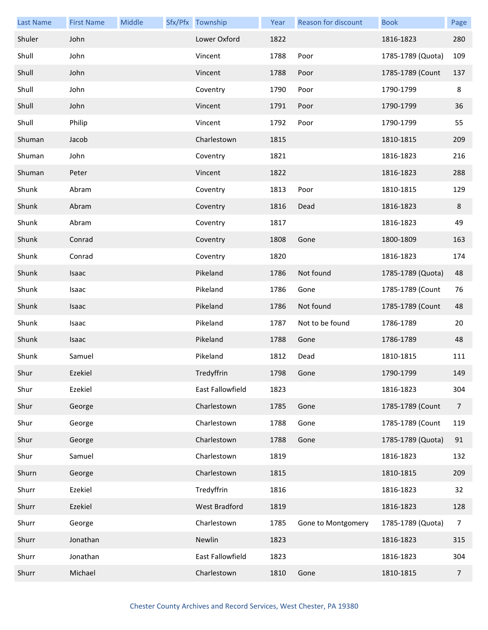| <b>Last Name</b> | <b>First Name</b> | Middle | Sfx/Pfx Township     | Year | Reason for discount | <b>Book</b>       | Page           |
|------------------|-------------------|--------|----------------------|------|---------------------|-------------------|----------------|
| Shuler           | John              |        | Lower Oxford         | 1822 |                     | 1816-1823         | 280            |
| Shull            | John              |        | Vincent              | 1788 | Poor                | 1785-1789 (Quota) | 109            |
| Shull            | John              |        | Vincent              | 1788 | Poor                | 1785-1789 (Count  | 137            |
| Shull            | John              |        | Coventry             | 1790 | Poor                | 1790-1799         | 8              |
| Shull            | John              |        | Vincent              | 1791 | Poor                | 1790-1799         | 36             |
| Shull            | Philip            |        | Vincent              | 1792 | Poor                | 1790-1799         | 55             |
| Shuman           | Jacob             |        | Charlestown          | 1815 |                     | 1810-1815         | 209            |
| Shuman           | John              |        | Coventry             | 1821 |                     | 1816-1823         | 216            |
| Shuman           | Peter             |        | Vincent              | 1822 |                     | 1816-1823         | 288            |
| Shunk            | Abram             |        | Coventry             | 1813 | Poor                | 1810-1815         | 129            |
| Shunk            | Abram             |        | Coventry             | 1816 | Dead                | 1816-1823         | 8              |
| Shunk            | Abram             |        | Coventry             | 1817 |                     | 1816-1823         | 49             |
| Shunk            | Conrad            |        | Coventry             | 1808 | Gone                | 1800-1809         | 163            |
| Shunk            | Conrad            |        | Coventry             | 1820 |                     | 1816-1823         | 174            |
| Shunk            | Isaac             |        | Pikeland             | 1786 | Not found           | 1785-1789 (Quota) | 48             |
| Shunk            | Isaac             |        | Pikeland             | 1786 | Gone                | 1785-1789 (Count  | 76             |
| Shunk            | Isaac             |        | Pikeland             | 1786 | Not found           | 1785-1789 (Count  | 48             |
| Shunk            | Isaac             |        | Pikeland             | 1787 | Not to be found     | 1786-1789         | 20             |
| Shunk            | Isaac             |        | Pikeland             | 1788 | Gone                | 1786-1789         | 48             |
| Shunk            | Samuel            |        | Pikeland             | 1812 | Dead                | 1810-1815         | 111            |
| Shur             | Ezekiel           |        | Tredyffrin           | 1798 | Gone                | 1790-1799         | 149            |
| Shur             | Ezekiel           |        | East Fallowfield     | 1823 |                     | 1816-1823         | 304            |
| Shur             | George            |        | Charlestown          | 1785 | Gone                | 1785-1789 (Count  | $\overline{7}$ |
| Shur             | George            |        | Charlestown          | 1788 | Gone                | 1785-1789 (Count  | 119            |
| Shur             | George            |        | Charlestown          | 1788 | Gone                | 1785-1789 (Quota) | 91             |
| Shur             | Samuel            |        | Charlestown          | 1819 |                     | 1816-1823         | 132            |
| Shurn            | George            |        | Charlestown          | 1815 |                     | 1810-1815         | 209            |
| Shurr            | Ezekiel           |        | Tredyffrin           | 1816 |                     | 1816-1823         | 32             |
| Shurr            | Ezekiel           |        | <b>West Bradford</b> | 1819 |                     | 1816-1823         | 128            |
| Shurr            | George            |        | Charlestown          | 1785 | Gone to Montgomery  | 1785-1789 (Quota) | $\overline{7}$ |
| Shurr            | Jonathan          |        | Newlin               | 1823 |                     | 1816-1823         | 315            |
| Shurr            | Jonathan          |        | East Fallowfield     | 1823 |                     | 1816-1823         | 304            |
| Shurr            | Michael           |        | Charlestown          | 1810 | Gone                | 1810-1815         | $\overline{7}$ |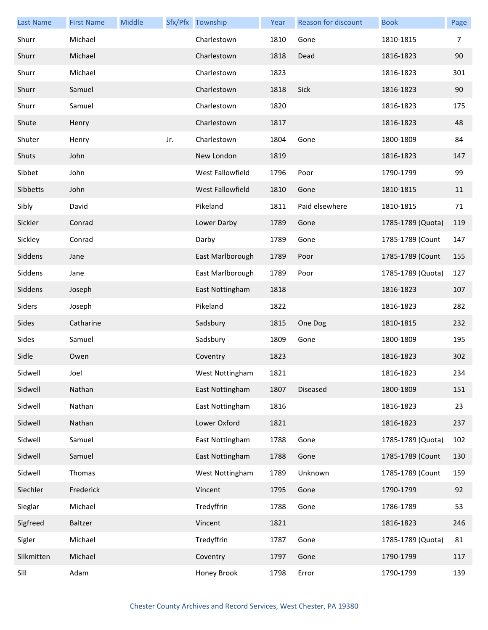| <b>Last Name</b> | <b>First Name</b> | Middle |     | Sfx/Pfx Township | Year | Reason for discount | <b>Book</b>       | Page |
|------------------|-------------------|--------|-----|------------------|------|---------------------|-------------------|------|
| Shurr            | Michael           |        |     | Charlestown      | 1810 | Gone                | 1810-1815         | 7    |
| Shurr            | Michael           |        |     | Charlestown      | 1818 | Dead                | 1816-1823         | 90   |
| Shurr            | Michael           |        |     | Charlestown      | 1823 |                     | 1816-1823         | 301  |
| Shurr            | Samuel            |        |     | Charlestown      | 1818 | Sick                | 1816-1823         | 90   |
| Shurr            | Samuel            |        |     | Charlestown      | 1820 |                     | 1816-1823         | 175  |
| Shute            | Henry             |        |     | Charlestown      | 1817 |                     | 1816-1823         | 48   |
| Shuter           | Henry             |        | Jr. | Charlestown      | 1804 | Gone                | 1800-1809         | 84   |
| Shuts            | John              |        |     | New London       | 1819 |                     | 1816-1823         | 147  |
| Sibbet           | John              |        |     | West Fallowfield | 1796 | Poor                | 1790-1799         | 99   |
| Sibbetts         | John              |        |     | West Fallowfield | 1810 | Gone                | 1810-1815         | 11   |
| Sibly            | David             |        |     | Pikeland         | 1811 | Paid elsewhere      | 1810-1815         | 71   |
| Sickler          | Conrad            |        |     | Lower Darby      | 1789 | Gone                | 1785-1789 (Quota) | 119  |
| Sickley          | Conrad            |        |     | Darby            | 1789 | Gone                | 1785-1789 (Count  | 147  |
| Siddens          | Jane              |        |     | East Marlborough | 1789 | Poor                | 1785-1789 (Count  | 155  |
| Siddens          | Jane              |        |     | East Marlborough | 1789 | Poor                | 1785-1789 (Quota) | 127  |
| Siddens          | Joseph            |        |     | East Nottingham  | 1818 |                     | 1816-1823         | 107  |
| Siders           | Joseph            |        |     | Pikeland         | 1822 |                     | 1816-1823         | 282  |
| Sides            | Catharine         |        |     | Sadsbury         | 1815 | One Dog             | 1810-1815         | 232  |
| Sides            | Samuel            |        |     | Sadsbury         | 1809 | Gone                | 1800-1809         | 195  |
| Sidle            | Owen              |        |     | Coventry         | 1823 |                     | 1816-1823         | 302  |
| Sidwell          | Joel              |        |     | West Nottingham  | 1821 |                     | 1816-1823         | 234  |
| Sidwell          | Nathan            |        |     | East Nottingham  | 1807 | Diseased            | 1800-1809         | 151  |
| Sidwell          | Nathan            |        |     | East Nottingham  | 1816 |                     | 1816-1823         | 23   |
| Sidwell          | Nathan            |        |     | Lower Oxford     | 1821 |                     | 1816-1823         | 237  |
| Sidwell          | Samuel            |        |     | East Nottingham  | 1788 | Gone                | 1785-1789 (Quota) | 102  |
| Sidwell          | Samuel            |        |     | East Nottingham  | 1788 | Gone                | 1785-1789 (Count  | 130  |
| Sidwell          | Thomas            |        |     | West Nottingham  | 1789 | Unknown             | 1785-1789 (Count  | 159  |
| Siechler         | Frederick         |        |     | Vincent          | 1795 | Gone                | 1790-1799         | 92   |
| Sieglar          | Michael           |        |     | Tredyffrin       | 1788 | Gone                | 1786-1789         | 53   |
| Sigfreed         | Baltzer           |        |     | Vincent          | 1821 |                     | 1816-1823         | 246  |
| Sigler           | Michael           |        |     | Tredyffrin       | 1787 | Gone                | 1785-1789 (Quota) | 81   |
| Silkmitten       | Michael           |        |     | Coventry         | 1797 | Gone                | 1790-1799         | 117  |
| Sill             | Adam              |        |     | Honey Brook      | 1798 | Error               | 1790-1799         | 139  |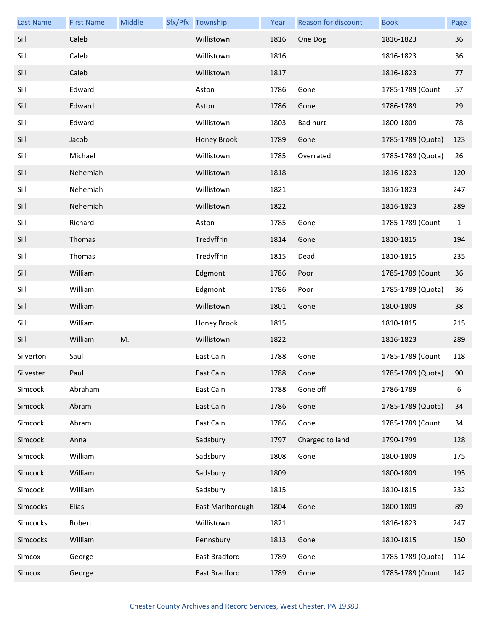| <b>Last Name</b> | <b>First Name</b> | Middle | Sfx/Pfx Township | Year | Reason for discount | <b>Book</b>       | Page         |
|------------------|-------------------|--------|------------------|------|---------------------|-------------------|--------------|
| Sill             | Caleb             |        | Willistown       | 1816 | One Dog             | 1816-1823         | 36           |
| Sill             | Caleb             |        | Willistown       | 1816 |                     | 1816-1823         | 36           |
| Sill             | Caleb             |        | Willistown       | 1817 |                     | 1816-1823         | 77           |
| Sill             | Edward            |        | Aston            | 1786 | Gone                | 1785-1789 (Count  | 57           |
| Sill             | Edward            |        | Aston            | 1786 | Gone                | 1786-1789         | 29           |
| Sill             | Edward            |        | Willistown       | 1803 | <b>Bad hurt</b>     | 1800-1809         | 78           |
| Sill             | Jacob             |        | Honey Brook      | 1789 | Gone                | 1785-1789 (Quota) | 123          |
| Sill             | Michael           |        | Willistown       | 1785 | Overrated           | 1785-1789 (Quota) | 26           |
| Sill             | Nehemiah          |        | Willistown       | 1818 |                     | 1816-1823         | 120          |
| Sill             | Nehemiah          |        | Willistown       | 1821 |                     | 1816-1823         | 247          |
| Sill             | Nehemiah          |        | Willistown       | 1822 |                     | 1816-1823         | 289          |
| Sill             | Richard           |        | Aston            | 1785 | Gone                | 1785-1789 (Count  | $\mathbf{1}$ |
| Sill             | Thomas            |        | Tredyffrin       | 1814 | Gone                | 1810-1815         | 194          |
| Sill             | Thomas            |        | Tredyffrin       | 1815 | Dead                | 1810-1815         | 235          |
| Sill             | William           |        | Edgmont          | 1786 | Poor                | 1785-1789 (Count  | 36           |
| Sill             | William           |        | Edgmont          | 1786 | Poor                | 1785-1789 (Quota) | 36           |
| Sill             | William           |        | Willistown       | 1801 | Gone                | 1800-1809         | 38           |
| Sill             | William           |        | Honey Brook      | 1815 |                     | 1810-1815         | 215          |
| Sill             | William           | M.     | Willistown       | 1822 |                     | 1816-1823         | 289          |
| Silverton        | Saul              |        | East Caln        | 1788 | Gone                | 1785-1789 (Count  | 118          |
| Silvester        | Paul              |        | East Caln        | 1788 | Gone                | 1785-1789 (Quota) | 90           |
| Simcock          | Abraham           |        | East Caln        | 1788 | Gone off            | 1786-1789         | 6            |
| Simcock          | Abram             |        | East Caln        | 1786 | Gone                | 1785-1789 (Quota) | 34           |
| Simcock          | Abram             |        | East Caln        | 1786 | Gone                | 1785-1789 (Count  | 34           |
| Simcock          | Anna              |        | Sadsbury         | 1797 | Charged to land     | 1790-1799         | 128          |
| Simcock          | William           |        | Sadsbury         | 1808 | Gone                | 1800-1809         | 175          |
| Simcock          | William           |        | Sadsbury         | 1809 |                     | 1800-1809         | 195          |
| Simcock          | William           |        | Sadsbury         | 1815 |                     | 1810-1815         | 232          |
| Simcocks         | Elias             |        | East Marlborough | 1804 | Gone                | 1800-1809         | 89           |
| Simcocks         | Robert            |        | Willistown       | 1821 |                     | 1816-1823         | 247          |
| Simcocks         | William           |        | Pennsbury        | 1813 | Gone                | 1810-1815         | 150          |
| Simcox           | George            |        | East Bradford    | 1789 | Gone                | 1785-1789 (Quota) | 114          |
| Simcox           | George            |        | East Bradford    | 1789 | Gone                | 1785-1789 (Count  | 142          |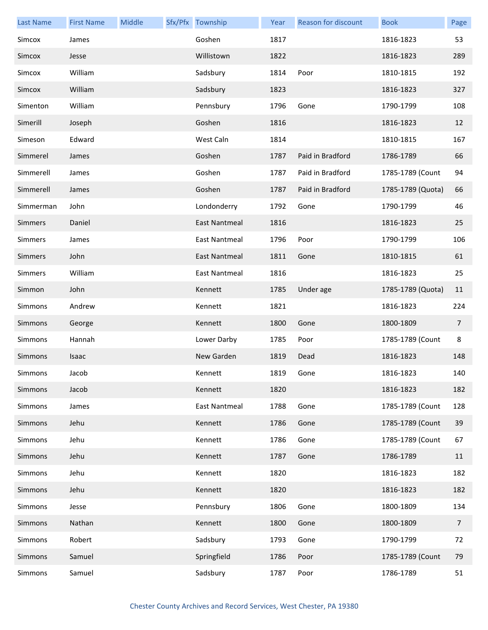| <b>Last Name</b> | <b>First Name</b> | Middle | Sfx/Pfx Township     | Year | Reason for discount | <b>Book</b>       | Page           |
|------------------|-------------------|--------|----------------------|------|---------------------|-------------------|----------------|
| Simcox           | James             |        | Goshen               | 1817 |                     | 1816-1823         | 53             |
| Simcox           | Jesse             |        | Willistown           | 1822 |                     | 1816-1823         | 289            |
| Simcox           | William           |        | Sadsbury             | 1814 | Poor                | 1810-1815         | 192            |
| Simcox           | William           |        | Sadsbury             | 1823 |                     | 1816-1823         | 327            |
| Simenton         | William           |        | Pennsbury            | 1796 | Gone                | 1790-1799         | 108            |
| Simerill         | Joseph            |        | Goshen               | 1816 |                     | 1816-1823         | 12             |
| Simeson          | Edward            |        | West Caln            | 1814 |                     | 1810-1815         | 167            |
| Simmerel         | James             |        | Goshen               | 1787 | Paid in Bradford    | 1786-1789         | 66             |
| Simmerell        | James             |        | Goshen               | 1787 | Paid in Bradford    | 1785-1789 (Count  | 94             |
| Simmerell        | James             |        | Goshen               | 1787 | Paid in Bradford    | 1785-1789 (Quota) | 66             |
| Simmerman        | John              |        | Londonderry          | 1792 | Gone                | 1790-1799         | 46             |
| <b>Simmers</b>   | Daniel            |        | East Nantmeal        | 1816 |                     | 1816-1823         | 25             |
| <b>Simmers</b>   | James             |        | East Nantmeal        | 1796 | Poor                | 1790-1799         | 106            |
| <b>Simmers</b>   | John              |        | East Nantmeal        | 1811 | Gone                | 1810-1815         | 61             |
| Simmers          | William           |        | East Nantmeal        | 1816 |                     | 1816-1823         | 25             |
| Simmon           | John              |        | Kennett              | 1785 | Under age           | 1785-1789 (Quota) | 11             |
| <b>Simmons</b>   | Andrew            |        | Kennett              | 1821 |                     | 1816-1823         | 224            |
| Simmons          | George            |        | Kennett              | 1800 | Gone                | 1800-1809         | $\overline{7}$ |
| Simmons          | Hannah            |        | Lower Darby          | 1785 | Poor                | 1785-1789 (Count  | 8              |
| Simmons          | Isaac             |        | New Garden           | 1819 | Dead                | 1816-1823         | 148            |
| Simmons          | Jacob             |        | Kennett              | 1819 | Gone                | 1816-1823         | 140            |
| Simmons          | Jacob             |        | Kennett              | 1820 |                     | 1816-1823         | 182            |
| Simmons          | James             |        | <b>East Nantmeal</b> | 1788 | Gone                | 1785-1789 (Count  | 128            |
| Simmons          | Jehu              |        | Kennett              | 1786 | Gone                | 1785-1789 (Count  | 39             |
| Simmons          | Jehu              |        | Kennett              | 1786 | Gone                | 1785-1789 (Count  | 67             |
| <b>Simmons</b>   | Jehu              |        | Kennett              | 1787 | Gone                | 1786-1789         | 11             |
| Simmons          | Jehu              |        | Kennett              | 1820 |                     | 1816-1823         | 182            |
| Simmons          | Jehu              |        | Kennett              | 1820 |                     | 1816-1823         | 182            |
| Simmons          | Jesse             |        | Pennsbury            | 1806 | Gone                | 1800-1809         | 134            |
| Simmons          | Nathan            |        | Kennett              | 1800 | Gone                | 1800-1809         | $\overline{7}$ |
| Simmons          | Robert            |        | Sadsbury             | 1793 | Gone                | 1790-1799         | 72             |
| Simmons          | Samuel            |        | Springfield          | 1786 | Poor                | 1785-1789 (Count  | 79             |
| Simmons          | Samuel            |        | Sadsbury             | 1787 | Poor                | 1786-1789         | 51             |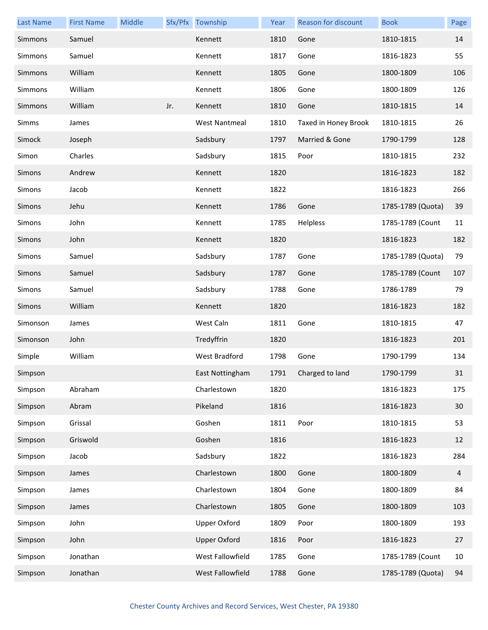| <b>Last Name</b> | <b>First Name</b> | Middle |     | Sfx/Pfx Township     | Year | Reason for discount  | <b>Book</b>       | Page |
|------------------|-------------------|--------|-----|----------------------|------|----------------------|-------------------|------|
| Simmons          | Samuel            |        |     | Kennett              | 1810 | Gone                 | 1810-1815         | 14   |
| Simmons          | Samuel            |        |     | Kennett              | 1817 | Gone                 | 1816-1823         | 55   |
| Simmons          | William           |        |     | Kennett              | 1805 | Gone                 | 1800-1809         | 106  |
| Simmons          | William           |        |     | Kennett              | 1806 | Gone                 | 1800-1809         | 126  |
| Simmons          | William           |        | Jr. | Kennett              | 1810 | Gone                 | 1810-1815         | 14   |
| Simms            | James             |        |     | <b>West Nantmeal</b> | 1810 | Taxed in Honey Brook | 1810-1815         | 26   |
| Simock           | Joseph            |        |     | Sadsbury             | 1797 | Married & Gone       | 1790-1799         | 128  |
| Simon            | Charles           |        |     | Sadsbury             | 1815 | Poor                 | 1810-1815         | 232  |
| Simons           | Andrew            |        |     | Kennett              | 1820 |                      | 1816-1823         | 182  |
| Simons           | Jacob             |        |     | Kennett              | 1822 |                      | 1816-1823         | 266  |
| Simons           | Jehu              |        |     | Kennett              | 1786 | Gone                 | 1785-1789 (Quota) | 39   |
| Simons           | John              |        |     | Kennett              | 1785 | Helpless             | 1785-1789 (Count  | 11   |
| Simons           | John              |        |     | Kennett              | 1820 |                      | 1816-1823         | 182  |
| Simons           | Samuel            |        |     | Sadsbury             | 1787 | Gone                 | 1785-1789 (Quota) | 79   |
| Simons           | Samuel            |        |     | Sadsbury             | 1787 | Gone                 | 1785-1789 (Count  | 107  |
| Simons           | Samuel            |        |     | Sadsbury             | 1788 | Gone                 | 1786-1789         | 79   |
| Simons           | William           |        |     | Kennett              | 1820 |                      | 1816-1823         | 182  |
| Simonson         | James             |        |     | West Caln            | 1811 | Gone                 | 1810-1815         | 47   |
| Simonson         | John              |        |     | Tredyffrin           | 1820 |                      | 1816-1823         | 201  |
| Simple           | William           |        |     | West Bradford        | 1798 | Gone                 | 1790-1799         | 134  |
| Simpson          |                   |        |     | East Nottingham      | 1791 | Charged to land      | 1790-1799         | 31   |
| Simpson          | Abraham           |        |     | Charlestown          | 1820 |                      | 1816-1823         | 175  |
| Simpson          | Abram             |        |     | Pikeland             | 1816 |                      | 1816-1823         | 30   |
| Simpson          | Grissal           |        |     | Goshen               | 1811 | Poor                 | 1810-1815         | 53   |
| Simpson          | Griswold          |        |     | Goshen               | 1816 |                      | 1816-1823         | 12   |
| Simpson          | Jacob             |        |     | Sadsbury             | 1822 |                      | 1816-1823         | 284  |
| Simpson          | James             |        |     | Charlestown          | 1800 | Gone                 | 1800-1809         | 4    |
| Simpson          | James             |        |     | Charlestown          | 1804 | Gone                 | 1800-1809         | 84   |
| Simpson          | James             |        |     | Charlestown          | 1805 | Gone                 | 1800-1809         | 103  |
| Simpson          | John              |        |     | <b>Upper Oxford</b>  | 1809 | Poor                 | 1800-1809         | 193  |
| Simpson          | John              |        |     | <b>Upper Oxford</b>  | 1816 | Poor                 | 1816-1823         | 27   |
| Simpson          | Jonathan          |        |     | West Fallowfield     | 1785 | Gone                 | 1785-1789 (Count  | 10   |
| Simpson          | Jonathan          |        |     | West Fallowfield     | 1788 | Gone                 | 1785-1789 (Quota) | 94   |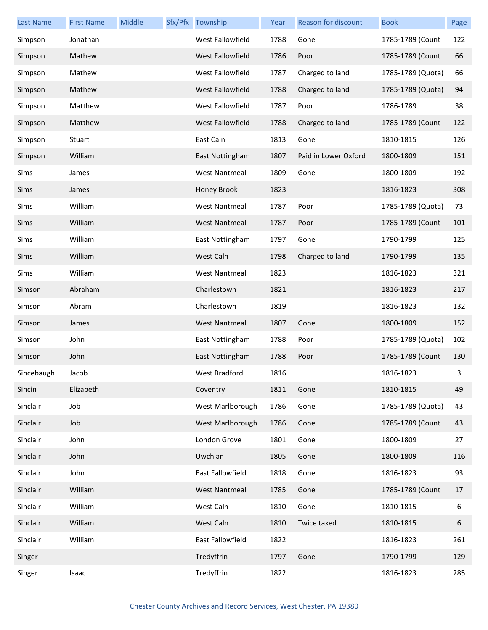| <b>Last Name</b> | <b>First Name</b> | Middle | Sfx/Pfx Township     | Year | Reason for discount  | <b>Book</b>       | Page |
|------------------|-------------------|--------|----------------------|------|----------------------|-------------------|------|
| Simpson          | Jonathan          |        | West Fallowfield     | 1788 | Gone                 | 1785-1789 (Count  | 122  |
| Simpson          | Mathew            |        | West Fallowfield     | 1786 | Poor                 | 1785-1789 (Count  | 66   |
| Simpson          | Mathew            |        | West Fallowfield     | 1787 | Charged to land      | 1785-1789 (Quota) | 66   |
| Simpson          | Mathew            |        | West Fallowfield     | 1788 | Charged to land      | 1785-1789 (Quota) | 94   |
| Simpson          | Matthew           |        | West Fallowfield     | 1787 | Poor                 | 1786-1789         | 38   |
| Simpson          | Matthew           |        | West Fallowfield     | 1788 | Charged to land      | 1785-1789 (Count  | 122  |
| Simpson          | Stuart            |        | East Caln            | 1813 | Gone                 | 1810-1815         | 126  |
| Simpson          | William           |        | East Nottingham      | 1807 | Paid in Lower Oxford | 1800-1809         | 151  |
| Sims             | James             |        | <b>West Nantmeal</b> | 1809 | Gone                 | 1800-1809         | 192  |
| Sims             | James             |        | Honey Brook          | 1823 |                      | 1816-1823         | 308  |
| Sims             | William           |        | <b>West Nantmeal</b> | 1787 | Poor                 | 1785-1789 (Quota) | 73   |
| Sims             | William           |        | <b>West Nantmeal</b> | 1787 | Poor                 | 1785-1789 (Count  | 101  |
| Sims             | William           |        | East Nottingham      | 1797 | Gone                 | 1790-1799         | 125  |
| Sims             | William           |        | West Caln            | 1798 | Charged to land      | 1790-1799         | 135  |
| Sims             | William           |        | <b>West Nantmeal</b> | 1823 |                      | 1816-1823         | 321  |
| Simson           | Abraham           |        | Charlestown          | 1821 |                      | 1816-1823         | 217  |
| Simson           | Abram             |        | Charlestown          | 1819 |                      | 1816-1823         | 132  |
| Simson           | James             |        | <b>West Nantmeal</b> | 1807 | Gone                 | 1800-1809         | 152  |
| Simson           | John              |        | East Nottingham      | 1788 | Poor                 | 1785-1789 (Quota) | 102  |
| Simson           | John              |        | East Nottingham      | 1788 | Poor                 | 1785-1789 (Count  | 130  |
| Sincebaugh       | Jacob             |        | West Bradford        | 1816 |                      | 1816-1823         | 3    |
| Sincin           | Elizabeth         |        | Coventry             | 1811 | Gone                 | 1810-1815         | 49   |
| Sinclair         | Job               |        | West Marlborough     | 1786 | Gone                 | 1785-1789 (Quota) | 43   |
| Sinclair         | Job               |        | West Marlborough     | 1786 | Gone                 | 1785-1789 (Count  | 43   |
| Sinclair         | John              |        | London Grove         | 1801 | Gone                 | 1800-1809         | 27   |
| Sinclair         | John              |        | Uwchlan              | 1805 | Gone                 | 1800-1809         | 116  |
| Sinclair         | John              |        | East Fallowfield     | 1818 | Gone                 | 1816-1823         | 93   |
| Sinclair         | William           |        | <b>West Nantmeal</b> | 1785 | Gone                 | 1785-1789 (Count  | 17   |
| Sinclair         | William           |        | West Caln            | 1810 | Gone                 | 1810-1815         | 6    |
| Sinclair         | William           |        | West Caln            | 1810 | Twice taxed          | 1810-1815         | 6    |
| Sinclair         | William           |        | East Fallowfield     | 1822 |                      | 1816-1823         | 261  |
| Singer           |                   |        | Tredyffrin           | 1797 | Gone                 | 1790-1799         | 129  |
| Singer           | Isaac             |        | Tredyffrin           | 1822 |                      | 1816-1823         | 285  |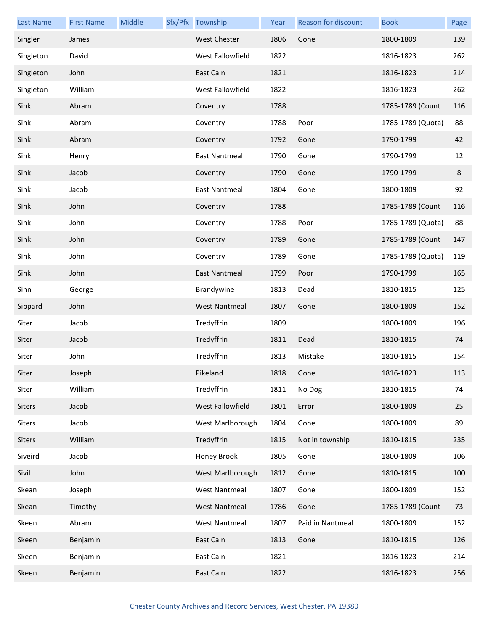| <b>Last Name</b> | <b>First Name</b> | Middle | Sfx/Pfx Township     | Year | <b>Reason for discount</b> | <b>Book</b>       | Page |
|------------------|-------------------|--------|----------------------|------|----------------------------|-------------------|------|
| Singler          | James             |        | <b>West Chester</b>  | 1806 | Gone                       | 1800-1809         | 139  |
| Singleton        | David             |        | West Fallowfield     | 1822 |                            | 1816-1823         | 262  |
| Singleton        | John              |        | East Caln            | 1821 |                            | 1816-1823         | 214  |
| Singleton        | William           |        | West Fallowfield     | 1822 |                            | 1816-1823         | 262  |
| Sink             | Abram             |        | Coventry             | 1788 |                            | 1785-1789 (Count  | 116  |
| Sink             | Abram             |        | Coventry             | 1788 | Poor                       | 1785-1789 (Quota) | 88   |
| Sink             | Abram             |        | Coventry             | 1792 | Gone                       | 1790-1799         | 42   |
| Sink             | Henry             |        | East Nantmeal        | 1790 | Gone                       | 1790-1799         | 12   |
| Sink             | Jacob             |        | Coventry             | 1790 | Gone                       | 1790-1799         | 8    |
| Sink             | Jacob             |        | East Nantmeal        | 1804 | Gone                       | 1800-1809         | 92   |
| Sink             | John              |        | Coventry             | 1788 |                            | 1785-1789 (Count  | 116  |
| Sink             | John              |        | Coventry             | 1788 | Poor                       | 1785-1789 (Quota) | 88   |
| Sink             | John              |        | Coventry             | 1789 | Gone                       | 1785-1789 (Count  | 147  |
| Sink             | John              |        | Coventry             | 1789 | Gone                       | 1785-1789 (Quota) | 119  |
| Sink             | John              |        | <b>East Nantmeal</b> | 1799 | Poor                       | 1790-1799         | 165  |
| Sinn             | George            |        | Brandywine           | 1813 | Dead                       | 1810-1815         | 125  |
| Sippard          | John              |        | <b>West Nantmeal</b> | 1807 | Gone                       | 1800-1809         | 152  |
| Siter            | Jacob             |        | Tredyffrin           | 1809 |                            | 1800-1809         | 196  |
| Siter            | Jacob             |        | Tredyffrin           | 1811 | Dead                       | 1810-1815         | 74   |
| Siter            | John              |        | Tredyffrin           | 1813 | Mistake                    | 1810-1815         | 154  |
| Siter            | Joseph            |        | Pikeland             | 1818 | Gone                       | 1816-1823         | 113  |
| Siter            | William           |        | Tredyffrin           | 1811 | No Dog                     | 1810-1815         | 74   |
| <b>Siters</b>    | Jacob             |        | West Fallowfield     | 1801 | Error                      | 1800-1809         | 25   |
| <b>Siters</b>    | Jacob             |        | West Marlborough     | 1804 | Gone                       | 1800-1809         | 89   |
| Siters           | William           |        | Tredyffrin           | 1815 | Not in township            | 1810-1815         | 235  |
| Siveird          | Jacob             |        | Honey Brook          | 1805 | Gone                       | 1800-1809         | 106  |
| Sivil            | John              |        | West Marlborough     | 1812 | Gone                       | 1810-1815         | 100  |
| Skean            | Joseph            |        | <b>West Nantmeal</b> | 1807 | Gone                       | 1800-1809         | 152  |
| Skean            | Timothy           |        | <b>West Nantmeal</b> | 1786 | Gone                       | 1785-1789 (Count  | 73   |
| Skeen            | Abram             |        | <b>West Nantmeal</b> | 1807 | Paid in Nantmeal           | 1800-1809         | 152  |
| Skeen            | Benjamin          |        | East Caln            | 1813 | Gone                       | 1810-1815         | 126  |
| Skeen            | Benjamin          |        | East Caln            | 1821 |                            | 1816-1823         | 214  |
| Skeen            | Benjamin          |        | East Caln            | 1822 |                            | 1816-1823         | 256  |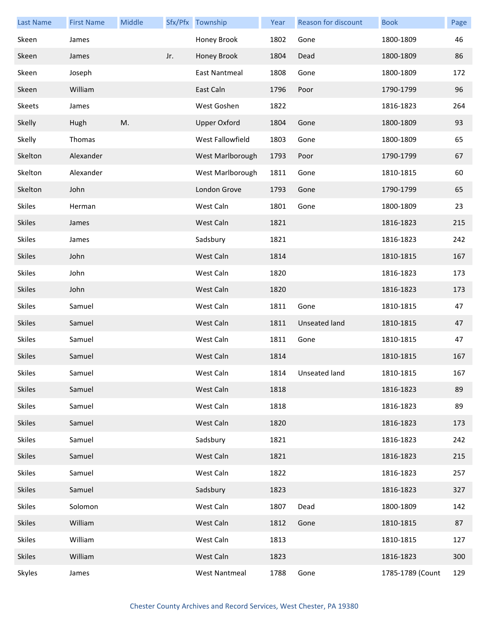| <b>Last Name</b> | <b>First Name</b> | Middle |     | Sfx/Pfx Township     | Year | Reason for discount  | <b>Book</b>      | Page |
|------------------|-------------------|--------|-----|----------------------|------|----------------------|------------------|------|
| Skeen            | James             |        |     | Honey Brook          | 1802 | Gone                 | 1800-1809        | 46   |
| Skeen            | James             |        | Jr. | Honey Brook          | 1804 | Dead                 | 1800-1809        | 86   |
| Skeen            | Joseph            |        |     | East Nantmeal        | 1808 | Gone                 | 1800-1809        | 172  |
| Skeen            | William           |        |     | East Caln            | 1796 | Poor                 | 1790-1799        | 96   |
| <b>Skeets</b>    | James             |        |     | West Goshen          | 1822 |                      | 1816-1823        | 264  |
| Skelly           | Hugh              | M.     |     | <b>Upper Oxford</b>  | 1804 | Gone                 | 1800-1809        | 93   |
| Skelly           | Thomas            |        |     | West Fallowfield     | 1803 | Gone                 | 1800-1809        | 65   |
| Skelton          | Alexander         |        |     | West Marlborough     | 1793 | Poor                 | 1790-1799        | 67   |
| Skelton          | Alexander         |        |     | West Marlborough     | 1811 | Gone                 | 1810-1815        | 60   |
| Skelton          | John              |        |     | London Grove         | 1793 | Gone                 | 1790-1799        | 65   |
| <b>Skiles</b>    | Herman            |        |     | West Caln            | 1801 | Gone                 | 1800-1809        | 23   |
| <b>Skiles</b>    | James             |        |     | West Caln            | 1821 |                      | 1816-1823        | 215  |
| <b>Skiles</b>    | James             |        |     | Sadsbury             | 1821 |                      | 1816-1823        | 242  |
| <b>Skiles</b>    | John              |        |     | West Caln            | 1814 |                      | 1810-1815        | 167  |
| <b>Skiles</b>    | John              |        |     | West Caln            | 1820 |                      | 1816-1823        | 173  |
| <b>Skiles</b>    | John              |        |     | West Caln            | 1820 |                      | 1816-1823        | 173  |
| <b>Skiles</b>    | Samuel            |        |     | West Caln            | 1811 | Gone                 | 1810-1815        | 47   |
| <b>Skiles</b>    | Samuel            |        |     | West Caln            | 1811 | <b>Unseated land</b> | 1810-1815        | 47   |
| <b>Skiles</b>    | Samuel            |        |     | West Caln            | 1811 | Gone                 | 1810-1815        | 47   |
| <b>Skiles</b>    | Samuel            |        |     | West Caln            | 1814 |                      | 1810-1815        | 167  |
| Skiles           | Samuel            |        |     | West Caln            |      | 1814 Unseated land   | 1810-1815        | 167  |
| <b>Skiles</b>    | Samuel            |        |     | West Caln            | 1818 |                      | 1816-1823        | 89   |
| <b>Skiles</b>    | Samuel            |        |     | West Caln            | 1818 |                      | 1816-1823        | 89   |
| <b>Skiles</b>    | Samuel            |        |     | West Caln            | 1820 |                      | 1816-1823        | 173  |
| <b>Skiles</b>    | Samuel            |        |     | Sadsbury             | 1821 |                      | 1816-1823        | 242  |
| <b>Skiles</b>    | Samuel            |        |     | West Caln            | 1821 |                      | 1816-1823        | 215  |
| <b>Skiles</b>    | Samuel            |        |     | West Caln            | 1822 |                      | 1816-1823        | 257  |
| <b>Skiles</b>    | Samuel            |        |     | Sadsbury             | 1823 |                      | 1816-1823        | 327  |
| <b>Skiles</b>    | Solomon           |        |     | West Caln            | 1807 | Dead                 | 1800-1809        | 142  |
| <b>Skiles</b>    | William           |        |     | West Caln            | 1812 | Gone                 | 1810-1815        | 87   |
| <b>Skiles</b>    | William           |        |     | West Caln            | 1813 |                      | 1810-1815        | 127  |
| <b>Skiles</b>    | William           |        |     | West Caln            | 1823 |                      | 1816-1823        | 300  |
| Skyles           | James             |        |     | <b>West Nantmeal</b> | 1788 | Gone                 | 1785-1789 (Count | 129  |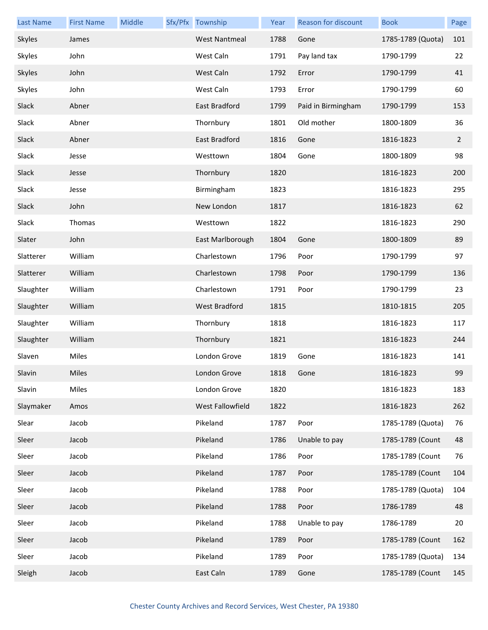| <b>Last Name</b> | <b>First Name</b> | Middle | Sfx/Pfx Township     | Year | Reason for discount | <b>Book</b>       | Page           |
|------------------|-------------------|--------|----------------------|------|---------------------|-------------------|----------------|
| Skyles           | James             |        | <b>West Nantmeal</b> | 1788 | Gone                | 1785-1789 (Quota) | 101            |
| Skyles           | John              |        | West Caln            | 1791 | Pay land tax        | 1790-1799         | 22             |
| Skyles           | John              |        | West Caln            | 1792 | Error               | 1790-1799         | 41             |
| Skyles           | John              |        | West Caln            | 1793 | Error               | 1790-1799         | 60             |
| Slack            | Abner             |        | East Bradford        | 1799 | Paid in Birmingham  | 1790-1799         | 153            |
| Slack            | Abner             |        | Thornbury            | 1801 | Old mother          | 1800-1809         | 36             |
| Slack            | Abner             |        | East Bradford        | 1816 | Gone                | 1816-1823         | $\overline{2}$ |
| Slack            | Jesse             |        | Westtown             | 1804 | Gone                | 1800-1809         | 98             |
| Slack            | Jesse             |        | Thornbury            | 1820 |                     | 1816-1823         | 200            |
| Slack            | Jesse             |        | Birmingham           | 1823 |                     | 1816-1823         | 295            |
| Slack            | John              |        | New London           | 1817 |                     | 1816-1823         | 62             |
| Slack            | Thomas            |        | Westtown             | 1822 |                     | 1816-1823         | 290            |
| Slater           | John              |        | East Marlborough     | 1804 | Gone                | 1800-1809         | 89             |
| Slatterer        | William           |        | Charlestown          | 1796 | Poor                | 1790-1799         | 97             |
| Slatterer        | William           |        | Charlestown          | 1798 | Poor                | 1790-1799         | 136            |
| Slaughter        | William           |        | Charlestown          | 1791 | Poor                | 1790-1799         | 23             |
| Slaughter        | William           |        | West Bradford        | 1815 |                     | 1810-1815         | 205            |
| Slaughter        | William           |        | Thornbury            | 1818 |                     | 1816-1823         | 117            |
| Slaughter        | William           |        | Thornbury            | 1821 |                     | 1816-1823         | 244            |
| Slaven           | Miles             |        | London Grove         | 1819 | Gone                | 1816-1823         | 141            |
| Slavin           | Miles             |        | London Grove         | 1818 | Gone                | 1816-1823         | 99             |
| Slavin           | Miles             |        | London Grove         | 1820 |                     | 1816-1823         | 183            |
| Slaymaker        | Amos              |        | West Fallowfield     | 1822 |                     | 1816-1823         | 262            |
| Slear            | Jacob             |        | Pikeland             | 1787 | Poor                | 1785-1789 (Quota) | 76             |
| Sleer            | Jacob             |        | Pikeland             | 1786 | Unable to pay       | 1785-1789 (Count  | 48             |
| Sleer            | Jacob             |        | Pikeland             | 1786 | Poor                | 1785-1789 (Count  | 76             |
| Sleer            | Jacob             |        | Pikeland             | 1787 | Poor                | 1785-1789 (Count  | 104            |
| Sleer            | Jacob             |        | Pikeland             | 1788 | Poor                | 1785-1789 (Quota) | 104            |
| Sleer            | Jacob             |        | Pikeland             | 1788 | Poor                | 1786-1789         | 48             |
| Sleer            | Jacob             |        | Pikeland             | 1788 | Unable to pay       | 1786-1789         | 20             |
| Sleer            | Jacob             |        | Pikeland             | 1789 | Poor                | 1785-1789 (Count  | 162            |
| Sleer            | Jacob             |        | Pikeland             | 1789 | Poor                | 1785-1789 (Quota) | 134            |
| Sleigh           | Jacob             |        | East Caln            | 1789 | Gone                | 1785-1789 (Count  | 145            |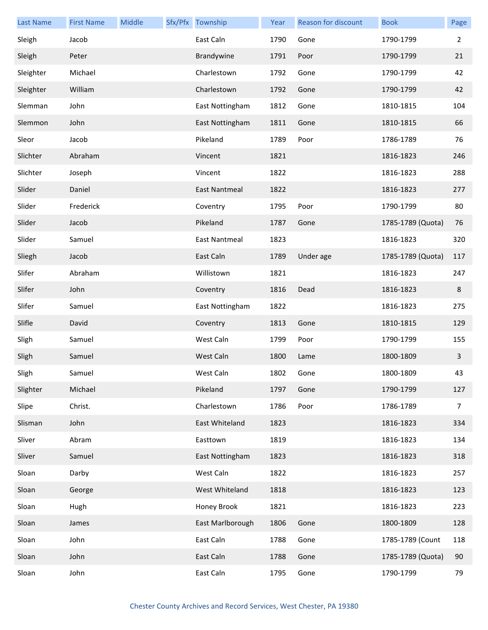| <b>Last Name</b> | <b>First Name</b> | Middle | Sfx/Pfx Township | Year | Reason for discount | <b>Book</b>       | Page           |
|------------------|-------------------|--------|------------------|------|---------------------|-------------------|----------------|
| Sleigh           | Jacob             |        | East Caln        | 1790 | Gone                | 1790-1799         | $\overline{2}$ |
| Sleigh           | Peter             |        | Brandywine       | 1791 | Poor                | 1790-1799         | 21             |
| Sleighter        | Michael           |        | Charlestown      | 1792 | Gone                | 1790-1799         | 42             |
| Sleighter        | William           |        | Charlestown      | 1792 | Gone                | 1790-1799         | 42             |
| Slemman          | John              |        | East Nottingham  | 1812 | Gone                | 1810-1815         | 104            |
| Slemmon          | John              |        | East Nottingham  | 1811 | Gone                | 1810-1815         | 66             |
| Sleor            | Jacob             |        | Pikeland         | 1789 | Poor                | 1786-1789         | 76             |
| Slichter         | Abraham           |        | Vincent          | 1821 |                     | 1816-1823         | 246            |
| Slichter         | Joseph            |        | Vincent          | 1822 |                     | 1816-1823         | 288            |
| Slider           | Daniel            |        | East Nantmeal    | 1822 |                     | 1816-1823         | 277            |
| Slider           | Frederick         |        | Coventry         | 1795 | Poor                | 1790-1799         | 80             |
| Slider           | Jacob             |        | Pikeland         | 1787 | Gone                | 1785-1789 (Quota) | 76             |
| Slider           | Samuel            |        | East Nantmeal    | 1823 |                     | 1816-1823         | 320            |
| Sliegh           | Jacob             |        | East Caln        | 1789 | Under age           | 1785-1789 (Quota) | 117            |
| Slifer           | Abraham           |        | Willistown       | 1821 |                     | 1816-1823         | 247            |
| Slifer           | John              |        | Coventry         | 1816 | Dead                | 1816-1823         | 8              |
| Slifer           | Samuel            |        | East Nottingham  | 1822 |                     | 1816-1823         | 275            |
| Slifle           | David             |        | Coventry         | 1813 | Gone                | 1810-1815         | 129            |
| Sligh            | Samuel            |        | West Caln        | 1799 | Poor                | 1790-1799         | 155            |
| Sligh            | Samuel            |        | West Caln        | 1800 | Lame                | 1800-1809         | $\mathbf{3}$   |
| Sligh            | Samuel            |        | West Caln        | 1802 | Gone                | 1800-1809         | 43             |
| Slighter         | Michael           |        | Pikeland         | 1797 | Gone                | 1790-1799         | 127            |
| Slipe            | Christ.           |        | Charlestown      | 1786 | Poor                | 1786-1789         | $\overline{7}$ |
| Slisman          | John              |        | East Whiteland   | 1823 |                     | 1816-1823         | 334            |
| Sliver           | Abram             |        | Easttown         | 1819 |                     | 1816-1823         | 134            |
| Sliver           | Samuel            |        | East Nottingham  | 1823 |                     | 1816-1823         | 318            |
| Sloan            | Darby             |        | West Caln        | 1822 |                     | 1816-1823         | 257            |
| Sloan            | George            |        | West Whiteland   | 1818 |                     | 1816-1823         | 123            |
| Sloan            | Hugh              |        | Honey Brook      | 1821 |                     | 1816-1823         | 223            |
| Sloan            | James             |        | East Marlborough | 1806 | Gone                | 1800-1809         | 128            |
| Sloan            | John              |        | East Caln        | 1788 | Gone                | 1785-1789 (Count  | 118            |
| Sloan            | John              |        | East Caln        | 1788 | Gone                | 1785-1789 (Quota) | 90             |
| Sloan            | John              |        | East Caln        | 1795 | Gone                | 1790-1799         | 79             |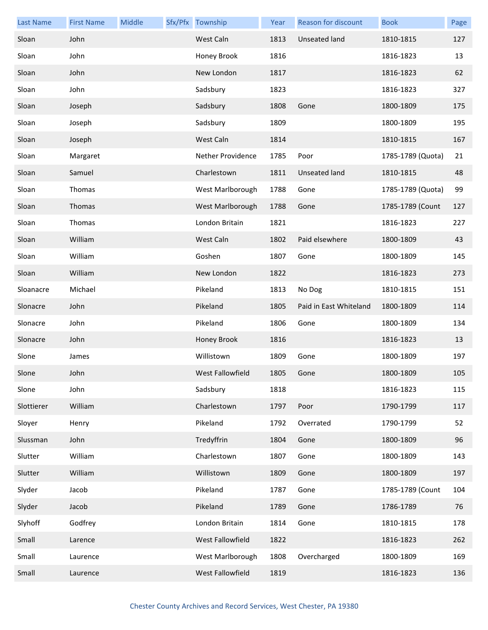| <b>Last Name</b> | <b>First Name</b> | Middle | Sfx/Pfx Township  | Year | Reason for discount    | <b>Book</b>       | Page |
|------------------|-------------------|--------|-------------------|------|------------------------|-------------------|------|
| Sloan            | John              |        | West Caln         | 1813 | Unseated land          | 1810-1815         | 127  |
| Sloan            | John              |        | Honey Brook       | 1816 |                        | 1816-1823         | 13   |
| Sloan            | John              |        | New London        | 1817 |                        | 1816-1823         | 62   |
| Sloan            | John              |        | Sadsbury          | 1823 |                        | 1816-1823         | 327  |
| Sloan            | Joseph            |        | Sadsbury          | 1808 | Gone                   | 1800-1809         | 175  |
| Sloan            | Joseph            |        | Sadsbury          | 1809 |                        | 1800-1809         | 195  |
| Sloan            | Joseph            |        | West Caln         | 1814 |                        | 1810-1815         | 167  |
| Sloan            | Margaret          |        | Nether Providence | 1785 | Poor                   | 1785-1789 (Quota) | 21   |
| Sloan            | Samuel            |        | Charlestown       | 1811 | Unseated land          | 1810-1815         | 48   |
| Sloan            | Thomas            |        | West Marlborough  | 1788 | Gone                   | 1785-1789 (Quota) | 99   |
| Sloan            | Thomas            |        | West Marlborough  | 1788 | Gone                   | 1785-1789 (Count  | 127  |
| Sloan            | Thomas            |        | London Britain    | 1821 |                        | 1816-1823         | 227  |
| Sloan            | William           |        | West Caln         | 1802 | Paid elsewhere         | 1800-1809         | 43   |
| Sloan            | William           |        | Goshen            | 1807 | Gone                   | 1800-1809         | 145  |
| Sloan            | William           |        | New London        | 1822 |                        | 1816-1823         | 273  |
| Sloanacre        | Michael           |        | Pikeland          | 1813 | No Dog                 | 1810-1815         | 151  |
| Slonacre         | John              |        | Pikeland          | 1805 | Paid in East Whiteland | 1800-1809         | 114  |
| Slonacre         | John              |        | Pikeland          | 1806 | Gone                   | 1800-1809         | 134  |
| Slonacre         | John              |        | Honey Brook       | 1816 |                        | 1816-1823         | 13   |
| Slone            | James             |        | Willistown        | 1809 | Gone                   | 1800-1809         | 197  |
| Slone            | John              |        | West Fallowfield  | 1805 | Gone                   | 1800-1809         | 105  |
| Slone            | John              |        | Sadsbury          | 1818 |                        | 1816-1823         | 115  |
| Slottierer       | William           |        | Charlestown       | 1797 | Poor                   | 1790-1799         | 117  |
| Sloyer           | Henry             |        | Pikeland          | 1792 | Overrated              | 1790-1799         | 52   |
| Slussman         | John              |        | Tredyffrin        | 1804 | Gone                   | 1800-1809         | 96   |
| Slutter          | William           |        | Charlestown       | 1807 | Gone                   | 1800-1809         | 143  |
| Slutter          | William           |        | Willistown        | 1809 | Gone                   | 1800-1809         | 197  |
| Slyder           | Jacob             |        | Pikeland          | 1787 | Gone                   | 1785-1789 (Count  | 104  |
| Slyder           | Jacob             |        | Pikeland          | 1789 | Gone                   | 1786-1789         | 76   |
| Slyhoff          | Godfrey           |        | London Britain    | 1814 | Gone                   | 1810-1815         | 178  |
| Small            | Larence           |        | West Fallowfield  | 1822 |                        | 1816-1823         | 262  |
| Small            | Laurence          |        | West Marlborough  | 1808 | Overcharged            | 1800-1809         | 169  |
| Small            | Laurence          |        | West Fallowfield  | 1819 |                        | 1816-1823         | 136  |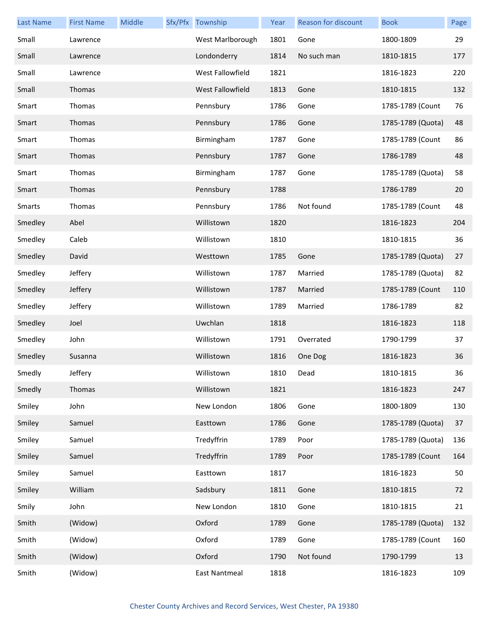| <b>Last Name</b> | <b>First Name</b> | Middle | Sfx/Pfx Township     | Year | Reason for discount | <b>Book</b>       | Page |
|------------------|-------------------|--------|----------------------|------|---------------------|-------------------|------|
| Small            | Lawrence          |        | West Marlborough     | 1801 | Gone                | 1800-1809         | 29   |
| Small            | Lawrence          |        | Londonderry          | 1814 | No such man         | 1810-1815         | 177  |
| Small            | Lawrence          |        | West Fallowfield     | 1821 |                     | 1816-1823         | 220  |
| Small            | Thomas            |        | West Fallowfield     | 1813 | Gone                | 1810-1815         | 132  |
| Smart            | Thomas            |        | Pennsbury            | 1786 | Gone                | 1785-1789 (Count  | 76   |
| Smart            | Thomas            |        | Pennsbury            | 1786 | Gone                | 1785-1789 (Quota) | 48   |
| Smart            | Thomas            |        | Birmingham           | 1787 | Gone                | 1785-1789 (Count  | 86   |
| Smart            | Thomas            |        | Pennsbury            | 1787 | Gone                | 1786-1789         | 48   |
| Smart            | Thomas            |        | Birmingham           | 1787 | Gone                | 1785-1789 (Quota) | 58   |
| Smart            | Thomas            |        | Pennsbury            | 1788 |                     | 1786-1789         | 20   |
| <b>Smarts</b>    | Thomas            |        | Pennsbury            | 1786 | Not found           | 1785-1789 (Count  | 48   |
| Smedley          | Abel              |        | Willistown           | 1820 |                     | 1816-1823         | 204  |
| Smedley          | Caleb             |        | Willistown           | 1810 |                     | 1810-1815         | 36   |
| Smedley          | David             |        | Westtown             | 1785 | Gone                | 1785-1789 (Quota) | 27   |
| Smedley          | Jeffery           |        | Willistown           | 1787 | Married             | 1785-1789 (Quota) | 82   |
| Smedley          | Jeffery           |        | Willistown           | 1787 | Married             | 1785-1789 (Count  | 110  |
| Smedley          | Jeffery           |        | Willistown           | 1789 | Married             | 1786-1789         | 82   |
| Smedley          | Joel              |        | Uwchlan              | 1818 |                     | 1816-1823         | 118  |
| Smedley          | John              |        | Willistown           | 1791 | Overrated           | 1790-1799         | 37   |
| Smedley          | Susanna           |        | Willistown           | 1816 | One Dog             | 1816-1823         | 36   |
| Smedly           | Jeffery           |        | Willistown           | 1810 | Dead                | 1810-1815         | 36   |
| Smedly           | Thomas            |        | Willistown           | 1821 |                     | 1816-1823         | 247  |
| Smiley           | John              |        | New London           | 1806 | Gone                | 1800-1809         | 130  |
| Smiley           | Samuel            |        | Easttown             | 1786 | Gone                | 1785-1789 (Quota) | 37   |
| Smiley           | Samuel            |        | Tredyffrin           | 1789 | Poor                | 1785-1789 (Quota) | 136  |
| Smiley           | Samuel            |        | Tredyffrin           | 1789 | Poor                | 1785-1789 (Count  | 164  |
| Smiley           | Samuel            |        | Easttown             | 1817 |                     | 1816-1823         | 50   |
| Smiley           | William           |        | Sadsbury             | 1811 | Gone                | 1810-1815         | 72   |
| Smily            | John              |        | New London           | 1810 | Gone                | 1810-1815         | 21   |
| Smith            | (Widow)           |        | Oxford               | 1789 | Gone                | 1785-1789 (Quota) | 132  |
| Smith            | (Widow)           |        | Oxford               | 1789 | Gone                | 1785-1789 (Count  | 160  |
| Smith            | (Widow)           |        | Oxford               | 1790 | Not found           | 1790-1799         | 13   |
| Smith            | (Widow)           |        | <b>East Nantmeal</b> | 1818 |                     | 1816-1823         | 109  |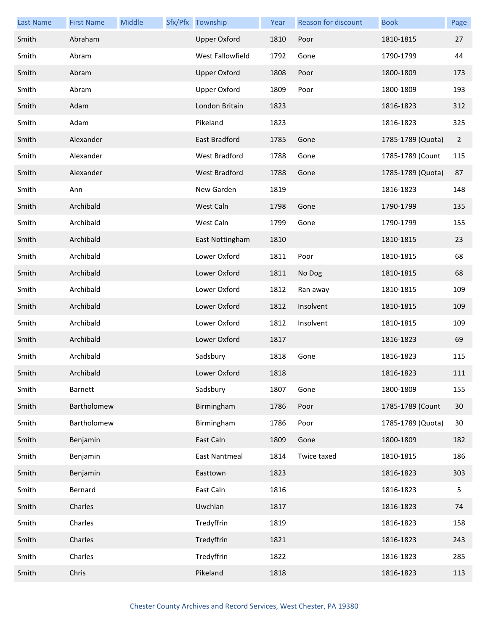| <b>Last Name</b> | <b>First Name</b> | Middle | Sfx/Pfx Township     | Year | Reason for discount | <b>Book</b>       | Page           |
|------------------|-------------------|--------|----------------------|------|---------------------|-------------------|----------------|
| Smith            | Abraham           |        | <b>Upper Oxford</b>  | 1810 | Poor                | 1810-1815         | 27             |
| Smith            | Abram             |        | West Fallowfield     | 1792 | Gone                | 1790-1799         | 44             |
| Smith            | Abram             |        | <b>Upper Oxford</b>  | 1808 | Poor                | 1800-1809         | 173            |
| Smith            | Abram             |        | <b>Upper Oxford</b>  | 1809 | Poor                | 1800-1809         | 193            |
| Smith            | Adam              |        | London Britain       | 1823 |                     | 1816-1823         | 312            |
| Smith            | Adam              |        | Pikeland             | 1823 |                     | 1816-1823         | 325            |
| Smith            | Alexander         |        | East Bradford        | 1785 | Gone                | 1785-1789 (Quota) | $\overline{2}$ |
| Smith            | Alexander         |        | West Bradford        | 1788 | Gone                | 1785-1789 (Count  | 115            |
| Smith            | Alexander         |        | <b>West Bradford</b> | 1788 | Gone                | 1785-1789 (Quota) | 87             |
| Smith            | Ann               |        | New Garden           | 1819 |                     | 1816-1823         | 148            |
| Smith            | Archibald         |        | West Caln            | 1798 | Gone                | 1790-1799         | 135            |
| Smith            | Archibald         |        | West Caln            | 1799 | Gone                | 1790-1799         | 155            |
| Smith            | Archibald         |        | East Nottingham      | 1810 |                     | 1810-1815         | 23             |
| Smith            | Archibald         |        | Lower Oxford         | 1811 | Poor                | 1810-1815         | 68             |
| Smith            | Archibald         |        | Lower Oxford         | 1811 | No Dog              | 1810-1815         | 68             |
| Smith            | Archibald         |        | Lower Oxford         | 1812 | Ran away            | 1810-1815         | 109            |
| Smith            | Archibald         |        | Lower Oxford         | 1812 | Insolvent           | 1810-1815         | 109            |
| Smith            | Archibald         |        | Lower Oxford         | 1812 | Insolvent           | 1810-1815         | 109            |
| Smith            | Archibald         |        | Lower Oxford         | 1817 |                     | 1816-1823         | 69             |
| Smith            | Archibald         |        | Sadsbury             | 1818 | Gone                | 1816-1823         | 115            |
| Smith            | Archibald         |        | Lower Oxford         | 1818 |                     | 1816-1823         | 111            |
| Smith            | Barnett           |        | Sadsbury             | 1807 | Gone                | 1800-1809         | 155            |
| Smith            | Bartholomew       |        | Birmingham           | 1786 | Poor                | 1785-1789 (Count  | 30             |
| Smith            | Bartholomew       |        | Birmingham           | 1786 | Poor                | 1785-1789 (Quota) | 30             |
| Smith            | Benjamin          |        | East Caln            | 1809 | Gone                | 1800-1809         | 182            |
| Smith            | Benjamin          |        | East Nantmeal        | 1814 | Twice taxed         | 1810-1815         | 186            |
| Smith            | Benjamin          |        | Easttown             | 1823 |                     | 1816-1823         | 303            |
| Smith            | Bernard           |        | East Caln            | 1816 |                     | 1816-1823         | 5              |
| Smith            | Charles           |        | Uwchlan              | 1817 |                     | 1816-1823         | 74             |
| Smith            | Charles           |        | Tredyffrin           | 1819 |                     | 1816-1823         | 158            |
| Smith            | Charles           |        | Tredyffrin           | 1821 |                     | 1816-1823         | 243            |
| Smith            | Charles           |        | Tredyffrin           | 1822 |                     | 1816-1823         | 285            |
| Smith            | Chris             |        | Pikeland             | 1818 |                     | 1816-1823         | 113            |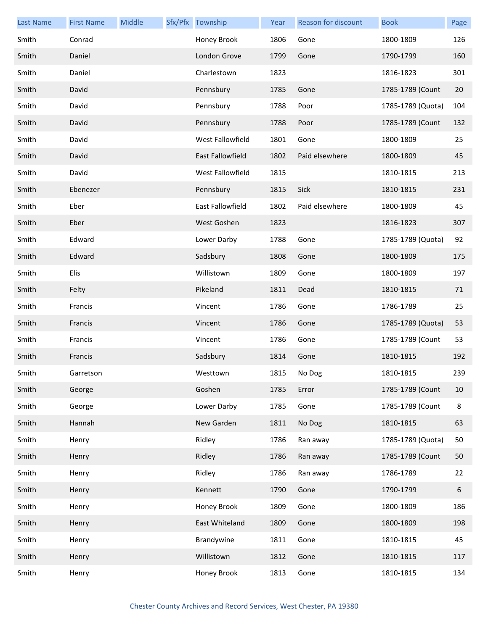| <b>Last Name</b> | <b>First Name</b> | Middle | Sfx/Pfx Township | Year | Reason for discount | <b>Book</b>       | Page    |
|------------------|-------------------|--------|------------------|------|---------------------|-------------------|---------|
| Smith            | Conrad            |        | Honey Brook      | 1806 | Gone                | 1800-1809         | 126     |
| Smith            | Daniel            |        | London Grove     | 1799 | Gone                | 1790-1799         | 160     |
| Smith            | Daniel            |        | Charlestown      | 1823 |                     | 1816-1823         | 301     |
| Smith            | David             |        | Pennsbury        | 1785 | Gone                | 1785-1789 (Count  | 20      |
| Smith            | David             |        | Pennsbury        | 1788 | Poor                | 1785-1789 (Quota) | 104     |
| Smith            | David             |        | Pennsbury        | 1788 | Poor                | 1785-1789 (Count  | 132     |
| Smith            | David             |        | West Fallowfield | 1801 | Gone                | 1800-1809         | 25      |
| Smith            | David             |        | East Fallowfield | 1802 | Paid elsewhere      | 1800-1809         | 45      |
| Smith            | David             |        | West Fallowfield | 1815 |                     | 1810-1815         | 213     |
| Smith            | Ebenezer          |        | Pennsbury        | 1815 | Sick                | 1810-1815         | 231     |
| Smith            | Eber              |        | East Fallowfield | 1802 | Paid elsewhere      | 1800-1809         | 45      |
| Smith            | Eber              |        | West Goshen      | 1823 |                     | 1816-1823         | 307     |
| Smith            | Edward            |        | Lower Darby      | 1788 | Gone                | 1785-1789 (Quota) | 92      |
| Smith            | Edward            |        | Sadsbury         | 1808 | Gone                | 1800-1809         | 175     |
| Smith            | Elis              |        | Willistown       | 1809 | Gone                | 1800-1809         | 197     |
| Smith            | Felty             |        | Pikeland         | 1811 | Dead                | 1810-1815         | 71      |
| Smith            | Francis           |        | Vincent          | 1786 | Gone                | 1786-1789         | 25      |
| Smith            | Francis           |        | Vincent          | 1786 | Gone                | 1785-1789 (Quota) | 53      |
| Smith            | Francis           |        | Vincent          | 1786 | Gone                | 1785-1789 (Count  | 53      |
| Smith            | Francis           |        | Sadsbury         | 1814 | Gone                | 1810-1815         | 192     |
| Smith            | Garretson         |        | Westtown         | 1815 | No Dog              | 1810-1815         | 239     |
| Smith            | George            |        | Goshen           | 1785 | Error               | 1785-1789 (Count  | 10      |
| Smith            | George            |        | Lower Darby      | 1785 | Gone                | 1785-1789 (Count  | $\bf 8$ |
| Smith            | Hannah            |        | New Garden       | 1811 | No Dog              | 1810-1815         | 63      |
| Smith            | Henry             |        | Ridley           | 1786 | Ran away            | 1785-1789 (Quota) | 50      |
| Smith            | Henry             |        | Ridley           | 1786 | Ran away            | 1785-1789 (Count  | 50      |
| Smith            | Henry             |        | Ridley           | 1786 | Ran away            | 1786-1789         | 22      |
| Smith            | Henry             |        | Kennett          | 1790 | Gone                | 1790-1799         | 6       |
| Smith            | Henry             |        | Honey Brook      | 1809 | Gone                | 1800-1809         | 186     |
| Smith            | Henry             |        | East Whiteland   | 1809 | Gone                | 1800-1809         | 198     |
| Smith            | Henry             |        | Brandywine       | 1811 | Gone                | 1810-1815         | 45      |
| Smith            | Henry             |        | Willistown       | 1812 | Gone                | 1810-1815         | 117     |
| Smith            | Henry             |        | Honey Brook      | 1813 | Gone                | 1810-1815         | 134     |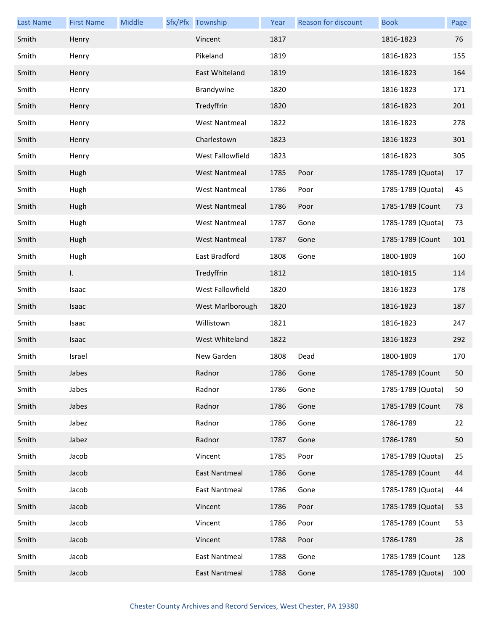| <b>Last Name</b> | <b>First Name</b> | Middle | Sfx/Pfx Township     | Year | <b>Reason for discount</b> | <b>Book</b>       | Page |
|------------------|-------------------|--------|----------------------|------|----------------------------|-------------------|------|
| Smith            | Henry             |        | Vincent              | 1817 |                            | 1816-1823         | 76   |
| Smith            | Henry             |        | Pikeland             | 1819 |                            | 1816-1823         | 155  |
| Smith            | Henry             |        | East Whiteland       | 1819 |                            | 1816-1823         | 164  |
| Smith            | Henry             |        | Brandywine           | 1820 |                            | 1816-1823         | 171  |
| Smith            | Henry             |        | Tredyffrin           | 1820 |                            | 1816-1823         | 201  |
| Smith            | Henry             |        | <b>West Nantmeal</b> | 1822 |                            | 1816-1823         | 278  |
| Smith            | Henry             |        | Charlestown          | 1823 |                            | 1816-1823         | 301  |
| Smith            | Henry             |        | West Fallowfield     | 1823 |                            | 1816-1823         | 305  |
| Smith            | Hugh              |        | <b>West Nantmeal</b> | 1785 | Poor                       | 1785-1789 (Quota) | 17   |
| Smith            | Hugh              |        | <b>West Nantmeal</b> | 1786 | Poor                       | 1785-1789 (Quota) | 45   |
| Smith            | Hugh              |        | <b>West Nantmeal</b> | 1786 | Poor                       | 1785-1789 (Count  | 73   |
| Smith            | Hugh              |        | <b>West Nantmeal</b> | 1787 | Gone                       | 1785-1789 (Quota) | 73   |
| Smith            | Hugh              |        | <b>West Nantmeal</b> | 1787 | Gone                       | 1785-1789 (Count  | 101  |
| Smith            | Hugh              |        | East Bradford        | 1808 | Gone                       | 1800-1809         | 160  |
| Smith            | I.                |        | Tredyffrin           | 1812 |                            | 1810-1815         | 114  |
| Smith            | Isaac             |        | West Fallowfield     | 1820 |                            | 1816-1823         | 178  |
| Smith            | Isaac             |        | West Marlborough     | 1820 |                            | 1816-1823         | 187  |
| Smith            | Isaac             |        | Willistown           | 1821 |                            | 1816-1823         | 247  |
| Smith            | Isaac             |        | West Whiteland       | 1822 |                            | 1816-1823         | 292  |
| Smith            | Israel            |        | New Garden           | 1808 | Dead                       | 1800-1809         | 170  |
| Smith            | Jabes             |        | Radnor               | 1786 | Gone                       | 1785-1789 (Count  | 50   |
| Smith            | Jabes             |        | Radnor               | 1786 | Gone                       | 1785-1789 (Quota) | 50   |
| Smith            | Jabes             |        | Radnor               | 1786 | Gone                       | 1785-1789 (Count  | 78   |
| Smith            | Jabez             |        | Radnor               | 1786 | Gone                       | 1786-1789         | 22   |
| Smith            | Jabez             |        | Radnor               | 1787 | Gone                       | 1786-1789         | 50   |
| Smith            | Jacob             |        | Vincent              | 1785 | Poor                       | 1785-1789 (Quota) | 25   |
| Smith            | Jacob             |        | East Nantmeal        | 1786 | Gone                       | 1785-1789 (Count  | 44   |
| Smith            | Jacob             |        | East Nantmeal        | 1786 | Gone                       | 1785-1789 (Quota) | 44   |
| Smith            | Jacob             |        | Vincent              | 1786 | Poor                       | 1785-1789 (Quota) | 53   |
| Smith            | Jacob             |        | Vincent              | 1786 | Poor                       | 1785-1789 (Count  | 53   |
| Smith            | Jacob             |        | Vincent              | 1788 | Poor                       | 1786-1789         | 28   |
| Smith            | Jacob             |        | East Nantmeal        | 1788 | Gone                       | 1785-1789 (Count  | 128  |
| Smith            | Jacob             |        | <b>East Nantmeal</b> | 1788 | Gone                       | 1785-1789 (Quota) | 100  |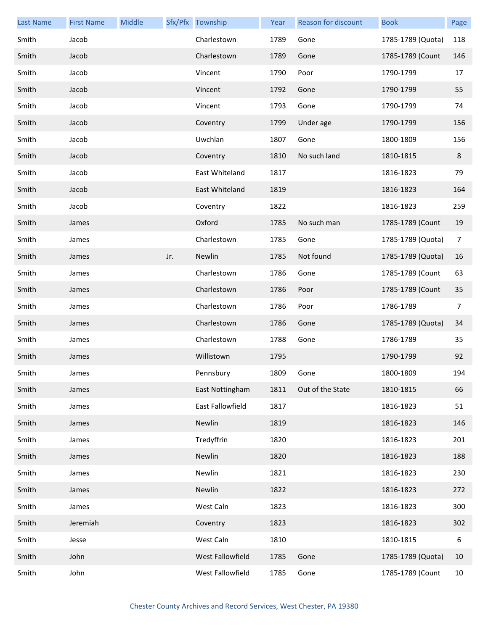| <b>Last Name</b> | <b>First Name</b> | Middle |     | Sfx/Pfx Township | Year | <b>Reason for discount</b> | <b>Book</b>       | Page           |
|------------------|-------------------|--------|-----|------------------|------|----------------------------|-------------------|----------------|
| Smith            | Jacob             |        |     | Charlestown      | 1789 | Gone                       | 1785-1789 (Quota) | 118            |
| Smith            | Jacob             |        |     | Charlestown      | 1789 | Gone                       | 1785-1789 (Count  | 146            |
| Smith            | Jacob             |        |     | Vincent          | 1790 | Poor                       | 1790-1799         | 17             |
| Smith            | Jacob             |        |     | Vincent          | 1792 | Gone                       | 1790-1799         | 55             |
| Smith            | Jacob             |        |     | Vincent          | 1793 | Gone                       | 1790-1799         | 74             |
| Smith            | Jacob             |        |     | Coventry         | 1799 | Under age                  | 1790-1799         | 156            |
| Smith            | Jacob             |        |     | Uwchlan          | 1807 | Gone                       | 1800-1809         | 156            |
| Smith            | Jacob             |        |     | Coventry         | 1810 | No such land               | 1810-1815         | 8              |
| Smith            | Jacob             |        |     | East Whiteland   | 1817 |                            | 1816-1823         | 79             |
| Smith            | Jacob             |        |     | East Whiteland   | 1819 |                            | 1816-1823         | 164            |
| Smith            | Jacob             |        |     | Coventry         | 1822 |                            | 1816-1823         | 259            |
| Smith            | James             |        |     | Oxford           | 1785 | No such man                | 1785-1789 (Count  | 19             |
| Smith            | James             |        |     | Charlestown      | 1785 | Gone                       | 1785-1789 (Quota) | $\overline{7}$ |
| Smith            | James             |        | Jr. | Newlin           | 1785 | Not found                  | 1785-1789 (Quota) | 16             |
| Smith            | James             |        |     | Charlestown      | 1786 | Gone                       | 1785-1789 (Count  | 63             |
| Smith            | James             |        |     | Charlestown      | 1786 | Poor                       | 1785-1789 (Count  | 35             |
| Smith            | James             |        |     | Charlestown      | 1786 | Poor                       | 1786-1789         | 7              |
| Smith            | James             |        |     | Charlestown      | 1786 | Gone                       | 1785-1789 (Quota) | 34             |
| Smith            | James             |        |     | Charlestown      | 1788 | Gone                       | 1786-1789         | 35             |
| Smith            | James             |        |     | Willistown       | 1795 |                            | 1790-1799         | 92             |
| Smith            | James             |        |     | Pennsbury        | 1809 | Gone                       | 1800-1809         | 194            |
| Smith            | James             |        |     | East Nottingham  | 1811 | Out of the State           | 1810-1815         | 66             |
| Smith            | James             |        |     | East Fallowfield | 1817 |                            | 1816-1823         | 51             |
| Smith            | James             |        |     | Newlin           | 1819 |                            | 1816-1823         | 146            |
| Smith            | James             |        |     | Tredyffrin       | 1820 |                            | 1816-1823         | 201            |
| Smith            | James             |        |     | Newlin           | 1820 |                            | 1816-1823         | 188            |
| Smith            | James             |        |     | Newlin           | 1821 |                            | 1816-1823         | 230            |
| Smith            | James             |        |     | Newlin           | 1822 |                            | 1816-1823         | 272            |
| Smith            | James             |        |     | West Caln        | 1823 |                            | 1816-1823         | 300            |
| Smith            | Jeremiah          |        |     | Coventry         | 1823 |                            | 1816-1823         | 302            |
| Smith            | Jesse             |        |     | West Caln        | 1810 |                            | 1810-1815         | 6              |
| Smith            | John              |        |     | West Fallowfield | 1785 | Gone                       | 1785-1789 (Quota) | 10             |
| Smith            | John              |        |     | West Fallowfield | 1785 | Gone                       | 1785-1789 (Count  | 10             |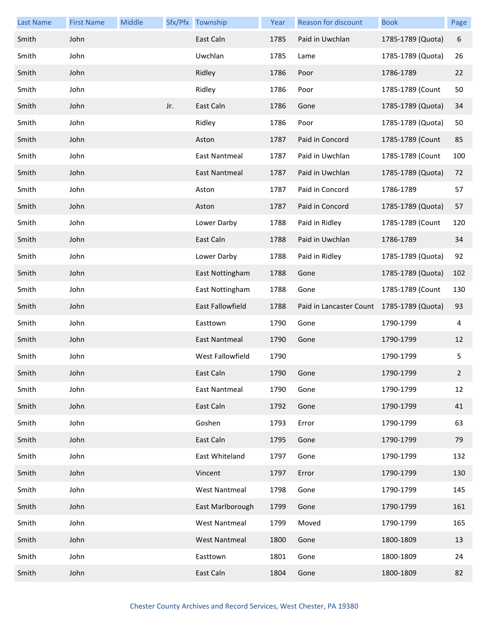| <b>Last Name</b> | <b>First Name</b> | Middle |     | Sfx/Pfx Township     | Year | Reason for discount     | <b>Book</b>       | Page        |
|------------------|-------------------|--------|-----|----------------------|------|-------------------------|-------------------|-------------|
| Smith            | John              |        |     | East Caln            | 1785 | Paid in Uwchlan         | 1785-1789 (Quota) | 6           |
| Smith            | John              |        |     | Uwchlan              | 1785 | Lame                    | 1785-1789 (Quota) | 26          |
| Smith            | John              |        |     | Ridley               | 1786 | Poor                    | 1786-1789         | 22          |
| Smith            | John              |        |     | Ridley               | 1786 | Poor                    | 1785-1789 (Count  | 50          |
| Smith            | John              |        | Jr. | East Caln            | 1786 | Gone                    | 1785-1789 (Quota) | 34          |
| Smith            | John              |        |     | Ridley               | 1786 | Poor                    | 1785-1789 (Quota) | 50          |
| Smith            | John              |        |     | Aston                | 1787 | Paid in Concord         | 1785-1789 (Count  | 85          |
| Smith            | John              |        |     | East Nantmeal        | 1787 | Paid in Uwchlan         | 1785-1789 (Count  | 100         |
| Smith            | John              |        |     | East Nantmeal        | 1787 | Paid in Uwchlan         | 1785-1789 (Quota) | 72          |
| Smith            | John              |        |     | Aston                | 1787 | Paid in Concord         | 1786-1789         | 57          |
| Smith            | John              |        |     | Aston                | 1787 | Paid in Concord         | 1785-1789 (Quota) | 57          |
| Smith            | John              |        |     | Lower Darby          | 1788 | Paid in Ridley          | 1785-1789 (Count  | 120         |
| Smith            | John              |        |     | East Caln            | 1788 | Paid in Uwchlan         | 1786-1789         | 34          |
| Smith            | John              |        |     | Lower Darby          | 1788 | Paid in Ridley          | 1785-1789 (Quota) | 92          |
| Smith            | John              |        |     | East Nottingham      | 1788 | Gone                    | 1785-1789 (Quota) | 102         |
| Smith            | John              |        |     | East Nottingham      | 1788 | Gone                    | 1785-1789 (Count  | 130         |
| Smith            | John              |        |     | East Fallowfield     | 1788 | Paid in Lancaster Count | 1785-1789 (Quota) | 93          |
| Smith            | John              |        |     | Easttown             | 1790 | Gone                    | 1790-1799         | 4           |
| Smith            | John              |        |     | <b>East Nantmeal</b> | 1790 | Gone                    | 1790-1799         | 12          |
| Smith            | John              |        |     | West Fallowfield     | 1790 |                         | 1790-1799         | 5           |
| Smith            | John              |        |     | East Caln            | 1790 | Gone                    | 1790-1799         | $2^{\circ}$ |
| Smith            | John              |        |     | East Nantmeal        | 1790 | Gone                    | 1790-1799         | 12          |
| Smith            | John              |        |     | East Caln            | 1792 | Gone                    | 1790-1799         | 41          |
| Smith            | John              |        |     | Goshen               | 1793 | Error                   | 1790-1799         | 63          |
| Smith            | John              |        |     | East Caln            | 1795 | Gone                    | 1790-1799         | 79          |
| Smith            | John              |        |     | East Whiteland       | 1797 | Gone                    | 1790-1799         | 132         |
| Smith            | John              |        |     | Vincent              | 1797 | Error                   | 1790-1799         | 130         |
| Smith            | John              |        |     | <b>West Nantmeal</b> | 1798 | Gone                    | 1790-1799         | 145         |
| Smith            | John              |        |     | East Marlborough     | 1799 | Gone                    | 1790-1799         | 161         |
| Smith            | John              |        |     | <b>West Nantmeal</b> | 1799 | Moved                   | 1790-1799         | 165         |
| Smith            | John              |        |     | <b>West Nantmeal</b> | 1800 | Gone                    | 1800-1809         | 13          |
| Smith            | John              |        |     | Easttown             | 1801 | Gone                    | 1800-1809         | 24          |
| Smith            | John              |        |     | East Caln            | 1804 | Gone                    | 1800-1809         | 82          |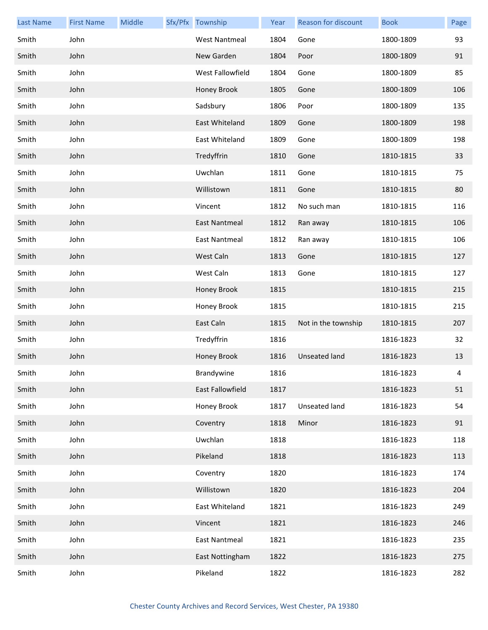| <b>Last Name</b> | <b>First Name</b> | Middle | Sfx/Pfx Township     | Year | Reason for discount  | <b>Book</b> | Page |
|------------------|-------------------|--------|----------------------|------|----------------------|-------------|------|
| Smith            | John              |        | <b>West Nantmeal</b> | 1804 | Gone                 | 1800-1809   | 93   |
| Smith            | John              |        | New Garden           | 1804 | Poor                 | 1800-1809   | 91   |
| Smith            | John              |        | West Fallowfield     | 1804 | Gone                 | 1800-1809   | 85   |
| Smith            | John              |        | Honey Brook          | 1805 | Gone                 | 1800-1809   | 106  |
| Smith            | John              |        | Sadsbury             | 1806 | Poor                 | 1800-1809   | 135  |
| Smith            | John              |        | East Whiteland       | 1809 | Gone                 | 1800-1809   | 198  |
| Smith            | John              |        | East Whiteland       | 1809 | Gone                 | 1800-1809   | 198  |
| Smith            | John              |        | Tredyffrin           | 1810 | Gone                 | 1810-1815   | 33   |
| Smith            | John              |        | Uwchlan              | 1811 | Gone                 | 1810-1815   | 75   |
| Smith            | John              |        | Willistown           | 1811 | Gone                 | 1810-1815   | 80   |
| Smith            | John              |        | Vincent              | 1812 | No such man          | 1810-1815   | 116  |
| Smith            | John              |        | <b>East Nantmeal</b> | 1812 | Ran away             | 1810-1815   | 106  |
| Smith            | John              |        | <b>East Nantmeal</b> | 1812 | Ran away             | 1810-1815   | 106  |
| Smith            | John              |        | West Caln            | 1813 | Gone                 | 1810-1815   | 127  |
| Smith            | John              |        | West Caln            | 1813 | Gone                 | 1810-1815   | 127  |
| Smith            | John              |        | Honey Brook          | 1815 |                      | 1810-1815   | 215  |
| Smith            | John              |        | Honey Brook          | 1815 |                      | 1810-1815   | 215  |
| Smith            | John              |        | East Caln            | 1815 | Not in the township  | 1810-1815   | 207  |
| Smith            | John              |        | Tredyffrin           | 1816 |                      | 1816-1823   | 32   |
| Smith            | John              |        | Honey Brook          | 1816 | <b>Unseated land</b> | 1816-1823   | 13   |
| Smith            | John              |        | Brandywine           | 1816 |                      | 1816-1823   | 4    |
| Smith            | John              |        | East Fallowfield     | 1817 |                      | 1816-1823   | 51   |
| Smith            | John              |        | Honey Brook          | 1817 | Unseated land        | 1816-1823   | 54   |
| Smith            | John              |        | Coventry             | 1818 | Minor                | 1816-1823   | 91   |
| Smith            | John              |        | Uwchlan              | 1818 |                      | 1816-1823   | 118  |
| Smith            | John              |        | Pikeland             | 1818 |                      | 1816-1823   | 113  |
| Smith            | John              |        | Coventry             | 1820 |                      | 1816-1823   | 174  |
| Smith            | John              |        | Willistown           | 1820 |                      | 1816-1823   | 204  |
| Smith            | John              |        | East Whiteland       | 1821 |                      | 1816-1823   | 249  |
| Smith            | John              |        | Vincent              | 1821 |                      | 1816-1823   | 246  |
| Smith            | John              |        | East Nantmeal        | 1821 |                      | 1816-1823   | 235  |
| Smith            | John              |        | East Nottingham      | 1822 |                      | 1816-1823   | 275  |
| Smith            | John              |        | Pikeland             | 1822 |                      | 1816-1823   | 282  |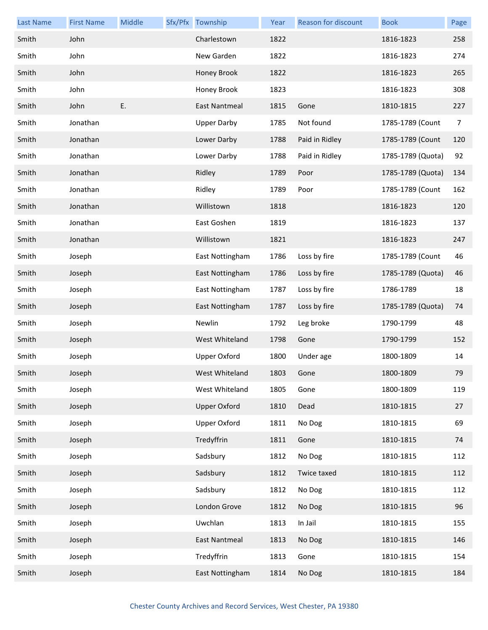| <b>Last Name</b> | <b>First Name</b> | Middle | Sfx/Pfx Township     | Year | Reason for discount | <b>Book</b>       | Page           |
|------------------|-------------------|--------|----------------------|------|---------------------|-------------------|----------------|
| Smith            | John              |        | Charlestown          | 1822 |                     | 1816-1823         | 258            |
| Smith            | John              |        | New Garden           | 1822 |                     | 1816-1823         | 274            |
| Smith            | John              |        | Honey Brook          | 1822 |                     | 1816-1823         | 265            |
| Smith            | John              |        | Honey Brook          | 1823 |                     | 1816-1823         | 308            |
| Smith            | John              | E.     | <b>East Nantmeal</b> | 1815 | Gone                | 1810-1815         | 227            |
| Smith            | Jonathan          |        | <b>Upper Darby</b>   | 1785 | Not found           | 1785-1789 (Count  | $\overline{7}$ |
| Smith            | Jonathan          |        | Lower Darby          | 1788 | Paid in Ridley      | 1785-1789 (Count  | 120            |
| Smith            | Jonathan          |        | Lower Darby          | 1788 | Paid in Ridley      | 1785-1789 (Quota) | 92             |
| Smith            | Jonathan          |        | Ridley               | 1789 | Poor                | 1785-1789 (Quota) | 134            |
| Smith            | Jonathan          |        | Ridley               | 1789 | Poor                | 1785-1789 (Count  | 162            |
| Smith            | Jonathan          |        | Willistown           | 1818 |                     | 1816-1823         | 120            |
| Smith            | Jonathan          |        | East Goshen          | 1819 |                     | 1816-1823         | 137            |
| Smith            | Jonathan          |        | Willistown           | 1821 |                     | 1816-1823         | 247            |
| Smith            | Joseph            |        | East Nottingham      | 1786 | Loss by fire        | 1785-1789 (Count  | 46             |
| Smith            | Joseph            |        | East Nottingham      | 1786 | Loss by fire        | 1785-1789 (Quota) | 46             |
| Smith            | Joseph            |        | East Nottingham      | 1787 | Loss by fire        | 1786-1789         | 18             |
| Smith            | Joseph            |        | East Nottingham      | 1787 | Loss by fire        | 1785-1789 (Quota) | 74             |
| Smith            | Joseph            |        | Newlin               | 1792 | Leg broke           | 1790-1799         | 48             |
| Smith            | Joseph            |        | West Whiteland       | 1798 | Gone                | 1790-1799         | 152            |
| Smith            | Joseph            |        | <b>Upper Oxford</b>  | 1800 | Under age           | 1800-1809         | 14             |
| Smith            | Joseph            |        | West Whiteland       | 1803 | Gone                | 1800-1809         | 79             |
| Smith            | Joseph            |        | West Whiteland       | 1805 | Gone                | 1800-1809         | 119            |
| Smith            | Joseph            |        | <b>Upper Oxford</b>  | 1810 | Dead                | 1810-1815         | 27             |
| Smith            | Joseph            |        | <b>Upper Oxford</b>  | 1811 | No Dog              | 1810-1815         | 69             |
| Smith            | Joseph            |        | Tredyffrin           | 1811 | Gone                | 1810-1815         | 74             |
| Smith            | Joseph            |        | Sadsbury             | 1812 | No Dog              | 1810-1815         | 112            |
| Smith            | Joseph            |        | Sadsbury             | 1812 | Twice taxed         | 1810-1815         | 112            |
| Smith            | Joseph            |        | Sadsbury             | 1812 | No Dog              | 1810-1815         | 112            |
| Smith            | Joseph            |        | London Grove         | 1812 | No Dog              | 1810-1815         | 96             |
| Smith            | Joseph            |        | Uwchlan              | 1813 | In Jail             | 1810-1815         | 155            |
| Smith            | Joseph            |        | East Nantmeal        | 1813 | No Dog              | 1810-1815         | 146            |
| Smith            | Joseph            |        | Tredyffrin           | 1813 | Gone                | 1810-1815         | 154            |
| Smith            | Joseph            |        | East Nottingham      | 1814 | No Dog              | 1810-1815         | 184            |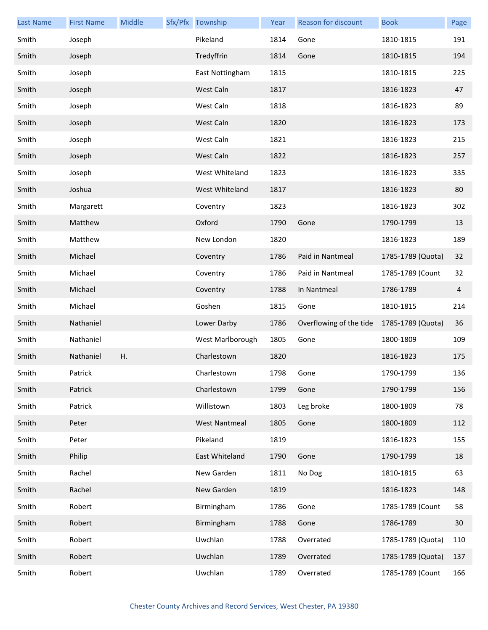| <b>Last Name</b> | <b>First Name</b> | Middle | Sfx/Pfx Township     | Year | <b>Reason for discount</b> | <b>Book</b>       | Page |
|------------------|-------------------|--------|----------------------|------|----------------------------|-------------------|------|
| Smith            | Joseph            |        | Pikeland             | 1814 | Gone                       | 1810-1815         | 191  |
| Smith            | Joseph            |        | Tredyffrin           | 1814 | Gone                       | 1810-1815         | 194  |
| Smith            | Joseph            |        | East Nottingham      | 1815 |                            | 1810-1815         | 225  |
| Smith            | Joseph            |        | West Caln            | 1817 |                            | 1816-1823         | 47   |
| Smith            | Joseph            |        | West Caln            | 1818 |                            | 1816-1823         | 89   |
| Smith            | Joseph            |        | West Caln            | 1820 |                            | 1816-1823         | 173  |
| Smith            | Joseph            |        | West Caln            | 1821 |                            | 1816-1823         | 215  |
| Smith            | Joseph            |        | West Caln            | 1822 |                            | 1816-1823         | 257  |
| Smith            | Joseph            |        | West Whiteland       | 1823 |                            | 1816-1823         | 335  |
| Smith            | Joshua            |        | West Whiteland       | 1817 |                            | 1816-1823         | 80   |
| Smith            | Margarett         |        | Coventry             | 1823 |                            | 1816-1823         | 302  |
| Smith            | Matthew           |        | Oxford               | 1790 | Gone                       | 1790-1799         | 13   |
| Smith            | Matthew           |        | New London           | 1820 |                            | 1816-1823         | 189  |
| Smith            | Michael           |        | Coventry             | 1786 | Paid in Nantmeal           | 1785-1789 (Quota) | 32   |
| Smith            | Michael           |        | Coventry             | 1786 | Paid in Nantmeal           | 1785-1789 (Count  | 32   |
| Smith            | Michael           |        | Coventry             | 1788 | In Nantmeal                | 1786-1789         | 4    |
| Smith            | Michael           |        | Goshen               | 1815 | Gone                       | 1810-1815         | 214  |
| Smith            | Nathaniel         |        | Lower Darby          | 1786 | Overflowing of the tide    | 1785-1789 (Quota) | 36   |
| Smith            | Nathaniel         |        | West Marlborough     | 1805 | Gone                       | 1800-1809         | 109  |
| Smith            | Nathaniel         | Η.     | Charlestown          | 1820 |                            | 1816-1823         | 175  |
| Smith            | Patrick           |        | Charlestown          | 1798 | Gone                       | 1790-1799         | 136  |
| Smith            | Patrick           |        | Charlestown          | 1799 | Gone                       | 1790-1799         | 156  |
| Smith            | Patrick           |        | Willistown           | 1803 | Leg broke                  | 1800-1809         | 78   |
| Smith            | Peter             |        | <b>West Nantmeal</b> | 1805 | Gone                       | 1800-1809         | 112  |
| Smith            | Peter             |        | Pikeland             | 1819 |                            | 1816-1823         | 155  |
| Smith            | Philip            |        | East Whiteland       | 1790 | Gone                       | 1790-1799         | 18   |
| Smith            | Rachel            |        | New Garden           | 1811 | No Dog                     | 1810-1815         | 63   |
| Smith            | Rachel            |        | New Garden           | 1819 |                            | 1816-1823         | 148  |
| Smith            | Robert            |        | Birmingham           | 1786 | Gone                       | 1785-1789 (Count  | 58   |
| Smith            | Robert            |        | Birmingham           | 1788 | Gone                       | 1786-1789         | 30   |
| Smith            | Robert            |        | Uwchlan              | 1788 | Overrated                  | 1785-1789 (Quota) | 110  |
| Smith            | Robert            |        | Uwchlan              | 1789 | Overrated                  | 1785-1789 (Quota) | 137  |
| Smith            | Robert            |        | Uwchlan              | 1789 | Overrated                  | 1785-1789 (Count  | 166  |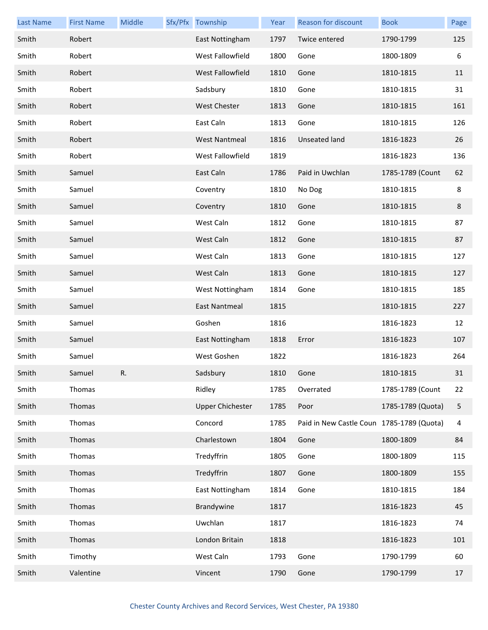| <b>Last Name</b> | <b>First Name</b> | Middle | Sfx/Pfx Township        | Year      | <b>Reason for discount</b>                | <b>Book</b>       | Page |
|------------------|-------------------|--------|-------------------------|-----------|-------------------------------------------|-------------------|------|
| Smith            | Robert            |        | East Nottingham         | 1797      | Twice entered                             | 1790-1799         | 125  |
| Smith            | Robert            |        | West Fallowfield        | 1800      | Gone                                      | 1800-1809         | 6    |
| Smith            | Robert            |        | West Fallowfield        | 1810      | Gone                                      | 1810-1815         | 11   |
| Smith            | Robert            |        | Sadsbury                | 1810      | Gone                                      | 1810-1815         | 31   |
| Smith            | Robert            |        | <b>West Chester</b>     | 1813      | Gone                                      | 1810-1815         | 161  |
| Smith            | Robert            |        | East Caln               | 1813      | Gone                                      | 1810-1815         | 126  |
| Smith            | Robert            |        | <b>West Nantmeal</b>    | 1816      | <b>Unseated land</b>                      | 1816-1823         | 26   |
| Smith            | Robert            |        | West Fallowfield        | 1819      |                                           | 1816-1823         | 136  |
| Smith            | Samuel            |        | East Caln               | 1786      | Paid in Uwchlan                           | 1785-1789 (Count  | 62   |
| Smith            | Samuel            |        | Coventry                | 1810      | No Dog                                    | 1810-1815         | 8    |
| Smith            | Samuel            |        | Coventry                | 1810      | Gone                                      | 1810-1815         | 8    |
| Smith            | Samuel            |        | West Caln               | 1812      | Gone                                      | 1810-1815         | 87   |
| Smith            | Samuel            |        | West Caln               | 1812      | Gone                                      | 1810-1815         | 87   |
| Smith            | Samuel            |        | West Caln               | 1813      | Gone                                      | 1810-1815         | 127  |
| Smith            | Samuel            |        | West Caln               | 1813      | Gone                                      | 1810-1815         | 127  |
| Smith            | Samuel            |        | West Nottingham         | 1814      | Gone                                      | 1810-1815         | 185  |
| Smith            | Samuel            |        | East Nantmeal           | 1815      |                                           | 1810-1815         | 227  |
| Smith            | Samuel            |        | Goshen                  | 1816      |                                           | 1816-1823         | 12   |
| Smith            | Samuel            |        | East Nottingham         | 1818      | Error                                     | 1816-1823         | 107  |
| Smith            | Samuel            |        | West Goshen             | 1822      |                                           | 1816-1823         | 264  |
| Smith            | Samuel            | R.     | Sadsbury                | 1810 Gone |                                           | 1810-1815         | 31   |
| Smith            | Thomas            |        | Ridley                  | 1785      | Overrated                                 | 1785-1789 (Count  | 22   |
| Smith            | Thomas            |        | <b>Upper Chichester</b> | 1785      | Poor                                      | 1785-1789 (Quota) | 5    |
| Smith            | Thomas            |        | Concord                 | 1785      | Paid in New Castle Coun 1785-1789 (Quota) |                   | 4    |
| Smith            | Thomas            |        | Charlestown             | 1804      | Gone                                      | 1800-1809         | 84   |
| Smith            | Thomas            |        | Tredyffrin              | 1805      | Gone                                      | 1800-1809         | 115  |
| Smith            | Thomas            |        | Tredyffrin              | 1807      | Gone                                      | 1800-1809         | 155  |
| Smith            | Thomas            |        | East Nottingham         | 1814      | Gone                                      | 1810-1815         | 184  |
| Smith            | Thomas            |        | Brandywine              | 1817      |                                           | 1816-1823         | 45   |
| Smith            | Thomas            |        | Uwchlan                 | 1817      |                                           | 1816-1823         | 74   |
| Smith            | Thomas            |        | London Britain          | 1818      |                                           | 1816-1823         | 101  |
| Smith            | Timothy           |        | West Caln               | 1793      | Gone                                      | 1790-1799         | 60   |
| Smith            | Valentine         |        | Vincent                 | 1790      | Gone                                      | 1790-1799         | 17   |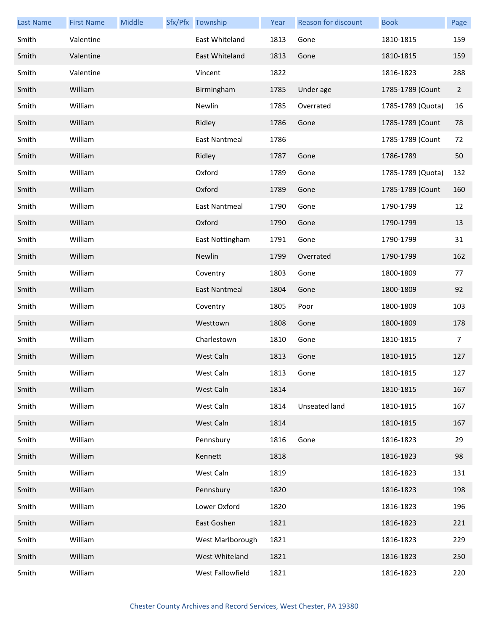| <b>Last Name</b> | <b>First Name</b> | Middle | Sfx/Pfx Township     | Year | <b>Reason for discount</b> | <b>Book</b>       | Page           |
|------------------|-------------------|--------|----------------------|------|----------------------------|-------------------|----------------|
| Smith            | Valentine         |        | East Whiteland       | 1813 | Gone                       | 1810-1815         | 159            |
| Smith            | Valentine         |        | East Whiteland       | 1813 | Gone                       | 1810-1815         | 159            |
| Smith            | Valentine         |        | Vincent              | 1822 |                            | 1816-1823         | 288            |
| Smith            | William           |        | Birmingham           | 1785 | Under age                  | 1785-1789 (Count  | $\overline{2}$ |
| Smith            | William           |        | Newlin               | 1785 | Overrated                  | 1785-1789 (Quota) | 16             |
| Smith            | William           |        | Ridley               | 1786 | Gone                       | 1785-1789 (Count  | 78             |
| Smith            | William           |        | <b>East Nantmeal</b> | 1786 |                            | 1785-1789 (Count  | 72             |
| Smith            | William           |        | Ridley               | 1787 | Gone                       | 1786-1789         | 50             |
| Smith            | William           |        | Oxford               | 1789 | Gone                       | 1785-1789 (Quota) | 132            |
| Smith            | William           |        | Oxford               | 1789 | Gone                       | 1785-1789 (Count  | 160            |
| Smith            | William           |        | <b>East Nantmeal</b> | 1790 | Gone                       | 1790-1799         | 12             |
| Smith            | William           |        | Oxford               | 1790 | Gone                       | 1790-1799         | 13             |
| Smith            | William           |        | East Nottingham      | 1791 | Gone                       | 1790-1799         | 31             |
| Smith            | William           |        | Newlin               | 1799 | Overrated                  | 1790-1799         | 162            |
| Smith            | William           |        | Coventry             | 1803 | Gone                       | 1800-1809         | 77             |
| Smith            | William           |        | East Nantmeal        | 1804 | Gone                       | 1800-1809         | 92             |
| Smith            | William           |        | Coventry             | 1805 | Poor                       | 1800-1809         | 103            |
| Smith            | William           |        | Westtown             | 1808 | Gone                       | 1800-1809         | 178            |
| Smith            | William           |        | Charlestown          | 1810 | Gone                       | 1810-1815         | 7              |
| Smith            | William           |        | West Caln            | 1813 | Gone                       | 1810-1815         | 127            |
| Smith            | William           |        | West Caln            | 1813 | Gone                       | 1810-1815         | 127            |
| Smith            | William           |        | West Caln            | 1814 |                            | 1810-1815         | 167            |
| Smith            | William           |        | West Caln            | 1814 | Unseated land              | 1810-1815         | 167            |
| Smith            | William           |        | West Caln            | 1814 |                            | 1810-1815         | 167            |
| Smith            | William           |        | Pennsbury            | 1816 | Gone                       | 1816-1823         | 29             |
| Smith            | William           |        | Kennett              | 1818 |                            | 1816-1823         | 98             |
| Smith            | William           |        | West Caln            | 1819 |                            | 1816-1823         | 131            |
| Smith            | William           |        | Pennsbury            | 1820 |                            | 1816-1823         | 198            |
| Smith            | William           |        | Lower Oxford         | 1820 |                            | 1816-1823         | 196            |
| Smith            | William           |        | East Goshen          | 1821 |                            | 1816-1823         | 221            |
| Smith            | William           |        | West Marlborough     | 1821 |                            | 1816-1823         | 229            |
| Smith            | William           |        | West Whiteland       | 1821 |                            | 1816-1823         | 250            |
| Smith            | William           |        | West Fallowfield     | 1821 |                            | 1816-1823         | 220            |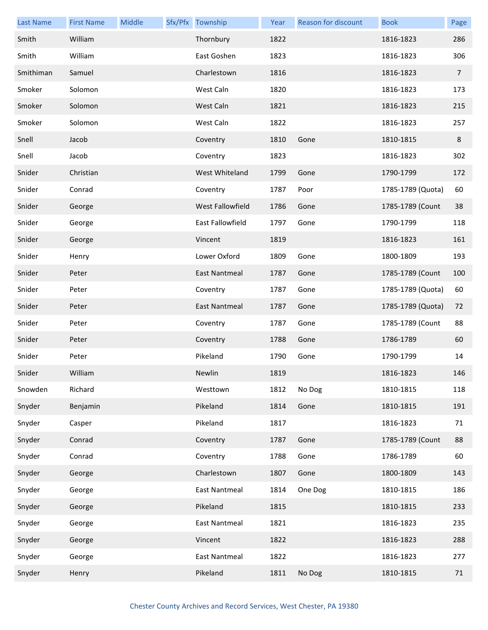| <b>Last Name</b> | <b>First Name</b> | Middle | Sfx/Pfx Township     | Year | Reason for discount | <b>Book</b>       | Page           |
|------------------|-------------------|--------|----------------------|------|---------------------|-------------------|----------------|
| Smith            | William           |        | Thornbury            | 1822 |                     | 1816-1823         | 286            |
| Smith            | William           |        | East Goshen          | 1823 |                     | 1816-1823         | 306            |
| Smithiman        | Samuel            |        | Charlestown          | 1816 |                     | 1816-1823         | $\overline{7}$ |
| Smoker           | Solomon           |        | West Caln            | 1820 |                     | 1816-1823         | 173            |
| Smoker           | Solomon           |        | West Caln            | 1821 |                     | 1816-1823         | 215            |
| Smoker           | Solomon           |        | West Caln            | 1822 |                     | 1816-1823         | 257            |
| Snell            | Jacob             |        | Coventry             | 1810 | Gone                | 1810-1815         | 8              |
| Snell            | Jacob             |        | Coventry             | 1823 |                     | 1816-1823         | 302            |
| Snider           | Christian         |        | West Whiteland       | 1799 | Gone                | 1790-1799         | 172            |
| Snider           | Conrad            |        | Coventry             | 1787 | Poor                | 1785-1789 (Quota) | 60             |
| Snider           | George            |        | West Fallowfield     | 1786 | Gone                | 1785-1789 (Count  | 38             |
| Snider           | George            |        | East Fallowfield     | 1797 | Gone                | 1790-1799         | 118            |
| Snider           | George            |        | Vincent              | 1819 |                     | 1816-1823         | 161            |
| Snider           | Henry             |        | Lower Oxford         | 1809 | Gone                | 1800-1809         | 193            |
| Snider           | Peter             |        | <b>East Nantmeal</b> | 1787 | Gone                | 1785-1789 (Count  | 100            |
| Snider           | Peter             |        | Coventry             | 1787 | Gone                | 1785-1789 (Quota) | 60             |
| Snider           | Peter             |        | <b>East Nantmeal</b> | 1787 | Gone                | 1785-1789 (Quota) | 72             |
| Snider           | Peter             |        | Coventry             | 1787 | Gone                | 1785-1789 (Count  | 88             |
| Snider           | Peter             |        | Coventry             | 1788 | Gone                | 1786-1789         | 60             |
| Snider           | Peter             |        | Pikeland             | 1790 | Gone                | 1790-1799         | 14             |
| Snider           | William           |        | Newlin               | 1819 |                     | 1816-1823         | 146            |
| Snowden          | Richard           |        | Westtown             | 1812 | No Dog              | 1810-1815         | 118            |
| Snyder           | Benjamin          |        | Pikeland             | 1814 | Gone                | 1810-1815         | 191            |
| Snyder           | Casper            |        | Pikeland             | 1817 |                     | 1816-1823         | 71             |
| Snyder           | Conrad            |        | Coventry             | 1787 | Gone                | 1785-1789 (Count  | 88             |
| Snyder           | Conrad            |        | Coventry             | 1788 | Gone                | 1786-1789         | 60             |
| Snyder           | George            |        | Charlestown          | 1807 | Gone                | 1800-1809         | 143            |
| Snyder           | George            |        | East Nantmeal        | 1814 | One Dog             | 1810-1815         | 186            |
| Snyder           | George            |        | Pikeland             | 1815 |                     | 1810-1815         | 233            |
| Snyder           | George            |        | East Nantmeal        | 1821 |                     | 1816-1823         | 235            |
| Snyder           | George            |        | Vincent              | 1822 |                     | 1816-1823         | 288            |
| Snyder           | George            |        | East Nantmeal        | 1822 |                     | 1816-1823         | 277            |
| Snyder           | Henry             |        | Pikeland             | 1811 | No Dog              | 1810-1815         | 71             |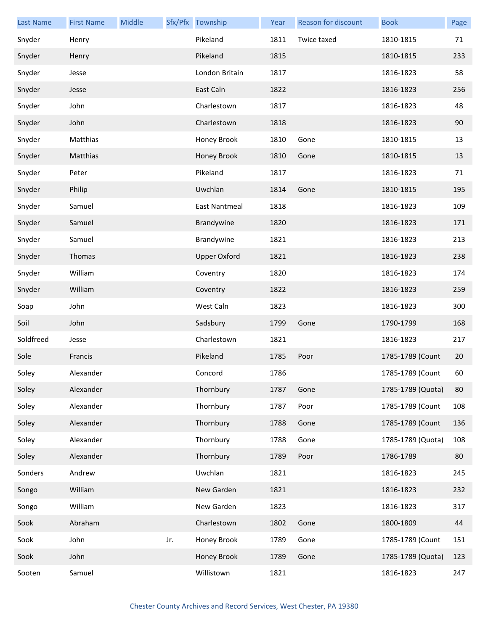| <b>Last Name</b> | <b>First Name</b> | Middle |     | Sfx/Pfx Township    | Year | Reason for discount | <b>Book</b>       | Page |
|------------------|-------------------|--------|-----|---------------------|------|---------------------|-------------------|------|
| Snyder           | Henry             |        |     | Pikeland            | 1811 | Twice taxed         | 1810-1815         | 71   |
| Snyder           | Henry             |        |     | Pikeland            | 1815 |                     | 1810-1815         | 233  |
| Snyder           | Jesse             |        |     | London Britain      | 1817 |                     | 1816-1823         | 58   |
| Snyder           | Jesse             |        |     | East Caln           | 1822 |                     | 1816-1823         | 256  |
| Snyder           | John              |        |     | Charlestown         | 1817 |                     | 1816-1823         | 48   |
| Snyder           | John              |        |     | Charlestown         | 1818 |                     | 1816-1823         | 90   |
| Snyder           | Matthias          |        |     | Honey Brook         | 1810 | Gone                | 1810-1815         | 13   |
| Snyder           | Matthias          |        |     | Honey Brook         | 1810 | Gone                | 1810-1815         | 13   |
| Snyder           | Peter             |        |     | Pikeland            | 1817 |                     | 1816-1823         | 71   |
| Snyder           | Philip            |        |     | Uwchlan             | 1814 | Gone                | 1810-1815         | 195  |
| Snyder           | Samuel            |        |     | East Nantmeal       | 1818 |                     | 1816-1823         | 109  |
| Snyder           | Samuel            |        |     | Brandywine          | 1820 |                     | 1816-1823         | 171  |
| Snyder           | Samuel            |        |     | Brandywine          | 1821 |                     | 1816-1823         | 213  |
| Snyder           | Thomas            |        |     | <b>Upper Oxford</b> | 1821 |                     | 1816-1823         | 238  |
| Snyder           | William           |        |     | Coventry            | 1820 |                     | 1816-1823         | 174  |
| Snyder           | William           |        |     | Coventry            | 1822 |                     | 1816-1823         | 259  |
| Soap             | John              |        |     | West Caln           | 1823 |                     | 1816-1823         | 300  |
| Soil             | John              |        |     | Sadsbury            | 1799 | Gone                | 1790-1799         | 168  |
| Soldfreed        | Jesse             |        |     | Charlestown         | 1821 |                     | 1816-1823         | 217  |
| Sole             | Francis           |        |     | Pikeland            | 1785 | Poor                | 1785-1789 (Count  | 20   |
| Soley            | Alexander         |        |     | Concord             | 1786 |                     | 1785-1789 (Count  | 60   |
| Soley            | Alexander         |        |     | Thornbury           | 1787 | Gone                | 1785-1789 (Quota) | 80   |
| Soley            | Alexander         |        |     | Thornbury           | 1787 | Poor                | 1785-1789 (Count  | 108  |
| Soley            | Alexander         |        |     | Thornbury           | 1788 | Gone                | 1785-1789 (Count  | 136  |
| Soley            | Alexander         |        |     | Thornbury           | 1788 | Gone                | 1785-1789 (Quota) | 108  |
| Soley            | Alexander         |        |     | Thornbury           | 1789 | Poor                | 1786-1789         | 80   |
| Sonders          | Andrew            |        |     | Uwchlan             | 1821 |                     | 1816-1823         | 245  |
| Songo            | William           |        |     | New Garden          | 1821 |                     | 1816-1823         | 232  |
| Songo            | William           |        |     | New Garden          | 1823 |                     | 1816-1823         | 317  |
| Sook             | Abraham           |        |     | Charlestown         | 1802 | Gone                | 1800-1809         | 44   |
| Sook             | John              |        | Jr. | Honey Brook         | 1789 | Gone                | 1785-1789 (Count  | 151  |
| Sook             | John              |        |     | Honey Brook         | 1789 | Gone                | 1785-1789 (Quota) | 123  |
| Sooten           | Samuel            |        |     | Willistown          | 1821 |                     | 1816-1823         | 247  |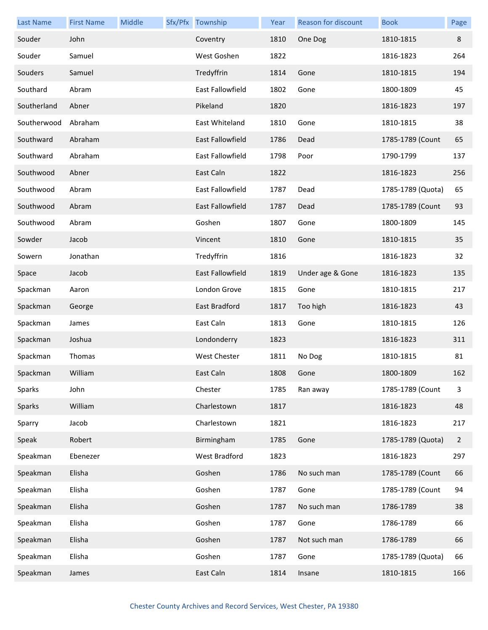| <b>Last Name</b> | <b>First Name</b> | Middle | Sfx/Pfx Township        | Year | Reason for discount | <b>Book</b>       | Page           |
|------------------|-------------------|--------|-------------------------|------|---------------------|-------------------|----------------|
| Souder           | John              |        | Coventry                | 1810 | One Dog             | 1810-1815         | 8              |
| Souder           | Samuel            |        | West Goshen             | 1822 |                     | 1816-1823         | 264            |
| Souders          | Samuel            |        | Tredyffrin              | 1814 | Gone                | 1810-1815         | 194            |
| Southard         | Abram             |        | East Fallowfield        | 1802 | Gone                | 1800-1809         | 45             |
| Southerland      | Abner             |        | Pikeland                | 1820 |                     | 1816-1823         | 197            |
| Southerwood      | Abraham           |        | East Whiteland          | 1810 | Gone                | 1810-1815         | 38             |
| Southward        | Abraham           |        | East Fallowfield        | 1786 | Dead                | 1785-1789 (Count  | 65             |
| Southward        | Abraham           |        | East Fallowfield        | 1798 | Poor                | 1790-1799         | 137            |
| Southwood        | Abner             |        | East Caln               | 1822 |                     | 1816-1823         | 256            |
| Southwood        | Abram             |        | East Fallowfield        | 1787 | Dead                | 1785-1789 (Quota) | 65             |
| Southwood        | Abram             |        | <b>East Fallowfield</b> | 1787 | Dead                | 1785-1789 (Count  | 93             |
| Southwood        | Abram             |        | Goshen                  | 1807 | Gone                | 1800-1809         | 145            |
| Sowder           | Jacob             |        | Vincent                 | 1810 | Gone                | 1810-1815         | 35             |
| Sowern           | Jonathan          |        | Tredyffrin              | 1816 |                     | 1816-1823         | 32             |
| Space            | Jacob             |        | <b>East Fallowfield</b> | 1819 | Under age & Gone    | 1816-1823         | 135            |
| Spackman         | Aaron             |        | London Grove            | 1815 | Gone                | 1810-1815         | 217            |
| Spackman         | George            |        | East Bradford           | 1817 | Too high            | 1816-1823         | 43             |
| Spackman         | James             |        | East Caln               | 1813 | Gone                | 1810-1815         | 126            |
| Spackman         | Joshua            |        | Londonderry             | 1823 |                     | 1816-1823         | 311            |
| Spackman         | Thomas            |        | West Chester            | 1811 | No Dog              | 1810-1815         | 81             |
| Spackman         | William           |        | East Caln               | 1808 | Gone                | 1800-1809         | 162            |
| Sparks           | John              |        | Chester                 | 1785 | Ran away            | 1785-1789 (Count  | 3              |
| Sparks           | William           |        | Charlestown             | 1817 |                     | 1816-1823         | 48             |
| Sparry           | Jacob             |        | Charlestown             | 1821 |                     | 1816-1823         | 217            |
| Speak            | Robert            |        | Birmingham              | 1785 | Gone                | 1785-1789 (Quota) | $\overline{2}$ |
| Speakman         | Ebenezer          |        | West Bradford           | 1823 |                     | 1816-1823         | 297            |
| Speakman         | Elisha            |        | Goshen                  | 1786 | No such man         | 1785-1789 (Count  | 66             |
| Speakman         | Elisha            |        | Goshen                  | 1787 | Gone                | 1785-1789 (Count  | 94             |
| Speakman         | Elisha            |        | Goshen                  | 1787 | No such man         | 1786-1789         | 38             |
| Speakman         | Elisha            |        | Goshen                  | 1787 | Gone                | 1786-1789         | 66             |
| Speakman         | Elisha            |        | Goshen                  | 1787 | Not such man        | 1786-1789         | 66             |
| Speakman         | Elisha            |        | Goshen                  | 1787 | Gone                | 1785-1789 (Quota) | 66             |
| Speakman         | James             |        | East Caln               | 1814 | Insane              | 1810-1815         | 166            |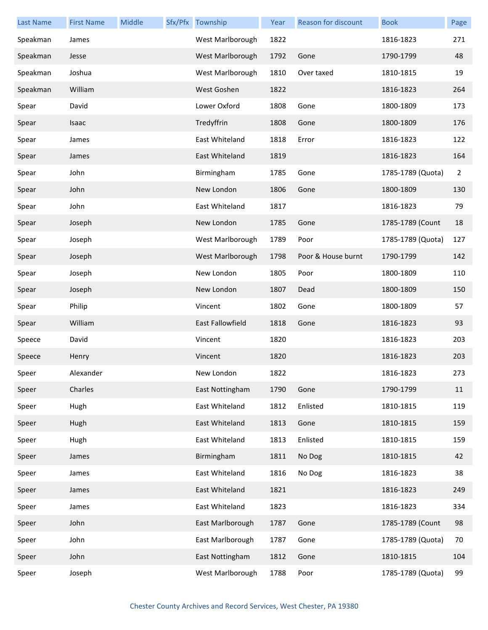| <b>Last Name</b> | <b>First Name</b> | Middle | Sfx/Pfx Township | Year | Reason for discount | <b>Book</b>       | Page           |
|------------------|-------------------|--------|------------------|------|---------------------|-------------------|----------------|
| Speakman         | James             |        | West Marlborough | 1822 |                     | 1816-1823         | 271            |
| Speakman         | Jesse             |        | West Marlborough | 1792 | Gone                | 1790-1799         | 48             |
| Speakman         | Joshua            |        | West Marlborough | 1810 | Over taxed          | 1810-1815         | 19             |
| Speakman         | William           |        | West Goshen      | 1822 |                     | 1816-1823         | 264            |
| Spear            | David             |        | Lower Oxford     | 1808 | Gone                | 1800-1809         | 173            |
| Spear            | Isaac             |        | Tredyffrin       | 1808 | Gone                | 1800-1809         | 176            |
| Spear            | James             |        | East Whiteland   | 1818 | Error               | 1816-1823         | 122            |
| Spear            | James             |        | East Whiteland   | 1819 |                     | 1816-1823         | 164            |
| Spear            | John              |        | Birmingham       | 1785 | Gone                | 1785-1789 (Quota) | $\overline{2}$ |
| Spear            | John              |        | New London       | 1806 | Gone                | 1800-1809         | 130            |
| Spear            | John              |        | East Whiteland   | 1817 |                     | 1816-1823         | 79             |
| Spear            | Joseph            |        | New London       | 1785 | Gone                | 1785-1789 (Count  | 18             |
| Spear            | Joseph            |        | West Marlborough | 1789 | Poor                | 1785-1789 (Quota) | 127            |
| Spear            | Joseph            |        | West Marlborough | 1798 | Poor & House burnt  | 1790-1799         | 142            |
| Spear            | Joseph            |        | New London       | 1805 | Poor                | 1800-1809         | 110            |
| Spear            | Joseph            |        | New London       | 1807 | Dead                | 1800-1809         | 150            |
| Spear            | Philip            |        | Vincent          | 1802 | Gone                | 1800-1809         | 57             |
| Spear            | William           |        | East Fallowfield | 1818 | Gone                | 1816-1823         | 93             |
| Speece           | David             |        | Vincent          | 1820 |                     | 1816-1823         | 203            |
| Speece           | Henry             |        | Vincent          | 1820 |                     | 1816-1823         | 203            |
| Speer            | Alexander         |        | New London       | 1822 |                     | 1816-1823         | 273            |
| Speer            | Charles           |        | East Nottingham  | 1790 | Gone                | 1790-1799         | 11             |
| Speer            | Hugh              |        | East Whiteland   | 1812 | Enlisted            | 1810-1815         | 119            |
| Speer            | Hugh              |        | East Whiteland   | 1813 | Gone                | 1810-1815         | 159            |
| Speer            | Hugh              |        | East Whiteland   | 1813 | Enlisted            | 1810-1815         | 159            |
| Speer            | James             |        | Birmingham       | 1811 | No Dog              | 1810-1815         | 42             |
| Speer            | James             |        | East Whiteland   | 1816 | No Dog              | 1816-1823         | 38             |
| Speer            | James             |        | East Whiteland   | 1821 |                     | 1816-1823         | 249            |
| Speer            | James             |        | East Whiteland   | 1823 |                     | 1816-1823         | 334            |
| Speer            | John              |        | East Marlborough | 1787 | Gone                | 1785-1789 (Count  | 98             |
| Speer            | John              |        | East Marlborough | 1787 | Gone                | 1785-1789 (Quota) | 70             |
| Speer            | John              |        | East Nottingham  | 1812 | Gone                | 1810-1815         | 104            |
| Speer            | Joseph            |        | West Marlborough | 1788 | Poor                | 1785-1789 (Quota) | 99             |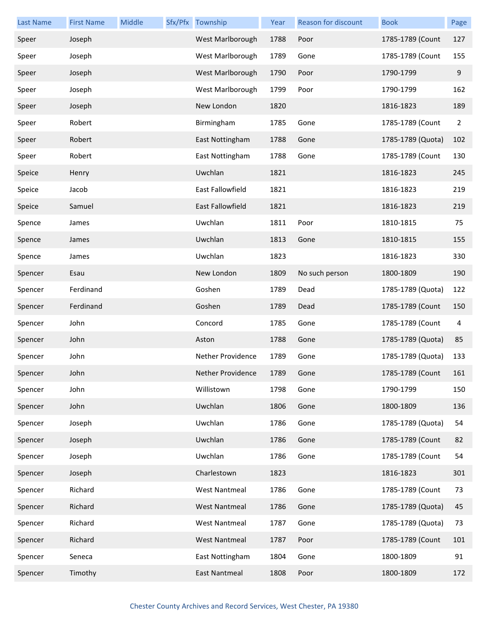| <b>Last Name</b> | <b>First Name</b> | Middle | Sfx/Pfx Township     | Year | <b>Reason for discount</b> | <b>Book</b>       | Page           |
|------------------|-------------------|--------|----------------------|------|----------------------------|-------------------|----------------|
| Speer            | Joseph            |        | West Marlborough     | 1788 | Poor                       | 1785-1789 (Count  | 127            |
| Speer            | Joseph            |        | West Marlborough     | 1789 | Gone                       | 1785-1789 (Count  | 155            |
| Speer            | Joseph            |        | West Marlborough     | 1790 | Poor                       | 1790-1799         | 9              |
| Speer            | Joseph            |        | West Marlborough     | 1799 | Poor                       | 1790-1799         | 162            |
| Speer            | Joseph            |        | New London           | 1820 |                            | 1816-1823         | 189            |
| Speer            | Robert            |        | Birmingham           | 1785 | Gone                       | 1785-1789 (Count  | $\overline{2}$ |
| Speer            | Robert            |        | East Nottingham      | 1788 | Gone                       | 1785-1789 (Quota) | 102            |
| Speer            | Robert            |        | East Nottingham      | 1788 | Gone                       | 1785-1789 (Count  | 130            |
| Speice           | Henry             |        | Uwchlan              | 1821 |                            | 1816-1823         | 245            |
| Speice           | Jacob             |        | East Fallowfield     | 1821 |                            | 1816-1823         | 219            |
| Speice           | Samuel            |        | East Fallowfield     | 1821 |                            | 1816-1823         | 219            |
| Spence           | James             |        | Uwchlan              | 1811 | Poor                       | 1810-1815         | 75             |
| Spence           | James             |        | Uwchlan              | 1813 | Gone                       | 1810-1815         | 155            |
| Spence           | James             |        | Uwchlan              | 1823 |                            | 1816-1823         | 330            |
| Spencer          | Esau              |        | New London           | 1809 | No such person             | 1800-1809         | 190            |
| Spencer          | Ferdinand         |        | Goshen               | 1789 | Dead                       | 1785-1789 (Quota) | 122            |
| Spencer          | Ferdinand         |        | Goshen               | 1789 | Dead                       | 1785-1789 (Count  | 150            |
| Spencer          | John              |        | Concord              | 1785 | Gone                       | 1785-1789 (Count  | 4              |
| Spencer          | John              |        | Aston                | 1788 | Gone                       | 1785-1789 (Quota) | 85             |
| Spencer          | John              |        | Nether Providence    | 1789 | Gone                       | 1785-1789 (Quota) | 133            |
| Spencer          | John              |        | Nether Providence    | 1789 | Gone                       | 1785-1789 (Count  | 161            |
| Spencer          | John              |        | Willistown           | 1798 | Gone                       | 1790-1799         | 150            |
| Spencer          | John              |        | Uwchlan              | 1806 | Gone                       | 1800-1809         | 136            |
| Spencer          | Joseph            |        | Uwchlan              | 1786 | Gone                       | 1785-1789 (Quota) | 54             |
| Spencer          | Joseph            |        | Uwchlan              | 1786 | Gone                       | 1785-1789 (Count  | 82             |
| Spencer          | Joseph            |        | Uwchlan              | 1786 | Gone                       | 1785-1789 (Count  | 54             |
| Spencer          | Joseph            |        | Charlestown          | 1823 |                            | 1816-1823         | 301            |
| Spencer          | Richard           |        | <b>West Nantmeal</b> | 1786 | Gone                       | 1785-1789 (Count  | 73             |
| Spencer          | Richard           |        | <b>West Nantmeal</b> | 1786 | Gone                       | 1785-1789 (Quota) | 45             |
| Spencer          | Richard           |        | <b>West Nantmeal</b> | 1787 | Gone                       | 1785-1789 (Quota) | 73             |
| Spencer          | Richard           |        | <b>West Nantmeal</b> | 1787 | Poor                       | 1785-1789 (Count  | 101            |
| Spencer          | Seneca            |        | East Nottingham      | 1804 | Gone                       | 1800-1809         | 91             |
| Spencer          | Timothy           |        | <b>East Nantmeal</b> | 1808 | Poor                       | 1800-1809         | 172            |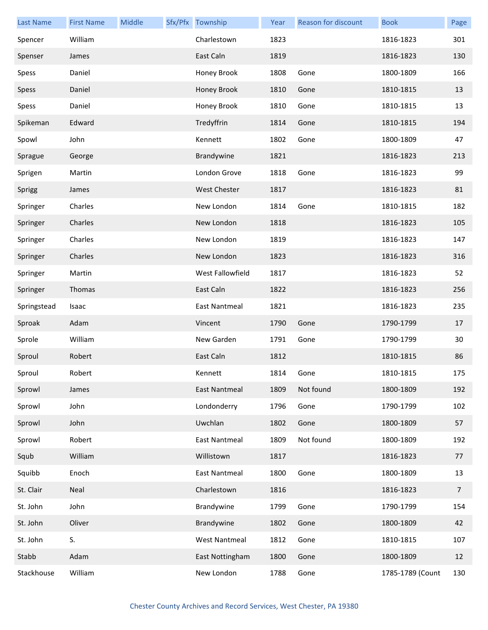| <b>Last Name</b> | <b>First Name</b> | Middle | Sfx/Pfx Township     | Year | <b>Reason for discount</b> | <b>Book</b>      | Page           |
|------------------|-------------------|--------|----------------------|------|----------------------------|------------------|----------------|
| Spencer          | William           |        | Charlestown          | 1823 |                            | 1816-1823        | 301            |
| Spenser          | James             |        | East Caln            | 1819 |                            | 1816-1823        | 130            |
| Spess            | Daniel            |        | Honey Brook          | 1808 | Gone                       | 1800-1809        | 166            |
| Spess            | Daniel            |        | Honey Brook          | 1810 | Gone                       | 1810-1815        | 13             |
| Spess            | Daniel            |        | Honey Brook          | 1810 | Gone                       | 1810-1815        | 13             |
| Spikeman         | Edward            |        | Tredyffrin           | 1814 | Gone                       | 1810-1815        | 194            |
| Spowl            | John              |        | Kennett              | 1802 | Gone                       | 1800-1809        | 47             |
| Sprague          | George            |        | Brandywine           | 1821 |                            | 1816-1823        | 213            |
| Sprigen          | Martin            |        | London Grove         | 1818 | Gone                       | 1816-1823        | 99             |
| Sprigg           | James             |        | <b>West Chester</b>  | 1817 |                            | 1816-1823        | 81             |
| Springer         | Charles           |        | New London           | 1814 | Gone                       | 1810-1815        | 182            |
| Springer         | Charles           |        | New London           | 1818 |                            | 1816-1823        | 105            |
| Springer         | Charles           |        | New London           | 1819 |                            | 1816-1823        | 147            |
| Springer         | Charles           |        | New London           | 1823 |                            | 1816-1823        | 316            |
| Springer         | Martin            |        | West Fallowfield     | 1817 |                            | 1816-1823        | 52             |
| Springer         | Thomas            |        | East Caln            | 1822 |                            | 1816-1823        | 256            |
| Springstead      | Isaac             |        | East Nantmeal        | 1821 |                            | 1816-1823        | 235            |
| Sproak           | Adam              |        | Vincent              | 1790 | Gone                       | 1790-1799        | 17             |
| Sprole           | William           |        | New Garden           | 1791 | Gone                       | 1790-1799        | 30             |
| Sproul           | Robert            |        | East Caln            | 1812 |                            | 1810-1815        | 86             |
| Sproul           | Robert            |        | Kennett              | 1814 | Gone                       | 1810-1815        | 175            |
| Sprowl           | James             |        | East Nantmeal        | 1809 | Not found                  | 1800-1809        | 192            |
| Sprowl           | John              |        | Londonderry          | 1796 | Gone                       | 1790-1799        | 102            |
| Sprowl           | John              |        | Uwchlan              | 1802 | Gone                       | 1800-1809        | 57             |
| Sprowl           | Robert            |        | <b>East Nantmeal</b> | 1809 | Not found                  | 1800-1809        | 192            |
| Squb             | William           |        | Willistown           | 1817 |                            | 1816-1823        | 77             |
| Squibb           | Enoch             |        | East Nantmeal        | 1800 | Gone                       | 1800-1809        | 13             |
| St. Clair        | Neal              |        | Charlestown          | 1816 |                            | 1816-1823        | $\overline{7}$ |
| St. John         | John              |        | Brandywine           | 1799 | Gone                       | 1790-1799        | 154            |
| St. John         | Oliver            |        | Brandywine           | 1802 | Gone                       | 1800-1809        | 42             |
| St. John         | S.                |        | <b>West Nantmeal</b> | 1812 | Gone                       | 1810-1815        | 107            |
| Stabb            | Adam              |        | East Nottingham      | 1800 | Gone                       | 1800-1809        | 12             |
| Stackhouse       | William           |        | New London           | 1788 | Gone                       | 1785-1789 (Count | 130            |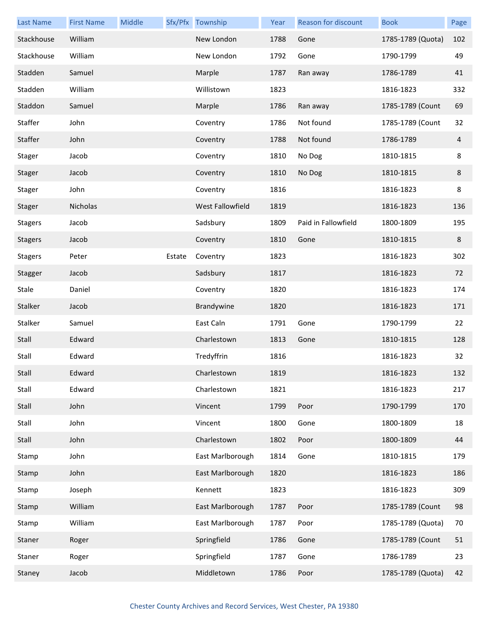| <b>Last Name</b> | <b>First Name</b> | Middle |        | Sfx/Pfx Township | Year | Reason for discount | <b>Book</b>       | Page |
|------------------|-------------------|--------|--------|------------------|------|---------------------|-------------------|------|
| Stackhouse       | William           |        |        | New London       | 1788 | Gone                | 1785-1789 (Quota) | 102  |
| Stackhouse       | William           |        |        | New London       | 1792 | Gone                | 1790-1799         | 49   |
| Stadden          | Samuel            |        |        | Marple           | 1787 | Ran away            | 1786-1789         | 41   |
| Stadden          | William           |        |        | Willistown       | 1823 |                     | 1816-1823         | 332  |
| Staddon          | Samuel            |        |        | Marple           | 1786 | Ran away            | 1785-1789 (Count  | 69   |
| Staffer          | John              |        |        | Coventry         | 1786 | Not found           | 1785-1789 (Count  | 32   |
| Staffer          | John              |        |        | Coventry         | 1788 | Not found           | 1786-1789         | 4    |
| Stager           | Jacob             |        |        | Coventry         | 1810 | No Dog              | 1810-1815         | 8    |
| Stager           | Jacob             |        |        | Coventry         | 1810 | No Dog              | 1810-1815         | 8    |
| Stager           | John              |        |        | Coventry         | 1816 |                     | 1816-1823         | 8    |
| Stager           | Nicholas          |        |        | West Fallowfield | 1819 |                     | 1816-1823         | 136  |
| <b>Stagers</b>   | Jacob             |        |        | Sadsbury         | 1809 | Paid in Fallowfield | 1800-1809         | 195  |
| <b>Stagers</b>   | Jacob             |        |        | Coventry         | 1810 | Gone                | 1810-1815         | 8    |
| <b>Stagers</b>   | Peter             |        | Estate | Coventry         | 1823 |                     | 1816-1823         | 302  |
| Stagger          | Jacob             |        |        | Sadsbury         | 1817 |                     | 1816-1823         | 72   |
| Stale            | Daniel            |        |        | Coventry         | 1820 |                     | 1816-1823         | 174  |
| Stalker          | Jacob             |        |        | Brandywine       | 1820 |                     | 1816-1823         | 171  |
| Stalker          | Samuel            |        |        | East Caln        | 1791 | Gone                | 1790-1799         | 22   |
| Stall            | Edward            |        |        | Charlestown      | 1813 | Gone                | 1810-1815         | 128  |
| Stall            | Edward            |        |        | Tredyffrin       | 1816 |                     | 1816-1823         | 32   |
| Stall            | Edward            |        |        | Charlestown      | 1819 |                     | 1816-1823         | 132  |
| Stall            | Edward            |        |        | Charlestown      | 1821 |                     | 1816-1823         | 217  |
| Stall            | John              |        |        | Vincent          | 1799 | Poor                | 1790-1799         | 170  |
| Stall            | John              |        |        | Vincent          | 1800 | Gone                | 1800-1809         | 18   |
| Stall            | John              |        |        | Charlestown      | 1802 | Poor                | 1800-1809         | 44   |
| Stamp            | John              |        |        | East Marlborough | 1814 | Gone                | 1810-1815         | 179  |
| Stamp            | John              |        |        | East Marlborough | 1820 |                     | 1816-1823         | 186  |
| Stamp            | Joseph            |        |        | Kennett          | 1823 |                     | 1816-1823         | 309  |
| Stamp            | William           |        |        | East Marlborough | 1787 | Poor                | 1785-1789 (Count  | 98   |
| Stamp            | William           |        |        | East Marlborough | 1787 | Poor                | 1785-1789 (Quota) | 70   |
| Staner           | Roger             |        |        | Springfield      | 1786 | Gone                | 1785-1789 (Count  | 51   |
| Staner           | Roger             |        |        | Springfield      | 1787 | Gone                | 1786-1789         | 23   |
| Staney           | Jacob             |        |        | Middletown       | 1786 | Poor                | 1785-1789 (Quota) | 42   |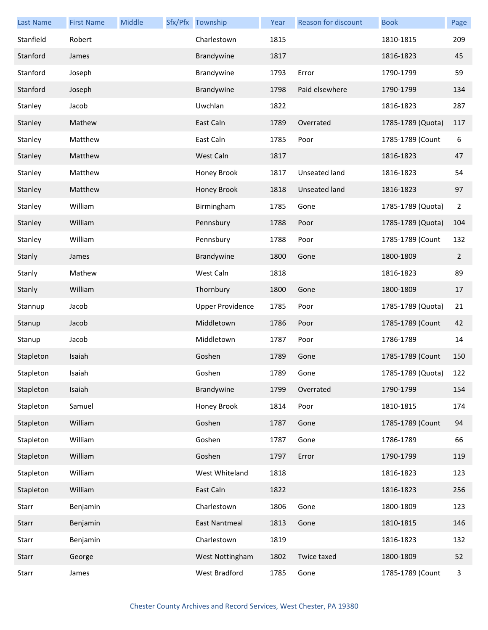| <b>Last Name</b> | <b>First Name</b> | Middle | Sfx/Pfx Township        | Year | Reason for discount  | <b>Book</b>       | Page           |
|------------------|-------------------|--------|-------------------------|------|----------------------|-------------------|----------------|
| Stanfield        | Robert            |        | Charlestown             | 1815 |                      | 1810-1815         | 209            |
| Stanford         | James             |        | Brandywine              | 1817 |                      | 1816-1823         | 45             |
| Stanford         | Joseph            |        | Brandywine              | 1793 | Error                | 1790-1799         | 59             |
| Stanford         | Joseph            |        | Brandywine              | 1798 | Paid elsewhere       | 1790-1799         | 134            |
| Stanley          | Jacob             |        | Uwchlan                 | 1822 |                      | 1816-1823         | 287            |
| Stanley          | Mathew            |        | East Caln               | 1789 | Overrated            | 1785-1789 (Quota) | 117            |
| Stanley          | Matthew           |        | East Caln               | 1785 | Poor                 | 1785-1789 (Count  | 6              |
| Stanley          | Matthew           |        | West Caln               | 1817 |                      | 1816-1823         | 47             |
| Stanley          | Matthew           |        | Honey Brook             | 1817 | Unseated land        | 1816-1823         | 54             |
| Stanley          | Matthew           |        | Honey Brook             | 1818 | <b>Unseated land</b> | 1816-1823         | 97             |
| Stanley          | William           |        | Birmingham              | 1785 | Gone                 | 1785-1789 (Quota) | 2              |
| Stanley          | William           |        | Pennsbury               | 1788 | Poor                 | 1785-1789 (Quota) | 104            |
| Stanley          | William           |        | Pennsbury               | 1788 | Poor                 | 1785-1789 (Count  | 132            |
| Stanly           | James             |        | Brandywine              | 1800 | Gone                 | 1800-1809         | $\overline{2}$ |
| Stanly           | Mathew            |        | West Caln               | 1818 |                      | 1816-1823         | 89             |
| Stanly           | William           |        | Thornbury               | 1800 | Gone                 | 1800-1809         | 17             |
| Stannup          | Jacob             |        | <b>Upper Providence</b> | 1785 | Poor                 | 1785-1789 (Quota) | 21             |
| Stanup           | Jacob             |        | Middletown              | 1786 | Poor                 | 1785-1789 (Count  | 42             |
| Stanup           | Jacob             |        | Middletown              | 1787 | Poor                 | 1786-1789         | 14             |
| Stapleton        | Isaiah            |        | Goshen                  | 1789 | Gone                 | 1785-1789 (Count  | 150            |
| Stapleton        | Isaiah            |        | Goshen                  | 1789 | Gone                 | 1785-1789 (Quota) | 122            |
| Stapleton        | Isaiah            |        | Brandywine              | 1799 | Overrated            | 1790-1799         | 154            |
| Stapleton        | Samuel            |        | Honey Brook             | 1814 | Poor                 | 1810-1815         | 174            |
| Stapleton        | William           |        | Goshen                  | 1787 | Gone                 | 1785-1789 (Count  | 94             |
| Stapleton        | William           |        | Goshen                  | 1787 | Gone                 | 1786-1789         | 66             |
| Stapleton        | William           |        | Goshen                  | 1797 | Error                | 1790-1799         | 119            |
| Stapleton        | William           |        | West Whiteland          | 1818 |                      | 1816-1823         | 123            |
| Stapleton        | William           |        | East Caln               | 1822 |                      | 1816-1823         | 256            |
| Starr            | Benjamin          |        | Charlestown             | 1806 | Gone                 | 1800-1809         | 123            |
| Starr            | Benjamin          |        | East Nantmeal           | 1813 | Gone                 | 1810-1815         | 146            |
| Starr            | Benjamin          |        | Charlestown             | 1819 |                      | 1816-1823         | 132            |
| Starr            | George            |        | West Nottingham         | 1802 | Twice taxed          | 1800-1809         | 52             |
| Starr            | James             |        | West Bradford           | 1785 | Gone                 | 1785-1789 (Count  | 3              |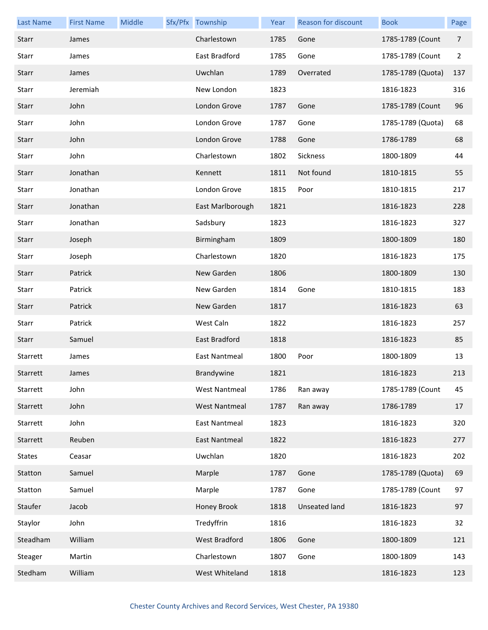| <b>Last Name</b> | <b>First Name</b> | Middle | Sfx/Pfx Township     | Year | <b>Reason for discount</b> | <b>Book</b>       | Page           |
|------------------|-------------------|--------|----------------------|------|----------------------------|-------------------|----------------|
| Starr            | James             |        | Charlestown          | 1785 | Gone                       | 1785-1789 (Count  | $\overline{7}$ |
| Starr            | James             |        | East Bradford        | 1785 | Gone                       | 1785-1789 (Count  | $\overline{2}$ |
| Starr            | James             |        | Uwchlan              | 1789 | Overrated                  | 1785-1789 (Quota) | 137            |
| Starr            | Jeremiah          |        | New London           | 1823 |                            | 1816-1823         | 316            |
| Starr            | John              |        | London Grove         | 1787 | Gone                       | 1785-1789 (Count  | 96             |
| Starr            | John              |        | London Grove         | 1787 | Gone                       | 1785-1789 (Quota) | 68             |
| Starr            | John              |        | London Grove         | 1788 | Gone                       | 1786-1789         | 68             |
| Starr            | John              |        | Charlestown          | 1802 | Sickness                   | 1800-1809         | 44             |
| Starr            | Jonathan          |        | Kennett              | 1811 | Not found                  | 1810-1815         | 55             |
| Starr            | Jonathan          |        | London Grove         | 1815 | Poor                       | 1810-1815         | 217            |
| Starr            | Jonathan          |        | East Marlborough     | 1821 |                            | 1816-1823         | 228            |
| Starr            | Jonathan          |        | Sadsbury             | 1823 |                            | 1816-1823         | 327            |
| Starr            | Joseph            |        | Birmingham           | 1809 |                            | 1800-1809         | 180            |
| Starr            | Joseph            |        | Charlestown          | 1820 |                            | 1816-1823         | 175            |
| Starr            | Patrick           |        | New Garden           | 1806 |                            | 1800-1809         | 130            |
| Starr            | Patrick           |        | New Garden           | 1814 | Gone                       | 1810-1815         | 183            |
| Starr            | Patrick           |        | New Garden           | 1817 |                            | 1816-1823         | 63             |
| Starr            | Patrick           |        | West Caln            | 1822 |                            | 1816-1823         | 257            |
| Starr            | Samuel            |        | East Bradford        | 1818 |                            | 1816-1823         | 85             |
| Starrett         | James             |        | <b>East Nantmeal</b> | 1800 | Poor                       | 1800-1809         | 13             |
| Starrett         | James             |        | Brandywine           | 1821 |                            | 1816-1823         | 213            |
| Starrett         | John              |        | <b>West Nantmeal</b> | 1786 | Ran away                   | 1785-1789 (Count  | 45             |
| Starrett         | John              |        | <b>West Nantmeal</b> | 1787 | Ran away                   | 1786-1789         | 17             |
| Starrett         | John              |        | East Nantmeal        | 1823 |                            | 1816-1823         | 320            |
| Starrett         | Reuben            |        | <b>East Nantmeal</b> | 1822 |                            | 1816-1823         | 277            |
| <b>States</b>    | Ceasar            |        | Uwchlan              | 1820 |                            | 1816-1823         | 202            |
| Statton          | Samuel            |        | Marple               | 1787 | Gone                       | 1785-1789 (Quota) | 69             |
| Statton          | Samuel            |        | Marple               | 1787 | Gone                       | 1785-1789 (Count  | 97             |
| Staufer          | Jacob             |        | Honey Brook          | 1818 | <b>Unseated land</b>       | 1816-1823         | 97             |
| Staylor          | John              |        | Tredyffrin           | 1816 |                            | 1816-1823         | 32             |
| Steadham         | William           |        | West Bradford        | 1806 | Gone                       | 1800-1809         | 121            |
| Steager          | Martin            |        | Charlestown          | 1807 | Gone                       | 1800-1809         | 143            |
| Stedham          | William           |        | West Whiteland       | 1818 |                            | 1816-1823         | 123            |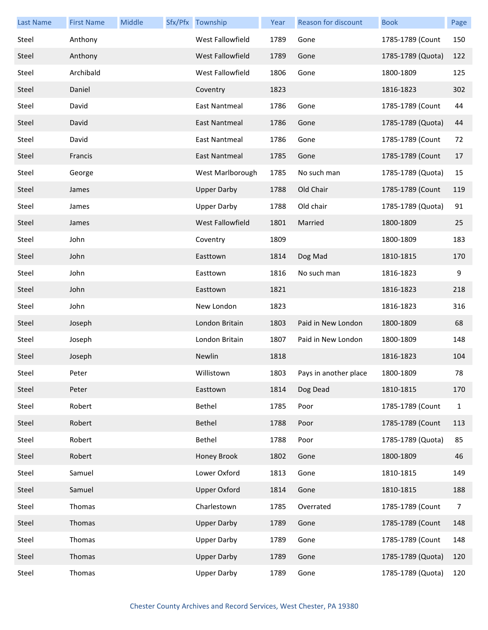| <b>Last Name</b> | <b>First Name</b> | Middle | Sfx/Pfx Township        | Year | <b>Reason for discount</b> | <b>Book</b>       | Page           |
|------------------|-------------------|--------|-------------------------|------|----------------------------|-------------------|----------------|
| Steel            | Anthony           |        | <b>West Fallowfield</b> | 1789 | Gone                       | 1785-1789 (Count  | 150            |
| Steel            | Anthony           |        | West Fallowfield        | 1789 | Gone                       | 1785-1789 (Quota) | 122            |
| Steel            | Archibald         |        | West Fallowfield        | 1806 | Gone                       | 1800-1809         | 125            |
| Steel            | Daniel            |        | Coventry                | 1823 |                            | 1816-1823         | 302            |
| Steel            | David             |        | <b>East Nantmeal</b>    | 1786 | Gone                       | 1785-1789 (Count  | 44             |
| Steel            | David             |        | East Nantmeal           | 1786 | Gone                       | 1785-1789 (Quota) | 44             |
| Steel            | David             |        | East Nantmeal           | 1786 | Gone                       | 1785-1789 (Count  | 72             |
| Steel            | Francis           |        | East Nantmeal           | 1785 | Gone                       | 1785-1789 (Count  | 17             |
| Steel            | George            |        | West Marlborough        | 1785 | No such man                | 1785-1789 (Quota) | 15             |
| Steel            | James             |        | <b>Upper Darby</b>      | 1788 | Old Chair                  | 1785-1789 (Count  | 119            |
| Steel            | James             |        | <b>Upper Darby</b>      | 1788 | Old chair                  | 1785-1789 (Quota) | 91             |
| Steel            | James             |        | <b>West Fallowfield</b> | 1801 | Married                    | 1800-1809         | 25             |
| Steel            | John              |        | Coventry                | 1809 |                            | 1800-1809         | 183            |
| Steel            | John              |        | Easttown                | 1814 | Dog Mad                    | 1810-1815         | 170            |
| Steel            | John              |        | Easttown                | 1816 | No such man                | 1816-1823         | 9              |
| Steel            | John              |        | Easttown                | 1821 |                            | 1816-1823         | 218            |
| Steel            | John              |        | New London              | 1823 |                            | 1816-1823         | 316            |
| Steel            | Joseph            |        | London Britain          | 1803 | Paid in New London         | 1800-1809         | 68             |
| Steel            | Joseph            |        | London Britain          | 1807 | Paid in New London         | 1800-1809         | 148            |
| Steel            | Joseph            |        | Newlin                  | 1818 |                            | 1816-1823         | 104            |
| Steel            | Peter             |        | Willistown              | 1803 | Pays in another place      | 1800-1809         | 78             |
| Steel            | Peter             |        | Easttown                | 1814 | Dog Dead                   | 1810-1815         | 170            |
| Steel            | Robert            |        | Bethel                  | 1785 | Poor                       | 1785-1789 (Count  | $\mathbf{1}$   |
| Steel            | Robert            |        | Bethel                  | 1788 | Poor                       | 1785-1789 (Count  | 113            |
| Steel            | Robert            |        | Bethel                  | 1788 | Poor                       | 1785-1789 (Quota) | 85             |
| Steel            | Robert            |        | Honey Brook             | 1802 | Gone                       | 1800-1809         | 46             |
| Steel            | Samuel            |        | Lower Oxford            | 1813 | Gone                       | 1810-1815         | 149            |
| Steel            | Samuel            |        | <b>Upper Oxford</b>     | 1814 | Gone                       | 1810-1815         | 188            |
| Steel            | Thomas            |        | Charlestown             | 1785 | Overrated                  | 1785-1789 (Count  | $\overline{7}$ |
| Steel            | Thomas            |        | <b>Upper Darby</b>      | 1789 | Gone                       | 1785-1789 (Count  | 148            |
| Steel            | Thomas            |        | <b>Upper Darby</b>      | 1789 | Gone                       | 1785-1789 (Count  | 148            |
| Steel            | Thomas            |        | <b>Upper Darby</b>      | 1789 | Gone                       | 1785-1789 (Quota) | 120            |
| Steel            | Thomas            |        | <b>Upper Darby</b>      | 1789 | Gone                       | 1785-1789 (Quota) | 120            |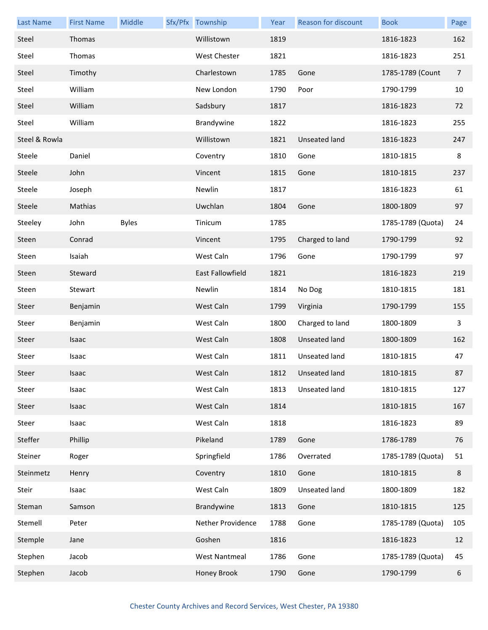| <b>Last Name</b> | <b>First Name</b> | Middle       | Sfx/Pfx Township        | Year | Reason for discount  | <b>Book</b>       | Page           |
|------------------|-------------------|--------------|-------------------------|------|----------------------|-------------------|----------------|
| Steel            | Thomas            |              | Willistown              | 1819 |                      | 1816-1823         | 162            |
| Steel            | Thomas            |              | <b>West Chester</b>     | 1821 |                      | 1816-1823         | 251            |
| Steel            | Timothy           |              | Charlestown             | 1785 | Gone                 | 1785-1789 (Count  | $\overline{7}$ |
| Steel            | William           |              | New London              | 1790 | Poor                 | 1790-1799         | 10             |
| Steel            | William           |              | Sadsbury                | 1817 |                      | 1816-1823         | 72             |
| Steel            | William           |              | Brandywine              | 1822 |                      | 1816-1823         | 255            |
| Steel & Rowla    |                   |              | Willistown              | 1821 | <b>Unseated land</b> | 1816-1823         | 247            |
| Steele           | Daniel            |              | Coventry                | 1810 | Gone                 | 1810-1815         | 8              |
| Steele           | John              |              | Vincent                 | 1815 | Gone                 | 1810-1815         | 237            |
| Steele           | Joseph            |              | Newlin                  | 1817 |                      | 1816-1823         | 61             |
| Steele           | Mathias           |              | Uwchlan                 | 1804 | Gone                 | 1800-1809         | 97             |
| Steeley          | John              | <b>Byles</b> | Tinicum                 | 1785 |                      | 1785-1789 (Quota) | 24             |
| Steen            | Conrad            |              | Vincent                 | 1795 | Charged to land      | 1790-1799         | 92             |
| Steen            | Isaiah            |              | West Caln               | 1796 | Gone                 | 1790-1799         | 97             |
| Steen            | Steward           |              | <b>East Fallowfield</b> | 1821 |                      | 1816-1823         | 219            |
| Steen            | Stewart           |              | Newlin                  | 1814 | No Dog               | 1810-1815         | 181            |
| Steer            | Benjamin          |              | West Caln               | 1799 | Virginia             | 1790-1799         | 155            |
| Steer            | Benjamin          |              | West Caln               | 1800 | Charged to land      | 1800-1809         | 3              |
| Steer            | Isaac             |              | West Caln               | 1808 | Unseated land        | 1800-1809         | 162            |
| Steer            | Isaac             |              | West Caln               | 1811 | Unseated land        | 1810-1815         | 47             |
| Steer            | Isaac             |              | West Caln               |      | 1812 Unseated land   | 1810-1815         | 87             |
| Steer            | Isaac             |              | West Caln               | 1813 | Unseated land        | 1810-1815         | 127            |
| Steer            | Isaac             |              | West Caln               | 1814 |                      | 1810-1815         | 167            |
| Steer            | Isaac             |              | West Caln               | 1818 |                      | 1816-1823         | 89             |
| Steffer          | Phillip           |              | Pikeland                | 1789 | Gone                 | 1786-1789         | 76             |
| Steiner          | Roger             |              | Springfield             | 1786 | Overrated            | 1785-1789 (Quota) | 51             |
| Steinmetz        | Henry             |              | Coventry                | 1810 | Gone                 | 1810-1815         | 8              |
| Steir            | Isaac             |              | West Caln               | 1809 | Unseated land        | 1800-1809         | 182            |
| Steman           | Samson            |              | Brandywine              | 1813 | Gone                 | 1810-1815         | 125            |
| Stemell          | Peter             |              | Nether Providence       | 1788 | Gone                 | 1785-1789 (Quota) | 105            |
| Stemple          | Jane              |              | Goshen                  | 1816 |                      | 1816-1823         | 12             |
| Stephen          | Jacob             |              | <b>West Nantmeal</b>    | 1786 | Gone                 | 1785-1789 (Quota) | 45             |
| Stephen          | Jacob             |              | Honey Brook             | 1790 | Gone                 | 1790-1799         | 6              |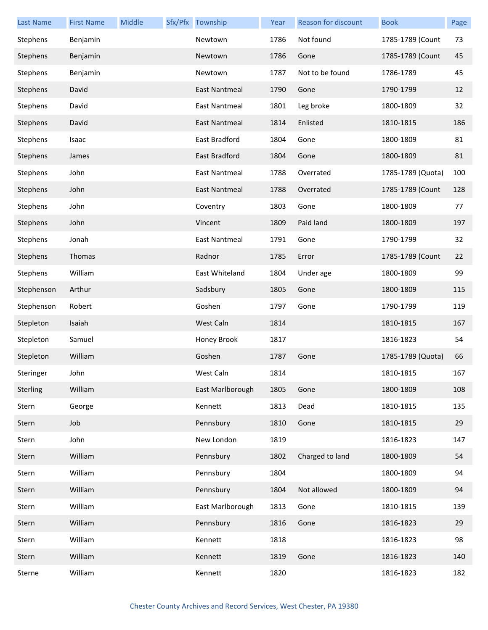| <b>Last Name</b> | <b>First Name</b> | Middle | Sfx/Pfx Township     | Year | Reason for discount | <b>Book</b>       | Page |
|------------------|-------------------|--------|----------------------|------|---------------------|-------------------|------|
| Stephens         | Benjamin          |        | Newtown              | 1786 | Not found           | 1785-1789 (Count  | 73   |
| Stephens         | Benjamin          |        | Newtown              | 1786 | Gone                | 1785-1789 (Count  | 45   |
| Stephens         | Benjamin          |        | Newtown              | 1787 | Not to be found     | 1786-1789         | 45   |
| Stephens         | David             |        | East Nantmeal        | 1790 | Gone                | 1790-1799         | 12   |
| Stephens         | David             |        | <b>East Nantmeal</b> | 1801 | Leg broke           | 1800-1809         | 32   |
| Stephens         | David             |        | <b>East Nantmeal</b> | 1814 | Enlisted            | 1810-1815         | 186  |
| Stephens         | Isaac             |        | East Bradford        | 1804 | Gone                | 1800-1809         | 81   |
| Stephens         | James             |        | East Bradford        | 1804 | Gone                | 1800-1809         | 81   |
| Stephens         | John              |        | <b>East Nantmeal</b> | 1788 | Overrated           | 1785-1789 (Quota) | 100  |
| Stephens         | John              |        | <b>East Nantmeal</b> | 1788 | Overrated           | 1785-1789 (Count  | 128  |
| Stephens         | John              |        | Coventry             | 1803 | Gone                | 1800-1809         | 77   |
| Stephens         | John              |        | Vincent              | 1809 | Paid land           | 1800-1809         | 197  |
| Stephens         | Jonah             |        | <b>East Nantmeal</b> | 1791 | Gone                | 1790-1799         | 32   |
| Stephens         | Thomas            |        | Radnor               | 1785 | Error               | 1785-1789 (Count  | 22   |
| Stephens         | William           |        | East Whiteland       | 1804 | Under age           | 1800-1809         | 99   |
| Stephenson       | Arthur            |        | Sadsbury             | 1805 | Gone                | 1800-1809         | 115  |
| Stephenson       | Robert            |        | Goshen               | 1797 | Gone                | 1790-1799         | 119  |
| Stepleton        | Isaiah            |        | West Caln            | 1814 |                     | 1810-1815         | 167  |
| Stepleton        | Samuel            |        | Honey Brook          | 1817 |                     | 1816-1823         | 54   |
| Stepleton        | William           |        | Goshen               | 1787 | Gone                | 1785-1789 (Quota) | 66   |
| Steringer        | John              |        | West Caln            | 1814 |                     | 1810-1815         | 167  |
| Sterling         | William           |        | East Marlborough     | 1805 | Gone                | 1800-1809         | 108  |
| Stern            | George            |        | Kennett              | 1813 | Dead                | 1810-1815         | 135  |
| Stern            | Job               |        | Pennsbury            | 1810 | Gone                | 1810-1815         | 29   |
| Stern            | John              |        | New London           | 1819 |                     | 1816-1823         | 147  |
| Stern            | William           |        | Pennsbury            | 1802 | Charged to land     | 1800-1809         | 54   |
| Stern            | William           |        | Pennsbury            | 1804 |                     | 1800-1809         | 94   |
| Stern            | William           |        | Pennsbury            | 1804 | Not allowed         | 1800-1809         | 94   |
| Stern            | William           |        | East Marlborough     | 1813 | Gone                | 1810-1815         | 139  |
| Stern            | William           |        | Pennsbury            | 1816 | Gone                | 1816-1823         | 29   |
| Stern            | William           |        | Kennett              | 1818 |                     | 1816-1823         | 98   |
| Stern            | William           |        | Kennett              | 1819 | Gone                | 1816-1823         | 140  |
| Sterne           | William           |        | Kennett              | 1820 |                     | 1816-1823         | 182  |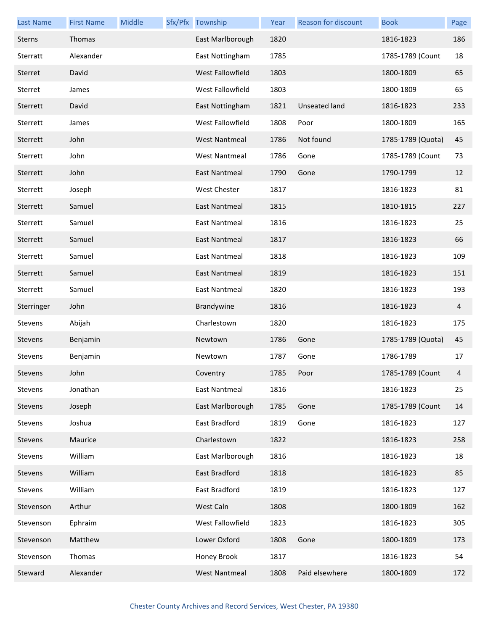| <b>Last Name</b> | <b>First Name</b> | Middle | Sfx/Pfx Township     | Year | Reason for discount  | <b>Book</b>       | Page |
|------------------|-------------------|--------|----------------------|------|----------------------|-------------------|------|
| Sterns           | Thomas            |        | East Marlborough     | 1820 |                      | 1816-1823         | 186  |
| Sterratt         | Alexander         |        | East Nottingham      | 1785 |                      | 1785-1789 (Count  | 18   |
| Sterret          | David             |        | West Fallowfield     | 1803 |                      | 1800-1809         | 65   |
| Sterret          | James             |        | West Fallowfield     | 1803 |                      | 1800-1809         | 65   |
| Sterrett         | David             |        | East Nottingham      | 1821 | <b>Unseated land</b> | 1816-1823         | 233  |
| Sterrett         | James             |        | West Fallowfield     | 1808 | Poor                 | 1800-1809         | 165  |
| Sterrett         | John              |        | <b>West Nantmeal</b> | 1786 | Not found            | 1785-1789 (Quota) | 45   |
| Sterrett         | John              |        | <b>West Nantmeal</b> | 1786 | Gone                 | 1785-1789 (Count  | 73   |
| Sterrett         | John              |        | East Nantmeal        | 1790 | Gone                 | 1790-1799         | 12   |
| Sterrett         | Joseph            |        | West Chester         | 1817 |                      | 1816-1823         | 81   |
| Sterrett         | Samuel            |        | <b>East Nantmeal</b> | 1815 |                      | 1810-1815         | 227  |
| Sterrett         | Samuel            |        | <b>East Nantmeal</b> | 1816 |                      | 1816-1823         | 25   |
| Sterrett         | Samuel            |        | <b>East Nantmeal</b> | 1817 |                      | 1816-1823         | 66   |
| Sterrett         | Samuel            |        | East Nantmeal        | 1818 |                      | 1816-1823         | 109  |
| Sterrett         | Samuel            |        | <b>East Nantmeal</b> | 1819 |                      | 1816-1823         | 151  |
| Sterrett         | Samuel            |        | East Nantmeal        | 1820 |                      | 1816-1823         | 193  |
| Sterringer       | John              |        | Brandywine           | 1816 |                      | 1816-1823         | 4    |
| Stevens          | Abijah            |        | Charlestown          | 1820 |                      | 1816-1823         | 175  |
| Stevens          | Benjamin          |        | Newtown              | 1786 | Gone                 | 1785-1789 (Quota) | 45   |
| Stevens          | Benjamin          |        | Newtown              | 1787 | Gone                 | 1786-1789         | 17   |
| Stevens          | John              |        | Coventry             | 1785 | Poor                 | 1785-1789 (Count  |      |
| Stevens          | Jonathan          |        | East Nantmeal        | 1816 |                      | 1816-1823         | 25   |
| Stevens          | Joseph            |        | East Marlborough     | 1785 | Gone                 | 1785-1789 (Count  | 14   |
| Stevens          | Joshua            |        | East Bradford        | 1819 | Gone                 | 1816-1823         | 127  |
| Stevens          | Maurice           |        | Charlestown          | 1822 |                      | 1816-1823         | 258  |
| Stevens          | William           |        | East Marlborough     | 1816 |                      | 1816-1823         | 18   |
| Stevens          | William           |        | East Bradford        | 1818 |                      | 1816-1823         | 85   |
| Stevens          | William           |        | East Bradford        | 1819 |                      | 1816-1823         | 127  |
| Stevenson        | Arthur            |        | West Caln            | 1808 |                      | 1800-1809         | 162  |
| Stevenson        | Ephraim           |        | West Fallowfield     | 1823 |                      | 1816-1823         | 305  |
| Stevenson        | Matthew           |        | Lower Oxford         | 1808 | Gone                 | 1800-1809         | 173  |
| Stevenson        | Thomas            |        | Honey Brook          | 1817 |                      | 1816-1823         | 54   |
| Steward          | Alexander         |        | <b>West Nantmeal</b> | 1808 | Paid elsewhere       | 1800-1809         | 172  |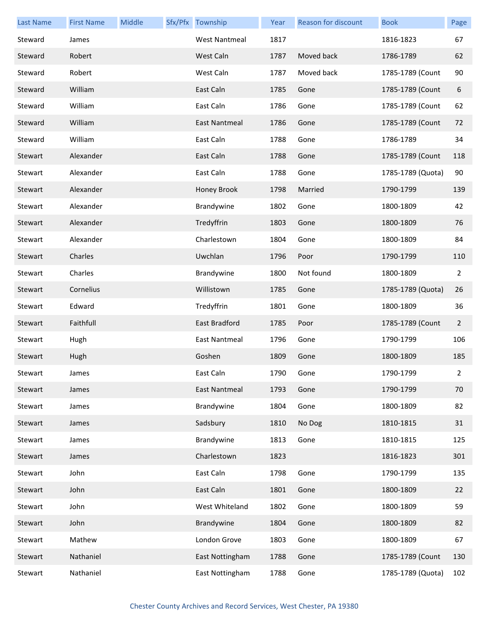| <b>Last Name</b> | <b>First Name</b> | Middle | Sfx/Pfx Township     | Year | Reason for discount | <b>Book</b>       | Page           |
|------------------|-------------------|--------|----------------------|------|---------------------|-------------------|----------------|
| Steward          | James             |        | <b>West Nantmeal</b> | 1817 |                     | 1816-1823         | 67             |
| Steward          | Robert            |        | West Caln            | 1787 | Moved back          | 1786-1789         | 62             |
| Steward          | Robert            |        | West Caln            | 1787 | Moved back          | 1785-1789 (Count  | 90             |
| Steward          | William           |        | East Caln            | 1785 | Gone                | 1785-1789 (Count  | 6              |
| Steward          | William           |        | East Caln            | 1786 | Gone                | 1785-1789 (Count  | 62             |
| Steward          | William           |        | East Nantmeal        | 1786 | Gone                | 1785-1789 (Count  | 72             |
| Steward          | William           |        | East Caln            | 1788 | Gone                | 1786-1789         | 34             |
| Stewart          | Alexander         |        | East Caln            | 1788 | Gone                | 1785-1789 (Count  | 118            |
| Stewart          | Alexander         |        | East Caln            | 1788 | Gone                | 1785-1789 (Quota) | 90             |
| Stewart          | Alexander         |        | Honey Brook          | 1798 | Married             | 1790-1799         | 139            |
| Stewart          | Alexander         |        | Brandywine           | 1802 | Gone                | 1800-1809         | 42             |
| Stewart          | Alexander         |        | Tredyffrin           | 1803 | Gone                | 1800-1809         | 76             |
| Stewart          | Alexander         |        | Charlestown          | 1804 | Gone                | 1800-1809         | 84             |
| Stewart          | Charles           |        | Uwchlan              | 1796 | Poor                | 1790-1799         | 110            |
| Stewart          | Charles           |        | Brandywine           | 1800 | Not found           | 1800-1809         | $\overline{2}$ |
| Stewart          | Cornelius         |        | Willistown           | 1785 | Gone                | 1785-1789 (Quota) | 26             |
| Stewart          | Edward            |        | Tredyffrin           | 1801 | Gone                | 1800-1809         | 36             |
| Stewart          | Faithfull         |        | East Bradford        | 1785 | Poor                | 1785-1789 (Count  | $\overline{2}$ |
| Stewart          | Hugh              |        | <b>East Nantmeal</b> | 1796 | Gone                | 1790-1799         | 106            |
| Stewart          | Hugh              |        | Goshen               | 1809 | Gone                | 1800-1809         | 185            |
| Stewart          | James             |        | East Caln            | 1790 | Gone                | 1790-1799         | $2^{\circ}$    |
| Stewart          | James             |        | East Nantmeal        | 1793 | Gone                | 1790-1799         | 70             |
| Stewart          | James             |        | Brandywine           | 1804 | Gone                | 1800-1809         | 82             |
| Stewart          | James             |        | Sadsbury             | 1810 | No Dog              | 1810-1815         | 31             |
| Stewart          | James             |        | Brandywine           | 1813 | Gone                | 1810-1815         | 125            |
| Stewart          | James             |        | Charlestown          | 1823 |                     | 1816-1823         | 301            |
| Stewart          | John              |        | East Caln            | 1798 | Gone                | 1790-1799         | 135            |
| Stewart          | John              |        | East Caln            | 1801 | Gone                | 1800-1809         | 22             |
| Stewart          | John              |        | West Whiteland       | 1802 | Gone                | 1800-1809         | 59             |
| Stewart          | John              |        | Brandywine           | 1804 | Gone                | 1800-1809         | 82             |
| Stewart          | Mathew            |        | London Grove         | 1803 | Gone                | 1800-1809         | 67             |
| Stewart          | Nathaniel         |        | East Nottingham      | 1788 | Gone                | 1785-1789 (Count  | 130            |
| Stewart          | Nathaniel         |        | East Nottingham      | 1788 | Gone                | 1785-1789 (Quota) | 102            |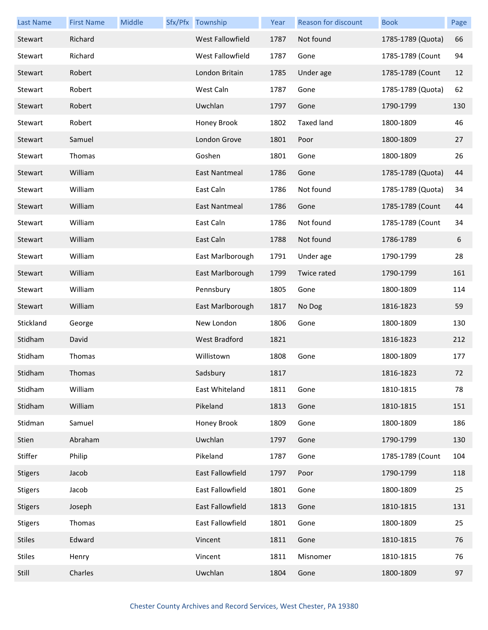| <b>Last Name</b> | <b>First Name</b> | Middle | Sfx/Pfx Township        | Year | Reason for discount | <b>Book</b>       | Page |
|------------------|-------------------|--------|-------------------------|------|---------------------|-------------------|------|
| Stewart          | Richard           |        | <b>West Fallowfield</b> | 1787 | Not found           | 1785-1789 (Quota) | 66   |
| Stewart          | Richard           |        | West Fallowfield        | 1787 | Gone                | 1785-1789 (Count  | 94   |
| Stewart          | Robert            |        | London Britain          | 1785 | Under age           | 1785-1789 (Count  | 12   |
| Stewart          | Robert            |        | West Caln               | 1787 | Gone                | 1785-1789 (Quota) | 62   |
| Stewart          | Robert            |        | Uwchlan                 | 1797 | Gone                | 1790-1799         | 130  |
| Stewart          | Robert            |        | Honey Brook             | 1802 | <b>Taxed land</b>   | 1800-1809         | 46   |
| Stewart          | Samuel            |        | London Grove            | 1801 | Poor                | 1800-1809         | 27   |
| Stewart          | Thomas            |        | Goshen                  | 1801 | Gone                | 1800-1809         | 26   |
| Stewart          | William           |        | East Nantmeal           | 1786 | Gone                | 1785-1789 (Quota) | 44   |
| Stewart          | William           |        | East Caln               | 1786 | Not found           | 1785-1789 (Quota) | 34   |
| Stewart          | William           |        | <b>East Nantmeal</b>    | 1786 | Gone                | 1785-1789 (Count  | 44   |
| Stewart          | William           |        | East Caln               | 1786 | Not found           | 1785-1789 (Count  | 34   |
| Stewart          | William           |        | East Caln               | 1788 | Not found           | 1786-1789         | 6    |
| Stewart          | William           |        | East Marlborough        | 1791 | Under age           | 1790-1799         | 28   |
| Stewart          | William           |        | East Marlborough        | 1799 | Twice rated         | 1790-1799         | 161  |
| Stewart          | William           |        | Pennsbury               | 1805 | Gone                | 1800-1809         | 114  |
| Stewart          | William           |        | East Marlborough        | 1817 | No Dog              | 1816-1823         | 59   |
| Stickland        | George            |        | New London              | 1806 | Gone                | 1800-1809         | 130  |
| Stidham          | David             |        | West Bradford           | 1821 |                     | 1816-1823         | 212  |
| Stidham          | Thomas            |        | Willistown              | 1808 | Gone                | 1800-1809         | 177  |
| Stidham          | Thomas            |        | Sadsbury                | 1817 |                     | 1816-1823         | 72   |
| Stidham          | William           |        | East Whiteland          | 1811 | Gone                | 1810-1815         | 78   |
| Stidham          | William           |        | Pikeland                | 1813 | Gone                | 1810-1815         | 151  |
| Stidman          | Samuel            |        | Honey Brook             | 1809 | Gone                | 1800-1809         | 186  |
| Stien            | Abraham           |        | Uwchlan                 | 1797 | Gone                | 1790-1799         | 130  |
| Stiffer          | Philip            |        | Pikeland                | 1787 | Gone                | 1785-1789 (Count  | 104  |
| <b>Stigers</b>   | Jacob             |        | East Fallowfield        | 1797 | Poor                | 1790-1799         | 118  |
| <b>Stigers</b>   | Jacob             |        | East Fallowfield        | 1801 | Gone                | 1800-1809         | 25   |
| <b>Stigers</b>   | Joseph            |        | East Fallowfield        | 1813 | Gone                | 1810-1815         | 131  |
| <b>Stigers</b>   | Thomas            |        | East Fallowfield        | 1801 | Gone                | 1800-1809         | 25   |
| <b>Stiles</b>    | Edward            |        | Vincent                 | 1811 | Gone                | 1810-1815         | 76   |
| <b>Stiles</b>    | Henry             |        | Vincent                 | 1811 | Misnomer            | 1810-1815         | 76   |
| Still            | Charles           |        | Uwchlan                 | 1804 | Gone                | 1800-1809         | 97   |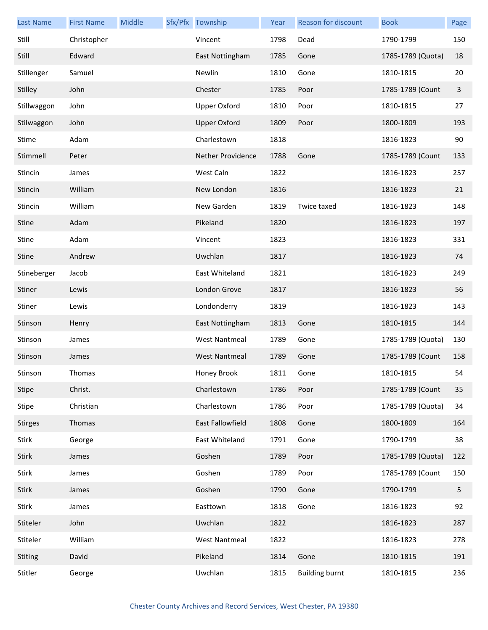| <b>Last Name</b> | <b>First Name</b> | Middle | Sfx/Pfx Township         | Year | Reason for discount   | <b>Book</b>       | Page |
|------------------|-------------------|--------|--------------------------|------|-----------------------|-------------------|------|
| Still            | Christopher       |        | Vincent                  | 1798 | Dead                  | 1790-1799         | 150  |
| Still            | Edward            |        | East Nottingham          | 1785 | Gone                  | 1785-1789 (Quota) | 18   |
| Stillenger       | Samuel            |        | Newlin                   | 1810 | Gone                  | 1810-1815         | 20   |
| Stilley          | John              |        | Chester                  | 1785 | Poor                  | 1785-1789 (Count  | 3    |
| Stillwaggon      | John              |        | <b>Upper Oxford</b>      | 1810 | Poor                  | 1810-1815         | 27   |
| Stilwaggon       | John              |        | <b>Upper Oxford</b>      | 1809 | Poor                  | 1800-1809         | 193  |
| Stime            | Adam              |        | Charlestown              | 1818 |                       | 1816-1823         | 90   |
| Stimmell         | Peter             |        | <b>Nether Providence</b> | 1788 | Gone                  | 1785-1789 (Count  | 133  |
| Stincin          | James             |        | West Caln                | 1822 |                       | 1816-1823         | 257  |
| Stincin          | William           |        | New London               | 1816 |                       | 1816-1823         | 21   |
| Stincin          | William           |        | New Garden               | 1819 | Twice taxed           | 1816-1823         | 148  |
| <b>Stine</b>     | Adam              |        | Pikeland                 | 1820 |                       | 1816-1823         | 197  |
| <b>Stine</b>     | Adam              |        | Vincent                  | 1823 |                       | 1816-1823         | 331  |
| Stine            | Andrew            |        | Uwchlan                  | 1817 |                       | 1816-1823         | 74   |
| Stineberger      | Jacob             |        | East Whiteland           | 1821 |                       | 1816-1823         | 249  |
| Stiner           | Lewis             |        | London Grove             | 1817 |                       | 1816-1823         | 56   |
| Stiner           | Lewis             |        | Londonderry              | 1819 |                       | 1816-1823         | 143  |
| Stinson          | Henry             |        | East Nottingham          | 1813 | Gone                  | 1810-1815         | 144  |
| Stinson          | James             |        | <b>West Nantmeal</b>     | 1789 | Gone                  | 1785-1789 (Quota) | 130  |
| Stinson          | James             |        | <b>West Nantmeal</b>     | 1789 | Gone                  | 1785-1789 (Count  | 158  |
| Stinson          | Thomas            |        | Honey Brook              | 1811 | Gone                  | 1810-1815         | 54   |
| Stipe            | Christ.           |        | Charlestown              | 1786 | Poor                  | 1785-1789 (Count  | 35   |
| Stipe            | Christian         |        | Charlestown              | 1786 | Poor                  | 1785-1789 (Quota) | 34   |
| <b>Stirges</b>   | Thomas            |        | East Fallowfield         | 1808 | Gone                  | 1800-1809         | 164  |
| Stirk            | George            |        | East Whiteland           | 1791 | Gone                  | 1790-1799         | 38   |
| <b>Stirk</b>     | James             |        | Goshen                   | 1789 | Poor                  | 1785-1789 (Quota) | 122  |
| Stirk            | James             |        | Goshen                   | 1789 | Poor                  | 1785-1789 (Count  | 150  |
| Stirk            | James             |        | Goshen                   | 1790 | Gone                  | 1790-1799         | 5    |
| Stirk            | James             |        | Easttown                 | 1818 | Gone                  | 1816-1823         | 92   |
| Stiteler         | John              |        | Uwchlan                  | 1822 |                       | 1816-1823         | 287  |
| Stiteler         | William           |        | <b>West Nantmeal</b>     | 1822 |                       | 1816-1823         | 278  |
| Stiting          | David             |        | Pikeland                 | 1814 | Gone                  | 1810-1815         | 191  |
| Stitler          | George            |        | Uwchlan                  | 1815 | <b>Building burnt</b> | 1810-1815         | 236  |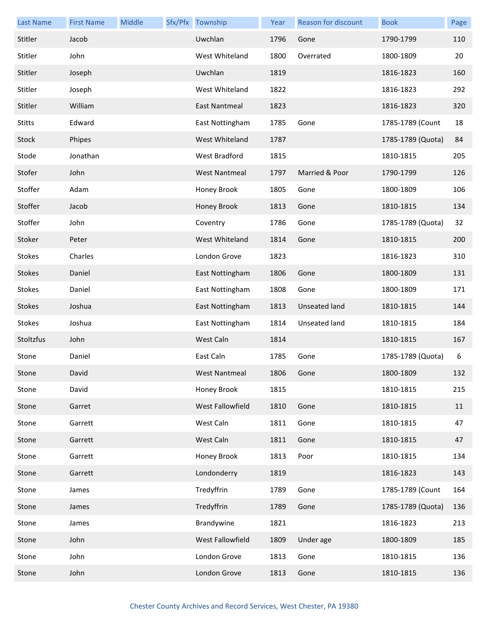| <b>Last Name</b> | <b>First Name</b> | Middle | Sfx/Pfx Township | Year | <b>Reason for discount</b> | <b>Book</b>       | Page |
|------------------|-------------------|--------|------------------|------|----------------------------|-------------------|------|
| Stitler          | Jacob             |        | Uwchlan          | 1796 | Gone                       | 1790-1799         | 110  |
| Stitler          | John              |        | West Whiteland   | 1800 | Overrated                  | 1800-1809         | 20   |
| Stitler          | Joseph            |        | Uwchlan          | 1819 |                            | 1816-1823         | 160  |
| Stitler          | Joseph            |        | West Whiteland   | 1822 |                            | 1816-1823         | 292  |
| Stitler          | William           |        | East Nantmeal    | 1823 |                            | 1816-1823         | 320  |
| <b>Stitts</b>    | Edward            |        | East Nottingham  | 1785 | Gone                       | 1785-1789 (Count  | 18   |
| Stock            | Phipes            |        | West Whiteland   | 1787 |                            | 1785-1789 (Quota) | 84   |
| Stode            | Jonathan          |        | West Bradford    | 1815 |                            | 1810-1815         | 205  |
| Stofer           | John              |        | West Nantmeal    | 1797 | Married & Poor             | 1790-1799         | 126  |
| Stoffer          | Adam              |        | Honey Brook      | 1805 | Gone                       | 1800-1809         | 106  |
| Stoffer          | Jacob             |        | Honey Brook      | 1813 | Gone                       | 1810-1815         | 134  |
| Stoffer          | John              |        | Coventry         | 1786 | Gone                       | 1785-1789 (Quota) | 32   |
| Stoker           | Peter             |        | West Whiteland   | 1814 | Gone                       | 1810-1815         | 200  |
| <b>Stokes</b>    | Charles           |        | London Grove     | 1823 |                            | 1816-1823         | 310  |
| <b>Stokes</b>    | Daniel            |        | East Nottingham  | 1806 | Gone                       | 1800-1809         | 131  |
| <b>Stokes</b>    | Daniel            |        | East Nottingham  | 1808 | Gone                       | 1800-1809         | 171  |
| <b>Stokes</b>    | Joshua            |        | East Nottingham  | 1813 | Unseated land              | 1810-1815         | 144  |
| <b>Stokes</b>    | Joshua            |        | East Nottingham  | 1814 | Unseated land              | 1810-1815         | 184  |
| Stoltzfus        | John              |        | West Caln        | 1814 |                            | 1810-1815         | 167  |
| Stone            | Daniel            |        | East Caln        | 1785 | Gone                       | 1785-1789 (Quota) | 6    |
| Stone            | David             |        | West Nantmeal    | 1806 | Gone                       | 1800-1809         | 132  |
| Stone            | David             |        | Honey Brook      | 1815 |                            | 1810-1815         | 215  |
| Stone            | Garret            |        | West Fallowfield | 1810 | Gone                       | 1810-1815         | 11   |
| Stone            | Garrett           |        | West Caln        | 1811 | Gone                       | 1810-1815         | 47   |
| Stone            | Garrett           |        | West Caln        | 1811 | Gone                       | 1810-1815         | 47   |
| Stone            | Garrett           |        | Honey Brook      | 1813 | Poor                       | 1810-1815         | 134  |
| Stone            | Garrett           |        | Londonderry      | 1819 |                            | 1816-1823         | 143  |
| Stone            | James             |        | Tredyffrin       | 1789 | Gone                       | 1785-1789 (Count  | 164  |
| Stone            | James             |        | Tredyffrin       | 1789 | Gone                       | 1785-1789 (Quota) | 136  |
| Stone            | James             |        | Brandywine       | 1821 |                            | 1816-1823         | 213  |
| Stone            | John              |        | West Fallowfield | 1809 | Under age                  | 1800-1809         | 185  |
| Stone            | John              |        | London Grove     | 1813 | Gone                       | 1810-1815         | 136  |
| Stone            | John              |        | London Grove     | 1813 | Gone                       | 1810-1815         | 136  |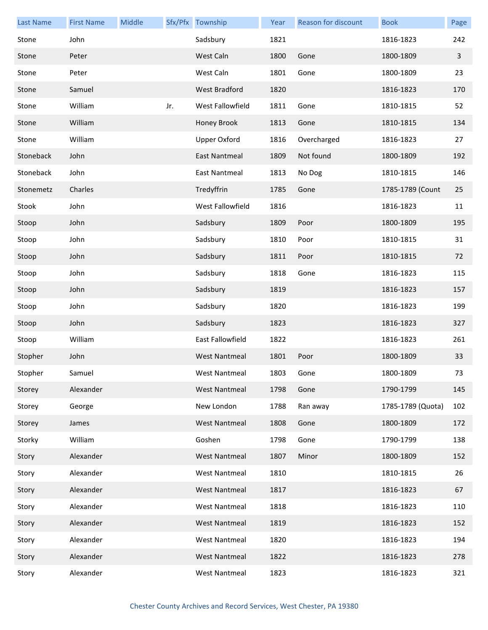| <b>Last Name</b> | <b>First Name</b> | Middle |     | Sfx/Pfx Township     | Year | Reason for discount | <b>Book</b>       | Page         |
|------------------|-------------------|--------|-----|----------------------|------|---------------------|-------------------|--------------|
| Stone            | John              |        |     | Sadsbury             | 1821 |                     | 1816-1823         | 242          |
| Stone            | Peter             |        |     | West Caln            | 1800 | Gone                | 1800-1809         | $\mathbf{3}$ |
| Stone            | Peter             |        |     | West Caln            | 1801 | Gone                | 1800-1809         | 23           |
| Stone            | Samuel            |        |     | <b>West Bradford</b> | 1820 |                     | 1816-1823         | 170          |
| Stone            | William           |        | Jr. | West Fallowfield     | 1811 | Gone                | 1810-1815         | 52           |
| Stone            | William           |        |     | Honey Brook          | 1813 | Gone                | 1810-1815         | 134          |
| Stone            | William           |        |     | <b>Upper Oxford</b>  | 1816 | Overcharged         | 1816-1823         | 27           |
| Stoneback        | John              |        |     | East Nantmeal        | 1809 | Not found           | 1800-1809         | 192          |
| Stoneback        | John              |        |     | East Nantmeal        | 1813 | No Dog              | 1810-1815         | 146          |
| Stonemetz        | Charles           |        |     | Tredyffrin           | 1785 | Gone                | 1785-1789 (Count  | 25           |
| Stook            | John              |        |     | West Fallowfield     | 1816 |                     | 1816-1823         | 11           |
| Stoop            | John              |        |     | Sadsbury             | 1809 | Poor                | 1800-1809         | 195          |
| Stoop            | John              |        |     | Sadsbury             | 1810 | Poor                | 1810-1815         | 31           |
| Stoop            | John              |        |     | Sadsbury             | 1811 | Poor                | 1810-1815         | 72           |
| Stoop            | John              |        |     | Sadsbury             | 1818 | Gone                | 1816-1823         | 115          |
| Stoop            | John              |        |     | Sadsbury             | 1819 |                     | 1816-1823         | 157          |
| Stoop            | John              |        |     | Sadsbury             | 1820 |                     | 1816-1823         | 199          |
| Stoop            | John              |        |     | Sadsbury             | 1823 |                     | 1816-1823         | 327          |
| Stoop            | William           |        |     | East Fallowfield     | 1822 |                     | 1816-1823         | 261          |
| Stopher          | John              |        |     | <b>West Nantmeal</b> | 1801 | Poor                | 1800-1809         | 33           |
| Stopher          | Samuel            |        |     | West Nantmeal        | 1803 | Gone                | 1800-1809         | 73           |
| Storey           | Alexander         |        |     | <b>West Nantmeal</b> | 1798 | Gone                | 1790-1799         | 145          |
| Storey           | George            |        |     | New London           | 1788 | Ran away            | 1785-1789 (Quota) | 102          |
| Storey           | James             |        |     | <b>West Nantmeal</b> | 1808 | Gone                | 1800-1809         | 172          |
| Storky           | William           |        |     | Goshen               | 1798 | Gone                | 1790-1799         | 138          |
| Story            | Alexander         |        |     | <b>West Nantmeal</b> | 1807 | Minor               | 1800-1809         | 152          |
| Story            | Alexander         |        |     | <b>West Nantmeal</b> | 1810 |                     | 1810-1815         | 26           |
| Story            | Alexander         |        |     | <b>West Nantmeal</b> | 1817 |                     | 1816-1823         | 67           |
| Story            | Alexander         |        |     | <b>West Nantmeal</b> | 1818 |                     | 1816-1823         | 110          |
| Story            | Alexander         |        |     | <b>West Nantmeal</b> | 1819 |                     | 1816-1823         | 152          |
| Story            | Alexander         |        |     | <b>West Nantmeal</b> | 1820 |                     | 1816-1823         | 194          |
| Story            | Alexander         |        |     | <b>West Nantmeal</b> | 1822 |                     | 1816-1823         | 278          |
| Story            | Alexander         |        |     | West Nantmeal        | 1823 |                     | 1816-1823         | 321          |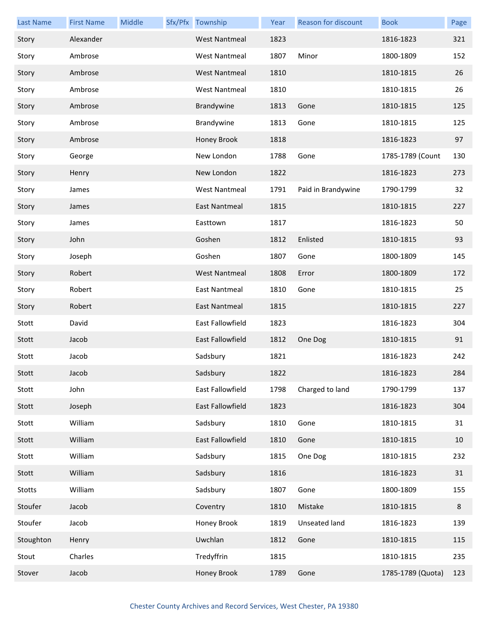| <b>Last Name</b> | <b>First Name</b> | Middle | Sfx/Pfx Township     | Year | Reason for discount | <b>Book</b>       | Page |
|------------------|-------------------|--------|----------------------|------|---------------------|-------------------|------|
| Story            | Alexander         |        | <b>West Nantmeal</b> | 1823 |                     | 1816-1823         | 321  |
| Story            | Ambrose           |        | <b>West Nantmeal</b> | 1807 | Minor               | 1800-1809         | 152  |
| Story            | Ambrose           |        | <b>West Nantmeal</b> | 1810 |                     | 1810-1815         | 26   |
| Story            | Ambrose           |        | <b>West Nantmeal</b> | 1810 |                     | 1810-1815         | 26   |
| Story            | Ambrose           |        | Brandywine           | 1813 | Gone                | 1810-1815         | 125  |
| Story            | Ambrose           |        | Brandywine           | 1813 | Gone                | 1810-1815         | 125  |
| Story            | Ambrose           |        | Honey Brook          | 1818 |                     | 1816-1823         | 97   |
| Story            | George            |        | New London           | 1788 | Gone                | 1785-1789 (Count  | 130  |
| Story            | Henry             |        | New London           | 1822 |                     | 1816-1823         | 273  |
| Story            | James             |        | <b>West Nantmeal</b> | 1791 | Paid in Brandywine  | 1790-1799         | 32   |
| Story            | James             |        | <b>East Nantmeal</b> | 1815 |                     | 1810-1815         | 227  |
| Story            | James             |        | Easttown             | 1817 |                     | 1816-1823         | 50   |
| Story            | John              |        | Goshen               | 1812 | Enlisted            | 1810-1815         | 93   |
| Story            | Joseph            |        | Goshen               | 1807 | Gone                | 1800-1809         | 145  |
| Story            | Robert            |        | <b>West Nantmeal</b> | 1808 | Error               | 1800-1809         | 172  |
| Story            | Robert            |        | East Nantmeal        | 1810 | Gone                | 1810-1815         | 25   |
| Story            | Robert            |        | East Nantmeal        | 1815 |                     | 1810-1815         | 227  |
| Stott            | David             |        | East Fallowfield     | 1823 |                     | 1816-1823         | 304  |
| Stott            | Jacob             |        | East Fallowfield     | 1812 | One Dog             | 1810-1815         | 91   |
| Stott            | Jacob             |        | Sadsbury             | 1821 |                     | 1816-1823         | 242  |
| Stott            | Jacob             |        | Sadsbury             | 1822 |                     | 1816-1823         | 284  |
| Stott            | John              |        | East Fallowfield     | 1798 | Charged to land     | 1790-1799         | 137  |
| Stott            | Joseph            |        | East Fallowfield     | 1823 |                     | 1816-1823         | 304  |
| Stott            | William           |        | Sadsbury             | 1810 | Gone                | 1810-1815         | 31   |
| Stott            | William           |        | East Fallowfield     | 1810 | Gone                | 1810-1815         | 10   |
| Stott            | William           |        | Sadsbury             | 1815 | One Dog             | 1810-1815         | 232  |
| Stott            | William           |        | Sadsbury             | 1816 |                     | 1816-1823         | 31   |
| Stotts           | William           |        | Sadsbury             | 1807 | Gone                | 1800-1809         | 155  |
| Stoufer          | Jacob             |        | Coventry             | 1810 | Mistake             | 1810-1815         | 8    |
| Stoufer          | Jacob             |        | Honey Brook          | 1819 | Unseated land       | 1816-1823         | 139  |
| Stoughton        | Henry             |        | Uwchlan              | 1812 | Gone                | 1810-1815         | 115  |
| Stout            | Charles           |        | Tredyffrin           | 1815 |                     | 1810-1815         | 235  |
| Stover           | Jacob             |        | Honey Brook          | 1789 | Gone                | 1785-1789 (Quota) | 123  |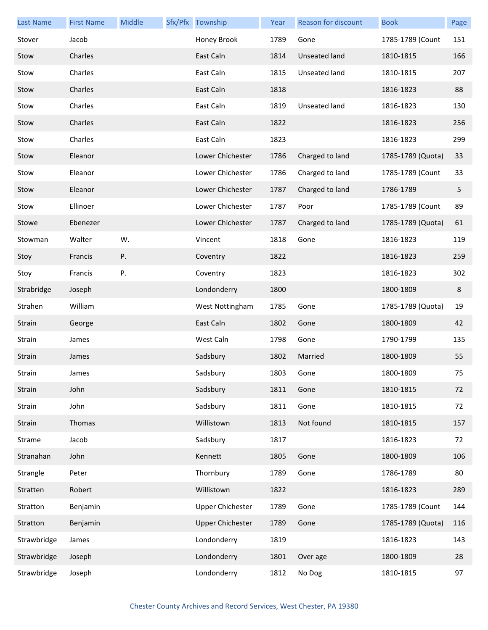| <b>Last Name</b> | <b>First Name</b> | Middle | Sfx/Pfx Township        | Year | Reason for discount  | <b>Book</b>       | Page |
|------------------|-------------------|--------|-------------------------|------|----------------------|-------------------|------|
| Stover           | Jacob             |        | Honey Brook             | 1789 | Gone                 | 1785-1789 (Count  | 151  |
| Stow             | Charles           |        | East Caln               | 1814 | Unseated land        | 1810-1815         | 166  |
| Stow             | Charles           |        | East Caln               | 1815 | <b>Unseated land</b> | 1810-1815         | 207  |
| Stow             | Charles           |        | East Caln               | 1818 |                      | 1816-1823         | 88   |
| Stow             | Charles           |        | East Caln               | 1819 | <b>Unseated land</b> | 1816-1823         | 130  |
| Stow             | Charles           |        | East Caln               | 1822 |                      | 1816-1823         | 256  |
| Stow             | Charles           |        | East Caln               | 1823 |                      | 1816-1823         | 299  |
| Stow             | Eleanor           |        | Lower Chichester        | 1786 | Charged to land      | 1785-1789 (Quota) | 33   |
| Stow             | Eleanor           |        | Lower Chichester        | 1786 | Charged to land      | 1785-1789 (Count  | 33   |
| Stow             | Eleanor           |        | Lower Chichester        | 1787 | Charged to land      | 1786-1789         | 5    |
| Stow             | Ellinoer          |        | Lower Chichester        | 1787 | Poor                 | 1785-1789 (Count  | 89   |
| Stowe            | Ebenezer          |        | Lower Chichester        | 1787 | Charged to land      | 1785-1789 (Quota) | 61   |
| Stowman          | Walter            | W.     | Vincent                 | 1818 | Gone                 | 1816-1823         | 119  |
| Stoy             | Francis           | Ρ.     | Coventry                | 1822 |                      | 1816-1823         | 259  |
| Stoy             | Francis           | Ρ.     | Coventry                | 1823 |                      | 1816-1823         | 302  |
| Strabridge       | Joseph            |        | Londonderry             | 1800 |                      | 1800-1809         | 8    |
| Strahen          | William           |        | West Nottingham         | 1785 | Gone                 | 1785-1789 (Quota) | 19   |
| Strain           | George            |        | East Caln               | 1802 | Gone                 | 1800-1809         | 42   |
| Strain           | James             |        | West Caln               | 1798 | Gone                 | 1790-1799         | 135  |
| Strain           | James             |        | Sadsbury                | 1802 | Married              | 1800-1809         | 55   |
| Strain           | James             |        | Sadsbury                | 1803 | Gone                 | 1800-1809         | 75   |
| Strain           | John              |        | Sadsbury                | 1811 | Gone                 | 1810-1815         | 72   |
| Strain           | John              |        | Sadsbury                | 1811 | Gone                 | 1810-1815         | 72   |
| Strain           | Thomas            |        | Willistown              | 1813 | Not found            | 1810-1815         | 157  |
| Strame           | Jacob             |        | Sadsbury                | 1817 |                      | 1816-1823         | 72   |
| Stranahan        | John              |        | Kennett                 | 1805 | Gone                 | 1800-1809         | 106  |
| Strangle         | Peter             |        | Thornbury               | 1789 | Gone                 | 1786-1789         | 80   |
| Stratten         | Robert            |        | Willistown              | 1822 |                      | 1816-1823         | 289  |
| Stratton         | Benjamin          |        | <b>Upper Chichester</b> | 1789 | Gone                 | 1785-1789 (Count  | 144  |
| Stratton         | Benjamin          |        | <b>Upper Chichester</b> | 1789 | Gone                 | 1785-1789 (Quota) | 116  |
| Strawbridge      | James             |        | Londonderry             | 1819 |                      | 1816-1823         | 143  |
| Strawbridge      | Joseph            |        | Londonderry             | 1801 | Over age             | 1800-1809         | 28   |
| Strawbridge      | Joseph            |        | Londonderry             | 1812 | No Dog               | 1810-1815         | 97   |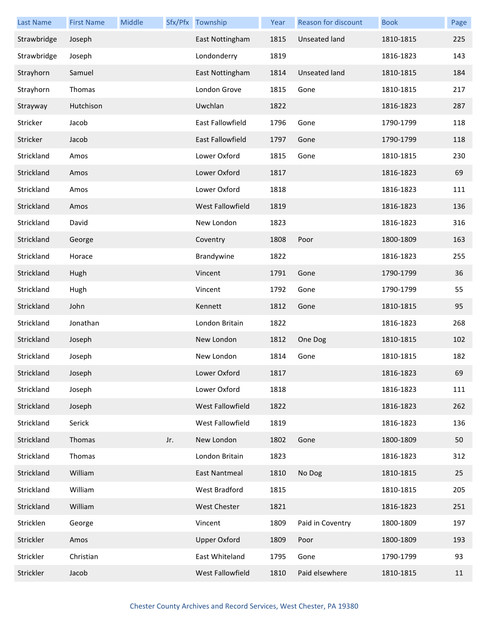| <b>Last Name</b> | <b>First Name</b> | Middle |     | Sfx/Pfx Township        | Year | Reason for discount | <b>Book</b> | Page |
|------------------|-------------------|--------|-----|-------------------------|------|---------------------|-------------|------|
| Strawbridge      | Joseph            |        |     | East Nottingham         | 1815 | Unseated land       | 1810-1815   | 225  |
| Strawbridge      | Joseph            |        |     | Londonderry             | 1819 |                     | 1816-1823   | 143  |
| Strayhorn        | Samuel            |        |     | East Nottingham         | 1814 | Unseated land       | 1810-1815   | 184  |
| Strayhorn        | Thomas            |        |     | London Grove            | 1815 | Gone                | 1810-1815   | 217  |
| Strayway         | Hutchison         |        |     | Uwchlan                 | 1822 |                     | 1816-1823   | 287  |
| Stricker         | Jacob             |        |     | East Fallowfield        | 1796 | Gone                | 1790-1799   | 118  |
| Stricker         | Jacob             |        |     | <b>East Fallowfield</b> | 1797 | Gone                | 1790-1799   | 118  |
| Strickland       | Amos              |        |     | Lower Oxford            | 1815 | Gone                | 1810-1815   | 230  |
| Strickland       | Amos              |        |     | Lower Oxford            | 1817 |                     | 1816-1823   | 69   |
| Strickland       | Amos              |        |     | Lower Oxford            | 1818 |                     | 1816-1823   | 111  |
| Strickland       | Amos              |        |     | West Fallowfield        | 1819 |                     | 1816-1823   | 136  |
| Strickland       | David             |        |     | New London              | 1823 |                     | 1816-1823   | 316  |
| Strickland       | George            |        |     | Coventry                | 1808 | Poor                | 1800-1809   | 163  |
| Strickland       | Horace            |        |     | Brandywine              | 1822 |                     | 1816-1823   | 255  |
| Strickland       | Hugh              |        |     | Vincent                 | 1791 | Gone                | 1790-1799   | 36   |
| Strickland       | Hugh              |        |     | Vincent                 | 1792 | Gone                | 1790-1799   | 55   |
| Strickland       | John              |        |     | Kennett                 | 1812 | Gone                | 1810-1815   | 95   |
| Strickland       | Jonathan          |        |     | London Britain          | 1822 |                     | 1816-1823   | 268  |
| Strickland       | Joseph            |        |     | New London              | 1812 | One Dog             | 1810-1815   | 102  |
| Strickland       | Joseph            |        |     | New London              | 1814 | Gone                | 1810-1815   | 182  |
| Strickland       | Joseph            |        |     | Lower Oxford            | 1817 |                     | 1816-1823   | 69   |
| Strickland       | Joseph            |        |     | Lower Oxford            | 1818 |                     | 1816-1823   | 111  |
| Strickland       | Joseph            |        |     | West Fallowfield        | 1822 |                     | 1816-1823   | 262  |
| Strickland       | Serick            |        |     | West Fallowfield        | 1819 |                     | 1816-1823   | 136  |
| Strickland       | Thomas            |        | Jr. | New London              | 1802 | Gone                | 1800-1809   | 50   |
| Strickland       | Thomas            |        |     | London Britain          | 1823 |                     | 1816-1823   | 312  |
| Strickland       | William           |        |     | East Nantmeal           | 1810 | No Dog              | 1810-1815   | 25   |
| Strickland       | William           |        |     | West Bradford           | 1815 |                     | 1810-1815   | 205  |
| Strickland       | William           |        |     | West Chester            | 1821 |                     | 1816-1823   | 251  |
| Stricklen        | George            |        |     | Vincent                 | 1809 | Paid in Coventry    | 1800-1809   | 197  |
| Strickler        | Amos              |        |     | <b>Upper Oxford</b>     | 1809 | Poor                | 1800-1809   | 193  |
| Strickler        | Christian         |        |     | East Whiteland          | 1795 | Gone                | 1790-1799   | 93   |
| Strickler        | Jacob             |        |     | West Fallowfield        | 1810 | Paid elsewhere      | 1810-1815   | 11   |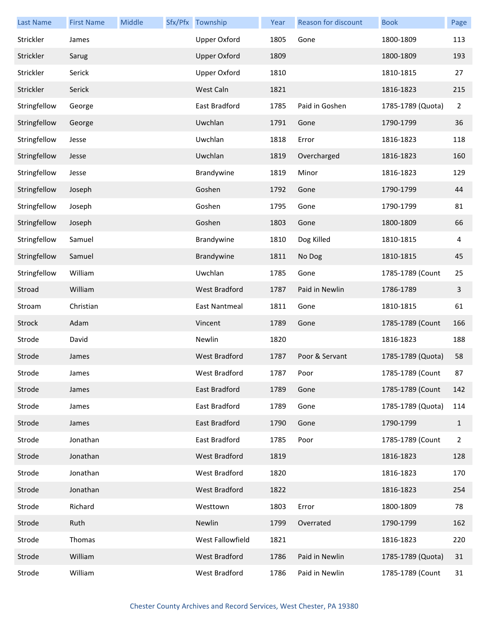| <b>Last Name</b> | <b>First Name</b> | Middle | Sfx/Pfx Township     | Year | Reason for discount | <b>Book</b>       | Page           |
|------------------|-------------------|--------|----------------------|------|---------------------|-------------------|----------------|
| Strickler        | James             |        | <b>Upper Oxford</b>  | 1805 | Gone                | 1800-1809         | 113            |
| Strickler        | Sarug             |        | <b>Upper Oxford</b>  | 1809 |                     | 1800-1809         | 193            |
| Strickler        | Serick            |        | <b>Upper Oxford</b>  | 1810 |                     | 1810-1815         | 27             |
| Strickler        | Serick            |        | West Caln            | 1821 |                     | 1816-1823         | 215            |
| Stringfellow     | George            |        | East Bradford        | 1785 | Paid in Goshen      | 1785-1789 (Quota) | $\overline{2}$ |
| Stringfellow     | George            |        | Uwchlan              | 1791 | Gone                | 1790-1799         | 36             |
| Stringfellow     | Jesse             |        | Uwchlan              | 1818 | Error               | 1816-1823         | 118            |
| Stringfellow     | Jesse             |        | Uwchlan              | 1819 | Overcharged         | 1816-1823         | 160            |
| Stringfellow     | Jesse             |        | Brandywine           | 1819 | Minor               | 1816-1823         | 129            |
| Stringfellow     | Joseph            |        | Goshen               | 1792 | Gone                | 1790-1799         | 44             |
| Stringfellow     | Joseph            |        | Goshen               | 1795 | Gone                | 1790-1799         | 81             |
| Stringfellow     | Joseph            |        | Goshen               | 1803 | Gone                | 1800-1809         | 66             |
| Stringfellow     | Samuel            |        | Brandywine           | 1810 | Dog Killed          | 1810-1815         | 4              |
| Stringfellow     | Samuel            |        | Brandywine           | 1811 | No Dog              | 1810-1815         | 45             |
| Stringfellow     | William           |        | Uwchlan              | 1785 | Gone                | 1785-1789 (Count  | 25             |
| Stroad           | William           |        | <b>West Bradford</b> | 1787 | Paid in Newlin      | 1786-1789         | 3              |
| Stroam           | Christian         |        | <b>East Nantmeal</b> | 1811 | Gone                | 1810-1815         | 61             |
| Strock           | Adam              |        | Vincent              | 1789 | Gone                | 1785-1789 (Count  | 166            |
| Strode           | David             |        | Newlin               | 1820 |                     | 1816-1823         | 188            |
| Strode           | James             |        | <b>West Bradford</b> | 1787 | Poor & Servant      | 1785-1789 (Quota) | 58             |
| Strode           | James             |        | West Bradford        | 1787 | Poor                | 1785-1789 (Count  | 87             |
| Strode           | James             |        | East Bradford        | 1789 | Gone                | 1785-1789 (Count  | 142            |
| Strode           | James             |        | East Bradford        | 1789 | Gone                | 1785-1789 (Quota) | 114            |
| Strode           | James             |        | East Bradford        | 1790 | Gone                | 1790-1799         | $\mathbf{1}$   |
| Strode           | Jonathan          |        | East Bradford        | 1785 | Poor                | 1785-1789 (Count  | 2              |
| Strode           | Jonathan          |        | <b>West Bradford</b> | 1819 |                     | 1816-1823         | 128            |
| Strode           | Jonathan          |        | West Bradford        | 1820 |                     | 1816-1823         | 170            |
| Strode           | Jonathan          |        | West Bradford        | 1822 |                     | 1816-1823         | 254            |
| Strode           | Richard           |        | Westtown             | 1803 | Error               | 1800-1809         | 78             |
| Strode           | Ruth              |        | Newlin               | 1799 | Overrated           | 1790-1799         | 162            |
| Strode           | Thomas            |        | West Fallowfield     | 1821 |                     | 1816-1823         | 220            |
| Strode           | William           |        | <b>West Bradford</b> | 1786 | Paid in Newlin      | 1785-1789 (Quota) | 31             |
| Strode           | William           |        | West Bradford        | 1786 | Paid in Newlin      | 1785-1789 (Count  | 31             |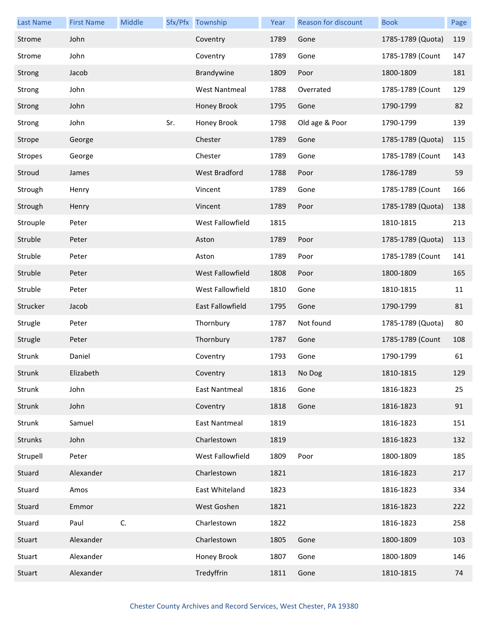| <b>Last Name</b> | <b>First Name</b> | Middle |     | Sfx/Pfx Township     | Year | Reason for discount | <b>Book</b>       | Page |
|------------------|-------------------|--------|-----|----------------------|------|---------------------|-------------------|------|
| Strome           | John              |        |     | Coventry             | 1789 | Gone                | 1785-1789 (Quota) | 119  |
| Strome           | John              |        |     | Coventry             | 1789 | Gone                | 1785-1789 (Count  | 147  |
| Strong           | Jacob             |        |     | Brandywine           | 1809 | Poor                | 1800-1809         | 181  |
| Strong           | John              |        |     | <b>West Nantmeal</b> | 1788 | Overrated           | 1785-1789 (Count  | 129  |
| Strong           | John              |        |     | Honey Brook          | 1795 | Gone                | 1790-1799         | 82   |
| Strong           | John              |        | Sr. | Honey Brook          | 1798 | Old age & Poor      | 1790-1799         | 139  |
| Strope           | George            |        |     | Chester              | 1789 | Gone                | 1785-1789 (Quota) | 115  |
| <b>Stropes</b>   | George            |        |     | Chester              | 1789 | Gone                | 1785-1789 (Count  | 143  |
| Stroud           | James             |        |     | <b>West Bradford</b> | 1788 | Poor                | 1786-1789         | 59   |
| Strough          | Henry             |        |     | Vincent              | 1789 | Gone                | 1785-1789 (Count  | 166  |
| Strough          | Henry             |        |     | Vincent              | 1789 | Poor                | 1785-1789 (Quota) | 138  |
| Strouple         | Peter             |        |     | West Fallowfield     | 1815 |                     | 1810-1815         | 213  |
| Struble          | Peter             |        |     | Aston                | 1789 | Poor                | 1785-1789 (Quota) | 113  |
| Struble          | Peter             |        |     | Aston                | 1789 | Poor                | 1785-1789 (Count  | 141  |
| Struble          | Peter             |        |     | West Fallowfield     | 1808 | Poor                | 1800-1809         | 165  |
| Struble          | Peter             |        |     | West Fallowfield     | 1810 | Gone                | 1810-1815         | 11   |
| Strucker         | Jacob             |        |     | East Fallowfield     | 1795 | Gone                | 1790-1799         | 81   |
| Strugle          | Peter             |        |     | Thornbury            | 1787 | Not found           | 1785-1789 (Quota) | 80   |
| Strugle          | Peter             |        |     | Thornbury            | 1787 | Gone                | 1785-1789 (Count  | 108  |
| Strunk           | Daniel            |        |     | Coventry             | 1793 | Gone                | 1790-1799         | 61   |
| Strunk           | Elizabeth         |        |     | Coventry             | 1813 | No Dog              | 1810-1815         | 129  |
| Strunk           | John              |        |     | East Nantmeal        | 1816 | Gone                | 1816-1823         | 25   |
| Strunk           | John              |        |     | Coventry             | 1818 | Gone                | 1816-1823         | 91   |
| Strunk           | Samuel            |        |     | <b>East Nantmeal</b> | 1819 |                     | 1816-1823         | 151  |
| Strunks          | John              |        |     | Charlestown          | 1819 |                     | 1816-1823         | 132  |
| Strupell         | Peter             |        |     | West Fallowfield     | 1809 | Poor                | 1800-1809         | 185  |
| Stuard           | Alexander         |        |     | Charlestown          | 1821 |                     | 1816-1823         | 217  |
| Stuard           | Amos              |        |     | East Whiteland       | 1823 |                     | 1816-1823         | 334  |
| Stuard           | Emmor             |        |     | West Goshen          | 1821 |                     | 1816-1823         | 222  |
| Stuard           | Paul              | C.     |     | Charlestown          | 1822 |                     | 1816-1823         | 258  |
| Stuart           | Alexander         |        |     | Charlestown          | 1805 | Gone                | 1800-1809         | 103  |
| Stuart           | Alexander         |        |     | Honey Brook          | 1807 | Gone                | 1800-1809         | 146  |
| Stuart           | Alexander         |        |     | Tredyffrin           | 1811 | Gone                | 1810-1815         | 74   |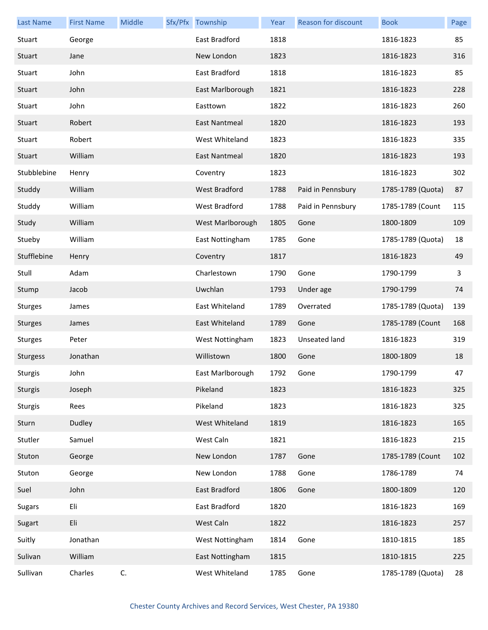| <b>Last Name</b> | <b>First Name</b> | Middle | Sfx/Pfx Township     | Year | Reason for discount | <b>Book</b>       | Page |
|------------------|-------------------|--------|----------------------|------|---------------------|-------------------|------|
| Stuart           | George            |        | East Bradford        | 1818 |                     | 1816-1823         | 85   |
| Stuart           | Jane              |        | New London           | 1823 |                     | 1816-1823         | 316  |
| Stuart           | John              |        | East Bradford        | 1818 |                     | 1816-1823         | 85   |
| Stuart           | John              |        | East Marlborough     | 1821 |                     | 1816-1823         | 228  |
| Stuart           | John              |        | Easttown             | 1822 |                     | 1816-1823         | 260  |
| Stuart           | Robert            |        | <b>East Nantmeal</b> | 1820 |                     | 1816-1823         | 193  |
| Stuart           | Robert            |        | West Whiteland       | 1823 |                     | 1816-1823         | 335  |
| Stuart           | William           |        | East Nantmeal        | 1820 |                     | 1816-1823         | 193  |
| Stubblebine      | Henry             |        | Coventry             | 1823 |                     | 1816-1823         | 302  |
| Studdy           | William           |        | <b>West Bradford</b> | 1788 | Paid in Pennsbury   | 1785-1789 (Quota) | 87   |
| Studdy           | William           |        | West Bradford        | 1788 | Paid in Pennsbury   | 1785-1789 (Count  | 115  |
| Study            | William           |        | West Marlborough     | 1805 | Gone                | 1800-1809         | 109  |
| Stueby           | William           |        | East Nottingham      | 1785 | Gone                | 1785-1789 (Quota) | 18   |
| Stufflebine      | Henry             |        | Coventry             | 1817 |                     | 1816-1823         | 49   |
| Stull            | Adam              |        | Charlestown          | 1790 | Gone                | 1790-1799         | 3    |
| Stump            | Jacob             |        | Uwchlan              | 1793 | Under age           | 1790-1799         | 74   |
| Sturges          | James             |        | East Whiteland       | 1789 | Overrated           | 1785-1789 (Quota) | 139  |
| <b>Sturges</b>   | James             |        | East Whiteland       | 1789 | Gone                | 1785-1789 (Count  | 168  |
| <b>Sturges</b>   | Peter             |        | West Nottingham      | 1823 | Unseated land       | 1816-1823         | 319  |
| <b>Sturgess</b>  | Jonathan          |        | Willistown           | 1800 | Gone                | 1800-1809         | 18   |
| Sturgis          | John              |        | East Marlborough     | 1792 | Gone                | 1790-1799         | 47   |
| Sturgis          | Joseph            |        | Pikeland             | 1823 |                     | 1816-1823         | 325  |
| Sturgis          | Rees              |        | Pikeland             | 1823 |                     | 1816-1823         | 325  |
| Sturn            | Dudley            |        | West Whiteland       | 1819 |                     | 1816-1823         | 165  |
| Stutler          | Samuel            |        | West Caln            | 1821 |                     | 1816-1823         | 215  |
| Stuton           | George            |        | New London           | 1787 | Gone                | 1785-1789 (Count  | 102  |
| Stuton           | George            |        | New London           | 1788 | Gone                | 1786-1789         | 74   |
| Suel             | John              |        | East Bradford        | 1806 | Gone                | 1800-1809         | 120  |
| <b>Sugars</b>    | Eli               |        | East Bradford        | 1820 |                     | 1816-1823         | 169  |
| Sugart           | Eli               |        | West Caln            | 1822 |                     | 1816-1823         | 257  |
| Suitly           | Jonathan          |        | West Nottingham      | 1814 | Gone                | 1810-1815         | 185  |
| Sulivan          | William           |        | East Nottingham      | 1815 |                     | 1810-1815         | 225  |
| Sullivan         | Charles           | C.     | West Whiteland       | 1785 | Gone                | 1785-1789 (Quota) | 28   |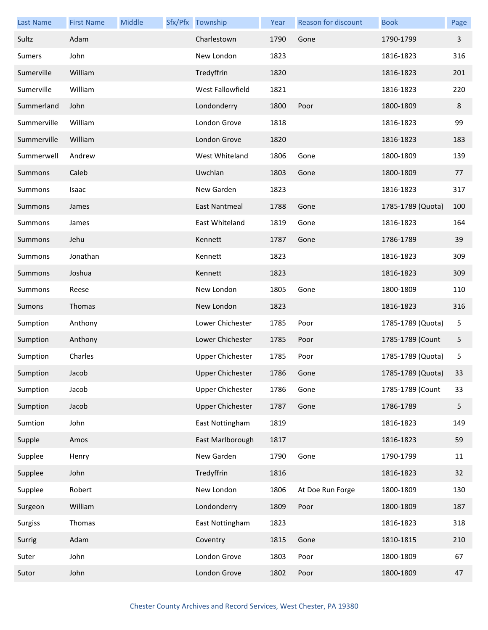| <b>Last Name</b> | <b>First Name</b> | Middle | Sfx/Pfx Township        | Year | Reason for discount | <b>Book</b>       | Page                    |
|------------------|-------------------|--------|-------------------------|------|---------------------|-------------------|-------------------------|
| Sultz            | Adam              |        | Charlestown             | 1790 | Gone                | 1790-1799         | $\overline{\mathbf{3}}$ |
| Sumers           | John              |        | New London              | 1823 |                     | 1816-1823         | 316                     |
| Sumerville       | William           |        | Tredyffrin              | 1820 |                     | 1816-1823         | 201                     |
| Sumerville       | William           |        | West Fallowfield        | 1821 |                     | 1816-1823         | 220                     |
| Summerland       | John              |        | Londonderry             | 1800 | Poor                | 1800-1809         | 8                       |
| Summerville      | William           |        | London Grove            | 1818 |                     | 1816-1823         | 99                      |
| Summerville      | William           |        | London Grove            | 1820 |                     | 1816-1823         | 183                     |
| Summerwell       | Andrew            |        | West Whiteland          | 1806 | Gone                | 1800-1809         | 139                     |
| Summons          | Caleb             |        | Uwchlan                 | 1803 | Gone                | 1800-1809         | 77                      |
| Summons          | Isaac             |        | New Garden              | 1823 |                     | 1816-1823         | 317                     |
| Summons          | James             |        | East Nantmeal           | 1788 | Gone                | 1785-1789 (Quota) | 100                     |
| Summons          | James             |        | East Whiteland          | 1819 | Gone                | 1816-1823         | 164                     |
| <b>Summons</b>   | Jehu              |        | Kennett                 | 1787 | Gone                | 1786-1789         | 39                      |
| Summons          | Jonathan          |        | Kennett                 | 1823 |                     | 1816-1823         | 309                     |
| Summons          | Joshua            |        | Kennett                 | 1823 |                     | 1816-1823         | 309                     |
| Summons          | Reese             |        | New London              | 1805 | Gone                | 1800-1809         | 110                     |
| Sumons           | Thomas            |        | New London              | 1823 |                     | 1816-1823         | 316                     |
| Sumption         | Anthony           |        | Lower Chichester        | 1785 | Poor                | 1785-1789 (Quota) | 5                       |
| Sumption         | Anthony           |        | Lower Chichester        | 1785 | Poor                | 1785-1789 (Count  | 5                       |
| Sumption         | Charles           |        | <b>Upper Chichester</b> | 1785 | Poor                | 1785-1789 (Quota) | 5                       |
| Sumption         | Jacob             |        | <b>Upper Chichester</b> | 1786 | Gone                | 1785-1789 (Quota) | 33                      |
| Sumption         | Jacob             |        | Upper Chichester        | 1786 | Gone                | 1785-1789 (Count  | 33                      |
| Sumption         | Jacob             |        | <b>Upper Chichester</b> | 1787 | Gone                | 1786-1789         | 5                       |
| Sumtion          | John              |        | East Nottingham         | 1819 |                     | 1816-1823         | 149                     |
| Supple           | Amos              |        | East Marlborough        | 1817 |                     | 1816-1823         | 59                      |
| Supplee          | Henry             |        | New Garden              | 1790 | Gone                | 1790-1799         | 11                      |
| Supplee          | John              |        | Tredyffrin              | 1816 |                     | 1816-1823         | 32                      |
| Supplee          | Robert            |        | New London              | 1806 | At Doe Run Forge    | 1800-1809         | 130                     |
| Surgeon          | William           |        | Londonderry             | 1809 | Poor                | 1800-1809         | 187                     |
| <b>Surgiss</b>   | Thomas            |        | East Nottingham         | 1823 |                     | 1816-1823         | 318                     |
| Surrig           | Adam              |        | Coventry                | 1815 | Gone                | 1810-1815         | 210                     |
| Suter            | John              |        | London Grove            | 1803 | Poor                | 1800-1809         | 67                      |
| Sutor            | John              |        | London Grove            | 1802 | Poor                | 1800-1809         | 47                      |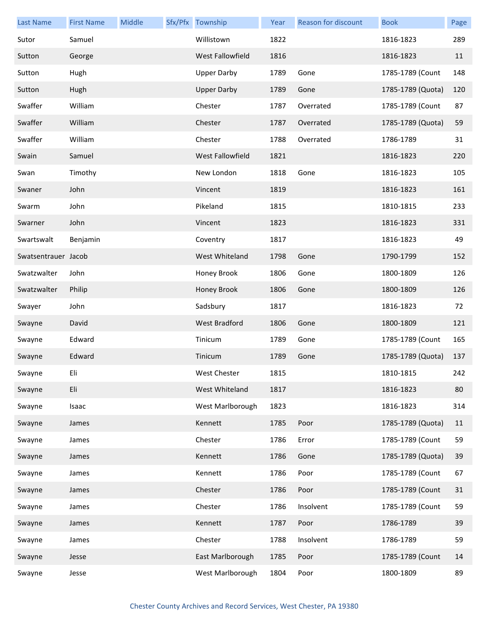| <b>Last Name</b>    | <b>First Name</b> | Middle | Sfx/Pfx Township        | Year | Reason for discount | <b>Book</b>       | Page |
|---------------------|-------------------|--------|-------------------------|------|---------------------|-------------------|------|
| Sutor               | Samuel            |        | Willistown              | 1822 |                     | 1816-1823         | 289  |
| Sutton              | George            |        | <b>West Fallowfield</b> | 1816 |                     | 1816-1823         | 11   |
| Sutton              | Hugh              |        | <b>Upper Darby</b>      | 1789 | Gone                | 1785-1789 (Count  | 148  |
| Sutton              | Hugh              |        | <b>Upper Darby</b>      | 1789 | Gone                | 1785-1789 (Quota) | 120  |
| Swaffer             | William           |        | Chester                 | 1787 | Overrated           | 1785-1789 (Count  | 87   |
| Swaffer             | William           |        | Chester                 | 1787 | Overrated           | 1785-1789 (Quota) | 59   |
| Swaffer             | William           |        | Chester                 | 1788 | Overrated           | 1786-1789         | 31   |
| Swain               | Samuel            |        | <b>West Fallowfield</b> | 1821 |                     | 1816-1823         | 220  |
| Swan                | Timothy           |        | New London              | 1818 | Gone                | 1816-1823         | 105  |
| Swaner              | John              |        | Vincent                 | 1819 |                     | 1816-1823         | 161  |
| Swarm               | John              |        | Pikeland                | 1815 |                     | 1810-1815         | 233  |
| Swarner             | John              |        | Vincent                 | 1823 |                     | 1816-1823         | 331  |
| Swartswalt          | Benjamin          |        | Coventry                | 1817 |                     | 1816-1823         | 49   |
| Swatsentrauer Jacob |                   |        | West Whiteland          | 1798 | Gone                | 1790-1799         | 152  |
| Swatzwalter         | John              |        | Honey Brook             | 1806 | Gone                | 1800-1809         | 126  |
| Swatzwalter         | Philip            |        | Honey Brook             | 1806 | Gone                | 1800-1809         | 126  |
| Swayer              | John              |        | Sadsbury                | 1817 |                     | 1816-1823         | 72   |
| Swayne              | David             |        | <b>West Bradford</b>    | 1806 | Gone                | 1800-1809         | 121  |
| Swayne              | Edward            |        | Tinicum                 | 1789 | Gone                | 1785-1789 (Count  | 165  |
| Swayne              | Edward            |        | Tinicum                 | 1789 | Gone                | 1785-1789 (Quota) | 137  |
| Swayne              | Eli               |        | West Chester            | 1815 |                     | 1810-1815         | 242  |
| Swayne              | Eli               |        | West Whiteland          | 1817 |                     | 1816-1823         | 80   |
| Swayne              | Isaac             |        | West Marlborough        | 1823 |                     | 1816-1823         | 314  |
| Swayne              | James             |        | Kennett                 | 1785 | Poor                | 1785-1789 (Quota) | 11   |
| Swayne              | James             |        | Chester                 | 1786 | Error               | 1785-1789 (Count  | 59   |
| Swayne              | James             |        | Kennett                 | 1786 | Gone                | 1785-1789 (Quota) | 39   |
| Swayne              | James             |        | Kennett                 | 1786 | Poor                | 1785-1789 (Count  | 67   |
| Swayne              | James             |        | Chester                 | 1786 | Poor                | 1785-1789 (Count  | 31   |
| Swayne              | James             |        | Chester                 | 1786 | Insolvent           | 1785-1789 (Count  | 59   |
| Swayne              | James             |        | Kennett                 | 1787 | Poor                | 1786-1789         | 39   |
| Swayne              | James             |        | Chester                 | 1788 | Insolvent           | 1786-1789         | 59   |
| Swayne              | Jesse             |        | East Marlborough        | 1785 | Poor                | 1785-1789 (Count  | 14   |
| Swayne              | Jesse             |        | West Marlborough        | 1804 | Poor                | 1800-1809         | 89   |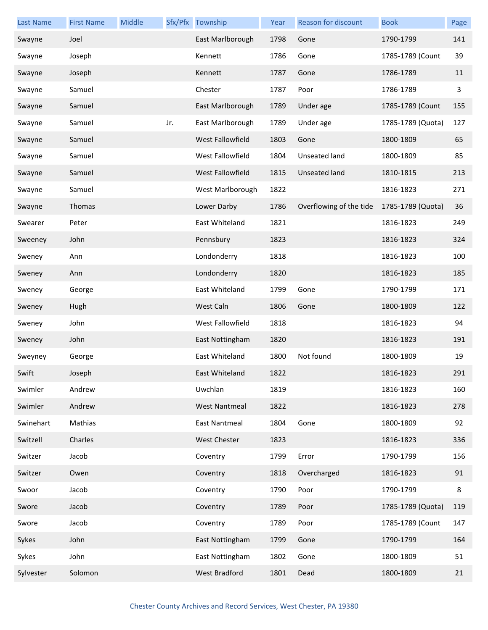| <b>Last Name</b> | <b>First Name</b> | Middle |     | Sfx/Pfx Township        | Year | Reason for discount     | <b>Book</b>       | Page |
|------------------|-------------------|--------|-----|-------------------------|------|-------------------------|-------------------|------|
| Swayne           | Joel              |        |     | East Marlborough        | 1798 | Gone                    | 1790-1799         | 141  |
| Swayne           | Joseph            |        |     | Kennett                 | 1786 | Gone                    | 1785-1789 (Count  | 39   |
| Swayne           | Joseph            |        |     | Kennett                 | 1787 | Gone                    | 1786-1789         | 11   |
| Swayne           | Samuel            |        |     | Chester                 | 1787 | Poor                    | 1786-1789         | 3    |
| Swayne           | Samuel            |        |     | East Marlborough        | 1789 | Under age               | 1785-1789 (Count  | 155  |
| Swayne           | Samuel            |        | Jr. | East Marlborough        | 1789 | Under age               | 1785-1789 (Quota) | 127  |
| Swayne           | Samuel            |        |     | West Fallowfield        | 1803 | Gone                    | 1800-1809         | 65   |
| Swayne           | Samuel            |        |     | West Fallowfield        | 1804 | Unseated land           | 1800-1809         | 85   |
| Swayne           | Samuel            |        |     | <b>West Fallowfield</b> | 1815 | <b>Unseated land</b>    | 1810-1815         | 213  |
| Swayne           | Samuel            |        |     | West Marlborough        | 1822 |                         | 1816-1823         | 271  |
| Swayne           | Thomas            |        |     | Lower Darby             | 1786 | Overflowing of the tide | 1785-1789 (Quota) | 36   |
| Swearer          | Peter             |        |     | East Whiteland          | 1821 |                         | 1816-1823         | 249  |
| Sweeney          | John              |        |     | Pennsbury               | 1823 |                         | 1816-1823         | 324  |
| Sweney           | Ann               |        |     | Londonderry             | 1818 |                         | 1816-1823         | 100  |
| Sweney           | Ann               |        |     | Londonderry             | 1820 |                         | 1816-1823         | 185  |
| Sweney           | George            |        |     | East Whiteland          | 1799 | Gone                    | 1790-1799         | 171  |
| Sweney           | Hugh              |        |     | West Caln               | 1806 | Gone                    | 1800-1809         | 122  |
| Sweney           | John              |        |     | West Fallowfield        | 1818 |                         | 1816-1823         | 94   |
| Sweney           | John              |        |     | East Nottingham         | 1820 |                         | 1816-1823         | 191  |
| Sweyney          | George            |        |     | East Whiteland          | 1800 | Not found               | 1800-1809         | 19   |
| Swift            | Joseph            |        |     | East Whiteland          | 1822 |                         | 1816-1823         | 291  |
| Swimler          | Andrew            |        |     | Uwchlan                 | 1819 |                         | 1816-1823         | 160  |
| Swimler          | Andrew            |        |     | <b>West Nantmeal</b>    | 1822 |                         | 1816-1823         | 278  |
| Swinehart        | Mathias           |        |     | East Nantmeal           | 1804 | Gone                    | 1800-1809         | 92   |
| Switzell         | Charles           |        |     | West Chester            | 1823 |                         | 1816-1823         | 336  |
| Switzer          | Jacob             |        |     | Coventry                | 1799 | Error                   | 1790-1799         | 156  |
| Switzer          | Owen              |        |     | Coventry                | 1818 | Overcharged             | 1816-1823         | 91   |
| Swoor            | Jacob             |        |     | Coventry                | 1790 | Poor                    | 1790-1799         | 8    |
| Swore            | Jacob             |        |     | Coventry                | 1789 | Poor                    | 1785-1789 (Quota) | 119  |
| Swore            | Jacob             |        |     | Coventry                | 1789 | Poor                    | 1785-1789 (Count  | 147  |
| Sykes            | John              |        |     | East Nottingham         | 1799 | Gone                    | 1790-1799         | 164  |
| Sykes            | John              |        |     | East Nottingham         | 1802 | Gone                    | 1800-1809         | 51   |
| Sylvester        | Solomon           |        |     | West Bradford           | 1801 | Dead                    | 1800-1809         | 21   |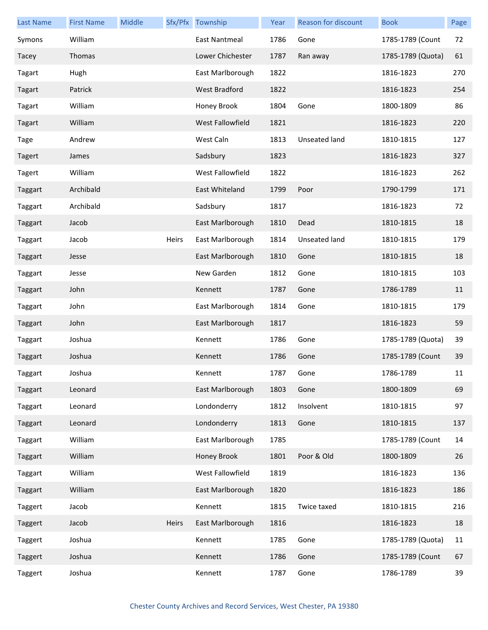| <b>Last Name</b> | <b>First Name</b> | Middle |       | Sfx/Pfx Township     | Year | Reason for discount | <b>Book</b>       | Page |
|------------------|-------------------|--------|-------|----------------------|------|---------------------|-------------------|------|
| Symons           | William           |        |       | East Nantmeal        | 1786 | Gone                | 1785-1789 (Count  | 72   |
| Tacey            | Thomas            |        |       | Lower Chichester     | 1787 | Ran away            | 1785-1789 (Quota) | 61   |
| Tagart           | Hugh              |        |       | East Marlborough     | 1822 |                     | 1816-1823         | 270  |
| Tagart           | Patrick           |        |       | <b>West Bradford</b> | 1822 |                     | 1816-1823         | 254  |
| Tagart           | William           |        |       | Honey Brook          | 1804 | Gone                | 1800-1809         | 86   |
| Tagart           | William           |        |       | West Fallowfield     | 1821 |                     | 1816-1823         | 220  |
| Tage             | Andrew            |        |       | West Caln            | 1813 | Unseated land       | 1810-1815         | 127  |
| <b>Tagert</b>    | James             |        |       | Sadsbury             | 1823 |                     | 1816-1823         | 327  |
| Tagert           | William           |        |       | West Fallowfield     | 1822 |                     | 1816-1823         | 262  |
| Taggart          | Archibald         |        |       | East Whiteland       | 1799 | Poor                | 1790-1799         | 171  |
| Taggart          | Archibald         |        |       | Sadsbury             | 1817 |                     | 1816-1823         | 72   |
| Taggart          | Jacob             |        |       | East Marlborough     | 1810 | Dead                | 1810-1815         | 18   |
| Taggart          | Jacob             |        | Heirs | East Marlborough     | 1814 | Unseated land       | 1810-1815         | 179  |
| Taggart          | Jesse             |        |       | East Marlborough     | 1810 | Gone                | 1810-1815         | 18   |
| Taggart          | Jesse             |        |       | New Garden           | 1812 | Gone                | 1810-1815         | 103  |
| Taggart          | John              |        |       | Kennett              | 1787 | Gone                | 1786-1789         | 11   |
| Taggart          | John              |        |       | East Marlborough     | 1814 | Gone                | 1810-1815         | 179  |
| Taggart          | John              |        |       | East Marlborough     | 1817 |                     | 1816-1823         | 59   |
| Taggart          | Joshua            |        |       | Kennett              | 1786 | Gone                | 1785-1789 (Quota) | 39   |
| Taggart          | Joshua            |        |       | Kennett              | 1786 | Gone                | 1785-1789 (Count  | 39   |
| Taggart          | Joshua            |        |       | Kennett              | 1787 | Gone                | 1786-1789         | 11   |
| Taggart          | Leonard           |        |       | East Marlborough     | 1803 | Gone                | 1800-1809         | 69   |
| Taggart          | Leonard           |        |       | Londonderry          | 1812 | Insolvent           | 1810-1815         | 97   |
| Taggart          | Leonard           |        |       | Londonderry          | 1813 | Gone                | 1810-1815         | 137  |
| Taggart          | William           |        |       | East Marlborough     | 1785 |                     | 1785-1789 (Count  | 14   |
| Taggart          | William           |        |       | Honey Brook          | 1801 | Poor & Old          | 1800-1809         | 26   |
| Taggart          | William           |        |       | West Fallowfield     | 1819 |                     | 1816-1823         | 136  |
| Taggart          | William           |        |       | East Marlborough     | 1820 |                     | 1816-1823         | 186  |
| Taggert          | Jacob             |        |       | Kennett              | 1815 | Twice taxed         | 1810-1815         | 216  |
| Taggert          | Jacob             |        | Heirs | East Marlborough     | 1816 |                     | 1816-1823         | 18   |
| Taggert          | Joshua            |        |       | Kennett              | 1785 | Gone                | 1785-1789 (Quota) | 11   |
| Taggert          | Joshua            |        |       | Kennett              | 1786 | Gone                | 1785-1789 (Count  | 67   |
| Taggert          | Joshua            |        |       | Kennett              | 1787 | Gone                | 1786-1789         | 39   |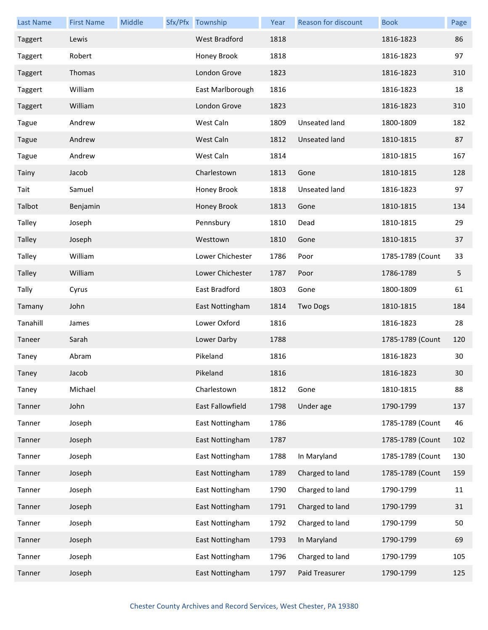| <b>Last Name</b> | <b>First Name</b> | Middle | Sfx/Pfx Township | Year | Reason for discount  | <b>Book</b>      | Page            |
|------------------|-------------------|--------|------------------|------|----------------------|------------------|-----------------|
| Taggert          | Lewis             |        | West Bradford    | 1818 |                      | 1816-1823        | 86              |
| Taggert          | Robert            |        | Honey Brook      | 1818 |                      | 1816-1823        | 97              |
| Taggert          | Thomas            |        | London Grove     | 1823 |                      | 1816-1823        | 310             |
| Taggert          | William           |        | East Marlborough | 1816 |                      | 1816-1823        | 18              |
| Taggert          | William           |        | London Grove     | 1823 |                      | 1816-1823        | 310             |
| Tague            | Andrew            |        | West Caln        | 1809 | Unseated land        | 1800-1809        | 182             |
| <b>Tague</b>     | Andrew            |        | West Caln        | 1812 | Unseated land        | 1810-1815        | 87              |
| Tague            | Andrew            |        | West Caln        | 1814 |                      | 1810-1815        | 167             |
| Tainy            | Jacob             |        | Charlestown      | 1813 | Gone                 | 1810-1815        | 128             |
| Tait             | Samuel            |        | Honey Brook      | 1818 | <b>Unseated land</b> | 1816-1823        | 97              |
| Talbot           | Benjamin          |        | Honey Brook      | 1813 | Gone                 | 1810-1815        | 134             |
| Talley           | Joseph            |        | Pennsbury        | 1810 | Dead                 | 1810-1815        | 29              |
| <b>Talley</b>    | Joseph            |        | Westtown         | 1810 | Gone                 | 1810-1815        | 37              |
| Talley           | William           |        | Lower Chichester | 1786 | Poor                 | 1785-1789 (Count | 33              |
| Talley           | William           |        | Lower Chichester | 1787 | Poor                 | 1786-1789        | 5               |
| Tally            | Cyrus             |        | East Bradford    | 1803 | Gone                 | 1800-1809        | 61              |
| Tamany           | John              |        | East Nottingham  | 1814 | <b>Two Dogs</b>      | 1810-1815        | 184             |
| Tanahill         | James             |        | Lower Oxford     | 1816 |                      | 1816-1823        | 28              |
| Taneer           | Sarah             |        | Lower Darby      | 1788 |                      | 1785-1789 (Count | 120             |
| Taney            | Abram             |        | Pikeland         | 1816 |                      | 1816-1823        | 30              |
| Taney            | Jacob             |        | Pikeland         | 1816 |                      | 1816-1823        | 30 <sub>o</sub> |
| Taney            | Michael           |        | Charlestown      | 1812 | Gone                 | 1810-1815        | 88              |
| Tanner           | John              |        | East Fallowfield | 1798 | Under age            | 1790-1799        | 137             |
| Tanner           | Joseph            |        | East Nottingham  | 1786 |                      | 1785-1789 (Count | 46              |
| Tanner           | Joseph            |        | East Nottingham  | 1787 |                      | 1785-1789 (Count | 102             |
| Tanner           | Joseph            |        | East Nottingham  | 1788 | In Maryland          | 1785-1789 (Count | 130             |
| Tanner           | Joseph            |        | East Nottingham  | 1789 | Charged to land      | 1785-1789 (Count | 159             |
| Tanner           | Joseph            |        | East Nottingham  | 1790 | Charged to land      | 1790-1799        | 11              |
| Tanner           | Joseph            |        | East Nottingham  | 1791 | Charged to land      | 1790-1799        | 31              |
| Tanner           | Joseph            |        | East Nottingham  | 1792 | Charged to land      | 1790-1799        | 50              |
| Tanner           | Joseph            |        | East Nottingham  | 1793 | In Maryland          | 1790-1799        | 69              |
| Tanner           | Joseph            |        | East Nottingham  | 1796 | Charged to land      | 1790-1799        | 105             |
| Tanner           | Joseph            |        | East Nottingham  | 1797 | Paid Treasurer       | 1790-1799        | 125             |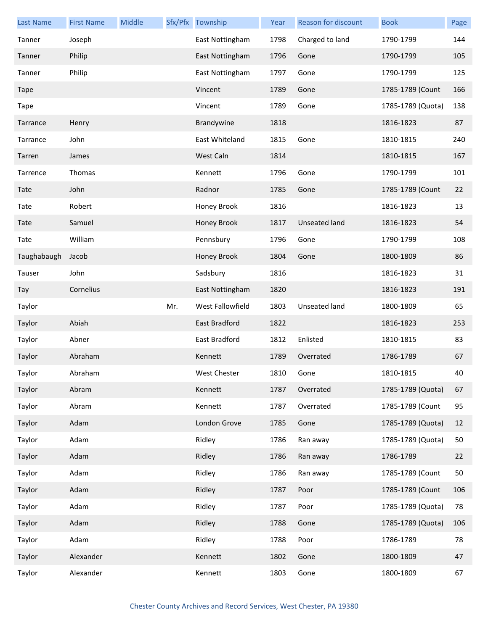| <b>Last Name</b> | <b>First Name</b> | Middle |     | Sfx/Pfx Township | Year | Reason for discount | <b>Book</b>       | Page |
|------------------|-------------------|--------|-----|------------------|------|---------------------|-------------------|------|
| Tanner           | Joseph            |        |     | East Nottingham  | 1798 | Charged to land     | 1790-1799         | 144  |
| Tanner           | Philip            |        |     | East Nottingham  | 1796 | Gone                | 1790-1799         | 105  |
| Tanner           | Philip            |        |     | East Nottingham  | 1797 | Gone                | 1790-1799         | 125  |
| Tape             |                   |        |     | Vincent          | 1789 | Gone                | 1785-1789 (Count  | 166  |
| <b>Tape</b>      |                   |        |     | Vincent          | 1789 | Gone                | 1785-1789 (Quota) | 138  |
| Tarrance         | Henry             |        |     | Brandywine       | 1818 |                     | 1816-1823         | 87   |
| Tarrance         | John              |        |     | East Whiteland   | 1815 | Gone                | 1810-1815         | 240  |
| Tarren           | James             |        |     | West Caln        | 1814 |                     | 1810-1815         | 167  |
| Tarrence         | Thomas            |        |     | Kennett          | 1796 | Gone                | 1790-1799         | 101  |
| Tate             | John              |        |     | Radnor           | 1785 | Gone                | 1785-1789 (Count  | 22   |
| Tate             | Robert            |        |     | Honey Brook      | 1816 |                     | 1816-1823         | 13   |
| Tate             | Samuel            |        |     | Honey Brook      | 1817 | Unseated land       | 1816-1823         | 54   |
| Tate             | William           |        |     | Pennsbury        | 1796 | Gone                | 1790-1799         | 108  |
| Taughabaugh      | Jacob             |        |     | Honey Brook      | 1804 | Gone                | 1800-1809         | 86   |
| Tauser           | John              |        |     | Sadsbury         | 1816 |                     | 1816-1823         | 31   |
| Tay              | Cornelius         |        |     | East Nottingham  | 1820 |                     | 1816-1823         | 191  |
| Taylor           |                   |        | Mr. | West Fallowfield | 1803 | Unseated land       | 1800-1809         | 65   |
| Taylor           | Abiah             |        |     | East Bradford    | 1822 |                     | 1816-1823         | 253  |
| Taylor           | Abner             |        |     | East Bradford    | 1812 | Enlisted            | 1810-1815         | 83   |
| Taylor           | Abraham           |        |     | Kennett          | 1789 | Overrated           | 1786-1789         | 67   |
| Taylor           | Abraham           |        |     | West Chester     | 1810 | Gone                | 1810-1815         | 40   |
| Taylor           | Abram             |        |     | Kennett          | 1787 | Overrated           | 1785-1789 (Quota) | 67   |
| Taylor           | Abram             |        |     | Kennett          | 1787 | Overrated           | 1785-1789 (Count  | 95   |
| Taylor           | Adam              |        |     | London Grove     | 1785 | Gone                | 1785-1789 (Quota) | 12   |
| Taylor           | Adam              |        |     | Ridley           | 1786 | Ran away            | 1785-1789 (Quota) | 50   |
| Taylor           | Adam              |        |     | Ridley           | 1786 | Ran away            | 1786-1789         | 22   |
| Taylor           | Adam              |        |     | Ridley           | 1786 | Ran away            | 1785-1789 (Count  | 50   |
| Taylor           | Adam              |        |     | Ridley           | 1787 | Poor                | 1785-1789 (Count  | 106  |
| Taylor           | Adam              |        |     | Ridley           | 1787 | Poor                | 1785-1789 (Quota) | 78   |
| Taylor           | Adam              |        |     | Ridley           | 1788 | Gone                | 1785-1789 (Quota) | 106  |
| Taylor           | Adam              |        |     | Ridley           | 1788 | Poor                | 1786-1789         | 78   |
| Taylor           | Alexander         |        |     | Kennett          | 1802 | Gone                | 1800-1809         | 47   |
| Taylor           | Alexander         |        |     | Kennett          | 1803 | Gone                | 1800-1809         | 67   |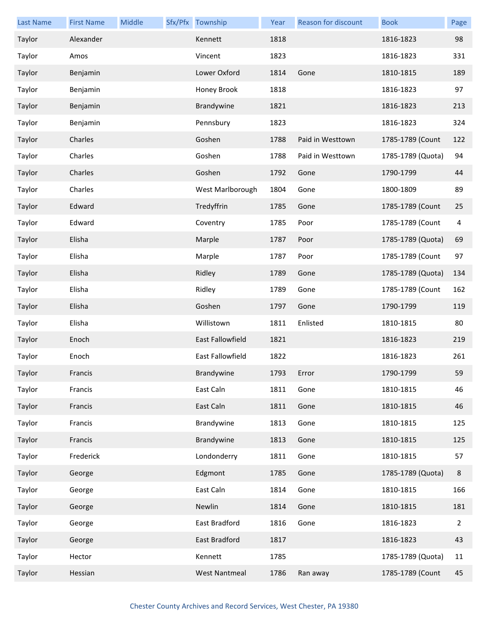| <b>Last Name</b> | <b>First Name</b> | Middle | Sfx/Pfx Township     | Year | Reason for discount | <b>Book</b>       | Page |
|------------------|-------------------|--------|----------------------|------|---------------------|-------------------|------|
| Taylor           | Alexander         |        | Kennett              | 1818 |                     | 1816-1823         | 98   |
| Taylor           | Amos              |        | Vincent              | 1823 |                     | 1816-1823         | 331  |
| Taylor           | Benjamin          |        | Lower Oxford         | 1814 | Gone                | 1810-1815         | 189  |
| Taylor           | Benjamin          |        | Honey Brook          | 1818 |                     | 1816-1823         | 97   |
| Taylor           | Benjamin          |        | Brandywine           | 1821 |                     | 1816-1823         | 213  |
| Taylor           | Benjamin          |        | Pennsbury            | 1823 |                     | 1816-1823         | 324  |
| Taylor           | Charles           |        | Goshen               | 1788 | Paid in Westtown    | 1785-1789 (Count  | 122  |
| Taylor           | Charles           |        | Goshen               | 1788 | Paid in Westtown    | 1785-1789 (Quota) | 94   |
| Taylor           | Charles           |        | Goshen               | 1792 | Gone                | 1790-1799         | 44   |
| Taylor           | Charles           |        | West Marlborough     | 1804 | Gone                | 1800-1809         | 89   |
| Taylor           | Edward            |        | Tredyffrin           | 1785 | Gone                | 1785-1789 (Count  | 25   |
| Taylor           | Edward            |        | Coventry             | 1785 | Poor                | 1785-1789 (Count  | 4    |
| Taylor           | Elisha            |        | Marple               | 1787 | Poor                | 1785-1789 (Quota) | 69   |
| Taylor           | Elisha            |        | Marple               | 1787 | Poor                | 1785-1789 (Count  | 97   |
| Taylor           | Elisha            |        | Ridley               | 1789 | Gone                | 1785-1789 (Quota) | 134  |
| Taylor           | Elisha            |        | Ridley               | 1789 | Gone                | 1785-1789 (Count  | 162  |
| Taylor           | Elisha            |        | Goshen               | 1797 | Gone                | 1790-1799         | 119  |
| Taylor           | Elisha            |        | Willistown           | 1811 | Enlisted            | 1810-1815         | 80   |
| Taylor           | Enoch             |        | East Fallowfield     | 1821 |                     | 1816-1823         | 219  |
| Taylor           | Enoch             |        | East Fallowfield     | 1822 |                     | 1816-1823         | 261  |
| Taylor           | Francis           |        | Brandywine           | 1793 | Error               | 1790-1799         | 59   |
| Taylor           | Francis           |        | East Caln            | 1811 | Gone                | 1810-1815         | 46   |
| Taylor           | Francis           |        | East Caln            | 1811 | Gone                | 1810-1815         | 46   |
| Taylor           | Francis           |        | Brandywine           | 1813 | Gone                | 1810-1815         | 125  |
| Taylor           | Francis           |        | Brandywine           | 1813 | Gone                | 1810-1815         | 125  |
| Taylor           | Frederick         |        | Londonderry          | 1811 | Gone                | 1810-1815         | 57   |
| Taylor           | George            |        | Edgmont              | 1785 | Gone                | 1785-1789 (Quota) | 8    |
| Taylor           | George            |        | East Caln            | 1814 | Gone                | 1810-1815         | 166  |
| Taylor           | George            |        | Newlin               | 1814 | Gone                | 1810-1815         | 181  |
| Taylor           | George            |        | East Bradford        | 1816 | Gone                | 1816-1823         | 2    |
| Taylor           | George            |        | East Bradford        | 1817 |                     | 1816-1823         | 43   |
| Taylor           | Hector            |        | Kennett              | 1785 |                     | 1785-1789 (Quota) | 11   |
| Taylor           | Hessian           |        | <b>West Nantmeal</b> | 1786 | Ran away            | 1785-1789 (Count  | 45   |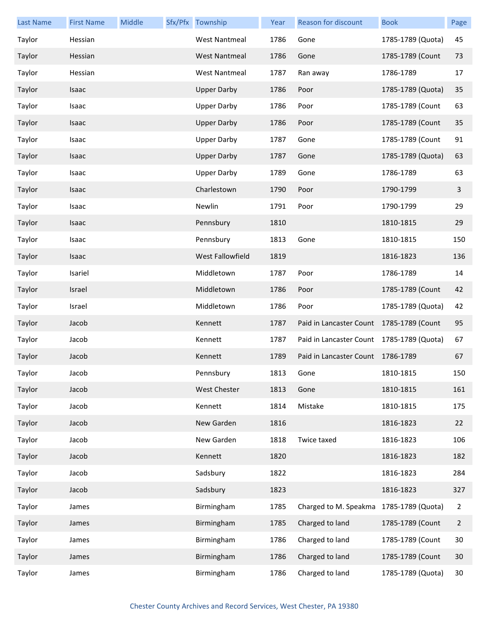| <b>Last Name</b> | <b>First Name</b> | Middle | Sfx/Pfx Township        | Year | <b>Reason for discount</b>                | <b>Book</b>       | Page           |
|------------------|-------------------|--------|-------------------------|------|-------------------------------------------|-------------------|----------------|
| Taylor           | Hessian           |        | <b>West Nantmeal</b>    | 1786 | Gone                                      | 1785-1789 (Quota) | 45             |
| Taylor           | Hessian           |        | <b>West Nantmeal</b>    | 1786 | Gone                                      | 1785-1789 (Count  | 73             |
| Taylor           | Hessian           |        | <b>West Nantmeal</b>    | 1787 | Ran away                                  | 1786-1789         | 17             |
| Taylor           | Isaac             |        | <b>Upper Darby</b>      | 1786 | Poor                                      | 1785-1789 (Quota) | 35             |
| Taylor           | Isaac             |        | <b>Upper Darby</b>      | 1786 | Poor                                      | 1785-1789 (Count  | 63             |
| Taylor           | Isaac             |        | <b>Upper Darby</b>      | 1786 | Poor                                      | 1785-1789 (Count  | 35             |
| Taylor           | Isaac             |        | <b>Upper Darby</b>      | 1787 | Gone                                      | 1785-1789 (Count  | 91             |
| Taylor           | Isaac             |        | <b>Upper Darby</b>      | 1787 | Gone                                      | 1785-1789 (Quota) | 63             |
| Taylor           | Isaac             |        | <b>Upper Darby</b>      | 1789 | Gone                                      | 1786-1789         | 63             |
| Taylor           | Isaac             |        | Charlestown             | 1790 | Poor                                      | 1790-1799         | 3              |
| Taylor           | Isaac             |        | Newlin                  | 1791 | Poor                                      | 1790-1799         | 29             |
| Taylor           | Isaac             |        | Pennsbury               | 1810 |                                           | 1810-1815         | 29             |
| Taylor           | Isaac             |        | Pennsbury               | 1813 | Gone                                      | 1810-1815         | 150            |
| Taylor           | Isaac             |        | <b>West Fallowfield</b> | 1819 |                                           | 1816-1823         | 136            |
| Taylor           | Isariel           |        | Middletown              | 1787 | Poor                                      | 1786-1789         | 14             |
| Taylor           | Israel            |        | Middletown              | 1786 | Poor                                      | 1785-1789 (Count  | 42             |
| Taylor           | Israel            |        | Middletown              | 1786 | Poor                                      | 1785-1789 (Quota) | 42             |
| Taylor           | Jacob             |        | Kennett                 | 1787 | Paid in Lancaster Count 1785-1789 (Count  |                   | 95             |
| Taylor           | Jacob             |        | Kennett                 | 1787 | Paid in Lancaster Count 1785-1789 (Quota) |                   | 67             |
| Taylor           | Jacob             |        | Kennett                 | 1789 | Paid in Lancaster Count 1786-1789         |                   | 67             |
| Taylor           | Jacob             |        | Pennsbury               | 1813 | Gone                                      | 1810-1815         | 150            |
| Taylor           | Jacob             |        | <b>West Chester</b>     | 1813 | Gone                                      | 1810-1815         | 161            |
| Taylor           | Jacob             |        | Kennett                 | 1814 | Mistake                                   | 1810-1815         | 175            |
| Taylor           | Jacob             |        | New Garden              | 1816 |                                           | 1816-1823         | 22             |
| Taylor           | Jacob             |        | New Garden              | 1818 | Twice taxed                               | 1816-1823         | 106            |
| Taylor           | Jacob             |        | Kennett                 | 1820 |                                           | 1816-1823         | 182            |
| Taylor           | Jacob             |        | Sadsbury                | 1822 |                                           | 1816-1823         | 284            |
| Taylor           | Jacob             |        | Sadsbury                | 1823 |                                           | 1816-1823         | 327            |
| Taylor           | James             |        | Birmingham              | 1785 | Charged to M. Speakma 1785-1789 (Quota)   |                   | $\overline{2}$ |
| Taylor           | James             |        | Birmingham              | 1785 | Charged to land                           | 1785-1789 (Count  | $\overline{2}$ |
| Taylor           | James             |        | Birmingham              | 1786 | Charged to land                           | 1785-1789 (Count  | 30             |
| Taylor           | James             |        | Birmingham              | 1786 | Charged to land                           | 1785-1789 (Count  | 30             |
| Taylor           | James             |        | Birmingham              | 1786 | Charged to land                           | 1785-1789 (Quota) | 30             |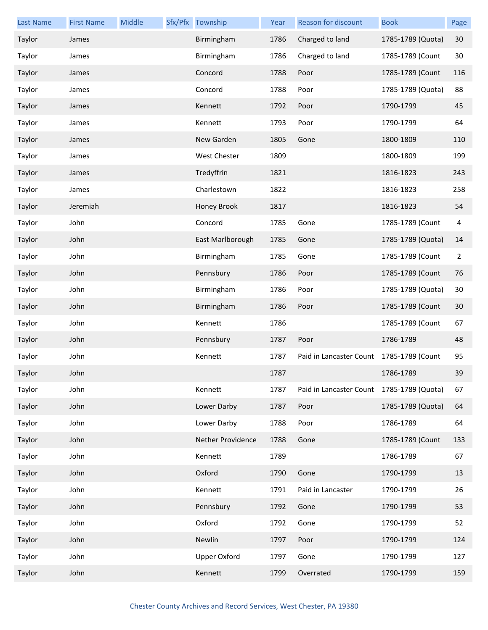| <b>Last Name</b> | <b>First Name</b> | Middle | Sfx/Pfx Township    | Year | Reason for discount                       | <b>Book</b>       | Page           |
|------------------|-------------------|--------|---------------------|------|-------------------------------------------|-------------------|----------------|
| Taylor           | James             |        | Birmingham          | 1786 | Charged to land                           | 1785-1789 (Quota) | 30             |
| Taylor           | James             |        | Birmingham          | 1786 | Charged to land                           | 1785-1789 (Count  | 30             |
| Taylor           | James             |        | Concord             | 1788 | Poor                                      | 1785-1789 (Count  | 116            |
| Taylor           | James             |        | Concord             | 1788 | Poor                                      | 1785-1789 (Quota) | 88             |
| Taylor           | James             |        | Kennett             | 1792 | Poor                                      | 1790-1799         | 45             |
| Taylor           | James             |        | Kennett             | 1793 | Poor                                      | 1790-1799         | 64             |
| Taylor           | James             |        | New Garden          | 1805 | Gone                                      | 1800-1809         | 110            |
| Taylor           | James             |        | West Chester        | 1809 |                                           | 1800-1809         | 199            |
| Taylor           | James             |        | Tredyffrin          | 1821 |                                           | 1816-1823         | 243            |
| Taylor           | James             |        | Charlestown         | 1822 |                                           | 1816-1823         | 258            |
| Taylor           | Jeremiah          |        | Honey Brook         | 1817 |                                           | 1816-1823         | 54             |
| Taylor           | John              |        | Concord             | 1785 | Gone                                      | 1785-1789 (Count  | 4              |
| Taylor           | John              |        | East Marlborough    | 1785 | Gone                                      | 1785-1789 (Quota) | 14             |
| Taylor           | John              |        | Birmingham          | 1785 | Gone                                      | 1785-1789 (Count  | $\overline{2}$ |
| Taylor           | John              |        | Pennsbury           | 1786 | Poor                                      | 1785-1789 (Count  | 76             |
| Taylor           | John              |        | Birmingham          | 1786 | Poor                                      | 1785-1789 (Quota) | 30             |
| Taylor           | John              |        | Birmingham          | 1786 | Poor                                      | 1785-1789 (Count  | 30             |
| Taylor           | John              |        | Kennett             | 1786 |                                           | 1785-1789 (Count  | 67             |
| Taylor           | John              |        | Pennsbury           | 1787 | Poor                                      | 1786-1789         | 48             |
| Taylor           | John              |        | Kennett             | 1787 | Paid in Lancaster Count                   | 1785-1789 (Count  | 95             |
| Taylor           | John              |        |                     | 1787 |                                           | 1786-1789         | 39             |
| Taylor           | John              |        | Kennett             | 1787 | Paid in Lancaster Count 1785-1789 (Quota) |                   | 67             |
| Taylor           | John              |        | Lower Darby         | 1787 | Poor                                      | 1785-1789 (Quota) | 64             |
| Taylor           | John              |        | Lower Darby         | 1788 | Poor                                      | 1786-1789         | 64             |
| Taylor           | John              |        | Nether Providence   | 1788 | Gone                                      | 1785-1789 (Count  | 133            |
| Taylor           | John              |        | Kennett             | 1789 |                                           | 1786-1789         | 67             |
| Taylor           | John              |        | Oxford              | 1790 | Gone                                      | 1790-1799         | 13             |
| Taylor           | John              |        | Kennett             | 1791 | Paid in Lancaster                         | 1790-1799         | 26             |
| Taylor           | John              |        | Pennsbury           | 1792 | Gone                                      | 1790-1799         | 53             |
| Taylor           | John              |        | Oxford              | 1792 | Gone                                      | 1790-1799         | 52             |
| Taylor           | John              |        | Newlin              | 1797 | Poor                                      | 1790-1799         | 124            |
| Taylor           | John              |        | <b>Upper Oxford</b> | 1797 | Gone                                      | 1790-1799         | 127            |
| Taylor           | John              |        | Kennett             | 1799 | Overrated                                 | 1790-1799         | 159            |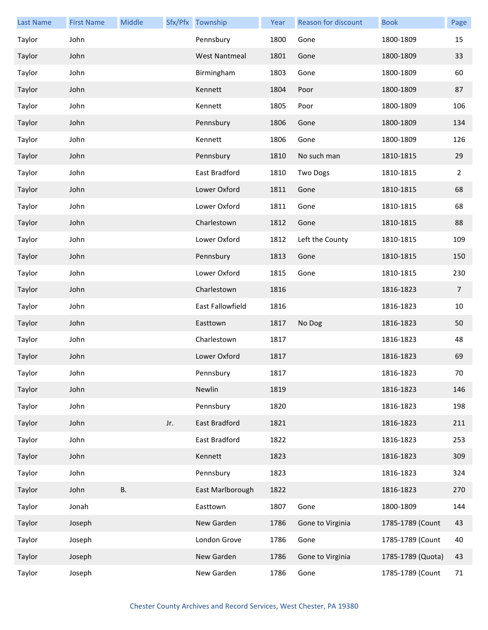| <b>Last Name</b> | <b>First Name</b> | Middle    |     | Sfx/Pfx Township     | Year | Reason for discount | <b>Book</b>       | Page           |
|------------------|-------------------|-----------|-----|----------------------|------|---------------------|-------------------|----------------|
| Taylor           | John              |           |     | Pennsbury            | 1800 | Gone                | 1800-1809         | 15             |
| Taylor           | John              |           |     | <b>West Nantmeal</b> | 1801 | Gone                | 1800-1809         | 33             |
| Taylor           | John              |           |     | Birmingham           | 1803 | Gone                | 1800-1809         | 60             |
| Taylor           | John              |           |     | Kennett              | 1804 | Poor                | 1800-1809         | 87             |
| Taylor           | John              |           |     | Kennett              | 1805 | Poor                | 1800-1809         | 106            |
| Taylor           | John              |           |     | Pennsbury            | 1806 | Gone                | 1800-1809         | 134            |
| Taylor           | John              |           |     | Kennett              | 1806 | Gone                | 1800-1809         | 126            |
| Taylor           | John              |           |     | Pennsbury            | 1810 | No such man         | 1810-1815         | 29             |
| Taylor           | John              |           |     | East Bradford        | 1810 | Two Dogs            | 1810-1815         | $\overline{2}$ |
| Taylor           | John              |           |     | Lower Oxford         | 1811 | Gone                | 1810-1815         | 68             |
| Taylor           | John              |           |     | Lower Oxford         | 1811 | Gone                | 1810-1815         | 68             |
| Taylor           | John              |           |     | Charlestown          | 1812 | Gone                | 1810-1815         | 88             |
| Taylor           | John              |           |     | Lower Oxford         | 1812 | Left the County     | 1810-1815         | 109            |
| Taylor           | John              |           |     | Pennsbury            | 1813 | Gone                | 1810-1815         | 150            |
| Taylor           | John              |           |     | Lower Oxford         | 1815 | Gone                | 1810-1815         | 230            |
| Taylor           | John              |           |     | Charlestown          | 1816 |                     | 1816-1823         | $\overline{7}$ |
| Taylor           | John              |           |     | East Fallowfield     | 1816 |                     | 1816-1823         | 10             |
| Taylor           | John              |           |     | Easttown             | 1817 | No Dog              | 1816-1823         | 50             |
| Taylor           | John              |           |     | Charlestown          | 1817 |                     | 1816-1823         | 48             |
| Taylor           | John              |           |     | Lower Oxford         | 1817 |                     | 1816-1823         | 69             |
| Taylor           | John              |           |     | Pennsbury            | 1817 |                     | 1816-1823         | 70             |
| Taylor           | John              |           |     | Newlin               | 1819 |                     | 1816-1823         | 146            |
| Taylor           | John              |           |     | Pennsbury            | 1820 |                     | 1816-1823         | 198            |
| Taylor           | John              |           | Jr. | East Bradford        | 1821 |                     | 1816-1823         | 211            |
| Taylor           | John              |           |     | East Bradford        | 1822 |                     | 1816-1823         | 253            |
| Taylor           | John              |           |     | Kennett              | 1823 |                     | 1816-1823         | 309            |
| Taylor           | John              |           |     | Pennsbury            | 1823 |                     | 1816-1823         | 324            |
| Taylor           | John              | <b>B.</b> |     | East Marlborough     | 1822 |                     | 1816-1823         | 270            |
| Taylor           | Jonah             |           |     | Easttown             | 1807 | Gone                | 1800-1809         | 144            |
| Taylor           | Joseph            |           |     | New Garden           | 1786 | Gone to Virginia    | 1785-1789 (Count  | 43             |
| Taylor           | Joseph            |           |     | London Grove         | 1786 | Gone                | 1785-1789 (Count  | 40             |
| Taylor           | Joseph            |           |     | New Garden           | 1786 | Gone to Virginia    | 1785-1789 (Quota) | 43             |
| Taylor           | Joseph            |           |     | New Garden           | 1786 | Gone                | 1785-1789 (Count  | 71             |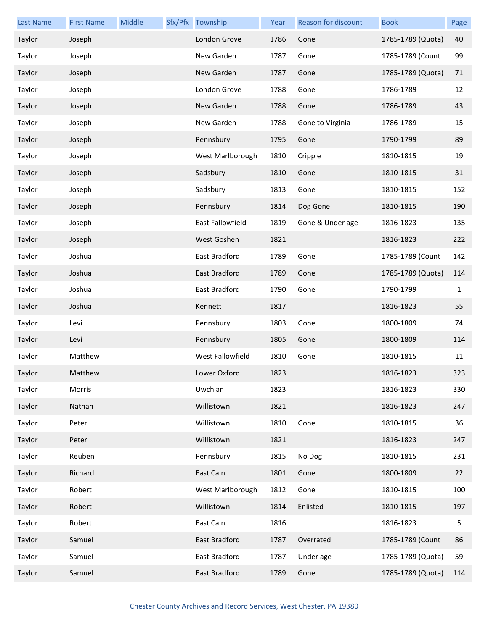| <b>Last Name</b> | <b>First Name</b> | Middle | Sfx/Pfx Township | Year | <b>Reason for discount</b> | <b>Book</b>       | Page |
|------------------|-------------------|--------|------------------|------|----------------------------|-------------------|------|
| Taylor           | Joseph            |        | London Grove     | 1786 | Gone                       | 1785-1789 (Quota) | 40   |
| Taylor           | Joseph            |        | New Garden       | 1787 | Gone                       | 1785-1789 (Count  | 99   |
| Taylor           | Joseph            |        | New Garden       | 1787 | Gone                       | 1785-1789 (Quota) | 71   |
| Taylor           | Joseph            |        | London Grove     | 1788 | Gone                       | 1786-1789         | 12   |
| Taylor           | Joseph            |        | New Garden       | 1788 | Gone                       | 1786-1789         | 43   |
| Taylor           | Joseph            |        | New Garden       | 1788 | Gone to Virginia           | 1786-1789         | 15   |
| Taylor           | Joseph            |        | Pennsbury        | 1795 | Gone                       | 1790-1799         | 89   |
| Taylor           | Joseph            |        | West Marlborough | 1810 | Cripple                    | 1810-1815         | 19   |
| Taylor           | Joseph            |        | Sadsbury         | 1810 | Gone                       | 1810-1815         | 31   |
| Taylor           | Joseph            |        | Sadsbury         | 1813 | Gone                       | 1810-1815         | 152  |
| Taylor           | Joseph            |        | Pennsbury        | 1814 | Dog Gone                   | 1810-1815         | 190  |
| Taylor           | Joseph            |        | East Fallowfield | 1819 | Gone & Under age           | 1816-1823         | 135  |
| Taylor           | Joseph            |        | West Goshen      | 1821 |                            | 1816-1823         | 222  |
| Taylor           | Joshua            |        | East Bradford    | 1789 | Gone                       | 1785-1789 (Count  | 142  |
| Taylor           | Joshua            |        | East Bradford    | 1789 | Gone                       | 1785-1789 (Quota) | 114  |
| Taylor           | Joshua            |        | East Bradford    | 1790 | Gone                       | 1790-1799         | 1    |
| Taylor           | Joshua            |        | Kennett          | 1817 |                            | 1816-1823         | 55   |
| Taylor           | Levi              |        | Pennsbury        | 1803 | Gone                       | 1800-1809         | 74   |
| Taylor           | Levi              |        | Pennsbury        | 1805 | Gone                       | 1800-1809         | 114  |
| Taylor           | Matthew           |        | West Fallowfield | 1810 | Gone                       | 1810-1815         | 11   |
| Taylor           | Matthew           |        | Lower Oxford     | 1823 |                            | 1816-1823         | 323  |
| Taylor           | Morris            |        | Uwchlan          | 1823 |                            | 1816-1823         | 330  |
| Taylor           | Nathan            |        | Willistown       | 1821 |                            | 1816-1823         | 247  |
| Taylor           | Peter             |        | Willistown       | 1810 | Gone                       | 1810-1815         | 36   |
| Taylor           | Peter             |        | Willistown       | 1821 |                            | 1816-1823         | 247  |
| Taylor           | Reuben            |        | Pennsbury        | 1815 | No Dog                     | 1810-1815         | 231  |
| Taylor           | Richard           |        | East Caln        | 1801 | Gone                       | 1800-1809         | 22   |
| Taylor           | Robert            |        | West Marlborough | 1812 | Gone                       | 1810-1815         | 100  |
| Taylor           | Robert            |        | Willistown       | 1814 | Enlisted                   | 1810-1815         | 197  |
| Taylor           | Robert            |        | East Caln        | 1816 |                            | 1816-1823         | 5    |
| Taylor           | Samuel            |        | East Bradford    | 1787 | Overrated                  | 1785-1789 (Count  | 86   |
| Taylor           | Samuel            |        | East Bradford    | 1787 | Under age                  | 1785-1789 (Quota) | 59   |
| Taylor           | Samuel            |        | East Bradford    | 1789 | Gone                       | 1785-1789 (Quota) | 114  |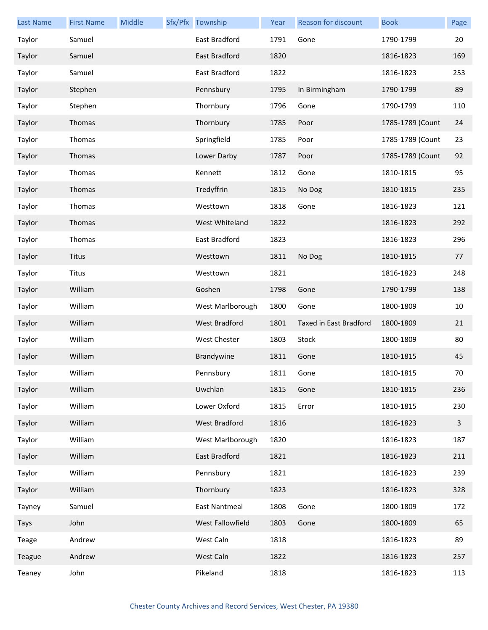| <b>Last Name</b> | <b>First Name</b> | Middle | Sfx/Pfx Township     | Year | Reason for discount    | <b>Book</b>      | Page |
|------------------|-------------------|--------|----------------------|------|------------------------|------------------|------|
| Taylor           | Samuel            |        | East Bradford        | 1791 | Gone                   | 1790-1799        | 20   |
| Taylor           | Samuel            |        | East Bradford        | 1820 |                        | 1816-1823        | 169  |
| Taylor           | Samuel            |        | East Bradford        | 1822 |                        | 1816-1823        | 253  |
| Taylor           | Stephen           |        | Pennsbury            | 1795 | In Birmingham          | 1790-1799        | 89   |
| Taylor           | Stephen           |        | Thornbury            | 1796 | Gone                   | 1790-1799        | 110  |
| Taylor           | Thomas            |        | Thornbury            | 1785 | Poor                   | 1785-1789 (Count | 24   |
| Taylor           | Thomas            |        | Springfield          | 1785 | Poor                   | 1785-1789 (Count | 23   |
| Taylor           | Thomas            |        | Lower Darby          | 1787 | Poor                   | 1785-1789 (Count | 92   |
| Taylor           | Thomas            |        | Kennett              | 1812 | Gone                   | 1810-1815        | 95   |
| Taylor           | Thomas            |        | Tredyffrin           | 1815 | No Dog                 | 1810-1815        | 235  |
| Taylor           | Thomas            |        | Westtown             | 1818 | Gone                   | 1816-1823        | 121  |
| Taylor           | Thomas            |        | West Whiteland       | 1822 |                        | 1816-1823        | 292  |
| Taylor           | Thomas            |        | East Bradford        | 1823 |                        | 1816-1823        | 296  |
| Taylor           | <b>Titus</b>      |        | Westtown             | 1811 | No Dog                 | 1810-1815        | 77   |
| Taylor           | <b>Titus</b>      |        | Westtown             | 1821 |                        | 1816-1823        | 248  |
| Taylor           | William           |        | Goshen               | 1798 | Gone                   | 1790-1799        | 138  |
| Taylor           | William           |        | West Marlborough     | 1800 | Gone                   | 1800-1809        | 10   |
| Taylor           | William           |        | <b>West Bradford</b> | 1801 | Taxed in East Bradford | 1800-1809        | 21   |
| Taylor           | William           |        | West Chester         | 1803 | Stock                  | 1800-1809        | 80   |
| Taylor           | William           |        | Brandywine           | 1811 | Gone                   | 1810-1815        | 45   |
| Taylor           | William           |        | Pennsbury            | 1811 | Gone                   | 1810-1815        | 70   |
| Taylor           | William           |        | Uwchlan              | 1815 | Gone                   | 1810-1815        | 236  |
| Taylor           | William           |        | Lower Oxford         | 1815 | Error                  | 1810-1815        | 230  |
| Taylor           | William           |        | West Bradford        | 1816 |                        | 1816-1823        | 3    |
| Taylor           | William           |        | West Marlborough     | 1820 |                        | 1816-1823        | 187  |
| Taylor           | William           |        | East Bradford        | 1821 |                        | 1816-1823        | 211  |
| Taylor           | William           |        | Pennsbury            | 1821 |                        | 1816-1823        | 239  |
| Taylor           | William           |        | Thornbury            | 1823 |                        | 1816-1823        | 328  |
| Tayney           | Samuel            |        | <b>East Nantmeal</b> | 1808 | Gone                   | 1800-1809        | 172  |
| Tays             | John              |        | West Fallowfield     | 1803 | Gone                   | 1800-1809        | 65   |
| Teage            | Andrew            |        | West Caln            | 1818 |                        | 1816-1823        | 89   |
| Teague           | Andrew            |        | West Caln            | 1822 |                        | 1816-1823        | 257  |
| Teaney           | John              |        | Pikeland             | 1818 |                        | 1816-1823        | 113  |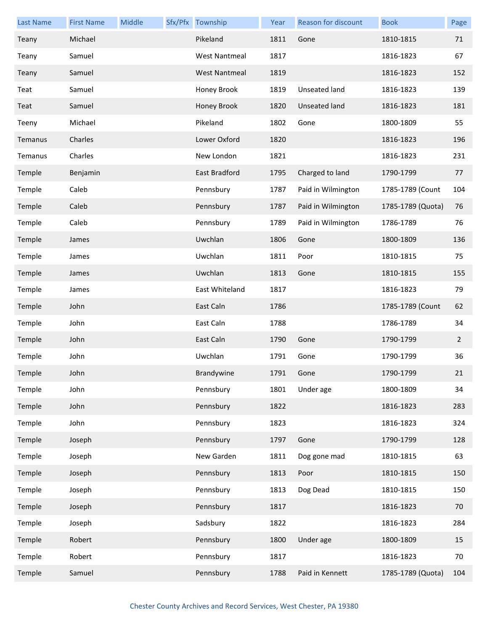| <b>Last Name</b> | <b>First Name</b> | Middle | Sfx/Pfx Township     | Year | Reason for discount | <b>Book</b>       | Page           |
|------------------|-------------------|--------|----------------------|------|---------------------|-------------------|----------------|
| Teany            | Michael           |        | Pikeland             | 1811 | Gone                | 1810-1815         | 71             |
| Teany            | Samuel            |        | <b>West Nantmeal</b> | 1817 |                     | 1816-1823         | 67             |
| Teany            | Samuel            |        | <b>West Nantmeal</b> | 1819 |                     | 1816-1823         | 152            |
| Teat             | Samuel            |        | Honey Brook          | 1819 | Unseated land       | 1816-1823         | 139            |
| Teat             | Samuel            |        | Honey Brook          | 1820 | Unseated land       | 1816-1823         | 181            |
| Teeny            | Michael           |        | Pikeland             | 1802 | Gone                | 1800-1809         | 55             |
| Temanus          | Charles           |        | Lower Oxford         | 1820 |                     | 1816-1823         | 196            |
| Temanus          | Charles           |        | New London           | 1821 |                     | 1816-1823         | 231            |
| Temple           | Benjamin          |        | East Bradford        | 1795 | Charged to land     | 1790-1799         | 77             |
| Temple           | Caleb             |        | Pennsbury            | 1787 | Paid in Wilmington  | 1785-1789 (Count  | 104            |
| Temple           | Caleb             |        | Pennsbury            | 1787 | Paid in Wilmington  | 1785-1789 (Quota) | 76             |
| Temple           | Caleb             |        | Pennsbury            | 1789 | Paid in Wilmington  | 1786-1789         | 76             |
| Temple           | James             |        | Uwchlan              | 1806 | Gone                | 1800-1809         | 136            |
| Temple           | James             |        | Uwchlan              | 1811 | Poor                | 1810-1815         | 75             |
| Temple           | James             |        | Uwchlan              | 1813 | Gone                | 1810-1815         | 155            |
| Temple           | James             |        | East Whiteland       | 1817 |                     | 1816-1823         | 79             |
| Temple           | John              |        | East Caln            | 1786 |                     | 1785-1789 (Count  | 62             |
| Temple           | John              |        | East Caln            | 1788 |                     | 1786-1789         | 34             |
| Temple           | John              |        | East Caln            | 1790 | Gone                | 1790-1799         | $\overline{2}$ |
| Temple           | John              |        | Uwchlan              | 1791 | Gone                | 1790-1799         | 36             |
| Temple           | John              |        | <b>Brandywine</b>    | 1791 | Gone                | 1790-1799         | 21             |
| Temple           | John              |        | Pennsbury            | 1801 | Under age           | 1800-1809         | 34             |
| Temple           | John              |        | Pennsbury            | 1822 |                     | 1816-1823         | 283            |
| Temple           | John              |        | Pennsbury            | 1823 |                     | 1816-1823         | 324            |
| Temple           | Joseph            |        | Pennsbury            | 1797 | Gone                | 1790-1799         | 128            |
| Temple           | Joseph            |        | New Garden           | 1811 | Dog gone mad        | 1810-1815         | 63             |
| Temple           | Joseph            |        | Pennsbury            | 1813 | Poor                | 1810-1815         | 150            |
| Temple           | Joseph            |        | Pennsbury            | 1813 | Dog Dead            | 1810-1815         | 150            |
| Temple           | Joseph            |        | Pennsbury            | 1817 |                     | 1816-1823         | 70             |
| Temple           | Joseph            |        | Sadsbury             | 1822 |                     | 1816-1823         | 284            |
| Temple           | Robert            |        | Pennsbury            | 1800 | Under age           | 1800-1809         | 15             |
| Temple           | Robert            |        | Pennsbury            | 1817 |                     | 1816-1823         | 70             |
| Temple           | Samuel            |        | Pennsbury            | 1788 | Paid in Kennett     | 1785-1789 (Quota) | 104            |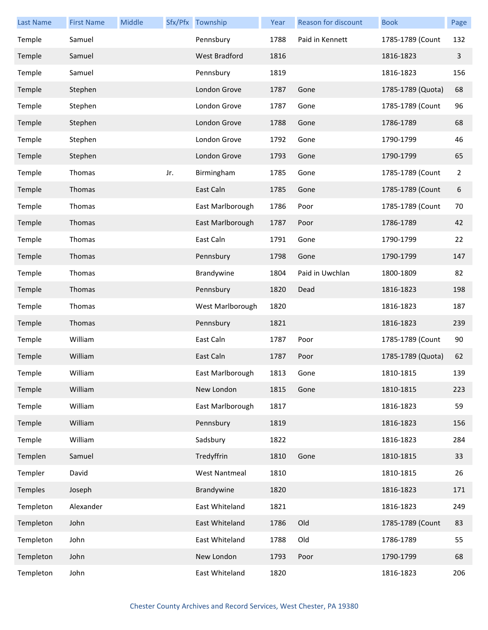| <b>Last Name</b> | <b>First Name</b> | Middle |     | Sfx/Pfx Township     | Year | <b>Reason for discount</b> | <b>Book</b>       | Page           |
|------------------|-------------------|--------|-----|----------------------|------|----------------------------|-------------------|----------------|
| Temple           | Samuel            |        |     | Pennsbury            | 1788 | Paid in Kennett            | 1785-1789 (Count  | 132            |
| Temple           | Samuel            |        |     | <b>West Bradford</b> | 1816 |                            | 1816-1823         | 3              |
| Temple           | Samuel            |        |     | Pennsbury            | 1819 |                            | 1816-1823         | 156            |
| Temple           | Stephen           |        |     | London Grove         | 1787 | Gone                       | 1785-1789 (Quota) | 68             |
| Temple           | Stephen           |        |     | London Grove         | 1787 | Gone                       | 1785-1789 (Count  | 96             |
| Temple           | Stephen           |        |     | London Grove         | 1788 | Gone                       | 1786-1789         | 68             |
| Temple           | Stephen           |        |     | London Grove         | 1792 | Gone                       | 1790-1799         | 46             |
| Temple           | Stephen           |        |     | London Grove         | 1793 | Gone                       | 1790-1799         | 65             |
| Temple           | Thomas            |        | Jr. | Birmingham           | 1785 | Gone                       | 1785-1789 (Count  | $\overline{2}$ |
| Temple           | Thomas            |        |     | East Caln            | 1785 | Gone                       | 1785-1789 (Count  | 6              |
| Temple           | Thomas            |        |     | East Marlborough     | 1786 | Poor                       | 1785-1789 (Count  | 70             |
| Temple           | Thomas            |        |     | East Marlborough     | 1787 | Poor                       | 1786-1789         | 42             |
| Temple           | Thomas            |        |     | East Caln            | 1791 | Gone                       | 1790-1799         | 22             |
| Temple           | Thomas            |        |     | Pennsbury            | 1798 | Gone                       | 1790-1799         | 147            |
| Temple           | Thomas            |        |     | Brandywine           | 1804 | Paid in Uwchlan            | 1800-1809         | 82             |
| Temple           | Thomas            |        |     | Pennsbury            | 1820 | Dead                       | 1816-1823         | 198            |
| Temple           | Thomas            |        |     | West Marlborough     | 1820 |                            | 1816-1823         | 187            |
| Temple           | Thomas            |        |     | Pennsbury            | 1821 |                            | 1816-1823         | 239            |
| Temple           | William           |        |     | East Caln            | 1787 | Poor                       | 1785-1789 (Count  | 90             |
| Temple           | William           |        |     | East Caln            | 1787 | Poor                       | 1785-1789 (Quota) | 62             |
| Temple           | William           |        |     | East Marlborough     | 1813 | Gone                       | 1810-1815         | 139            |
| Temple           | William           |        |     | New London           | 1815 | Gone                       | 1810-1815         | 223            |
| Temple           | William           |        |     | East Marlborough     | 1817 |                            | 1816-1823         | 59             |
| Temple           | William           |        |     | Pennsbury            | 1819 |                            | 1816-1823         | 156            |
| Temple           | William           |        |     | Sadsbury             | 1822 |                            | 1816-1823         | 284            |
| Templen          | Samuel            |        |     | Tredyffrin           | 1810 | Gone                       | 1810-1815         | 33             |
| Templer          | David             |        |     | <b>West Nantmeal</b> | 1810 |                            | 1810-1815         | 26             |
| Temples          | Joseph            |        |     | Brandywine           | 1820 |                            | 1816-1823         | 171            |
| Templeton        | Alexander         |        |     | East Whiteland       | 1821 |                            | 1816-1823         | 249            |
| Templeton        | John              |        |     | East Whiteland       | 1786 | Old                        | 1785-1789 (Count  | 83             |
| Templeton        | John              |        |     | East Whiteland       | 1788 | Old                        | 1786-1789         | 55             |
| Templeton        | John              |        |     | New London           | 1793 | Poor                       | 1790-1799         | 68             |
| Templeton        | John              |        |     | East Whiteland       | 1820 |                            | 1816-1823         | 206            |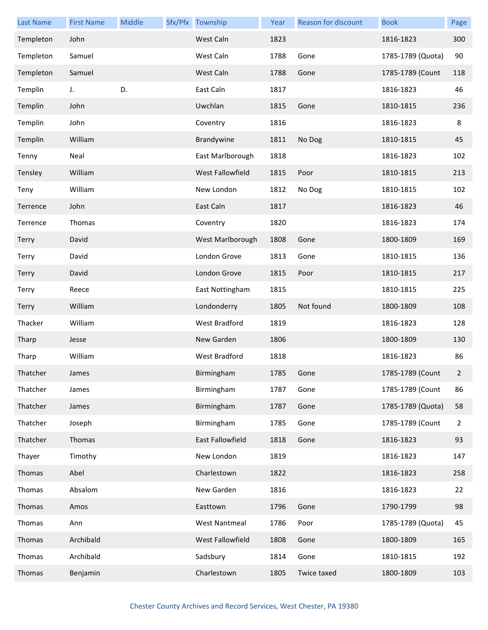| <b>Last Name</b> | <b>First Name</b> | Middle | Sfx/Pfx Township     | Year | Reason for discount | <b>Book</b>       | Page           |
|------------------|-------------------|--------|----------------------|------|---------------------|-------------------|----------------|
| Templeton        | John              |        | West Caln            | 1823 |                     | 1816-1823         | 300            |
| Templeton        | Samuel            |        | West Caln            | 1788 | Gone                | 1785-1789 (Quota) | 90             |
| Templeton        | Samuel            |        | West Caln            | 1788 | Gone                | 1785-1789 (Count  | 118            |
| Templin          | J.                | D.     | East Caln            | 1817 |                     | 1816-1823         | 46             |
| Templin          | John              |        | Uwchlan              | 1815 | Gone                | 1810-1815         | 236            |
| Templin          | John              |        | Coventry             | 1816 |                     | 1816-1823         | 8              |
| Templin          | William           |        | Brandywine           | 1811 | No Dog              | 1810-1815         | 45             |
| Tenny            | Neal              |        | East Marlborough     | 1818 |                     | 1816-1823         | 102            |
| Tensley          | William           |        | West Fallowfield     | 1815 | Poor                | 1810-1815         | 213            |
| Teny             | William           |        | New London           | 1812 | No Dog              | 1810-1815         | 102            |
| Terrence         | John              |        | East Caln            | 1817 |                     | 1816-1823         | 46             |
| Terrence         | Thomas            |        | Coventry             | 1820 |                     | 1816-1823         | 174            |
| <b>Terry</b>     | David             |        | West Marlborough     | 1808 | Gone                | 1800-1809         | 169            |
| Terry            | David             |        | London Grove         | 1813 | Gone                | 1810-1815         | 136            |
| Terry            | David             |        | London Grove         | 1815 | Poor                | 1810-1815         | 217            |
| Terry            | Reece             |        | East Nottingham      | 1815 |                     | 1810-1815         | 225            |
| <b>Terry</b>     | William           |        | Londonderry          | 1805 | Not found           | 1800-1809         | 108            |
| Thacker          | William           |        | West Bradford        | 1819 |                     | 1816-1823         | 128            |
| Tharp            | Jesse             |        | New Garden           | 1806 |                     | 1800-1809         | 130            |
| Tharp            | William           |        | West Bradford        | 1818 |                     | 1816-1823         | 86             |
| Thatcher         | James             |        | Birmingham           | 1785 | Gone                | 1785-1789 (Count  |                |
| Thatcher         | James             |        | Birmingham           | 1787 | Gone                | 1785-1789 (Count  | 86             |
| Thatcher         | James             |        | Birmingham           | 1787 | Gone                | 1785-1789 (Quota) | 58             |
| Thatcher         | Joseph            |        | Birmingham           | 1785 | Gone                | 1785-1789 (Count  | $\overline{2}$ |
| Thatcher         | Thomas            |        | East Fallowfield     | 1818 | Gone                | 1816-1823         | 93             |
| Thayer           | Timothy           |        | New London           | 1819 |                     | 1816-1823         | 147            |
| Thomas           | Abel              |        | Charlestown          | 1822 |                     | 1816-1823         | 258            |
| Thomas           | Absalom           |        | New Garden           | 1816 |                     | 1816-1823         | 22             |
| Thomas           | Amos              |        | Easttown             | 1796 | Gone                | 1790-1799         | 98             |
| Thomas           | Ann               |        | <b>West Nantmeal</b> | 1786 | Poor                | 1785-1789 (Quota) | 45             |
| Thomas           | Archibald         |        | West Fallowfield     | 1808 | Gone                | 1800-1809         | 165            |
| Thomas           | Archibald         |        | Sadsbury             | 1814 | Gone                | 1810-1815         | 192            |
| Thomas           | Benjamin          |        | Charlestown          | 1805 | Twice taxed         | 1800-1809         | 103            |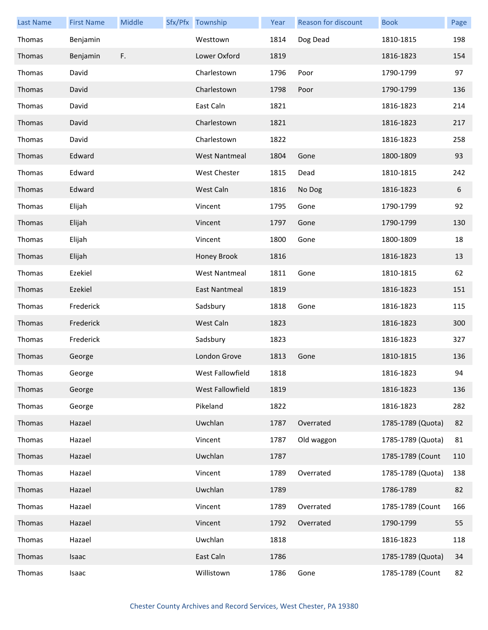| <b>Last Name</b> | <b>First Name</b> | Middle | Sfx/Pfx Township     | Year | <b>Reason for discount</b> | <b>Book</b>       | Page |
|------------------|-------------------|--------|----------------------|------|----------------------------|-------------------|------|
| Thomas           | Benjamin          |        | Westtown             | 1814 | Dog Dead                   | 1810-1815         | 198  |
| Thomas           | Benjamin          | F.     | Lower Oxford         | 1819 |                            | 1816-1823         | 154  |
| Thomas           | David             |        | Charlestown          | 1796 | Poor                       | 1790-1799         | 97   |
| Thomas           | David             |        | Charlestown          | 1798 | Poor                       | 1790-1799         | 136  |
| Thomas           | David             |        | East Caln            | 1821 |                            | 1816-1823         | 214  |
| Thomas           | David             |        | Charlestown          | 1821 |                            | 1816-1823         | 217  |
| Thomas           | David             |        | Charlestown          | 1822 |                            | 1816-1823         | 258  |
| Thomas           | Edward            |        | <b>West Nantmeal</b> | 1804 | Gone                       | 1800-1809         | 93   |
| Thomas           | Edward            |        | West Chester         | 1815 | Dead                       | 1810-1815         | 242  |
| Thomas           | Edward            |        | West Caln            | 1816 | No Dog                     | 1816-1823         | 6    |
| Thomas           | Elijah            |        | Vincent              | 1795 | Gone                       | 1790-1799         | 92   |
| Thomas           | Elijah            |        | Vincent              | 1797 | Gone                       | 1790-1799         | 130  |
| Thomas           | Elijah            |        | Vincent              | 1800 | Gone                       | 1800-1809         | 18   |
| Thomas           | Elijah            |        | Honey Brook          | 1816 |                            | 1816-1823         | 13   |
| Thomas           | Ezekiel           |        | <b>West Nantmeal</b> | 1811 | Gone                       | 1810-1815         | 62   |
| Thomas           | Ezekiel           |        | East Nantmeal        | 1819 |                            | 1816-1823         | 151  |
| Thomas           | Frederick         |        | Sadsbury             | 1818 | Gone                       | 1816-1823         | 115  |
| Thomas           | Frederick         |        | West Caln            | 1823 |                            | 1816-1823         | 300  |
| Thomas           | Frederick         |        | Sadsbury             | 1823 |                            | 1816-1823         | 327  |
| Thomas           | George            |        | London Grove         | 1813 | Gone                       | 1810-1815         | 136  |
| Thomas           | George            |        | West Fallowfield     | 1818 |                            | 1816-1823         | 94   |
| Thomas           | George            |        | West Fallowfield     | 1819 |                            | 1816-1823         | 136  |
| Thomas           | George            |        | Pikeland             | 1822 |                            | 1816-1823         | 282  |
| Thomas           | Hazael            |        | Uwchlan              | 1787 | Overrated                  | 1785-1789 (Quota) | 82   |
| Thomas           | Hazael            |        | Vincent              | 1787 | Old waggon                 | 1785-1789 (Quota) | 81   |
| Thomas           | Hazael            |        | Uwchlan              | 1787 |                            | 1785-1789 (Count  | 110  |
| Thomas           | Hazael            |        | Vincent              | 1789 | Overrated                  | 1785-1789 (Quota) | 138  |
| Thomas           | Hazael            |        | Uwchlan              | 1789 |                            | 1786-1789         | 82   |
| Thomas           | Hazael            |        | Vincent              | 1789 | Overrated                  | 1785-1789 (Count  | 166  |
| Thomas           | Hazael            |        | Vincent              | 1792 | Overrated                  | 1790-1799         | 55   |
| Thomas           | Hazael            |        | Uwchlan              | 1818 |                            | 1816-1823         | 118  |
| Thomas           | Isaac             |        | East Caln            | 1786 |                            | 1785-1789 (Quota) | 34   |
| Thomas           | Isaac             |        | Willistown           | 1786 | Gone                       | 1785-1789 (Count  | 82   |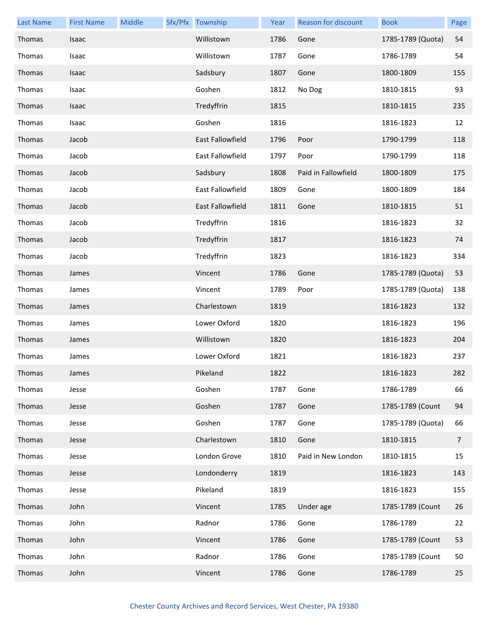| <b>Last Name</b> | <b>First Name</b> | Middle | Sfx/Pfx Township        | Year | Reason for discount | <b>Book</b>       | Page           |
|------------------|-------------------|--------|-------------------------|------|---------------------|-------------------|----------------|
| Thomas           | Isaac             |        | Willistown              | 1786 | Gone                | 1785-1789 (Quota) | 54             |
| Thomas           | Isaac             |        | Willistown              | 1787 | Gone                | 1786-1789         | 54             |
| Thomas           | Isaac             |        | Sadsbury                | 1807 | Gone                | 1800-1809         | 155            |
| Thomas           | Isaac             |        | Goshen                  | 1812 | No Dog              | 1810-1815         | 93             |
| Thomas           | Isaac             |        | Tredyffrin              | 1815 |                     | 1810-1815         | 235            |
| Thomas           | Isaac             |        | Goshen                  | 1816 |                     | 1816-1823         | 12             |
| Thomas           | Jacob             |        | East Fallowfield        | 1796 | Poor                | 1790-1799         | 118            |
| Thomas           | Jacob             |        | East Fallowfield        | 1797 | Poor                | 1790-1799         | 118            |
| Thomas           | Jacob             |        | Sadsbury                | 1808 | Paid in Fallowfield | 1800-1809         | 175            |
| Thomas           | Jacob             |        | East Fallowfield        | 1809 | Gone                | 1800-1809         | 184            |
| Thomas           | Jacob             |        | <b>East Fallowfield</b> | 1811 | Gone                | 1810-1815         | 51             |
| Thomas           | Jacob             |        | Tredyffrin              | 1816 |                     | 1816-1823         | 32             |
| Thomas           | Jacob             |        | Tredyffrin              | 1817 |                     | 1816-1823         | 74             |
| Thomas           | Jacob             |        | Tredyffrin              | 1823 |                     | 1816-1823         | 334            |
| Thomas           | James             |        | Vincent                 | 1786 | Gone                | 1785-1789 (Quota) | 53             |
| Thomas           | James             |        | Vincent                 | 1789 | Poor                | 1785-1789 (Quota) | 138            |
| Thomas           | James             |        | Charlestown             | 1819 |                     | 1816-1823         | 132            |
| Thomas           | James             |        | Lower Oxford            | 1820 |                     | 1816-1823         | 196            |
| Thomas           | James             |        | Willistown              | 1820 |                     | 1816-1823         | 204            |
| Thomas           | James             |        | Lower Oxford            | 1821 |                     | 1816-1823         | 237            |
| Thomas           | James             |        | Pikeland                | 1822 |                     | 1816-1823         | 282            |
| Thomas           | Jesse             |        | Goshen                  | 1787 | Gone                | 1786-1789         | 66             |
| Thomas           | Jesse             |        | Goshen                  | 1787 | Gone                | 1785-1789 (Count  | 94             |
| Thomas           | Jesse             |        | Goshen                  | 1787 | Gone                | 1785-1789 (Quota) | 66             |
| Thomas           | Jesse             |        | Charlestown             | 1810 | Gone                | 1810-1815         | $\overline{7}$ |
| Thomas           | Jesse             |        | London Grove            | 1810 | Paid in New London  | 1810-1815         | 15             |
| Thomas           | Jesse             |        | Londonderry             | 1819 |                     | 1816-1823         | 143            |
| Thomas           | Jesse             |        | Pikeland                | 1819 |                     | 1816-1823         | 155            |
| Thomas           | John              |        | Vincent                 | 1785 | Under age           | 1785-1789 (Count  | 26             |
| Thomas           | John              |        | Radnor                  | 1786 | Gone                | 1786-1789         | 22             |
| Thomas           | John              |        | Vincent                 | 1786 | Gone                | 1785-1789 (Count  | 53             |
| Thomas           | John              |        | Radnor                  | 1786 | Gone                | 1785-1789 (Count  | 50             |
| Thomas           | John              |        | Vincent                 | 1786 | Gone                | 1786-1789         | 25             |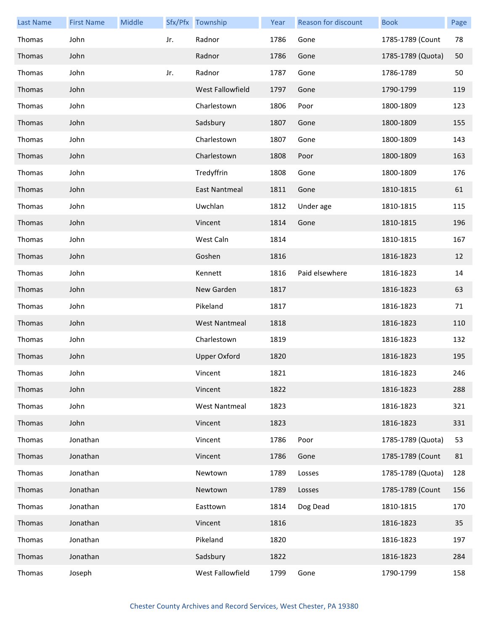| <b>Last Name</b> | <b>First Name</b> | Middle |     | Sfx/Pfx Township     | Year | Reason for discount | <b>Book</b>       | Page |
|------------------|-------------------|--------|-----|----------------------|------|---------------------|-------------------|------|
| Thomas           | John              |        | Jr. | Radnor               | 1786 | Gone                | 1785-1789 (Count  | 78   |
| Thomas           | John              |        |     | Radnor               | 1786 | Gone                | 1785-1789 (Quota) | 50   |
| Thomas           | John              |        | Jr. | Radnor               | 1787 | Gone                | 1786-1789         | 50   |
| Thomas           | John              |        |     | West Fallowfield     | 1797 | Gone                | 1790-1799         | 119  |
| Thomas           | John              |        |     | Charlestown          | 1806 | Poor                | 1800-1809         | 123  |
| Thomas           | John              |        |     | Sadsbury             | 1807 | Gone                | 1800-1809         | 155  |
| Thomas           | John              |        |     | Charlestown          | 1807 | Gone                | 1800-1809         | 143  |
| Thomas           | John              |        |     | Charlestown          | 1808 | Poor                | 1800-1809         | 163  |
| Thomas           | John              |        |     | Tredyffrin           | 1808 | Gone                | 1800-1809         | 176  |
| Thomas           | John              |        |     | East Nantmeal        | 1811 | Gone                | 1810-1815         | 61   |
| Thomas           | John              |        |     | Uwchlan              | 1812 | Under age           | 1810-1815         | 115  |
| Thomas           | John              |        |     | Vincent              | 1814 | Gone                | 1810-1815         | 196  |
| Thomas           | John              |        |     | West Caln            | 1814 |                     | 1810-1815         | 167  |
| Thomas           | John              |        |     | Goshen               | 1816 |                     | 1816-1823         | 12   |
| Thomas           | John              |        |     | Kennett              | 1816 | Paid elsewhere      | 1816-1823         | 14   |
| Thomas           | John              |        |     | New Garden           | 1817 |                     | 1816-1823         | 63   |
| Thomas           | John              |        |     | Pikeland             | 1817 |                     | 1816-1823         | 71   |
| Thomas           | John              |        |     | <b>West Nantmeal</b> | 1818 |                     | 1816-1823         | 110  |
| Thomas           | John              |        |     | Charlestown          | 1819 |                     | 1816-1823         | 132  |
| Thomas           | John              |        |     | <b>Upper Oxford</b>  | 1820 |                     | 1816-1823         | 195  |
| Thomas           | John              |        |     | Vincent              | 1821 |                     | 1816-1823         | 246  |
| Thomas           | John              |        |     | Vincent              | 1822 |                     | 1816-1823         | 288  |
| Thomas           | John              |        |     | <b>West Nantmeal</b> | 1823 |                     | 1816-1823         | 321  |
| Thomas           | John              |        |     | Vincent              | 1823 |                     | 1816-1823         | 331  |
| Thomas           | Jonathan          |        |     | Vincent              | 1786 | Poor                | 1785-1789 (Quota) | 53   |
| Thomas           | Jonathan          |        |     | Vincent              | 1786 | Gone                | 1785-1789 (Count  | 81   |
| Thomas           | Jonathan          |        |     | Newtown              | 1789 | Losses              | 1785-1789 (Quota) | 128  |
| Thomas           | Jonathan          |        |     | Newtown              | 1789 | Losses              | 1785-1789 (Count  | 156  |
| Thomas           | Jonathan          |        |     | Easttown             | 1814 | Dog Dead            | 1810-1815         | 170  |
| Thomas           | Jonathan          |        |     | Vincent              | 1816 |                     | 1816-1823         | 35   |
| Thomas           | Jonathan          |        |     | Pikeland             | 1820 |                     | 1816-1823         | 197  |
| Thomas           | Jonathan          |        |     | Sadsbury             | 1822 |                     | 1816-1823         | 284  |
| Thomas           | Joseph            |        |     | West Fallowfield     | 1799 | Gone                | 1790-1799         | 158  |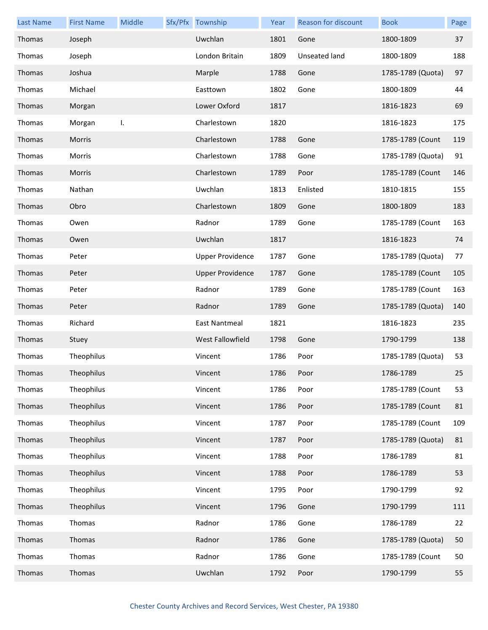| <b>Last Name</b> | <b>First Name</b> | Middle | Sfx/Pfx Township        | Year | Reason for discount  | <b>Book</b>       | Page |
|------------------|-------------------|--------|-------------------------|------|----------------------|-------------------|------|
| Thomas           | Joseph            |        | Uwchlan                 | 1801 | Gone                 | 1800-1809         | 37   |
| Thomas           | Joseph            |        | London Britain          | 1809 | <b>Unseated land</b> | 1800-1809         | 188  |
| Thomas           | Joshua            |        | Marple                  | 1788 | Gone                 | 1785-1789 (Quota) | 97   |
| Thomas           | Michael           |        | Easttown                | 1802 | Gone                 | 1800-1809         | 44   |
| Thomas           | Morgan            |        | Lower Oxford            | 1817 |                      | 1816-1823         | 69   |
| Thomas           | Morgan            | I.     | Charlestown             | 1820 |                      | 1816-1823         | 175  |
| Thomas           | Morris            |        | Charlestown             | 1788 | Gone                 | 1785-1789 (Count  | 119  |
| Thomas           | Morris            |        | Charlestown             | 1788 | Gone                 | 1785-1789 (Quota) | 91   |
| Thomas           | Morris            |        | Charlestown             | 1789 | Poor                 | 1785-1789 (Count  | 146  |
| Thomas           | Nathan            |        | Uwchlan                 | 1813 | Enlisted             | 1810-1815         | 155  |
| Thomas           | Obro              |        | Charlestown             | 1809 | Gone                 | 1800-1809         | 183  |
| Thomas           | Owen              |        | Radnor                  | 1789 | Gone                 | 1785-1789 (Count  | 163  |
| Thomas           | Owen              |        | Uwchlan                 | 1817 |                      | 1816-1823         | 74   |
| Thomas           | Peter             |        | <b>Upper Providence</b> | 1787 | Gone                 | 1785-1789 (Quota) | 77   |
| Thomas           | Peter             |        | <b>Upper Providence</b> | 1787 | Gone                 | 1785-1789 (Count  | 105  |
| Thomas           | Peter             |        | Radnor                  | 1789 | Gone                 | 1785-1789 (Count  | 163  |
| Thomas           | Peter             |        | Radnor                  | 1789 | Gone                 | 1785-1789 (Quota) | 140  |
| Thomas           | Richard           |        | East Nantmeal           | 1821 |                      | 1816-1823         | 235  |
| Thomas           | Stuey             |        | West Fallowfield        | 1798 | Gone                 | 1790-1799         | 138  |
| Thomas           | Theophilus        |        | Vincent                 | 1786 | Poor                 | 1785-1789 (Quota) | 53   |
| Thomas           | Theophilus        |        | Vincent                 | 1786 | Poor                 | 1786-1789         | 25   |
| Thomas           | Theophilus        |        | Vincent                 | 1786 | Poor                 | 1785-1789 (Count  | 53   |
| Thomas           | Theophilus        |        | Vincent                 | 1786 | Poor                 | 1785-1789 (Count  | 81   |
| Thomas           | Theophilus        |        | Vincent                 | 1787 | Poor                 | 1785-1789 (Count  | 109  |
| Thomas           | Theophilus        |        | Vincent                 | 1787 | Poor                 | 1785-1789 (Quota) | 81   |
| Thomas           | Theophilus        |        | Vincent                 | 1788 | Poor                 | 1786-1789         | 81   |
| Thomas           | Theophilus        |        | Vincent                 | 1788 | Poor                 | 1786-1789         | 53   |
| Thomas           | Theophilus        |        | Vincent                 | 1795 | Poor                 | 1790-1799         | 92   |
| Thomas           | Theophilus        |        | Vincent                 | 1796 | Gone                 | 1790-1799         | 111  |
| Thomas           | Thomas            |        | Radnor                  | 1786 | Gone                 | 1786-1789         | 22   |
| Thomas           | Thomas            |        | Radnor                  | 1786 | Gone                 | 1785-1789 (Quota) | 50   |
| Thomas           | Thomas            |        | Radnor                  | 1786 | Gone                 | 1785-1789 (Count  | 50   |
| Thomas           | Thomas            |        | Uwchlan                 | 1792 | Poor                 | 1790-1799         | 55   |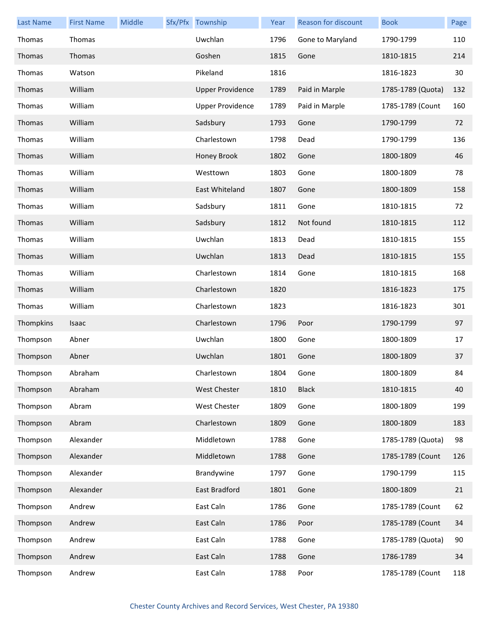| <b>Last Name</b> | <b>First Name</b> | Middle | Sfx/Pfx Township        | Year | Reason for discount | <b>Book</b>       | Page |
|------------------|-------------------|--------|-------------------------|------|---------------------|-------------------|------|
| Thomas           | Thomas            |        | Uwchlan                 | 1796 | Gone to Maryland    | 1790-1799         | 110  |
| Thomas           | Thomas            |        | Goshen                  | 1815 | Gone                | 1810-1815         | 214  |
| Thomas           | Watson            |        | Pikeland                | 1816 |                     | 1816-1823         | 30   |
| Thomas           | William           |        | <b>Upper Providence</b> | 1789 | Paid in Marple      | 1785-1789 (Quota) | 132  |
| Thomas           | William           |        | <b>Upper Providence</b> | 1789 | Paid in Marple      | 1785-1789 (Count  | 160  |
| Thomas           | William           |        | Sadsbury                | 1793 | Gone                | 1790-1799         | 72   |
| Thomas           | William           |        | Charlestown             | 1798 | Dead                | 1790-1799         | 136  |
| Thomas           | William           |        | Honey Brook             | 1802 | Gone                | 1800-1809         | 46   |
| Thomas           | William           |        | Westtown                | 1803 | Gone                | 1800-1809         | 78   |
| Thomas           | William           |        | East Whiteland          | 1807 | Gone                | 1800-1809         | 158  |
| Thomas           | William           |        | Sadsbury                | 1811 | Gone                | 1810-1815         | 72   |
| Thomas           | William           |        | Sadsbury                | 1812 | Not found           | 1810-1815         | 112  |
| Thomas           | William           |        | Uwchlan                 | 1813 | Dead                | 1810-1815         | 155  |
| Thomas           | William           |        | Uwchlan                 | 1813 | Dead                | 1810-1815         | 155  |
| Thomas           | William           |        | Charlestown             | 1814 | Gone                | 1810-1815         | 168  |
| Thomas           | William           |        | Charlestown             | 1820 |                     | 1816-1823         | 175  |
| Thomas           | William           |        | Charlestown             | 1823 |                     | 1816-1823         | 301  |
| Thompkins        | Isaac             |        | Charlestown             | 1796 | Poor                | 1790-1799         | 97   |
| Thompson         | Abner             |        | Uwchlan                 | 1800 | Gone                | 1800-1809         | 17   |
| Thompson         | Abner             |        | Uwchlan                 | 1801 | Gone                | 1800-1809         | 37   |
| Thompson         | Abraham           |        | Charlestown             | 1804 | Gone                | 1800-1809         | 84   |
| Thompson         | Abraham           |        | West Chester            | 1810 | <b>Black</b>        | 1810-1815         | 40   |
| Thompson         | Abram             |        | West Chester            | 1809 | Gone                | 1800-1809         | 199  |
| Thompson         | Abram             |        | Charlestown             | 1809 | Gone                | 1800-1809         | 183  |
| Thompson         | Alexander         |        | Middletown              | 1788 | Gone                | 1785-1789 (Quota) | 98   |
| Thompson         | Alexander         |        | Middletown              | 1788 | Gone                | 1785-1789 (Count  | 126  |
| Thompson         | Alexander         |        | Brandywine              | 1797 | Gone                | 1790-1799         | 115  |
| Thompson         | Alexander         |        | East Bradford           | 1801 | Gone                | 1800-1809         | 21   |
| Thompson         | Andrew            |        | East Caln               | 1786 | Gone                | 1785-1789 (Count  | 62   |
| Thompson         | Andrew            |        | East Caln               | 1786 | Poor                | 1785-1789 (Count  | 34   |
| Thompson         | Andrew            |        | East Caln               | 1788 | Gone                | 1785-1789 (Quota) | 90   |
| Thompson         | Andrew            |        | East Caln               | 1788 | Gone                | 1786-1789         | 34   |
| Thompson         | Andrew            |        | East Caln               | 1788 | Poor                | 1785-1789 (Count  | 118  |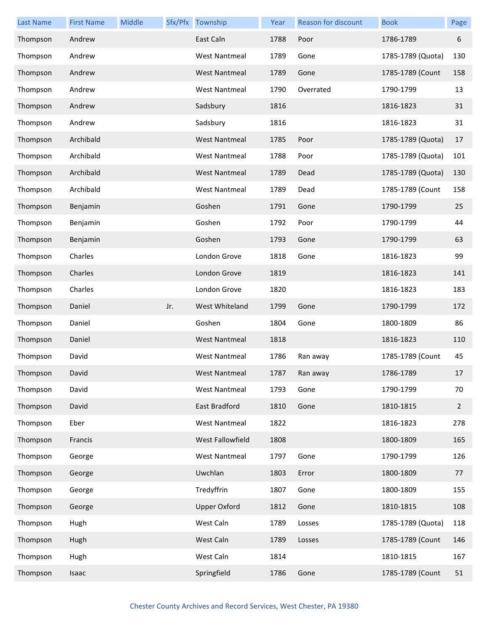| <b>Last Name</b> | <b>First Name</b> | Middle |     | Sfx/Pfx Township     | Year | Reason for discount | <b>Book</b>       | Page        |
|------------------|-------------------|--------|-----|----------------------|------|---------------------|-------------------|-------------|
| Thompson         | Andrew            |        |     | East Caln            | 1788 | Poor                | 1786-1789         | 6           |
| Thompson         | Andrew            |        |     | <b>West Nantmeal</b> | 1789 | Gone                | 1785-1789 (Quota) | 130         |
| Thompson         | Andrew            |        |     | <b>West Nantmeal</b> | 1789 | Gone                | 1785-1789 (Count  | 158         |
| Thompson         | Andrew            |        |     | <b>West Nantmeal</b> | 1790 | Overrated           | 1790-1799         | 13          |
| Thompson         | Andrew            |        |     | Sadsbury             | 1816 |                     | 1816-1823         | 31          |
| Thompson         | Andrew            |        |     | Sadsbury             | 1816 |                     | 1816-1823         | 31          |
| Thompson         | Archibald         |        |     | <b>West Nantmeal</b> | 1785 | Poor                | 1785-1789 (Quota) | 17          |
| Thompson         | Archibald         |        |     | <b>West Nantmeal</b> | 1788 | Poor                | 1785-1789 (Quota) | 101         |
| Thompson         | Archibald         |        |     | <b>West Nantmeal</b> | 1789 | Dead                | 1785-1789 (Quota) | 130         |
| Thompson         | Archibald         |        |     | <b>West Nantmeal</b> | 1789 | Dead                | 1785-1789 (Count  | 158         |
| Thompson         | Benjamin          |        |     | Goshen               | 1791 | Gone                | 1790-1799         | 25          |
| Thompson         | Benjamin          |        |     | Goshen               | 1792 | Poor                | 1790-1799         | 44          |
| Thompson         | Benjamin          |        |     | Goshen               | 1793 | Gone                | 1790-1799         | 63          |
| Thompson         | Charles           |        |     | London Grove         | 1818 | Gone                | 1816-1823         | 99          |
| Thompson         | Charles           |        |     | London Grove         | 1819 |                     | 1816-1823         | 141         |
| Thompson         | Charles           |        |     | London Grove         | 1820 |                     | 1816-1823         | 183         |
| Thompson         | Daniel            |        | Jr. | West Whiteland       | 1799 | Gone                | 1790-1799         | 172         |
| Thompson         | Daniel            |        |     | Goshen               | 1804 | Gone                | 1800-1809         | 86          |
| Thompson         | Daniel            |        |     | <b>West Nantmeal</b> | 1818 |                     | 1816-1823         | 110         |
| Thompson         | David             |        |     | West Nantmeal        | 1786 | Ran away            | 1785-1789 (Count  | 45          |
| Thompson         | David             |        |     | <b>West Nantmeal</b> | 1787 | Ran away            | 1786-1789         | 17          |
| Thompson         | David             |        |     | <b>West Nantmeal</b> | 1793 | Gone                | 1790-1799         | 70          |
| Thompson         | David             |        |     | East Bradford        | 1810 | Gone                | 1810-1815         | $2^{\circ}$ |
| Thompson         | Eber              |        |     | <b>West Nantmeal</b> | 1822 |                     | 1816-1823         | 278         |
| Thompson         | Francis           |        |     | West Fallowfield     | 1808 |                     | 1800-1809         | 165         |
| Thompson         | George            |        |     | <b>West Nantmeal</b> | 1797 | Gone                | 1790-1799         | 126         |
| Thompson         | George            |        |     | Uwchlan              | 1803 | Error               | 1800-1809         | 77          |
| Thompson         | George            |        |     | Tredyffrin           | 1807 | Gone                | 1800-1809         | 155         |
| Thompson         | George            |        |     | <b>Upper Oxford</b>  | 1812 | Gone                | 1810-1815         | 108         |
| Thompson         | Hugh              |        |     | West Caln            | 1789 | Losses              | 1785-1789 (Quota) | 118         |
| Thompson         | Hugh              |        |     | West Caln            | 1789 | Losses              | 1785-1789 (Count  | 146         |
| Thompson         | Hugh              |        |     | West Caln            | 1814 |                     | 1810-1815         | 167         |
| Thompson         | Isaac             |        |     | Springfield          | 1786 | Gone                | 1785-1789 (Count  | 51          |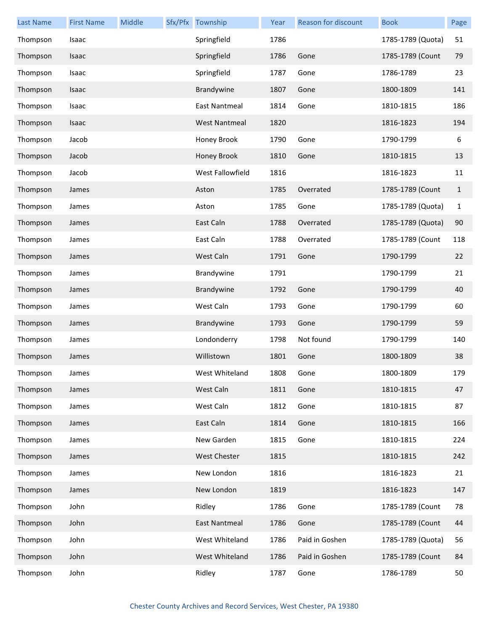| <b>Last Name</b> | <b>First Name</b> | Middle | Sfx/Pfx Township     | Year | Reason for discount | <b>Book</b>       | Page         |
|------------------|-------------------|--------|----------------------|------|---------------------|-------------------|--------------|
| Thompson         | Isaac             |        | Springfield          | 1786 |                     | 1785-1789 (Quota) | 51           |
| Thompson         | Isaac             |        | Springfield          | 1786 | Gone                | 1785-1789 (Count  | 79           |
| Thompson         | Isaac             |        | Springfield          | 1787 | Gone                | 1786-1789         | 23           |
| Thompson         | Isaac             |        | Brandywine           | 1807 | Gone                | 1800-1809         | 141          |
| Thompson         | Isaac             |        | <b>East Nantmeal</b> | 1814 | Gone                | 1810-1815         | 186          |
| Thompson         | Isaac             |        | <b>West Nantmeal</b> | 1820 |                     | 1816-1823         | 194          |
| Thompson         | Jacob             |        | Honey Brook          | 1790 | Gone                | 1790-1799         | 6            |
| Thompson         | Jacob             |        | Honey Brook          | 1810 | Gone                | 1810-1815         | 13           |
| Thompson         | Jacob             |        | West Fallowfield     | 1816 |                     | 1816-1823         | 11           |
| Thompson         | James             |        | Aston                | 1785 | Overrated           | 1785-1789 (Count  | $\mathbf{1}$ |
| Thompson         | James             |        | Aston                | 1785 | Gone                | 1785-1789 (Quota) | 1            |
| Thompson         | James             |        | East Caln            | 1788 | Overrated           | 1785-1789 (Quota) | 90           |
| Thompson         | James             |        | East Caln            | 1788 | Overrated           | 1785-1789 (Count  | 118          |
| Thompson         | James             |        | West Caln            | 1791 | Gone                | 1790-1799         | 22           |
| Thompson         | James             |        | Brandywine           | 1791 |                     | 1790-1799         | 21           |
| Thompson         | James             |        | Brandywine           | 1792 | Gone                | 1790-1799         | 40           |
| Thompson         | James             |        | West Caln            | 1793 | Gone                | 1790-1799         | 60           |
| Thompson         | James             |        | Brandywine           | 1793 | Gone                | 1790-1799         | 59           |
| Thompson         | James             |        | Londonderry          | 1798 | Not found           | 1790-1799         | 140          |
| Thompson         | James             |        | Willistown           | 1801 | Gone                | 1800-1809         | 38           |
| Thompson         | James             |        | West Whiteland       | 1808 | Gone                | 1800-1809         | 179          |
| Thompson         | James             |        | West Caln            | 1811 | Gone                | 1810-1815         | 47           |
| Thompson         | James             |        | West Caln            | 1812 | Gone                | 1810-1815         | 87           |
| Thompson         | James             |        | East Caln            | 1814 | Gone                | 1810-1815         | 166          |
| Thompson         | James             |        | New Garden           | 1815 | Gone                | 1810-1815         | 224          |
| Thompson         | James             |        | <b>West Chester</b>  | 1815 |                     | 1810-1815         | 242          |
| Thompson         | James             |        | New London           | 1816 |                     | 1816-1823         | 21           |
| Thompson         | James             |        | New London           | 1819 |                     | 1816-1823         | 147          |
| Thompson         | John              |        | Ridley               | 1786 | Gone                | 1785-1789 (Count  | 78           |
| Thompson         | John              |        | East Nantmeal        | 1786 | Gone                | 1785-1789 (Count  | 44           |
| Thompson         | John              |        | West Whiteland       | 1786 | Paid in Goshen      | 1785-1789 (Quota) | 56           |
| Thompson         | John              |        | West Whiteland       | 1786 | Paid in Goshen      | 1785-1789 (Count  | 84           |
| Thompson         | John              |        | Ridley               | 1787 | Gone                | 1786-1789         | 50           |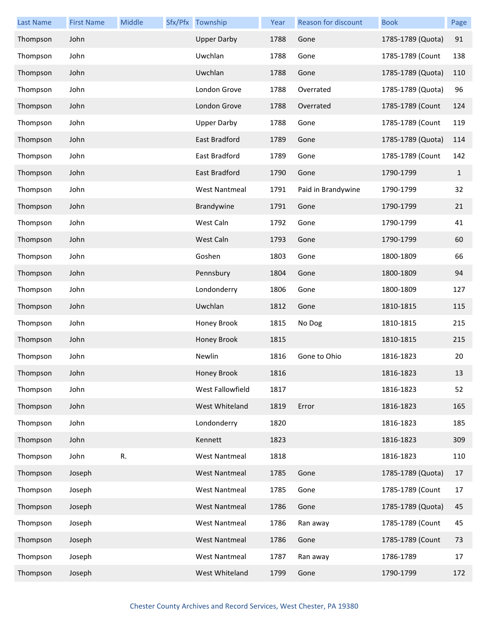| <b>Last Name</b> | <b>First Name</b> | Middle | Sfx/Pfx Township     | Year | Reason for discount | <b>Book</b>       | Page         |
|------------------|-------------------|--------|----------------------|------|---------------------|-------------------|--------------|
| Thompson         | John              |        | <b>Upper Darby</b>   | 1788 | Gone                | 1785-1789 (Quota) | 91           |
| Thompson         | John              |        | Uwchlan              | 1788 | Gone                | 1785-1789 (Count  | 138          |
| Thompson         | John              |        | Uwchlan              | 1788 | Gone                | 1785-1789 (Quota) | 110          |
| Thompson         | John              |        | London Grove         | 1788 | Overrated           | 1785-1789 (Quota) | 96           |
| Thompson         | John              |        | London Grove         | 1788 | Overrated           | 1785-1789 (Count  | 124          |
| Thompson         | John              |        | <b>Upper Darby</b>   | 1788 | Gone                | 1785-1789 (Count  | 119          |
| Thompson         | John              |        | <b>East Bradford</b> | 1789 | Gone                | 1785-1789 (Quota) | 114          |
| Thompson         | John              |        | East Bradford        | 1789 | Gone                | 1785-1789 (Count  | 142          |
| Thompson         | John              |        | East Bradford        | 1790 | Gone                | 1790-1799         | $\mathbf{1}$ |
| Thompson         | John              |        | <b>West Nantmeal</b> | 1791 | Paid in Brandywine  | 1790-1799         | 32           |
| Thompson         | John              |        | Brandywine           | 1791 | Gone                | 1790-1799         | 21           |
| Thompson         | John              |        | West Caln            | 1792 | Gone                | 1790-1799         | 41           |
| Thompson         | John              |        | West Caln            | 1793 | Gone                | 1790-1799         | 60           |
| Thompson         | John              |        | Goshen               | 1803 | Gone                | 1800-1809         | 66           |
| Thompson         | John              |        | Pennsbury            | 1804 | Gone                | 1800-1809         | 94           |
| Thompson         | John              |        | Londonderry          | 1806 | Gone                | 1800-1809         | 127          |
| Thompson         | John              |        | Uwchlan              | 1812 | Gone                | 1810-1815         | 115          |
| Thompson         | John              |        | Honey Brook          | 1815 | No Dog              | 1810-1815         | 215          |
| Thompson         | John              |        | Honey Brook          | 1815 |                     | 1810-1815         | 215          |
| Thompson         | John              |        | Newlin               | 1816 | Gone to Ohio        | 1816-1823         | 20           |
| Thompson         | John              |        | Honey Brook          | 1816 |                     | 1816-1823         | 13           |
| Thompson         | John              |        | West Fallowfield     | 1817 |                     | 1816-1823         | 52           |
| Thompson         | John              |        | West Whiteland       | 1819 | Error               | 1816-1823         | 165          |
| Thompson         | John              |        | Londonderry          | 1820 |                     | 1816-1823         | 185          |
| Thompson         | John              |        | Kennett              | 1823 |                     | 1816-1823         | 309          |
| Thompson         | John              | R.     | <b>West Nantmeal</b> | 1818 |                     | 1816-1823         | 110          |
| Thompson         | Joseph            |        | <b>West Nantmeal</b> | 1785 | Gone                | 1785-1789 (Quota) | 17           |
| Thompson         | Joseph            |        | <b>West Nantmeal</b> | 1785 | Gone                | 1785-1789 (Count  | 17           |
| Thompson         | Joseph            |        | <b>West Nantmeal</b> | 1786 | Gone                | 1785-1789 (Quota) | 45           |
| Thompson         | Joseph            |        | <b>West Nantmeal</b> | 1786 | Ran away            | 1785-1789 (Count  | 45           |
| Thompson         | Joseph            |        | <b>West Nantmeal</b> | 1786 | Gone                | 1785-1789 (Count  | 73           |
| Thompson         | Joseph            |        | <b>West Nantmeal</b> | 1787 | Ran away            | 1786-1789         | 17           |
| Thompson         | Joseph            |        | West Whiteland       | 1799 | Gone                | 1790-1799         | 172          |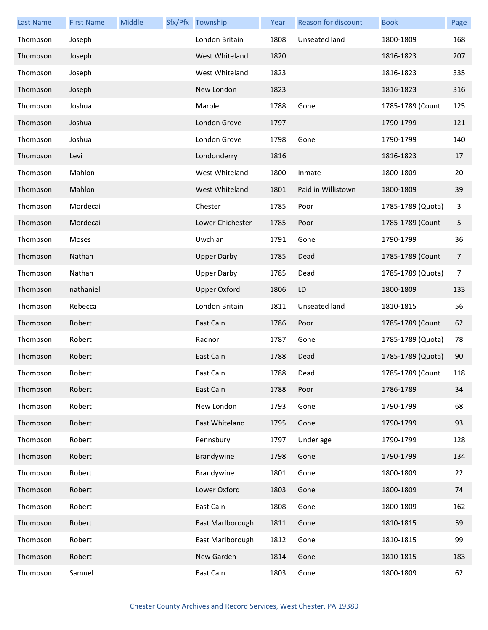| <b>Last Name</b> | <b>First Name</b> | Middle | Sfx/Pfx Township    | Year | Reason for discount | <b>Book</b>       | Page |
|------------------|-------------------|--------|---------------------|------|---------------------|-------------------|------|
| Thompson         | Joseph            |        | London Britain      | 1808 | Unseated land       | 1800-1809         | 168  |
| Thompson         | Joseph            |        | West Whiteland      | 1820 |                     | 1816-1823         | 207  |
| Thompson         | Joseph            |        | West Whiteland      | 1823 |                     | 1816-1823         | 335  |
| Thompson         | Joseph            |        | New London          | 1823 |                     | 1816-1823         | 316  |
| Thompson         | Joshua            |        | Marple              | 1788 | Gone                | 1785-1789 (Count  | 125  |
| Thompson         | Joshua            |        | London Grove        | 1797 |                     | 1790-1799         | 121  |
| Thompson         | Joshua            |        | London Grove        | 1798 | Gone                | 1790-1799         | 140  |
| Thompson         | Levi              |        | Londonderry         | 1816 |                     | 1816-1823         | 17   |
| Thompson         | Mahlon            |        | West Whiteland      | 1800 | Inmate              | 1800-1809         | 20   |
| Thompson         | Mahlon            |        | West Whiteland      | 1801 | Paid in Willistown  | 1800-1809         | 39   |
| Thompson         | Mordecai          |        | Chester             | 1785 | Poor                | 1785-1789 (Quota) | 3    |
| Thompson         | Mordecai          |        | Lower Chichester    | 1785 | Poor                | 1785-1789 (Count  | 5    |
| Thompson         | Moses             |        | Uwchlan             | 1791 | Gone                | 1790-1799         | 36   |
| Thompson         | Nathan            |        | <b>Upper Darby</b>  | 1785 | Dead                | 1785-1789 (Count  | 7    |
| Thompson         | Nathan            |        | <b>Upper Darby</b>  | 1785 | Dead                | 1785-1789 (Quota) | 7    |
| Thompson         | nathaniel         |        | <b>Upper Oxford</b> | 1806 | LD                  | 1800-1809         | 133  |
| Thompson         | Rebecca           |        | London Britain      | 1811 | Unseated land       | 1810-1815         | 56   |
| Thompson         | Robert            |        | East Caln           | 1786 | Poor                | 1785-1789 (Count  | 62   |
| Thompson         | Robert            |        | Radnor              | 1787 | Gone                | 1785-1789 (Quota) | 78   |
| Thompson         | Robert            |        | East Caln           | 1788 | Dead                | 1785-1789 (Quota) | 90   |
| Thompson         | Robert            |        | East Caln           | 1788 | Dead                | 1785-1789 (Count  | 118  |
| Thompson         | Robert            |        | East Caln           | 1788 | Poor                | 1786-1789         | 34   |
| Thompson         | Robert            |        | New London          | 1793 | Gone                | 1790-1799         | 68   |
| Thompson         | Robert            |        | East Whiteland      | 1795 | Gone                | 1790-1799         | 93   |
| Thompson         | Robert            |        | Pennsbury           | 1797 | Under age           | 1790-1799         | 128  |
| Thompson         | Robert            |        | Brandywine          | 1798 | Gone                | 1790-1799         | 134  |
| Thompson         | Robert            |        | Brandywine          | 1801 | Gone                | 1800-1809         | 22   |
| Thompson         | Robert            |        | Lower Oxford        | 1803 | Gone                | 1800-1809         | 74   |
| Thompson         | Robert            |        | East Caln           | 1808 | Gone                | 1800-1809         | 162  |
| Thompson         | Robert            |        | East Marlborough    | 1811 | Gone                | 1810-1815         | 59   |
| Thompson         | Robert            |        | East Marlborough    | 1812 | Gone                | 1810-1815         | 99   |
| Thompson         | Robert            |        | New Garden          | 1814 | Gone                | 1810-1815         | 183  |
| Thompson         | Samuel            |        | East Caln           | 1803 | Gone                | 1800-1809         | 62   |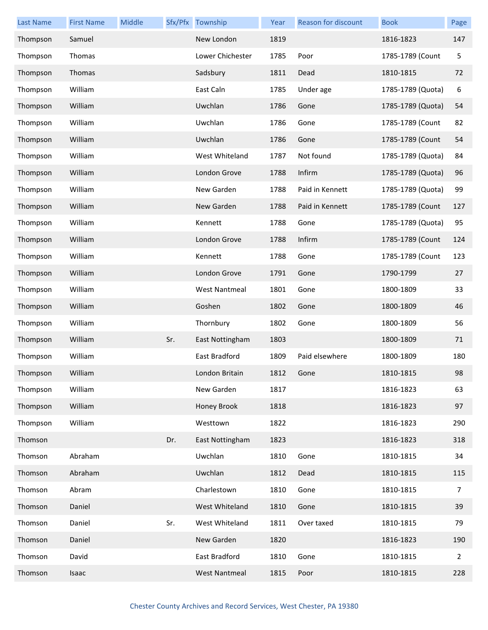| <b>Last Name</b> | <b>First Name</b> | Middle |     | Sfx/Pfx Township     | Year | Reason for discount | <b>Book</b>       | Page           |
|------------------|-------------------|--------|-----|----------------------|------|---------------------|-------------------|----------------|
| Thompson         | Samuel            |        |     | New London           | 1819 |                     | 1816-1823         | 147            |
| Thompson         | Thomas            |        |     | Lower Chichester     | 1785 | Poor                | 1785-1789 (Count  | 5              |
| Thompson         | Thomas            |        |     | Sadsbury             | 1811 | Dead                | 1810-1815         | 72             |
| Thompson         | William           |        |     | East Caln            | 1785 | Under age           | 1785-1789 (Quota) | 6              |
| Thompson         | William           |        |     | Uwchlan              | 1786 | Gone                | 1785-1789 (Quota) | 54             |
| Thompson         | William           |        |     | Uwchlan              | 1786 | Gone                | 1785-1789 (Count  | 82             |
| Thompson         | William           |        |     | Uwchlan              | 1786 | Gone                | 1785-1789 (Count  | 54             |
| Thompson         | William           |        |     | West Whiteland       | 1787 | Not found           | 1785-1789 (Quota) | 84             |
| Thompson         | William           |        |     | London Grove         | 1788 | Infirm              | 1785-1789 (Quota) | 96             |
| Thompson         | William           |        |     | New Garden           | 1788 | Paid in Kennett     | 1785-1789 (Quota) | 99             |
| Thompson         | William           |        |     | New Garden           | 1788 | Paid in Kennett     | 1785-1789 (Count  | 127            |
| Thompson         | William           |        |     | Kennett              | 1788 | Gone                | 1785-1789 (Quota) | 95             |
| Thompson         | William           |        |     | London Grove         | 1788 | Infirm              | 1785-1789 (Count  | 124            |
| Thompson         | William           |        |     | Kennett              | 1788 | Gone                | 1785-1789 (Count  | 123            |
| Thompson         | William           |        |     | London Grove         | 1791 | Gone                | 1790-1799         | 27             |
| Thompson         | William           |        |     | <b>West Nantmeal</b> | 1801 | Gone                | 1800-1809         | 33             |
| Thompson         | William           |        |     | Goshen               | 1802 | Gone                | 1800-1809         | 46             |
| Thompson         | William           |        |     | Thornbury            | 1802 | Gone                | 1800-1809         | 56             |
| Thompson         | William           |        | Sr. | East Nottingham      | 1803 |                     | 1800-1809         | 71             |
| Thompson         | William           |        |     | East Bradford        | 1809 | Paid elsewhere      | 1800-1809         | 180            |
| Thompson         | William           |        |     | London Britain       | 1812 | Gone                | 1810-1815         | 98             |
| Thompson         | William           |        |     | New Garden           | 1817 |                     | 1816-1823         | 63             |
| Thompson         | William           |        |     | Honey Brook          | 1818 |                     | 1816-1823         | 97             |
| Thompson         | William           |        |     | Westtown             | 1822 |                     | 1816-1823         | 290            |
| Thomson          |                   |        | Dr. | East Nottingham      | 1823 |                     | 1816-1823         | 318            |
| Thomson          | Abraham           |        |     | Uwchlan              | 1810 | Gone                | 1810-1815         | 34             |
| Thomson          | Abraham           |        |     | Uwchlan              | 1812 | Dead                | 1810-1815         | 115            |
| Thomson          | Abram             |        |     | Charlestown          | 1810 | Gone                | 1810-1815         | 7              |
| Thomson          | Daniel            |        |     | West Whiteland       | 1810 | Gone                | 1810-1815         | 39             |
| Thomson          | Daniel            |        | Sr. | West Whiteland       | 1811 | Over taxed          | 1810-1815         | 79             |
| Thomson          | Daniel            |        |     | New Garden           | 1820 |                     | 1816-1823         | 190            |
| Thomson          | David             |        |     | East Bradford        | 1810 | Gone                | 1810-1815         | $\overline{2}$ |
| Thomson          | Isaac             |        |     | <b>West Nantmeal</b> | 1815 | Poor                | 1810-1815         | 228            |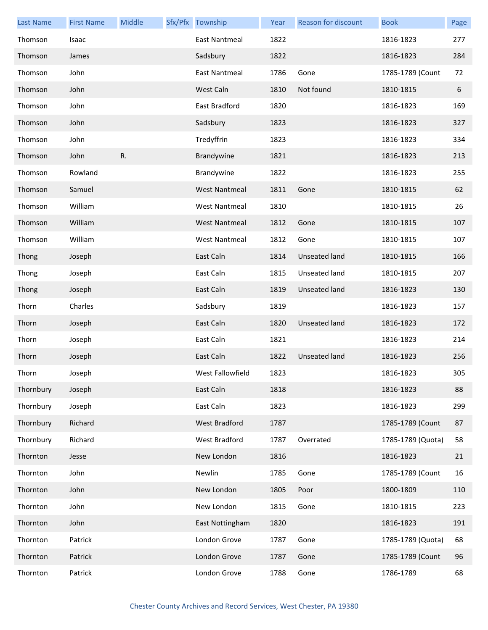| <b>Last Name</b> | <b>First Name</b> | Middle | Sfx/Pfx Township     | Year | Reason for discount  | <b>Book</b>       | Page |
|------------------|-------------------|--------|----------------------|------|----------------------|-------------------|------|
| Thomson          | Isaac             |        | East Nantmeal        | 1822 |                      | 1816-1823         | 277  |
| Thomson          | James             |        | Sadsbury             | 1822 |                      | 1816-1823         | 284  |
| Thomson          | John              |        | <b>East Nantmeal</b> | 1786 | Gone                 | 1785-1789 (Count  | 72   |
| Thomson          | John              |        | West Caln            | 1810 | Not found            | 1810-1815         | 6    |
| Thomson          | John              |        | East Bradford        | 1820 |                      | 1816-1823         | 169  |
| Thomson          | John              |        | Sadsbury             | 1823 |                      | 1816-1823         | 327  |
| Thomson          | John              |        | Tredyffrin           | 1823 |                      | 1816-1823         | 334  |
| Thomson          | John              | R.     | Brandywine           | 1821 |                      | 1816-1823         | 213  |
| Thomson          | Rowland           |        | Brandywine           | 1822 |                      | 1816-1823         | 255  |
| Thomson          | Samuel            |        | <b>West Nantmeal</b> | 1811 | Gone                 | 1810-1815         | 62   |
| Thomson          | William           |        | <b>West Nantmeal</b> | 1810 |                      | 1810-1815         | 26   |
| Thomson          | William           |        | <b>West Nantmeal</b> | 1812 | Gone                 | 1810-1815         | 107  |
| Thomson          | William           |        | <b>West Nantmeal</b> | 1812 | Gone                 | 1810-1815         | 107  |
| Thong            | Joseph            |        | East Caln            | 1814 | Unseated land        | 1810-1815         | 166  |
| Thong            | Joseph            |        | East Caln            | 1815 | Unseated land        | 1810-1815         | 207  |
| Thong            | Joseph            |        | East Caln            | 1819 | Unseated land        | 1816-1823         | 130  |
| Thorn            | Charles           |        | Sadsbury             | 1819 |                      | 1816-1823         | 157  |
| Thorn            | Joseph            |        | East Caln            | 1820 | Unseated land        | 1816-1823         | 172  |
| Thorn            | Joseph            |        | East Caln            | 1821 |                      | 1816-1823         | 214  |
| Thorn            | Joseph            |        | East Caln            | 1822 | <b>Unseated land</b> | 1816-1823         | 256  |
| Thorn            | Joseph            |        | West Fallowfield     | 1823 |                      | 1816-1823         | 305  |
| Thornbury        | Joseph            |        | East Caln            | 1818 |                      | 1816-1823         | 88   |
| Thornbury        | Joseph            |        | East Caln            | 1823 |                      | 1816-1823         | 299  |
| Thornbury        | Richard           |        | <b>West Bradford</b> | 1787 |                      | 1785-1789 (Count  | 87   |
| Thornbury        | Richard           |        | West Bradford        | 1787 | Overrated            | 1785-1789 (Quota) | 58   |
| Thornton         | Jesse             |        | New London           | 1816 |                      | 1816-1823         | 21   |
| Thornton         | John              |        | Newlin               | 1785 | Gone                 | 1785-1789 (Count  | 16   |
| Thornton         | John              |        | New London           | 1805 | Poor                 | 1800-1809         | 110  |
| Thornton         | John              |        | New London           | 1815 | Gone                 | 1810-1815         | 223  |
| Thornton         | John              |        | East Nottingham      | 1820 |                      | 1816-1823         | 191  |
| Thornton         | Patrick           |        | London Grove         | 1787 | Gone                 | 1785-1789 (Quota) | 68   |
| Thornton         | Patrick           |        | London Grove         | 1787 | Gone                 | 1785-1789 (Count  | 96   |
| Thornton         | Patrick           |        | London Grove         | 1788 | Gone                 | 1786-1789         | 68   |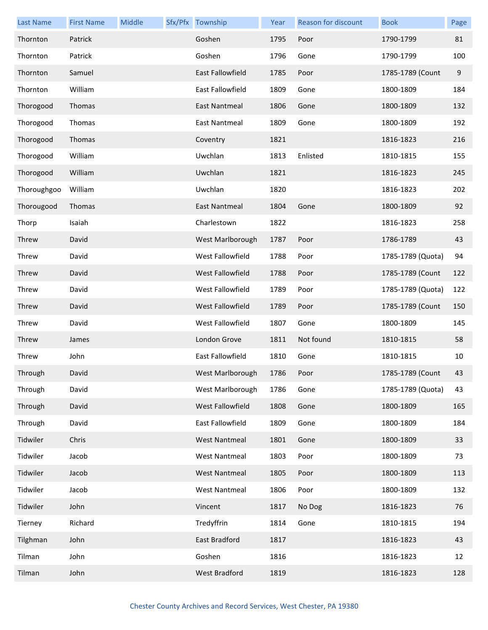| <b>Last Name</b> | <b>First Name</b> | Middle | Sfx/Pfx Township        | Year | Reason for discount | <b>Book</b>       | Page |
|------------------|-------------------|--------|-------------------------|------|---------------------|-------------------|------|
| Thornton         | Patrick           |        | Goshen                  | 1795 | Poor                | 1790-1799         | 81   |
| Thornton         | Patrick           |        | Goshen                  | 1796 | Gone                | 1790-1799         | 100  |
| Thornton         | Samuel            |        | East Fallowfield        | 1785 | Poor                | 1785-1789 (Count  | 9    |
| Thornton         | William           |        | East Fallowfield        | 1809 | Gone                | 1800-1809         | 184  |
| Thorogood        | Thomas            |        | East Nantmeal           | 1806 | Gone                | 1800-1809         | 132  |
| Thorogood        | Thomas            |        | East Nantmeal           | 1809 | Gone                | 1800-1809         | 192  |
| Thorogood        | Thomas            |        | Coventry                | 1821 |                     | 1816-1823         | 216  |
| Thorogood        | William           |        | Uwchlan                 | 1813 | Enlisted            | 1810-1815         | 155  |
| Thorogood        | William           |        | Uwchlan                 | 1821 |                     | 1816-1823         | 245  |
| Thoroughgoo      | William           |        | Uwchlan                 | 1820 |                     | 1816-1823         | 202  |
| Thorougood       | Thomas            |        | <b>East Nantmeal</b>    | 1804 | Gone                | 1800-1809         | 92   |
| Thorp            | Isaiah            |        | Charlestown             | 1822 |                     | 1816-1823         | 258  |
| Threw            | David             |        | West Marlborough        | 1787 | Poor                | 1786-1789         | 43   |
| Threw            | David             |        | West Fallowfield        | 1788 | Poor                | 1785-1789 (Quota) | 94   |
| Threw            | David             |        | West Fallowfield        | 1788 | Poor                | 1785-1789 (Count  | 122  |
| Threw            | David             |        | West Fallowfield        | 1789 | Poor                | 1785-1789 (Quota) | 122  |
| Threw            | David             |        | West Fallowfield        | 1789 | Poor                | 1785-1789 (Count  | 150  |
| Threw            | David             |        | West Fallowfield        | 1807 | Gone                | 1800-1809         | 145  |
| Threw            | James             |        | London Grove            | 1811 | Not found           | 1810-1815         | 58   |
| Threw            | John              |        | <b>East Fallowfield</b> | 1810 | Gone                | 1810-1815         | 10   |
| Through          | David             |        | West Marlborough        | 1786 | Poor                | 1785-1789 (Count  | 43   |
| Through          | David             |        | West Marlborough        | 1786 | Gone                | 1785-1789 (Quota) | 43   |
| Through          | David             |        | West Fallowfield        | 1808 | Gone                | 1800-1809         | 165  |
| Through          | David             |        | East Fallowfield        | 1809 | Gone                | 1800-1809         | 184  |
| Tidwiler         | Chris             |        | <b>West Nantmeal</b>    | 1801 | Gone                | 1800-1809         | 33   |
| Tidwiler         | Jacob             |        | <b>West Nantmeal</b>    | 1803 | Poor                | 1800-1809         | 73   |
| Tidwiler         | Jacob             |        | <b>West Nantmeal</b>    | 1805 | Poor                | 1800-1809         | 113  |
| Tidwiler         | Jacob             |        | <b>West Nantmeal</b>    | 1806 | Poor                | 1800-1809         | 132  |
| Tidwiler         | John              |        | Vincent                 | 1817 | No Dog              | 1816-1823         | 76   |
| Tierney          | Richard           |        | Tredyffrin              | 1814 | Gone                | 1810-1815         | 194  |
| Tilghman         | John              |        | East Bradford           | 1817 |                     | 1816-1823         | 43   |
| Tilman           | John              |        | Goshen                  | 1816 |                     | 1816-1823         | 12   |
| Tilman           | John              |        | <b>West Bradford</b>    | 1819 |                     | 1816-1823         | 128  |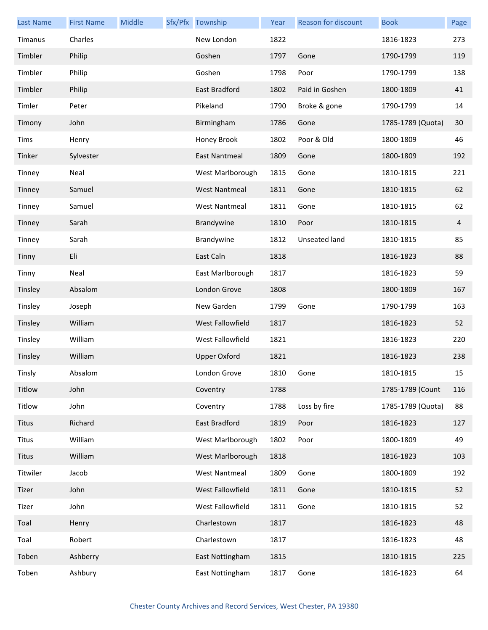| <b>Last Name</b> | <b>First Name</b> | Middle | Sfx/Pfx Township     | Year | Reason for discount | <b>Book</b>       | Page |
|------------------|-------------------|--------|----------------------|------|---------------------|-------------------|------|
| Timanus          | Charles           |        | New London           | 1822 |                     | 1816-1823         | 273  |
| Timbler          | Philip            |        | Goshen               | 1797 | Gone                | 1790-1799         | 119  |
| Timbler          | Philip            |        | Goshen               | 1798 | Poor                | 1790-1799         | 138  |
| Timbler          | Philip            |        | East Bradford        | 1802 | Paid in Goshen      | 1800-1809         | 41   |
| Timler           | Peter             |        | Pikeland             | 1790 | Broke & gone        | 1790-1799         | 14   |
| Timony           | John              |        | Birmingham           | 1786 | Gone                | 1785-1789 (Quota) | 30   |
| Tims             | Henry             |        | Honey Brook          | 1802 | Poor & Old          | 1800-1809         | 46   |
| Tinker           | Sylvester         |        | East Nantmeal        | 1809 | Gone                | 1800-1809         | 192  |
| Tinney           | Neal              |        | West Marlborough     | 1815 | Gone                | 1810-1815         | 221  |
| Tinney           | Samuel            |        | <b>West Nantmeal</b> | 1811 | Gone                | 1810-1815         | 62   |
| Tinney           | Samuel            |        | <b>West Nantmeal</b> | 1811 | Gone                | 1810-1815         | 62   |
| Tinney           | Sarah             |        | Brandywine           | 1810 | Poor                | 1810-1815         | 4    |
| Tinney           | Sarah             |        | Brandywine           | 1812 | Unseated land       | 1810-1815         | 85   |
| Tinny            | Eli               |        | East Caln            | 1818 |                     | 1816-1823         | 88   |
| Tinny            | Neal              |        | East Marlborough     | 1817 |                     | 1816-1823         | 59   |
| Tinsley          | Absalom           |        | London Grove         | 1808 |                     | 1800-1809         | 167  |
| Tinsley          | Joseph            |        | New Garden           | 1799 | Gone                | 1790-1799         | 163  |
| Tinsley          | William           |        | West Fallowfield     | 1817 |                     | 1816-1823         | 52   |
| Tinsley          | William           |        | West Fallowfield     | 1821 |                     | 1816-1823         | 220  |
| Tinsley          | William           |        | <b>Upper Oxford</b>  | 1821 |                     | 1816-1823         | 238  |
| Tinsly           | Absalom           |        | London Grove         | 1810 | Gone                | 1810-1815         | 15   |
| Titlow           | John              |        | Coventry             | 1788 |                     | 1785-1789 (Count  | 116  |
| Titlow           | John              |        | Coventry             | 1788 | Loss by fire        | 1785-1789 (Quota) | 88   |
| <b>Titus</b>     | Richard           |        | East Bradford        | 1819 | Poor                | 1816-1823         | 127  |
| <b>Titus</b>     | William           |        | West Marlborough     | 1802 | Poor                | 1800-1809         | 49   |
| <b>Titus</b>     | William           |        | West Marlborough     | 1818 |                     | 1816-1823         | 103  |
| Titwiler         | Jacob             |        | <b>West Nantmeal</b> | 1809 | Gone                | 1800-1809         | 192  |
| Tizer            | John              |        | West Fallowfield     | 1811 | Gone                | 1810-1815         | 52   |
| Tizer            | John              |        | West Fallowfield     | 1811 | Gone                | 1810-1815         | 52   |
| Toal             | Henry             |        | Charlestown          | 1817 |                     | 1816-1823         | 48   |
| Toal             | Robert            |        | Charlestown          | 1817 |                     | 1816-1823         | 48   |
| Toben            | Ashberry          |        | East Nottingham      | 1815 |                     | 1810-1815         | 225  |
| Toben            | Ashbury           |        | East Nottingham      | 1817 | Gone                | 1816-1823         | 64   |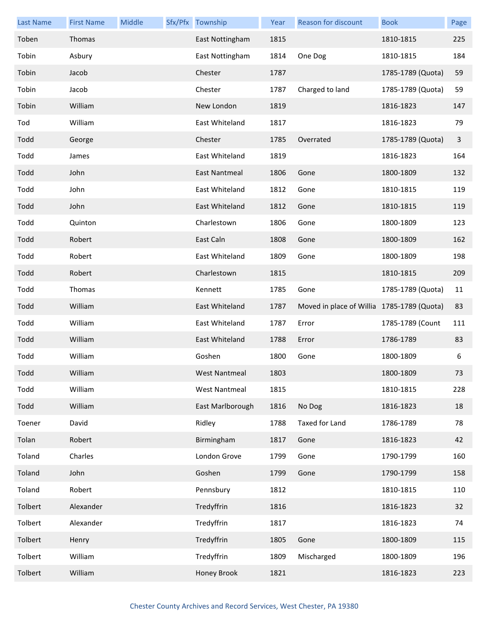| <b>Last Name</b> | <b>First Name</b> | Middle | Sfx/Pfx Township     | Year | Reason for discount                        | <b>Book</b>       | Page |
|------------------|-------------------|--------|----------------------|------|--------------------------------------------|-------------------|------|
| Toben            | Thomas            |        | East Nottingham      | 1815 |                                            | 1810-1815         | 225  |
| Tobin            | Asbury            |        | East Nottingham      | 1814 | One Dog                                    | 1810-1815         | 184  |
| Tobin            | Jacob             |        | Chester              | 1787 |                                            | 1785-1789 (Quota) | 59   |
| Tobin            | Jacob             |        | Chester              | 1787 | Charged to land                            | 1785-1789 (Quota) | 59   |
| Tobin            | William           |        | New London           | 1819 |                                            | 1816-1823         | 147  |
| Tod              | William           |        | East Whiteland       | 1817 |                                            | 1816-1823         | 79   |
| Todd             | George            |        | Chester              | 1785 | Overrated                                  | 1785-1789 (Quota) | 3    |
| Todd             | James             |        | East Whiteland       | 1819 |                                            | 1816-1823         | 164  |
| Todd             | John              |        | East Nantmeal        | 1806 | Gone                                       | 1800-1809         | 132  |
| Todd             | John              |        | East Whiteland       | 1812 | Gone                                       | 1810-1815         | 119  |
| Todd             | John              |        | East Whiteland       | 1812 | Gone                                       | 1810-1815         | 119  |
| Todd             | Quinton           |        | Charlestown          | 1806 | Gone                                       | 1800-1809         | 123  |
| Todd             | Robert            |        | East Caln            | 1808 | Gone                                       | 1800-1809         | 162  |
| Todd             | Robert            |        | East Whiteland       | 1809 | Gone                                       | 1800-1809         | 198  |
| Todd             | Robert            |        | Charlestown          | 1815 |                                            | 1810-1815         | 209  |
| Todd             | Thomas            |        | Kennett              | 1785 | Gone                                       | 1785-1789 (Quota) | 11   |
| Todd             | William           |        | East Whiteland       | 1787 | Moved in place of Willia 1785-1789 (Quota) |                   | 83   |
| Todd             | William           |        | East Whiteland       | 1787 | Error                                      | 1785-1789 (Count  | 111  |
| Todd             | William           |        | East Whiteland       | 1788 | Error                                      | 1786-1789         | 83   |
| Todd             | William           |        | Goshen               | 1800 | Gone                                       | 1800-1809         | 6    |
| Todd             | William           |        | West Nantmeal        | 1803 |                                            | 1800-1809         | 73   |
| Todd             | William           |        | <b>West Nantmeal</b> | 1815 |                                            | 1810-1815         | 228  |
| Todd             | William           |        | East Marlborough     | 1816 | No Dog                                     | 1816-1823         | 18   |
| Toener           | David             |        | Ridley               | 1788 | Taxed for Land                             | 1786-1789         | 78   |
| Tolan            | Robert            |        | Birmingham           | 1817 | Gone                                       | 1816-1823         | 42   |
| Toland           | Charles           |        | London Grove         | 1799 | Gone                                       | 1790-1799         | 160  |
| Toland           | John              |        | Goshen               | 1799 | Gone                                       | 1790-1799         | 158  |
| Toland           | Robert            |        | Pennsbury            | 1812 |                                            | 1810-1815         | 110  |
| Tolbert          | Alexander         |        | Tredyffrin           | 1816 |                                            | 1816-1823         | 32   |
| Tolbert          | Alexander         |        | Tredyffrin           | 1817 |                                            | 1816-1823         | 74   |
| Tolbert          | Henry             |        | Tredyffrin           | 1805 | Gone                                       | 1800-1809         | 115  |
| Tolbert          | William           |        | Tredyffrin           | 1809 | Mischarged                                 | 1800-1809         | 196  |
| Tolbert          | William           |        | Honey Brook          | 1821 |                                            | 1816-1823         | 223  |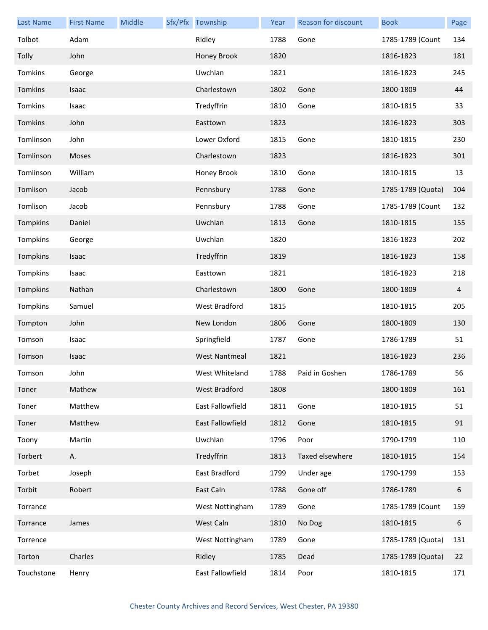| <b>Last Name</b> | <b>First Name</b> | Middle | Sfx/Pfx Township     | Year | Reason for discount | <b>Book</b>       | Page |
|------------------|-------------------|--------|----------------------|------|---------------------|-------------------|------|
| Tolbot           | Adam              |        | Ridley               | 1788 | Gone                | 1785-1789 (Count  | 134  |
| Tolly            | John              |        | Honey Brook          | 1820 |                     | 1816-1823         | 181  |
| Tomkins          | George            |        | Uwchlan              | 1821 |                     | 1816-1823         | 245  |
| Tomkins          | Isaac             |        | Charlestown          | 1802 | Gone                | 1800-1809         | 44   |
| Tomkins          | Isaac             |        | Tredyffrin           | 1810 | Gone                | 1810-1815         | 33   |
| Tomkins          | John              |        | Easttown             | 1823 |                     | 1816-1823         | 303  |
| Tomlinson        | John              |        | Lower Oxford         | 1815 | Gone                | 1810-1815         | 230  |
| Tomlinson        | Moses             |        | Charlestown          | 1823 |                     | 1816-1823         | 301  |
| Tomlinson        | William           |        | Honey Brook          | 1810 | Gone                | 1810-1815         | 13   |
| Tomlison         | Jacob             |        | Pennsbury            | 1788 | Gone                | 1785-1789 (Quota) | 104  |
| Tomlison         | Jacob             |        | Pennsbury            | 1788 | Gone                | 1785-1789 (Count  | 132  |
| Tompkins         | Daniel            |        | Uwchlan              | 1813 | Gone                | 1810-1815         | 155  |
| Tompkins         | George            |        | Uwchlan              | 1820 |                     | 1816-1823         | 202  |
| Tompkins         | Isaac             |        | Tredyffrin           | 1819 |                     | 1816-1823         | 158  |
| Tompkins         | Isaac             |        | Easttown             | 1821 |                     | 1816-1823         | 218  |
| Tompkins         | Nathan            |        | Charlestown          | 1800 | Gone                | 1800-1809         | 4    |
| Tompkins         | Samuel            |        | West Bradford        | 1815 |                     | 1810-1815         | 205  |
| Tompton          | John              |        | New London           | 1806 | Gone                | 1800-1809         | 130  |
| Tomson           | Isaac             |        | Springfield          | 1787 | Gone                | 1786-1789         | 51   |
| Tomson           | Isaac             |        | <b>West Nantmeal</b> | 1821 |                     | 1816-1823         | 236  |
| Tomson           | John              |        | West Whiteland       | 1788 | Paid in Goshen      | 1786-1789         | 56   |
| Toner            | Mathew            |        | West Bradford        | 1808 |                     | 1800-1809         | 161  |
| Toner            | Matthew           |        | East Fallowfield     | 1811 | Gone                | 1810-1815         | 51   |
| Toner            | Matthew           |        | East Fallowfield     | 1812 | Gone                | 1810-1815         | 91   |
| Toony            | Martin            |        | Uwchlan              | 1796 | Poor                | 1790-1799         | 110  |
| Torbert          | Α.                |        | Tredyffrin           | 1813 | Taxed elsewhere     | 1810-1815         | 154  |
| Torbet           | Joseph            |        | East Bradford        | 1799 | Under age           | 1790-1799         | 153  |
| Torbit           | Robert            |        | East Caln            | 1788 | Gone off            | 1786-1789         | 6    |
| Torrance         |                   |        | West Nottingham      | 1789 | Gone                | 1785-1789 (Count  | 159  |
| Torrance         | James             |        | West Caln            | 1810 | No Dog              | 1810-1815         | 6    |
| Torrence         |                   |        | West Nottingham      | 1789 | Gone                | 1785-1789 (Quota) | 131  |
| Torton           | Charles           |        | Ridley               | 1785 | Dead                | 1785-1789 (Quota) | 22   |
| Touchstone       | Henry             |        | East Fallowfield     | 1814 | Poor                | 1810-1815         | 171  |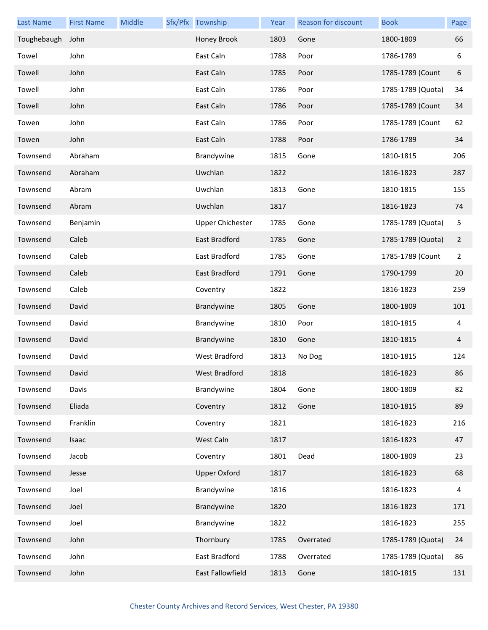| <b>Last Name</b> | <b>First Name</b> | Middle | Sfx/Pfx Township        | Year | Reason for discount | <b>Book</b>       | Page           |
|------------------|-------------------|--------|-------------------------|------|---------------------|-------------------|----------------|
| Toughebaugh      | John              |        | Honey Brook             | 1803 | Gone                | 1800-1809         | 66             |
| Towel            | John              |        | East Caln               | 1788 | Poor                | 1786-1789         | 6              |
| Towell           | John              |        | East Caln               | 1785 | Poor                | 1785-1789 (Count  | 6              |
| Towell           | John              |        | East Caln               | 1786 | Poor                | 1785-1789 (Quota) | 34             |
| Towell           | John              |        | East Caln               | 1786 | Poor                | 1785-1789 (Count  | 34             |
| Towen            | John              |        | East Caln               | 1786 | Poor                | 1785-1789 (Count  | 62             |
| Towen            | John              |        | East Caln               | 1788 | Poor                | 1786-1789         | 34             |
| Townsend         | Abraham           |        | Brandywine              | 1815 | Gone                | 1810-1815         | 206            |
| Townsend         | Abraham           |        | Uwchlan                 | 1822 |                     | 1816-1823         | 287            |
| Townsend         | Abram             |        | Uwchlan                 | 1813 | Gone                | 1810-1815         | 155            |
| Townsend         | Abram             |        | Uwchlan                 | 1817 |                     | 1816-1823         | 74             |
| Townsend         | Benjamin          |        | <b>Upper Chichester</b> | 1785 | Gone                | 1785-1789 (Quota) | 5              |
| Townsend         | Caleb             |        | East Bradford           | 1785 | Gone                | 1785-1789 (Quota) | $\overline{2}$ |
| Townsend         | Caleb             |        | East Bradford           | 1785 | Gone                | 1785-1789 (Count  | 2              |
| Townsend         | Caleb             |        | East Bradford           | 1791 | Gone                | 1790-1799         | 20             |
| Townsend         | Caleb             |        | Coventry                | 1822 |                     | 1816-1823         | 259            |
| Townsend         | David             |        | Brandywine              | 1805 | Gone                | 1800-1809         | 101            |
| Townsend         | David             |        | Brandywine              | 1810 | Poor                | 1810-1815         | 4              |
| Townsend         | David             |        | Brandywine              | 1810 | Gone                | 1810-1815         | 4              |
| Townsend         | David             |        | West Bradford           | 1813 | No Dog              | 1810-1815         | 124            |
| Townsend         | David             |        | West Bradford           | 1818 |                     | 1816-1823         | 86             |
| Townsend         | Davis             |        | Brandywine              | 1804 | Gone                | 1800-1809         | 82             |
| Townsend         | Eliada            |        | Coventry                | 1812 | Gone                | 1810-1815         | 89             |
| Townsend         | Franklin          |        | Coventry                | 1821 |                     | 1816-1823         | 216            |
| Townsend         | Isaac             |        | West Caln               | 1817 |                     | 1816-1823         | 47             |
| Townsend         | Jacob             |        | Coventry                | 1801 | Dead                | 1800-1809         | 23             |
| Townsend         | Jesse             |        | <b>Upper Oxford</b>     | 1817 |                     | 1816-1823         | 68             |
| Townsend         | Joel              |        | Brandywine              | 1816 |                     | 1816-1823         | 4              |
| Townsend         | Joel              |        | Brandywine              | 1820 |                     | 1816-1823         | 171            |
| Townsend         | Joel              |        | Brandywine              | 1822 |                     | 1816-1823         | 255            |
| Townsend         | John              |        | Thornbury               | 1785 | Overrated           | 1785-1789 (Quota) | 24             |
| Townsend         | John              |        | East Bradford           | 1788 | Overrated           | 1785-1789 (Quota) | 86             |
| Townsend         | John              |        | East Fallowfield        | 1813 | Gone                | 1810-1815         | 131            |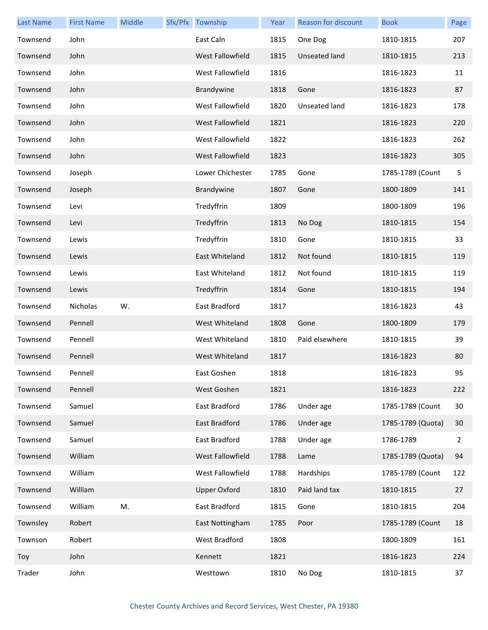| <b>Last Name</b> | <b>First Name</b> | Middle | Sfx/Pfx Township     | Year | Reason for discount | <b>Book</b>       | Page |
|------------------|-------------------|--------|----------------------|------|---------------------|-------------------|------|
| Townsend         | John              |        | East Caln            | 1815 | One Dog             | 1810-1815         | 207  |
| Townsend         | John              |        | West Fallowfield     | 1815 | Unseated land       | 1810-1815         | 213  |
| Townsend         | John              |        | West Fallowfield     | 1816 |                     | 1816-1823         | 11   |
| Townsend         | John              |        | Brandywine           | 1818 | Gone                | 1816-1823         | 87   |
| Townsend         | John              |        | West Fallowfield     | 1820 | Unseated land       | 1816-1823         | 178  |
| Townsend         | John              |        | West Fallowfield     | 1821 |                     | 1816-1823         | 220  |
| Townsend         | John              |        | West Fallowfield     | 1822 |                     | 1816-1823         | 262  |
| Townsend         | John              |        | West Fallowfield     | 1823 |                     | 1816-1823         | 305  |
| Townsend         | Joseph            |        | Lower Chichester     | 1785 | Gone                | 1785-1789 (Count  | 5    |
| Townsend         | Joseph            |        | Brandywine           | 1807 | Gone                | 1800-1809         | 141  |
| Townsend         | Levi              |        | Tredyffrin           | 1809 |                     | 1800-1809         | 196  |
| Townsend         | Levi              |        | Tredyffrin           | 1813 | No Dog              | 1810-1815         | 154  |
| Townsend         | Lewis             |        | Tredyffrin           | 1810 | Gone                | 1810-1815         | 33   |
| Townsend         | Lewis             |        | East Whiteland       | 1812 | Not found           | 1810-1815         | 119  |
| Townsend         | Lewis             |        | East Whiteland       | 1812 | Not found           | 1810-1815         | 119  |
| Townsend         | Lewis             |        | Tredyffrin           | 1814 | Gone                | 1810-1815         | 194  |
| Townsend         | <b>Nicholas</b>   | W.     | East Bradford        | 1817 |                     | 1816-1823         | 43   |
| Townsend         | Pennell           |        | West Whiteland       | 1808 | Gone                | 1800-1809         | 179  |
| Townsend         | Pennell           |        | West Whiteland       | 1810 | Paid elsewhere      | 1810-1815         | 39   |
| Townsend         | Pennell           |        | West Whiteland       | 1817 |                     | 1816-1823         | 80   |
| Townsend         | Pennell           |        | East Goshen          | 1818 |                     | 1816-1823         | 95   |
| Townsend         | Pennell           |        | West Goshen          | 1821 |                     | 1816-1823         | 222  |
| Townsend         | Samuel            |        | East Bradford        | 1786 | Under age           | 1785-1789 (Count  | 30   |
| Townsend         | Samuel            |        | East Bradford        | 1786 | Under age           | 1785-1789 (Quota) | 30   |
| Townsend         | Samuel            |        | East Bradford        | 1788 | Under age           | 1786-1789         | 2    |
| Townsend         | William           |        | West Fallowfield     | 1788 | Lame                | 1785-1789 (Quota) | 94   |
| Townsend         | William           |        | West Fallowfield     | 1788 | Hardships           | 1785-1789 (Count  | 122  |
| Townsend         | William           |        | <b>Upper Oxford</b>  | 1810 | Paid land tax       | 1810-1815         | 27   |
| Townsend         | William           | M.     | East Bradford        | 1815 | Gone                | 1810-1815         | 204  |
| Townsley         | Robert            |        | East Nottingham      | 1785 | Poor                | 1785-1789 (Count  | 18   |
| Townson          | Robert            |        | <b>West Bradford</b> | 1808 |                     | 1800-1809         | 161  |
| Toy              | John              |        | Kennett              | 1821 |                     | 1816-1823         | 224  |
| Trader           | John              |        | Westtown             | 1810 | No Dog              | 1810-1815         | 37   |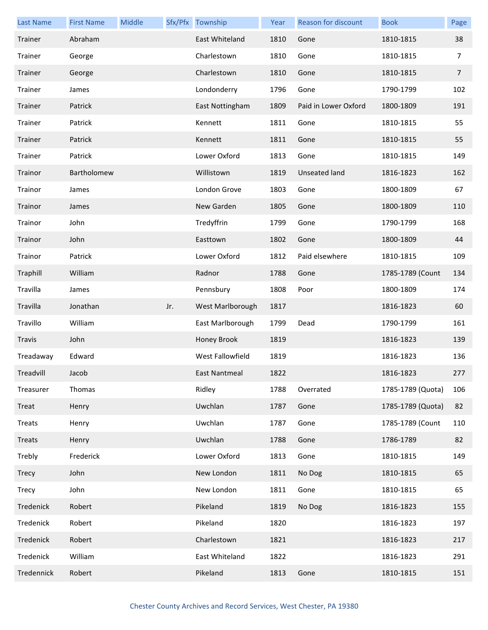| <b>Last Name</b> | <b>First Name</b> | Middle |     | Sfx/Pfx Township | Year | Reason for discount  | <b>Book</b>       | Page           |
|------------------|-------------------|--------|-----|------------------|------|----------------------|-------------------|----------------|
| Trainer          | Abraham           |        |     | East Whiteland   | 1810 | Gone                 | 1810-1815         | 38             |
| Trainer          | George            |        |     | Charlestown      | 1810 | Gone                 | 1810-1815         | 7              |
| Trainer          | George            |        |     | Charlestown      | 1810 | Gone                 | 1810-1815         | $\overline{7}$ |
| Trainer          | James             |        |     | Londonderry      | 1796 | Gone                 | 1790-1799         | 102            |
| Trainer          | Patrick           |        |     | East Nottingham  | 1809 | Paid in Lower Oxford | 1800-1809         | 191            |
| Trainer          | Patrick           |        |     | Kennett          | 1811 | Gone                 | 1810-1815         | 55             |
| Trainer          | Patrick           |        |     | Kennett          | 1811 | Gone                 | 1810-1815         | 55             |
| Trainer          | Patrick           |        |     | Lower Oxford     | 1813 | Gone                 | 1810-1815         | 149            |
| Trainor          | Bartholomew       |        |     | Willistown       | 1819 | Unseated land        | 1816-1823         | 162            |
| Trainor          | James             |        |     | London Grove     | 1803 | Gone                 | 1800-1809         | 67             |
| Trainor          | James             |        |     | New Garden       | 1805 | Gone                 | 1800-1809         | 110            |
| Trainor          | John              |        |     | Tredyffrin       | 1799 | Gone                 | 1790-1799         | 168            |
| Trainor          | John              |        |     | Easttown         | 1802 | Gone                 | 1800-1809         | 44             |
| Trainor          | Patrick           |        |     | Lower Oxford     | 1812 | Paid elsewhere       | 1810-1815         | 109            |
| Traphill         | William           |        |     | Radnor           | 1788 | Gone                 | 1785-1789 (Count  | 134            |
| Travilla         | James             |        |     | Pennsbury        | 1808 | Poor                 | 1800-1809         | 174            |
| Travilla         | Jonathan          |        | Jr. | West Marlborough | 1817 |                      | 1816-1823         | 60             |
| Travillo         | William           |        |     | East Marlborough | 1799 | Dead                 | 1790-1799         | 161            |
| Travis           | John              |        |     | Honey Brook      | 1819 |                      | 1816-1823         | 139            |
| Treadaway        | Edward            |        |     | West Fallowfield | 1819 |                      | 1816-1823         | 136            |
| Treadvill        | Jacob             |        |     | East Nantmeal    | 1822 |                      | 1816-1823         | 277            |
| Treasurer        | Thomas            |        |     | Ridley           | 1788 | Overrated            | 1785-1789 (Quota) | 106            |
| Treat            | Henry             |        |     | Uwchlan          | 1787 | Gone                 | 1785-1789 (Quota) | 82             |
| Treats           | Henry             |        |     | Uwchlan          | 1787 | Gone                 | 1785-1789 (Count  | 110            |
| Treats           | Henry             |        |     | Uwchlan          | 1788 | Gone                 | 1786-1789         | 82             |
| Trebly           | Frederick         |        |     | Lower Oxford     | 1813 | Gone                 | 1810-1815         | 149            |
| <b>Trecy</b>     | John              |        |     | New London       | 1811 | No Dog               | 1810-1815         | 65             |
| Trecy            | John              |        |     | New London       | 1811 | Gone                 | 1810-1815         | 65             |
| Tredenick        | Robert            |        |     | Pikeland         | 1819 | No Dog               | 1816-1823         | 155            |
| Tredenick        | Robert            |        |     | Pikeland         | 1820 |                      | 1816-1823         | 197            |
| Tredenick        | Robert            |        |     | Charlestown      | 1821 |                      | 1816-1823         | 217            |
| Tredenick        | William           |        |     | East Whiteland   | 1822 |                      | 1816-1823         | 291            |
| Tredennick       | Robert            |        |     | Pikeland         | 1813 | Gone                 | 1810-1815         | 151            |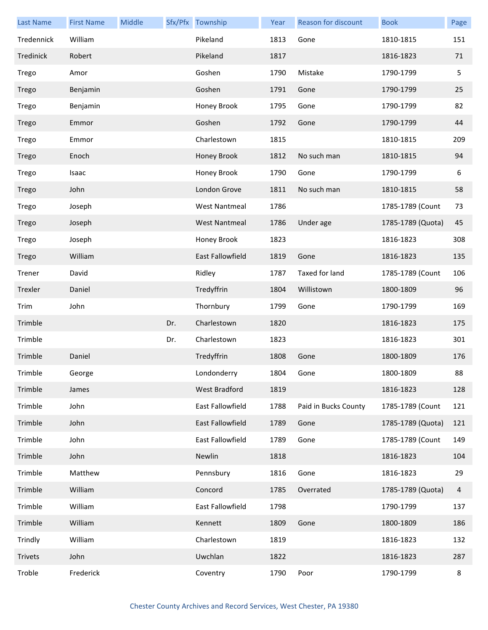| <b>Last Name</b> | <b>First Name</b> | Middle |     | Sfx/Pfx Township        | Year | Reason for discount  | <b>Book</b>       | Page |
|------------------|-------------------|--------|-----|-------------------------|------|----------------------|-------------------|------|
| Tredennick       | William           |        |     | Pikeland                | 1813 | Gone                 | 1810-1815         | 151  |
| Tredinick        | Robert            |        |     | Pikeland                | 1817 |                      | 1816-1823         | 71   |
| Trego            | Amor              |        |     | Goshen                  | 1790 | Mistake              | 1790-1799         | 5    |
| Trego            | Benjamin          |        |     | Goshen                  | 1791 | Gone                 | 1790-1799         | 25   |
| Trego            | Benjamin          |        |     | Honey Brook             | 1795 | Gone                 | 1790-1799         | 82   |
| Trego            | Emmor             |        |     | Goshen                  | 1792 | Gone                 | 1790-1799         | 44   |
| Trego            | Emmor             |        |     | Charlestown             | 1815 |                      | 1810-1815         | 209  |
| Trego            | Enoch             |        |     | Honey Brook             | 1812 | No such man          | 1810-1815         | 94   |
| Trego            | Isaac             |        |     | Honey Brook             | 1790 | Gone                 | 1790-1799         | 6    |
| Trego            | John              |        |     | London Grove            | 1811 | No such man          | 1810-1815         | 58   |
| Trego            | Joseph            |        |     | <b>West Nantmeal</b>    | 1786 |                      | 1785-1789 (Count  | 73   |
| Trego            | Joseph            |        |     | <b>West Nantmeal</b>    | 1786 | Under age            | 1785-1789 (Quota) | 45   |
| Trego            | Joseph            |        |     | Honey Brook             | 1823 |                      | 1816-1823         | 308  |
| Trego            | William           |        |     | East Fallowfield        | 1819 | Gone                 | 1816-1823         | 135  |
| Trener           | David             |        |     | Ridley                  | 1787 | Taxed for land       | 1785-1789 (Count  | 106  |
| Trexler          | Daniel            |        |     | Tredyffrin              | 1804 | Willistown           | 1800-1809         | 96   |
| Trim             | John              |        |     | Thornbury               | 1799 | Gone                 | 1790-1799         | 169  |
| Trimble          |                   |        | Dr. | Charlestown             | 1820 |                      | 1816-1823         | 175  |
| Trimble          |                   |        | Dr. | Charlestown             | 1823 |                      | 1816-1823         | 301  |
| Trimble          | Daniel            |        |     | Tredyffrin              | 1808 | Gone                 | 1800-1809         | 176  |
| Trimble          | George            |        |     | Londonderry             | 1804 | Gone                 | 1800-1809         | 88   |
| Trimble          | James             |        |     | West Bradford           | 1819 |                      | 1816-1823         | 128  |
| Trimble          | John              |        |     | East Fallowfield        | 1788 | Paid in Bucks County | 1785-1789 (Count  | 121  |
| Trimble          | John              |        |     | <b>East Fallowfield</b> | 1789 | Gone                 | 1785-1789 (Quota) | 121  |
| Trimble          | John              |        |     | East Fallowfield        | 1789 | Gone                 | 1785-1789 (Count  | 149  |
| Trimble          | John              |        |     | Newlin                  | 1818 |                      | 1816-1823         | 104  |
| Trimble          | Matthew           |        |     | Pennsbury               | 1816 | Gone                 | 1816-1823         | 29   |
| Trimble          | William           |        |     | Concord                 | 1785 | Overrated            | 1785-1789 (Quota) | 4    |
| Trimble          | William           |        |     | East Fallowfield        | 1798 |                      | 1790-1799         | 137  |
| Trimble          | William           |        |     | Kennett                 | 1809 | Gone                 | 1800-1809         | 186  |
| Trindly          | William           |        |     | Charlestown             | 1819 |                      | 1816-1823         | 132  |
| Trivets          | John              |        |     | Uwchlan                 | 1822 |                      | 1816-1823         | 287  |
| Troble           | Frederick         |        |     | Coventry                | 1790 | Poor                 | 1790-1799         | 8    |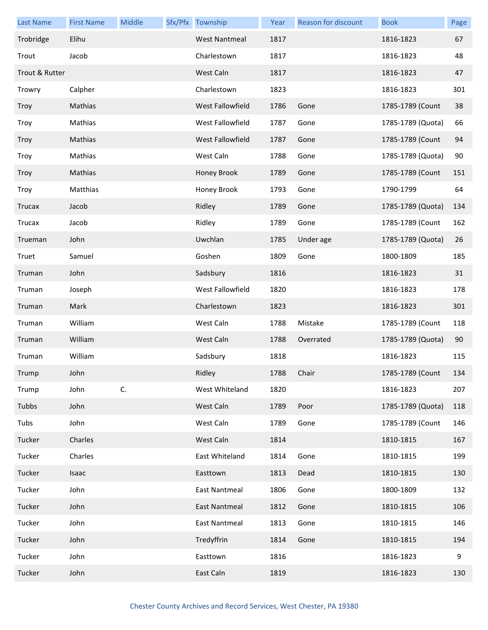| <b>Last Name</b> | <b>First Name</b> | Middle | Sfx/Pfx Township     | Year | Reason for discount | <b>Book</b>       | Page |
|------------------|-------------------|--------|----------------------|------|---------------------|-------------------|------|
| Trobridge        | Elihu             |        | <b>West Nantmeal</b> | 1817 |                     | 1816-1823         | 67   |
| Trout            | Jacob             |        | Charlestown          | 1817 |                     | 1816-1823         | 48   |
| Trout & Rutter   |                   |        | West Caln            | 1817 |                     | 1816-1823         | 47   |
| Trowry           | Calpher           |        | Charlestown          | 1823 |                     | 1816-1823         | 301  |
| Troy             | Mathias           |        | West Fallowfield     | 1786 | Gone                | 1785-1789 (Count  | 38   |
| Troy             | Mathias           |        | West Fallowfield     | 1787 | Gone                | 1785-1789 (Quota) | 66   |
| Troy             | Mathias           |        | West Fallowfield     | 1787 | Gone                | 1785-1789 (Count  | 94   |
| Troy             | Mathias           |        | West Caln            | 1788 | Gone                | 1785-1789 (Quota) | 90   |
| Troy             | Mathias           |        | Honey Brook          | 1789 | Gone                | 1785-1789 (Count  | 151  |
| Troy             | Matthias          |        | Honey Brook          | 1793 | Gone                | 1790-1799         | 64   |
| <b>Trucax</b>    | Jacob             |        | Ridley               | 1789 | Gone                | 1785-1789 (Quota) | 134  |
| <b>Trucax</b>    | Jacob             |        | Ridley               | 1789 | Gone                | 1785-1789 (Count  | 162  |
| Trueman          | John              |        | Uwchlan              | 1785 | Under age           | 1785-1789 (Quota) | 26   |
| Truet            | Samuel            |        | Goshen               | 1809 | Gone                | 1800-1809         | 185  |
| Truman           | John              |        | Sadsbury             | 1816 |                     | 1816-1823         | 31   |
| Truman           | Joseph            |        | West Fallowfield     | 1820 |                     | 1816-1823         | 178  |
| Truman           | Mark              |        | Charlestown          | 1823 |                     | 1816-1823         | 301  |
| Truman           | William           |        | West Caln            | 1788 | Mistake             | 1785-1789 (Count  | 118  |
| Truman           | William           |        | West Caln            | 1788 | Overrated           | 1785-1789 (Quota) | 90   |
| Truman           | William           |        | Sadsbury             | 1818 |                     | 1816-1823         | 115  |
| Trump            | John              |        | Ridley               | 1788 | Chair               | 1785-1789 (Count  | 134  |
| Trump            | John              | C.     | West Whiteland       | 1820 |                     | 1816-1823         | 207  |
| Tubbs            | John              |        | West Caln            | 1789 | Poor                | 1785-1789 (Quota) | 118  |
| Tubs             | John              |        | West Caln            | 1789 | Gone                | 1785-1789 (Count  | 146  |
| Tucker           | Charles           |        | West Caln            | 1814 |                     | 1810-1815         | 167  |
| Tucker           | Charles           |        | East Whiteland       | 1814 | Gone                | 1810-1815         | 199  |
| Tucker           | Isaac             |        | Easttown             | 1813 | Dead                | 1810-1815         | 130  |
| Tucker           | John              |        | <b>East Nantmeal</b> | 1806 | Gone                | 1800-1809         | 132  |
| Tucker           | John              |        | East Nantmeal        | 1812 | Gone                | 1810-1815         | 106  |
| Tucker           | John              |        | East Nantmeal        | 1813 | Gone                | 1810-1815         | 146  |
| Tucker           | John              |        | Tredyffrin           | 1814 | Gone                | 1810-1815         | 194  |
| Tucker           | John              |        | Easttown             | 1816 |                     | 1816-1823         | 9    |
| Tucker           | John              |        | East Caln            | 1819 |                     | 1816-1823         | 130  |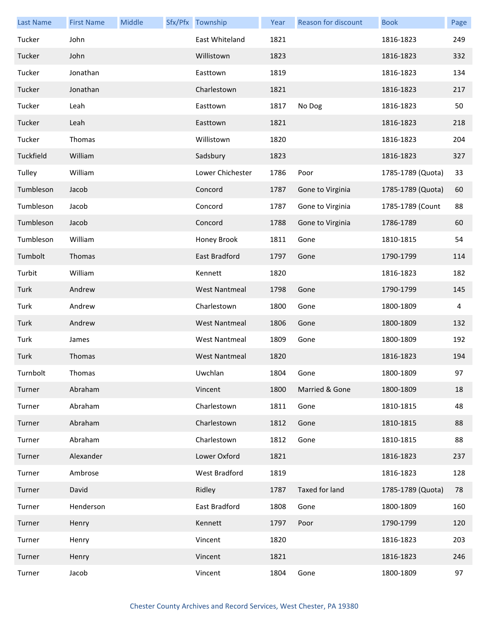| <b>Last Name</b> | <b>First Name</b> | Middle | Sfx/Pfx Township     | Year | Reason for discount | <b>Book</b>       | Page           |
|------------------|-------------------|--------|----------------------|------|---------------------|-------------------|----------------|
| Tucker           | John              |        | East Whiteland       | 1821 |                     | 1816-1823         | 249            |
| Tucker           | John              |        | Willistown           | 1823 |                     | 1816-1823         | 332            |
| Tucker           | Jonathan          |        | Easttown             | 1819 |                     | 1816-1823         | 134            |
| Tucker           | Jonathan          |        | Charlestown          | 1821 |                     | 1816-1823         | 217            |
| Tucker           | Leah              |        | Easttown             | 1817 | No Dog              | 1816-1823         | 50             |
| Tucker           | Leah              |        | Easttown             | 1821 |                     | 1816-1823         | 218            |
| Tucker           | Thomas            |        | Willistown           | 1820 |                     | 1816-1823         | 204            |
| Tuckfield        | William           |        | Sadsbury             | 1823 |                     | 1816-1823         | 327            |
| Tulley           | William           |        | Lower Chichester     | 1786 | Poor                | 1785-1789 (Quota) | 33             |
| Tumbleson        | Jacob             |        | Concord              | 1787 | Gone to Virginia    | 1785-1789 (Quota) | 60             |
| Tumbleson        | Jacob             |        | Concord              | 1787 | Gone to Virginia    | 1785-1789 (Count  | 88             |
| Tumbleson        | Jacob             |        | Concord              | 1788 | Gone to Virginia    | 1786-1789         | 60             |
| Tumbleson        | William           |        | Honey Brook          | 1811 | Gone                | 1810-1815         | 54             |
| Tumbolt          | Thomas            |        | East Bradford        | 1797 | Gone                | 1790-1799         | 114            |
| Turbit           | William           |        | Kennett              | 1820 |                     | 1816-1823         | 182            |
| Turk             | Andrew            |        | <b>West Nantmeal</b> | 1798 | Gone                | 1790-1799         | 145            |
| Turk             | Andrew            |        | Charlestown          | 1800 | Gone                | 1800-1809         | $\overline{4}$ |
| Turk             | Andrew            |        | <b>West Nantmeal</b> | 1806 | Gone                | 1800-1809         | 132            |
| Turk             | James             |        | <b>West Nantmeal</b> | 1809 | Gone                | 1800-1809         | 192            |
| Turk             | Thomas            |        | <b>West Nantmeal</b> | 1820 |                     | 1816-1823         | 194            |
| Turnbolt         | Thomas            |        | Uwchlan              | 1804 | Gone                | 1800-1809         | 97             |
| Turner           | Abraham           |        | Vincent              | 1800 | Married & Gone      | 1800-1809         | 18             |
| Turner           | Abraham           |        | Charlestown          | 1811 | Gone                | 1810-1815         | 48             |
| Turner           | Abraham           |        | Charlestown          | 1812 | Gone                | 1810-1815         | 88             |
| Turner           | Abraham           |        | Charlestown          | 1812 | Gone                | 1810-1815         | 88             |
| Turner           | Alexander         |        | Lower Oxford         | 1821 |                     | 1816-1823         | 237            |
| Turner           | Ambrose           |        | West Bradford        | 1819 |                     | 1816-1823         | 128            |
| Turner           | David             |        | Ridley               | 1787 | Taxed for land      | 1785-1789 (Quota) | 78             |
| Turner           | Henderson         |        | East Bradford        | 1808 | Gone                | 1800-1809         | 160            |
| Turner           | Henry             |        | Kennett              | 1797 | Poor                | 1790-1799         | 120            |
| Turner           | Henry             |        | Vincent              | 1820 |                     | 1816-1823         | 203            |
| Turner           | Henry             |        | Vincent              | 1821 |                     | 1816-1823         | 246            |
| Turner           | Jacob             |        | Vincent              | 1804 | Gone                | 1800-1809         | 97             |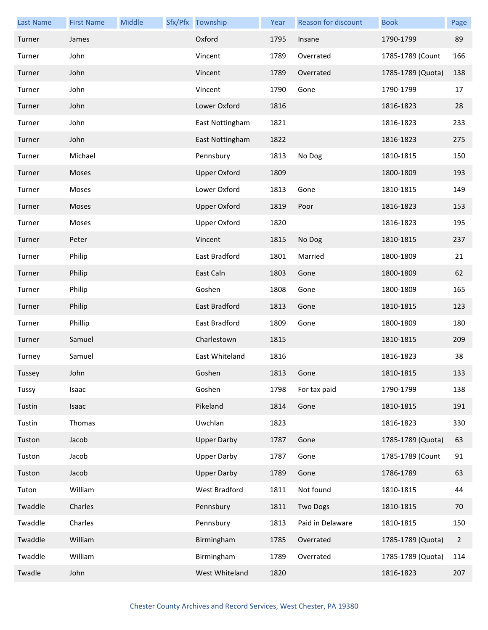| <b>Last Name</b> | <b>First Name</b> | Middle | Sfx/Pfx Township    | Year | Reason for discount | <b>Book</b>       | Page           |
|------------------|-------------------|--------|---------------------|------|---------------------|-------------------|----------------|
| Turner           | James             |        | Oxford              | 1795 | Insane              | 1790-1799         | 89             |
| Turner           | John              |        | Vincent             | 1789 | Overrated           | 1785-1789 (Count  | 166            |
| Turner           | John              |        | Vincent             | 1789 | Overrated           | 1785-1789 (Quota) | 138            |
| Turner           | John              |        | Vincent             | 1790 | Gone                | 1790-1799         | 17             |
| Turner           | John              |        | Lower Oxford        | 1816 |                     | 1816-1823         | 28             |
| Turner           | John              |        | East Nottingham     | 1821 |                     | 1816-1823         | 233            |
| Turner           | John              |        | East Nottingham     | 1822 |                     | 1816-1823         | 275            |
| Turner           | Michael           |        | Pennsbury           | 1813 | No Dog              | 1810-1815         | 150            |
| Turner           | Moses             |        | <b>Upper Oxford</b> | 1809 |                     | 1800-1809         | 193            |
| Turner           | Moses             |        | Lower Oxford        | 1813 | Gone                | 1810-1815         | 149            |
| Turner           | Moses             |        | <b>Upper Oxford</b> | 1819 | Poor                | 1816-1823         | 153            |
| Turner           | Moses             |        | <b>Upper Oxford</b> | 1820 |                     | 1816-1823         | 195            |
| Turner           | Peter             |        | Vincent             | 1815 | No Dog              | 1810-1815         | 237            |
| Turner           | Philip            |        | East Bradford       | 1801 | Married             | 1800-1809         | 21             |
| Turner           | Philip            |        | East Caln           | 1803 | Gone                | 1800-1809         | 62             |
| Turner           | Philip            |        | Goshen              | 1808 | Gone                | 1800-1809         | 165            |
| Turner           | Philip            |        | East Bradford       | 1813 | Gone                | 1810-1815         | 123            |
| Turner           | Phillip           |        | East Bradford       | 1809 | Gone                | 1800-1809         | 180            |
| Turner           | Samuel            |        | Charlestown         | 1815 |                     | 1810-1815         | 209            |
| Turney           | Samuel            |        | East Whiteland      | 1816 |                     | 1816-1823         | 38             |
| Tussey           | John              |        | Goshen              | 1813 | Gone                | 1810-1815         | 133            |
| Tussy            | Isaac             |        | Goshen              | 1798 | For tax paid        | 1790-1799         | 138            |
| Tustin           | Isaac             |        | Pikeland            | 1814 | Gone                | 1810-1815         | 191            |
| Tustin           | Thomas            |        | Uwchlan             | 1823 |                     | 1816-1823         | 330            |
| Tuston           | Jacob             |        | <b>Upper Darby</b>  | 1787 | Gone                | 1785-1789 (Quota) | 63             |
| Tuston           | Jacob             |        | <b>Upper Darby</b>  | 1787 | Gone                | 1785-1789 (Count  | 91             |
| Tuston           | Jacob             |        | <b>Upper Darby</b>  | 1789 | Gone                | 1786-1789         | 63             |
| Tuton            | William           |        | West Bradford       | 1811 | Not found           | 1810-1815         | 44             |
| Twaddle          | Charles           |        | Pennsbury           | 1811 | Two Dogs            | 1810-1815         | 70             |
| Twaddle          | Charles           |        | Pennsbury           | 1813 | Paid in Delaware    | 1810-1815         | 150            |
| Twaddle          | William           |        | Birmingham          | 1785 | Overrated           | 1785-1789 (Quota) | $\overline{2}$ |
| Twaddle          | William           |        | Birmingham          | 1789 | Overrated           | 1785-1789 (Quota) | 114            |
| Twadle           | John              |        | West Whiteland      | 1820 |                     | 1816-1823         | 207            |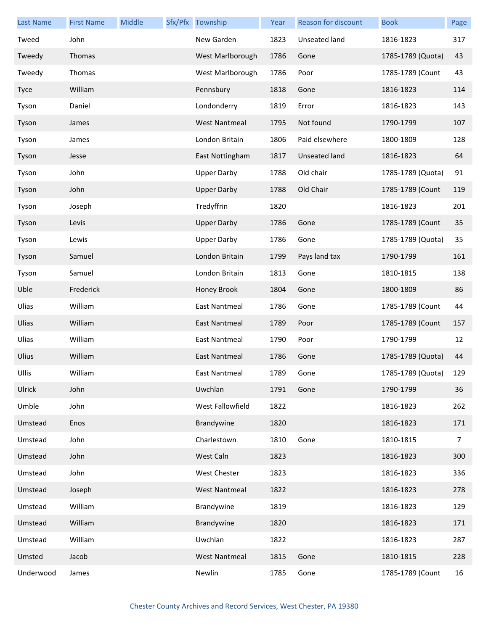| <b>Last Name</b> | <b>First Name</b> | <b>Middle</b> | Sfx/Pfx Township     | Year | Reason for discount | <b>Book</b>           | Page           |
|------------------|-------------------|---------------|----------------------|------|---------------------|-----------------------|----------------|
| Tweed            | John              |               | New Garden           | 1823 | Unseated land       | 1816-1823             | 317            |
| Tweedy           | Thomas            |               | West Marlborough     | 1786 | Gone                | 1785-1789 (Quota)     | 43             |
| Tweedy           | Thomas            |               | West Marlborough     | 1786 | Poor                | 1785-1789 (Count      | 43             |
| Tyce             | William           |               | Pennsbury            | 1818 | Gone                | 1816-1823             | 114            |
| Tyson            | Daniel            |               | Londonderry          | 1819 | Error               | 1816-1823             | 143            |
| Tyson            | James             |               | <b>West Nantmeal</b> | 1795 | Not found           | 1790-1799             | 107            |
| Tyson            | James             |               | London Britain       | 1806 | Paid elsewhere      | 1800-1809             | 128            |
| Tyson            | Jesse             |               | East Nottingham      | 1817 | Unseated land       | 1816-1823             | 64             |
| Tyson            | John              |               | <b>Upper Darby</b>   | 1788 | Old chair           | 1785-1789 (Quota)     | 91             |
| Tyson            | John              |               | <b>Upper Darby</b>   | 1788 | Old Chair           | 1785-1789 (Count      | 119            |
| Tyson            | Joseph            |               | Tredyffrin           | 1820 |                     | 1816-1823             | 201            |
| Tyson            | Levis             |               | <b>Upper Darby</b>   | 1786 | Gone                | 1785-1789 (Count      | 35             |
| Tyson            | Lewis             |               | <b>Upper Darby</b>   | 1786 | Gone                | 1785-1789 (Quota)     | 35             |
| Tyson            | Samuel            |               | London Britain       | 1799 | Pays land tax       | 1790-1799             | 161            |
| Tyson            | Samuel            |               | London Britain       | 1813 | Gone                | 1810-1815             | 138            |
| Uble             | Frederick         |               | Honey Brook          | 1804 | Gone                | 1800-1809             | 86             |
| Ulias            | William           |               | East Nantmeal        | 1786 | Gone                | 1785-1789 (Count      | 44             |
| Ulias            | William           |               | East Nantmeal        | 1789 | Poor                | 1785-1789 (Count      | 157            |
| Ulias            | William           |               | East Nantmeal        | 1790 | Poor                | 1790-1799             | 12             |
| Ulius            | William           |               | East Nantmeal        | 1786 | Gone                | 1785-1789 (Quota)     | 44             |
| Ullis            | William           |               | East Nantmeal        | 1789 | Gone                | 1785-1789 (Quota) 129 |                |
| Ulrick           | John              |               | Uwchlan              | 1791 | Gone                | 1790-1799             | 36             |
| Umble            | John              |               | West Fallowfield     | 1822 |                     | 1816-1823             | 262            |
| Umstead          | Enos              |               | Brandywine           | 1820 |                     | 1816-1823             | 171            |
| Umstead          | John              |               | Charlestown          | 1810 | Gone                | 1810-1815             | $\overline{7}$ |
| Umstead          | John              |               | West Caln            | 1823 |                     | 1816-1823             | 300            |
| Umstead          | John              |               | West Chester         | 1823 |                     | 1816-1823             | 336            |
| Umstead          | Joseph            |               | <b>West Nantmeal</b> | 1822 |                     | 1816-1823             | 278            |
| Umstead          | William           |               | Brandywine           | 1819 |                     | 1816-1823             | 129            |
| Umstead          | William           |               | Brandywine           | 1820 |                     | 1816-1823             | 171            |
| Umstead          | William           |               | Uwchlan              | 1822 |                     | 1816-1823             | 287            |
| Umsted           | Jacob             |               | <b>West Nantmeal</b> | 1815 | Gone                | 1810-1815             | 228            |
| Underwood        | James             |               | Newlin               | 1785 | Gone                | 1785-1789 (Count      | 16             |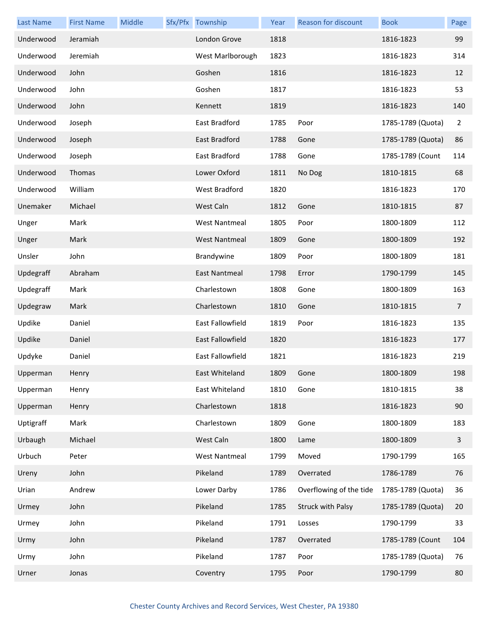| <b>Last Name</b> | <b>First Name</b> | Middle | Sfx/Pfx Township     | Year | Reason for discount     | <b>Book</b>       | Page           |
|------------------|-------------------|--------|----------------------|------|-------------------------|-------------------|----------------|
| Underwood        | Jeramiah          |        | London Grove         | 1818 |                         | 1816-1823         | 99             |
| Underwood        | Jeremiah          |        | West Marlborough     | 1823 |                         | 1816-1823         | 314            |
| Underwood        | John              |        | Goshen               | 1816 |                         | 1816-1823         | 12             |
| Underwood        | John              |        | Goshen               | 1817 |                         | 1816-1823         | 53             |
| Underwood        | John              |        | Kennett              | 1819 |                         | 1816-1823         | 140            |
| Underwood        | Joseph            |        | East Bradford        | 1785 | Poor                    | 1785-1789 (Quota) | $\overline{2}$ |
| Underwood        | Joseph            |        | East Bradford        | 1788 | Gone                    | 1785-1789 (Quota) | 86             |
| Underwood        | Joseph            |        | East Bradford        | 1788 | Gone                    | 1785-1789 (Count  | 114            |
| Underwood        | Thomas            |        | Lower Oxford         | 1811 | No Dog                  | 1810-1815         | 68             |
| Underwood        | William           |        | West Bradford        | 1820 |                         | 1816-1823         | 170            |
| Unemaker         | Michael           |        | West Caln            | 1812 | Gone                    | 1810-1815         | 87             |
| Unger            | Mark              |        | <b>West Nantmeal</b> | 1805 | Poor                    | 1800-1809         | 112            |
| Unger            | Mark              |        | <b>West Nantmeal</b> | 1809 | Gone                    | 1800-1809         | 192            |
| Unsler           | John              |        | Brandywine           | 1809 | Poor                    | 1800-1809         | 181            |
| Updegraff        | Abraham           |        | East Nantmeal        | 1798 | Error                   | 1790-1799         | 145            |
| Updegraff        | Mark              |        | Charlestown          | 1808 | Gone                    | 1800-1809         | 163            |
| Updegraw         | Mark              |        | Charlestown          | 1810 | Gone                    | 1810-1815         | $\overline{7}$ |
| Updike           | Daniel            |        | East Fallowfield     | 1819 | Poor                    | 1816-1823         | 135            |
| Updike           | Daniel            |        | East Fallowfield     | 1820 |                         | 1816-1823         | 177            |
| Updyke           | Daniel            |        | East Fallowfield     | 1821 |                         | 1816-1823         | 219            |
| Upperman         | Henry             |        | East Whiteland       | 1809 | Gone                    | 1800-1809         | 198            |
| Upperman         | Henry             |        | East Whiteland       | 1810 | Gone                    | 1810-1815         | 38             |
| Upperman         | Henry             |        | Charlestown          | 1818 |                         | 1816-1823         | 90             |
| Uptigraff        | Mark              |        | Charlestown          | 1809 | Gone                    | 1800-1809         | 183            |
| Urbaugh          | Michael           |        | West Caln            | 1800 | Lame                    | 1800-1809         | $\overline{3}$ |
| Urbuch           | Peter             |        | <b>West Nantmeal</b> | 1799 | Moved                   | 1790-1799         | 165            |
| Ureny            | John              |        | Pikeland             | 1789 | Overrated               | 1786-1789         | 76             |
| Urian            | Andrew            |        | Lower Darby          | 1786 | Overflowing of the tide | 1785-1789 (Quota) | 36             |
| Urmey            | John              |        | Pikeland             | 1785 | Struck with Palsy       | 1785-1789 (Quota) | 20             |
| Urmey            | John              |        | Pikeland             | 1791 | Losses                  | 1790-1799         | 33             |
| Urmy             | John              |        | Pikeland             | 1787 | Overrated               | 1785-1789 (Count  | 104            |
| Urmy             | John              |        | Pikeland             | 1787 | Poor                    | 1785-1789 (Quota) | 76             |
| Urner            | Jonas             |        | Coventry             | 1795 | Poor                    | 1790-1799         | 80             |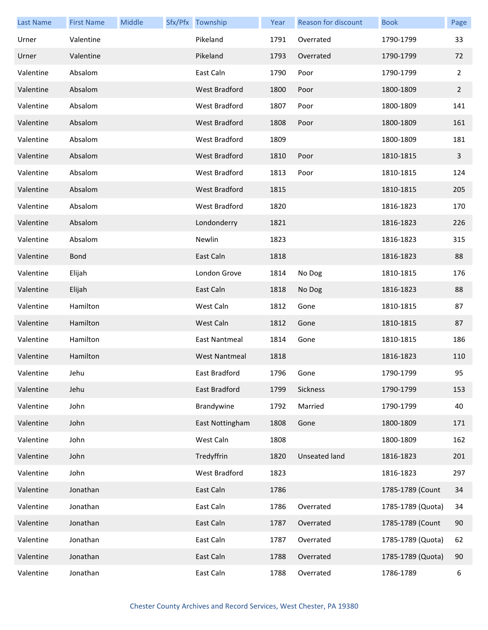| <b>Last Name</b> | <b>First Name</b> | Middle | Sfx/Pfx Township     | Year | <b>Reason for discount</b> | <b>Book</b>       | Page           |
|------------------|-------------------|--------|----------------------|------|----------------------------|-------------------|----------------|
| Urner            | Valentine         |        | Pikeland             | 1791 | Overrated                  | 1790-1799         | 33             |
| Urner            | Valentine         |        | Pikeland             | 1793 | Overrated                  | 1790-1799         | 72             |
| Valentine        | Absalom           |        | East Caln            | 1790 | Poor                       | 1790-1799         | $\overline{2}$ |
| Valentine        | Absalom           |        | West Bradford        | 1800 | Poor                       | 1800-1809         | $\overline{2}$ |
| Valentine        | Absalom           |        | West Bradford        | 1807 | Poor                       | 1800-1809         | 141            |
| Valentine        | Absalom           |        | <b>West Bradford</b> | 1808 | Poor                       | 1800-1809         | 161            |
| Valentine        | Absalom           |        | West Bradford        | 1809 |                            | 1800-1809         | 181            |
| Valentine        | Absalom           |        | <b>West Bradford</b> | 1810 | Poor                       | 1810-1815         | 3              |
| Valentine        | Absalom           |        | West Bradford        | 1813 | Poor                       | 1810-1815         | 124            |
| Valentine        | Absalom           |        | <b>West Bradford</b> | 1815 |                            | 1810-1815         | 205            |
| Valentine        | Absalom           |        | West Bradford        | 1820 |                            | 1816-1823         | 170            |
| Valentine        | Absalom           |        | Londonderry          | 1821 |                            | 1816-1823         | 226            |
| Valentine        | Absalom           |        | Newlin               | 1823 |                            | 1816-1823         | 315            |
| Valentine        | <b>Bond</b>       |        | East Caln            | 1818 |                            | 1816-1823         | 88             |
| Valentine        | Elijah            |        | London Grove         | 1814 | No Dog                     | 1810-1815         | 176            |
| Valentine        | Elijah            |        | East Caln            | 1818 | No Dog                     | 1816-1823         | 88             |
| Valentine        | Hamilton          |        | West Caln            | 1812 | Gone                       | 1810-1815         | 87             |
| Valentine        | Hamilton          |        | West Caln            | 1812 | Gone                       | 1810-1815         | 87             |
| Valentine        | Hamilton          |        | East Nantmeal        | 1814 | Gone                       | 1810-1815         | 186            |
| Valentine        | Hamilton          |        | <b>West Nantmeal</b> | 1818 |                            | 1816-1823         | 110            |
| Valentine        | Jehu              |        | East Bradford        | 1796 | Gone                       | 1790-1799         | 95             |
| Valentine        | Jehu              |        | East Bradford        | 1799 | Sickness                   | 1790-1799         | 153            |
| Valentine        | John              |        | Brandywine           | 1792 | Married                    | 1790-1799         | 40             |
| Valentine        | John              |        | East Nottingham      | 1808 | Gone                       | 1800-1809         | 171            |
| Valentine        | John              |        | West Caln            | 1808 |                            | 1800-1809         | 162            |
| Valentine        | John              |        | Tredyffrin           | 1820 | <b>Unseated land</b>       | 1816-1823         | 201            |
| Valentine        | John              |        | West Bradford        | 1823 |                            | 1816-1823         | 297            |
| Valentine        | Jonathan          |        | East Caln            | 1786 |                            | 1785-1789 (Count  | 34             |
| Valentine        | Jonathan          |        | East Caln            | 1786 | Overrated                  | 1785-1789 (Quota) | 34             |
| Valentine        | Jonathan          |        | East Caln            | 1787 | Overrated                  | 1785-1789 (Count  | 90             |
| Valentine        | Jonathan          |        | East Caln            | 1787 | Overrated                  | 1785-1789 (Quota) | 62             |
| Valentine        | Jonathan          |        | East Caln            | 1788 | Overrated                  | 1785-1789 (Quota) | 90             |
| Valentine        | Jonathan          |        | East Caln            | 1788 | Overrated                  | 1786-1789         | 6              |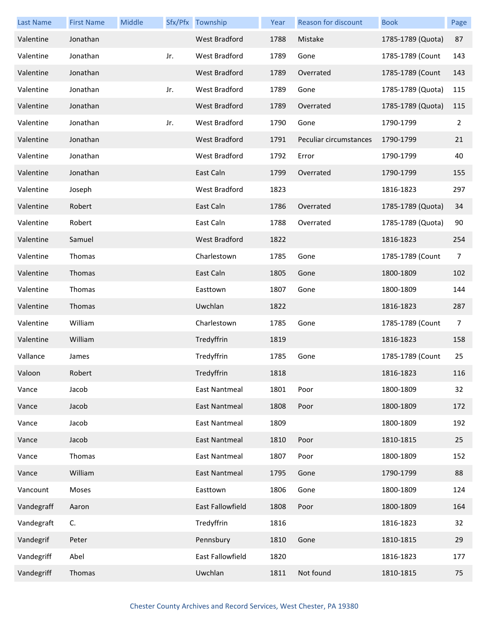| <b>Last Name</b> | <b>First Name</b> | Middle |     | Sfx/Pfx Township     | Year | Reason for discount    | <b>Book</b>       | Page |
|------------------|-------------------|--------|-----|----------------------|------|------------------------|-------------------|------|
| Valentine        | Jonathan          |        |     | <b>West Bradford</b> | 1788 | Mistake                | 1785-1789 (Quota) | 87   |
| Valentine        | Jonathan          |        | Jr. | West Bradford        | 1789 | Gone                   | 1785-1789 (Count  | 143  |
| Valentine        | Jonathan          |        |     | West Bradford        | 1789 | Overrated              | 1785-1789 (Count  | 143  |
| Valentine        | Jonathan          |        | Jr. | West Bradford        | 1789 | Gone                   | 1785-1789 (Quota) | 115  |
| Valentine        | Jonathan          |        |     | <b>West Bradford</b> | 1789 | Overrated              | 1785-1789 (Quota) | 115  |
| Valentine        | Jonathan          |        | Jr. | West Bradford        | 1790 | Gone                   | 1790-1799         | 2    |
| Valentine        | Jonathan          |        |     | <b>West Bradford</b> | 1791 | Peculiar circumstances | 1790-1799         | 21   |
| Valentine        | Jonathan          |        |     | West Bradford        | 1792 | Error                  | 1790-1799         | 40   |
| Valentine        | Jonathan          |        |     | East Caln            | 1799 | Overrated              | 1790-1799         | 155  |
| Valentine        | Joseph            |        |     | West Bradford        | 1823 |                        | 1816-1823         | 297  |
| Valentine        | Robert            |        |     | East Caln            | 1786 | Overrated              | 1785-1789 (Quota) | 34   |
| Valentine        | Robert            |        |     | East Caln            | 1788 | Overrated              | 1785-1789 (Quota) | 90   |
| Valentine        | Samuel            |        |     | West Bradford        | 1822 |                        | 1816-1823         | 254  |
| Valentine        | Thomas            |        |     | Charlestown          | 1785 | Gone                   | 1785-1789 (Count  | 7    |
| Valentine        | Thomas            |        |     | East Caln            | 1805 | Gone                   | 1800-1809         | 102  |
| Valentine        | Thomas            |        |     | Easttown             | 1807 | Gone                   | 1800-1809         | 144  |
| Valentine        | Thomas            |        |     | Uwchlan              | 1822 |                        | 1816-1823         | 287  |
| Valentine        | William           |        |     | Charlestown          | 1785 | Gone                   | 1785-1789 (Count  | 7    |
| Valentine        | William           |        |     | Tredyffrin           | 1819 |                        | 1816-1823         | 158  |
| Vallance         | James             |        |     | Tredyffrin           | 1785 | Gone                   | 1785-1789 (Count  | 25   |
| Valoon           | Robert            |        |     | Tredyffrin           | 1818 |                        | 1816-1823         | 116  |
| Vance            | Jacob             |        |     | East Nantmeal        | 1801 | Poor                   | 1800-1809         | 32   |
| Vance            | Jacob             |        |     | East Nantmeal        | 1808 | Poor                   | 1800-1809         | 172  |
| Vance            | Jacob             |        |     | <b>East Nantmeal</b> | 1809 |                        | 1800-1809         | 192  |
| Vance            | Jacob             |        |     | <b>East Nantmeal</b> | 1810 | Poor                   | 1810-1815         | 25   |
| Vance            | Thomas            |        |     | <b>East Nantmeal</b> | 1807 | Poor                   | 1800-1809         | 152  |
| Vance            | William           |        |     | <b>East Nantmeal</b> | 1795 | Gone                   | 1790-1799         | 88   |
| Vancount         | Moses             |        |     | Easttown             | 1806 | Gone                   | 1800-1809         | 124  |
| Vandegraff       | Aaron             |        |     | East Fallowfield     | 1808 | Poor                   | 1800-1809         | 164  |
| Vandegraft       | C.                |        |     | Tredyffrin           | 1816 |                        | 1816-1823         | 32   |
| Vandegrif        | Peter             |        |     | Pennsbury            | 1810 | Gone                   | 1810-1815         | 29   |
| Vandegriff       | Abel              |        |     | East Fallowfield     | 1820 |                        | 1816-1823         | 177  |
| Vandegriff       | Thomas            |        |     | Uwchlan              | 1811 | Not found              | 1810-1815         | 75   |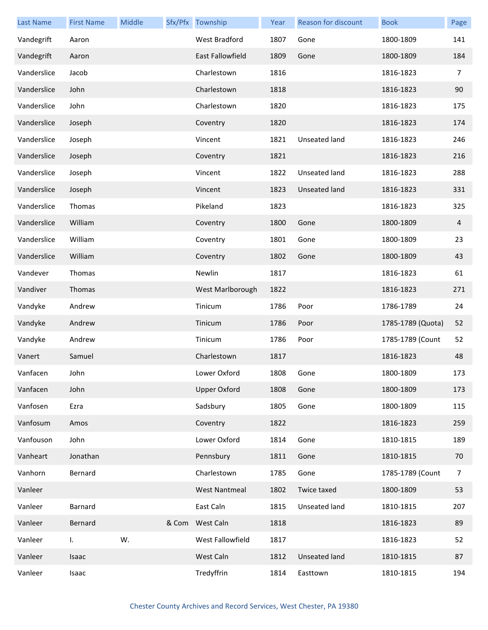| <b>Last Name</b> | <b>First Name</b> | Middle |       | Sfx/Pfx Township        | Year | Reason for discount  | <b>Book</b>       | Page           |
|------------------|-------------------|--------|-------|-------------------------|------|----------------------|-------------------|----------------|
| Vandegrift       | Aaron             |        |       | West Bradford           | 1807 | Gone                 | 1800-1809         | 141            |
| Vandegrift       | Aaron             |        |       | <b>East Fallowfield</b> | 1809 | Gone                 | 1800-1809         | 184            |
| Vanderslice      | Jacob             |        |       | Charlestown             | 1816 |                      | 1816-1823         | 7              |
| Vanderslice      | John              |        |       | Charlestown             | 1818 |                      | 1816-1823         | 90             |
| Vanderslice      | John              |        |       | Charlestown             | 1820 |                      | 1816-1823         | 175            |
| Vanderslice      | Joseph            |        |       | Coventry                | 1820 |                      | 1816-1823         | 174            |
| Vanderslice      | Joseph            |        |       | Vincent                 | 1821 | Unseated land        | 1816-1823         | 246            |
| Vanderslice      | Joseph            |        |       | Coventry                | 1821 |                      | 1816-1823         | 216            |
| Vanderslice      | Joseph            |        |       | Vincent                 | 1822 | Unseated land        | 1816-1823         | 288            |
| Vanderslice      | Joseph            |        |       | Vincent                 | 1823 | Unseated land        | 1816-1823         | 331            |
| Vanderslice      | Thomas            |        |       | Pikeland                | 1823 |                      | 1816-1823         | 325            |
| Vanderslice      | William           |        |       | Coventry                | 1800 | Gone                 | 1800-1809         | 4              |
| Vanderslice      | William           |        |       | Coventry                | 1801 | Gone                 | 1800-1809         | 23             |
| Vanderslice      | William           |        |       | Coventry                | 1802 | Gone                 | 1800-1809         | 43             |
| Vandever         | Thomas            |        |       | Newlin                  | 1817 |                      | 1816-1823         | 61             |
| Vandiver         | Thomas            |        |       | West Marlborough        | 1822 |                      | 1816-1823         | 271            |
| Vandyke          | Andrew            |        |       | Tinicum                 | 1786 | Poor                 | 1786-1789         | 24             |
| Vandyke          | Andrew            |        |       | Tinicum                 | 1786 | Poor                 | 1785-1789 (Quota) | 52             |
| Vandyke          | Andrew            |        |       | Tinicum                 | 1786 | Poor                 | 1785-1789 (Count  | 52             |
| Vanert           | Samuel            |        |       | Charlestown             | 1817 |                      | 1816-1823         | 48             |
| Vanfacen         | John              |        |       | Lower Oxford            | 1808 | Gone                 | 1800-1809         | 173            |
| Vanfacen         | John              |        |       | <b>Upper Oxford</b>     | 1808 | Gone                 | 1800-1809         | 173            |
| Vanfosen         | Ezra              |        |       | Sadsbury                | 1805 | Gone                 | 1800-1809         | 115            |
| Vanfosum         | Amos              |        |       | Coventry                | 1822 |                      | 1816-1823         | 259            |
| Vanfouson        | John              |        |       | Lower Oxford            | 1814 | Gone                 | 1810-1815         | 189            |
| Vanheart         | Jonathan          |        |       | Pennsbury               | 1811 | Gone                 | 1810-1815         | 70             |
| Vanhorn          | Bernard           |        |       | Charlestown             | 1785 | Gone                 | 1785-1789 (Count  | $\overline{7}$ |
| Vanleer          |                   |        |       | <b>West Nantmeal</b>    | 1802 | Twice taxed          | 1800-1809         | 53             |
| Vanleer          | Barnard           |        |       | East Caln               | 1815 | Unseated land        | 1810-1815         | 207            |
| Vanleer          | Bernard           |        | & Com | West Caln               | 1818 |                      | 1816-1823         | 89             |
| Vanleer          | L.                | W.     |       | West Fallowfield        | 1817 |                      | 1816-1823         | 52             |
| Vanleer          | Isaac             |        |       | West Caln               | 1812 | <b>Unseated land</b> | 1810-1815         | 87             |
| Vanleer          | Isaac             |        |       | Tredyffrin              | 1814 | Easttown             | 1810-1815         | 194            |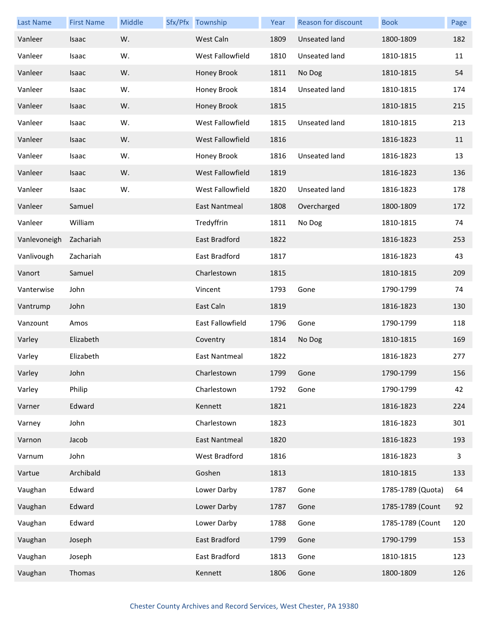| <b>Last Name</b> | <b>First Name</b> | Middle | Sfx/Pfx Township | Year | <b>Reason for discount</b> | <b>Book</b>       | Page |
|------------------|-------------------|--------|------------------|------|----------------------------|-------------------|------|
| Vanleer          | Isaac             | W.     | West Caln        | 1809 | Unseated land              | 1800-1809         | 182  |
| Vanleer          | Isaac             | W.     | West Fallowfield | 1810 | Unseated land              | 1810-1815         | 11   |
| Vanleer          | Isaac             | W.     | Honey Brook      | 1811 | No Dog                     | 1810-1815         | 54   |
| Vanleer          | Isaac             | W.     | Honey Brook      | 1814 | Unseated land              | 1810-1815         | 174  |
| Vanleer          | Isaac             | W.     | Honey Brook      | 1815 |                            | 1810-1815         | 215  |
| Vanleer          | Isaac             | W.     | West Fallowfield | 1815 | Unseated land              | 1810-1815         | 213  |
| Vanleer          | Isaac             | W.     | West Fallowfield | 1816 |                            | 1816-1823         | 11   |
| Vanleer          | Isaac             | W.     | Honey Brook      | 1816 | Unseated land              | 1816-1823         | 13   |
| Vanleer          | Isaac             | W.     | West Fallowfield | 1819 |                            | 1816-1823         | 136  |
| Vanleer          | Isaac             | W.     | West Fallowfield | 1820 | <b>Unseated land</b>       | 1816-1823         | 178  |
| Vanleer          | Samuel            |        | East Nantmeal    | 1808 | Overcharged                | 1800-1809         | 172  |
| Vanleer          | William           |        | Tredyffrin       | 1811 | No Dog                     | 1810-1815         | 74   |
| Vanlevoneigh     | Zachariah         |        | East Bradford    | 1822 |                            | 1816-1823         | 253  |
| Vanlivough       | Zachariah         |        | East Bradford    | 1817 |                            | 1816-1823         | 43   |
| Vanort           | Samuel            |        | Charlestown      | 1815 |                            | 1810-1815         | 209  |
| Vanterwise       | John              |        | Vincent          | 1793 | Gone                       | 1790-1799         | 74   |
| Vantrump         | John              |        | East Caln        | 1819 |                            | 1816-1823         | 130  |
| Vanzount         | Amos              |        | East Fallowfield | 1796 | Gone                       | 1790-1799         | 118  |
| Varley           | Elizabeth         |        | Coventry         | 1814 | No Dog                     | 1810-1815         | 169  |
| Varley           | Elizabeth         |        | East Nantmeal    | 1822 |                            | 1816-1823         | 277  |
| Varley           | John              |        | Charlestown      | 1799 | Gone                       | 1790-1799         | 156  |
| Varley           | Philip            |        | Charlestown      | 1792 | Gone                       | 1790-1799         | 42   |
| Varner           | Edward            |        | Kennett          | 1821 |                            | 1816-1823         | 224  |
| Varney           | John              |        | Charlestown      | 1823 |                            | 1816-1823         | 301  |
| Varnon           | Jacob             |        | East Nantmeal    | 1820 |                            | 1816-1823         | 193  |
| Varnum           | John              |        | West Bradford    | 1816 |                            | 1816-1823         | 3    |
| Vartue           | Archibald         |        | Goshen           | 1813 |                            | 1810-1815         | 133  |
| Vaughan          | Edward            |        | Lower Darby      | 1787 | Gone                       | 1785-1789 (Quota) | 64   |
| Vaughan          | Edward            |        | Lower Darby      | 1787 | Gone                       | 1785-1789 (Count  | 92   |
| Vaughan          | Edward            |        | Lower Darby      | 1788 | Gone                       | 1785-1789 (Count  | 120  |
| Vaughan          | Joseph            |        | East Bradford    | 1799 | Gone                       | 1790-1799         | 153  |
| Vaughan          | Joseph            |        | East Bradford    | 1813 | Gone                       | 1810-1815         | 123  |
| Vaughan          | Thomas            |        | Kennett          | 1806 | Gone                       | 1800-1809         | 126  |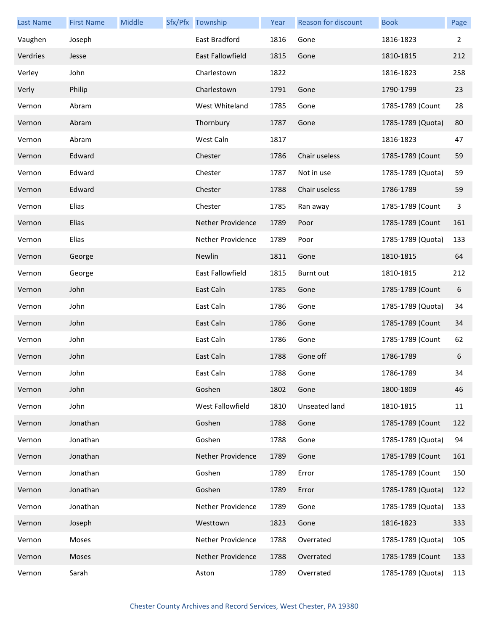| <b>Last Name</b> | <b>First Name</b> | <b>Middle</b> | Sfx/Pfx Township  | Year | <b>Reason for discount</b> | <b>Book</b>       | Page           |
|------------------|-------------------|---------------|-------------------|------|----------------------------|-------------------|----------------|
| Vaughen          | Joseph            |               | East Bradford     | 1816 | Gone                       | 1816-1823         | $\overline{2}$ |
| Verdries         | Jesse             |               | East Fallowfield  | 1815 | Gone                       | 1810-1815         | 212            |
| Verley           | John              |               | Charlestown       | 1822 |                            | 1816-1823         | 258            |
| Verly            | Philip            |               | Charlestown       | 1791 | Gone                       | 1790-1799         | 23             |
| Vernon           | Abram             |               | West Whiteland    | 1785 | Gone                       | 1785-1789 (Count  | 28             |
| Vernon           | Abram             |               | Thornbury         | 1787 | Gone                       | 1785-1789 (Quota) | 80             |
| Vernon           | Abram             |               | West Caln         | 1817 |                            | 1816-1823         | 47             |
| Vernon           | Edward            |               | Chester           | 1786 | Chair useless              | 1785-1789 (Count  | 59             |
| Vernon           | Edward            |               | Chester           | 1787 | Not in use                 | 1785-1789 (Quota) | 59             |
| Vernon           | Edward            |               | Chester           | 1788 | Chair useless              | 1786-1789         | 59             |
| Vernon           | Elias             |               | Chester           | 1785 | Ran away                   | 1785-1789 (Count  | 3              |
| Vernon           | Elias             |               | Nether Providence | 1789 | Poor                       | 1785-1789 (Count  | 161            |
| Vernon           | Elias             |               | Nether Providence | 1789 | Poor                       | 1785-1789 (Quota) | 133            |
| Vernon           | George            |               | Newlin            | 1811 | Gone                       | 1810-1815         | 64             |
| Vernon           | George            |               | East Fallowfield  | 1815 | <b>Burnt out</b>           | 1810-1815         | 212            |
| Vernon           | John              |               | East Caln         | 1785 | Gone                       | 1785-1789 (Count  | 6              |
| Vernon           | John              |               | East Caln         | 1786 | Gone                       | 1785-1789 (Quota) | 34             |
| Vernon           | John              |               | East Caln         | 1786 | Gone                       | 1785-1789 (Count  | 34             |
| Vernon           | John              |               | East Caln         | 1786 | Gone                       | 1785-1789 (Count  | 62             |
| Vernon           | John              |               | East Caln         | 1788 | Gone off                   | 1786-1789         | 6              |
| Vernon           | John              |               | East Caln         | 1788 | Gone                       | 1786-1789         | 34             |
| Vernon           | John              |               | Goshen            | 1802 | Gone                       | 1800-1809         | 46             |
| Vernon           | John              |               | West Fallowfield  | 1810 | Unseated land              | 1810-1815         | 11             |
| Vernon           | Jonathan          |               | Goshen            | 1788 | Gone                       | 1785-1789 (Count  | 122            |
| Vernon           | Jonathan          |               | Goshen            | 1788 | Gone                       | 1785-1789 (Quota) | 94             |
| Vernon           | Jonathan          |               | Nether Providence | 1789 | Gone                       | 1785-1789 (Count  | 161            |
| Vernon           | Jonathan          |               | Goshen            | 1789 | Error                      | 1785-1789 (Count  | 150            |
| Vernon           | Jonathan          |               | Goshen            | 1789 | Error                      | 1785-1789 (Quota) | 122            |
| Vernon           | Jonathan          |               | Nether Providence | 1789 | Gone                       | 1785-1789 (Quota) | 133            |
| Vernon           | Joseph            |               | Westtown          | 1823 | Gone                       | 1816-1823         | 333            |
| Vernon           | Moses             |               | Nether Providence | 1788 | Overrated                  | 1785-1789 (Quota) | 105            |
| Vernon           | Moses             |               | Nether Providence | 1788 | Overrated                  | 1785-1789 (Count  | 133            |
| Vernon           | Sarah             |               | Aston             | 1789 | Overrated                  | 1785-1789 (Quota) | 113            |